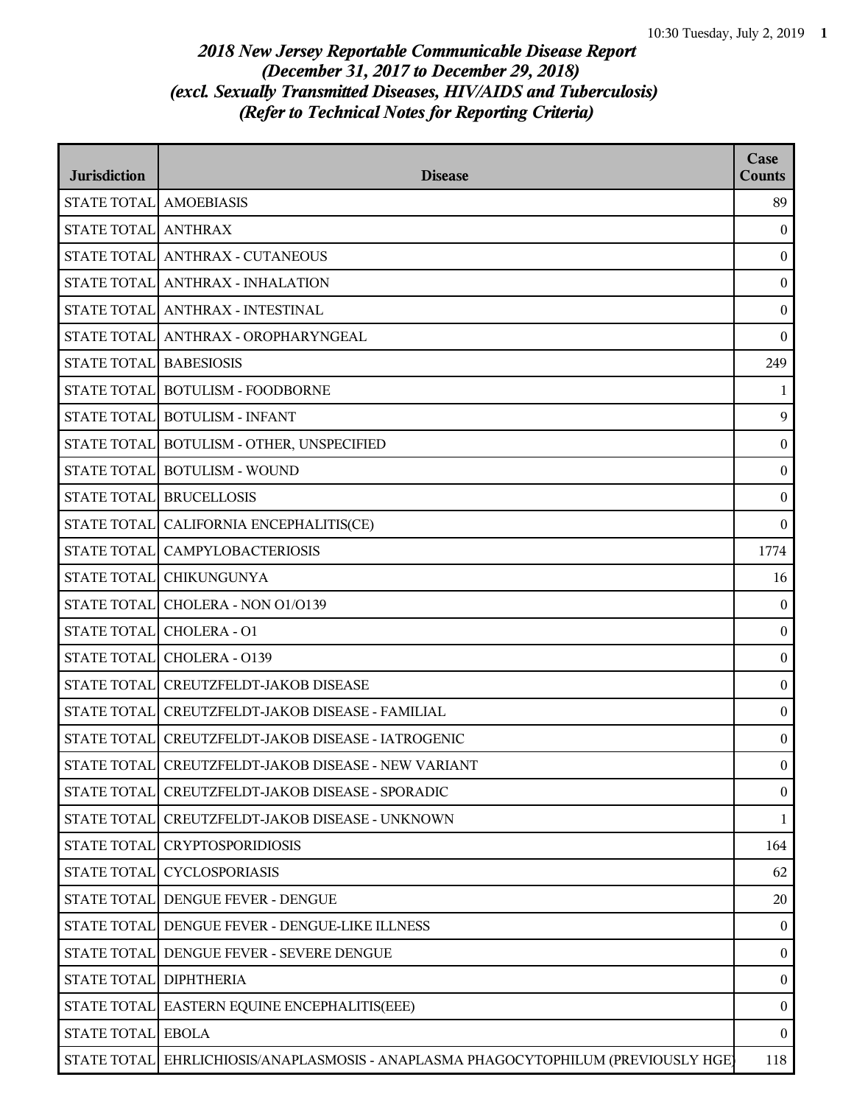| <b>Jurisdiction</b>    | <b>Disease</b>                                                         | Case<br><b>Counts</b> |
|------------------------|------------------------------------------------------------------------|-----------------------|
| STATE TOTAL AMOEBIASIS |                                                                        | 89                    |
| STATE TOTAL ANTHRAX    |                                                                        | $\boldsymbol{0}$      |
|                        | STATE TOTAL ANTHRAX - CUTANEOUS                                        | $\mathbf{0}$          |
|                        | STATE TOTAL ANTHRAX - INHALATION                                       | $\mathbf{0}$          |
|                        | STATE TOTAL ANTHRAX - INTESTINAL                                       | $\boldsymbol{0}$      |
|                        | STATE TOTAL ANTHRAX - OROPHARYNGEAL                                    | $\boldsymbol{0}$      |
| STATE TOTAL BABESIOSIS |                                                                        | 249                   |
|                        | STATE TOTAL BOTULISM - FOODBORNE                                       | $\mathbf{1}$          |
|                        | STATE TOTAL BOTULISM - INFANT                                          | 9                     |
|                        | STATE TOTAL BOTULISM - OTHER, UNSPECIFIED                              | $\boldsymbol{0}$      |
|                        | STATE TOTAL BOTULISM - WOUND                                           | $\boldsymbol{0}$      |
|                        | STATE TOTAL BRUCELLOSIS                                                | $\boldsymbol{0}$      |
|                        | STATE TOTAL CALIFORNIA ENCEPHALITIS(CE)                                | $\mathbf{0}$          |
|                        | STATE TOTAL CAMPYLOBACTERIOSIS                                         | 1774                  |
|                        | STATE TOTAL CHIKUNGUNYA                                                | 16                    |
|                        | STATE TOTAL CHOLERA - NON 01/0139                                      | $\boldsymbol{0}$      |
|                        | STATE TOTAL CHOLERA - 01                                               | $\boldsymbol{0}$      |
|                        | STATE TOTAL CHOLERA - 0139                                             | $\boldsymbol{0}$      |
|                        | STATE TOTAL CREUTZFELDT-JAKOB DISEASE                                  | $\mathbf{0}$          |
|                        | STATE TOTAL CREUTZFELDT-JAKOB DISEASE - FAMILIAL                       | $\boldsymbol{0}$      |
|                        | STATE TOTAL CREUTZFELDT-JAKOB DISEASE - IATROGENIC                     | $\boldsymbol{0}$      |
|                        | STATE TOTAL CREUTZFELDT-JAKOB DISEASE - NEW VARIANT                    | $\boldsymbol{0}$      |
|                        | STATE TOTAL CREUTZFELDT-JAKOB DISEASE - SPORADIC                       | $\mathbf{0}$          |
|                        | STATE TOTAL CREUTZFELDT-JAKOB DISEASE - UNKNOWN                        | $\mathbf{1}$          |
|                        | STATE TOTAL CRYPTOSPORIDIOSIS                                          | 164                   |
|                        | STATE TOTAL CYCLOSPORIASIS                                             | 62                    |
|                        | STATE TOTAL DENGUE FEVER - DENGUE                                      | 20                    |
|                        | STATE TOTAL DENGUE FEVER - DENGUE-LIKE ILLNESS                         | $\mathbf{0}$          |
|                        | STATE TOTAL DENGUE FEVER - SEVERE DENGUE                               | $\bf{0}$              |
| STATE TOTAL DIPHTHERIA |                                                                        | $\mathbf{0}$          |
|                        | STATE TOTAL   EASTERN EQUINE ENCEPHALITIS(EEE)                         | $\boldsymbol{0}$      |
| STATE TOTAL EBOLA      |                                                                        | $\mathbf{0}$          |
| <b>STATE TOTAL</b>     | EHRLICHIOSIS/ANAPLASMOSIS - ANAPLASMA PHAGOCYTOPHILUM (PREVIOUSLY HGE) | 118                   |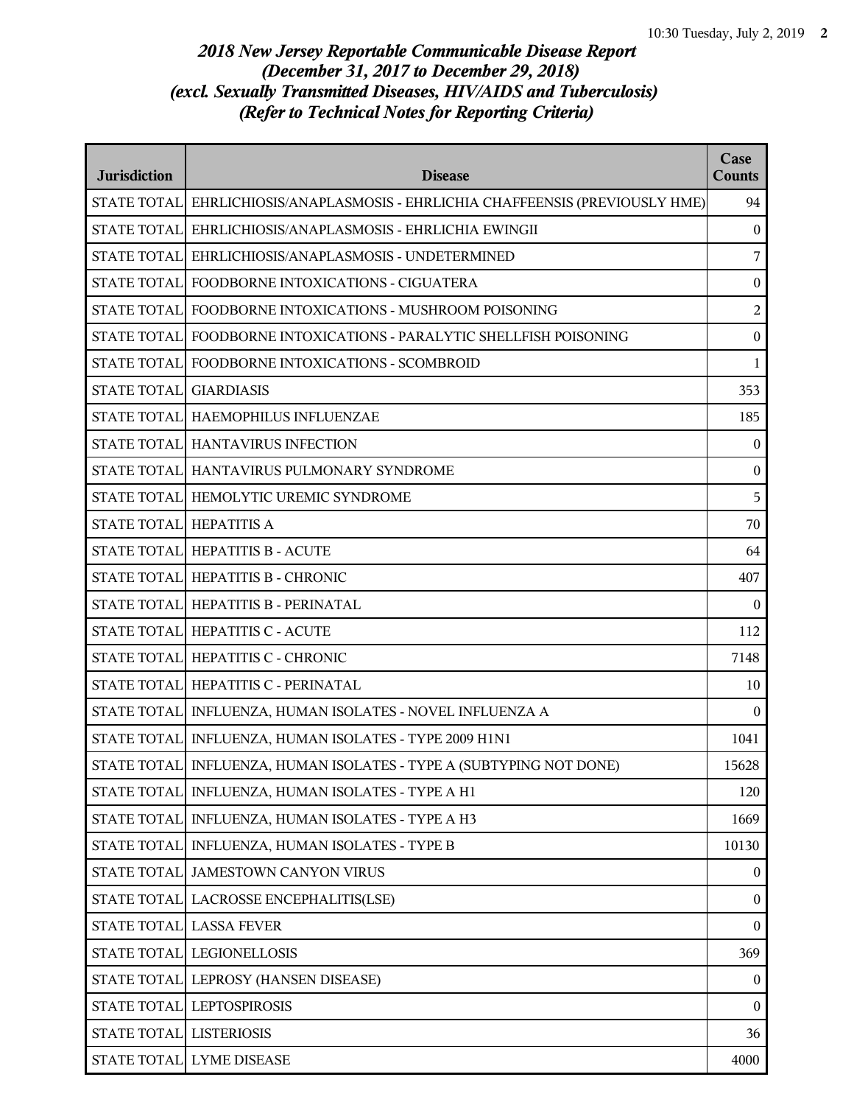| <b>Jurisdiction</b>     | <b>Disease</b>                                                                 | Case<br><b>Counts</b> |
|-------------------------|--------------------------------------------------------------------------------|-----------------------|
|                         | STATE TOTAL EHRLICHIOSIS/ANAPLASMOSIS - EHRLICHIA CHAFFEENSIS (PREVIOUSLY HME) | 94                    |
| <b>STATE TOTALI</b>     | EHRLICHIOSIS/ANAPLASMOSIS - EHRLICHIA EWINGII                                  | $\boldsymbol{0}$      |
|                         | STATE TOTAL EHRLICHIOSIS/ANAPLASMOSIS - UNDETERMINED                           | 7                     |
|                         | STATE TOTAL FOODBORNE INTOXICATIONS - CIGUATERA                                | $\boldsymbol{0}$      |
|                         | STATE TOTAL FOODBORNE INTOXICATIONS - MUSHROOM POISONING                       | $\overline{c}$        |
|                         | STATE TOTAL FOODBORNE INTOXICATIONS - PARALYTIC SHELLFISH POISONING            | $\boldsymbol{0}$      |
|                         | STATE TOTAL FOODBORNE INTOXICATIONS - SCOMBROID                                | $\mathbf{1}$          |
| STATE TOTAL GIARDIASIS  |                                                                                | 353                   |
|                         | STATE TOTAL HAEMOPHILUS INFLUENZAE                                             | 185                   |
|                         | STATE TOTAL HANTAVIRUS INFECTION                                               | $\bf{0}$              |
|                         | STATE TOTAL HANTAVIRUS PULMONARY SYNDROME                                      | $\boldsymbol{0}$      |
|                         | STATE TOTAL HEMOLYTIC UREMIC SYNDROME                                          | 5                     |
| STATE TOTAL HEPATITIS A |                                                                                | 70                    |
|                         | STATE TOTAL HEPATITIS B - ACUTE                                                | 64                    |
|                         | STATE TOTAL HEPATITIS B - CHRONIC                                              | 407                   |
|                         | STATE TOTAL HEPATITIS B - PERINATAL                                            | $\bf{0}$              |
|                         | STATE TOTAL HEPATITIS C - ACUTE                                                | 112                   |
|                         | STATE TOTAL HEPATITIS C - CHRONIC                                              | 7148                  |
|                         | STATE TOTAL HEPATITIS C - PERINATAL                                            | 10                    |
|                         | STATE TOTAL   INFLUENZA, HUMAN ISOLATES - NOVEL INFLUENZA A                    | $\boldsymbol{0}$      |
|                         | STATE TOTAL   INFLUENZA, HUMAN ISOLATES - TYPE 2009 H1N1                       | 1041                  |
|                         | STATE TOTAL   INFLUENZA, HUMAN ISOLATES - TYPE A (SUBTYPING NOT DONE)          | 15628                 |
|                         | STATE TOTAL NFLUENZA, HUMAN ISOLATES - TYPE A H1                               | 120                   |
|                         | STATE TOTAL   INFLUENZA, HUMAN ISOLATES - TYPE A H3                            | 1669                  |
|                         | STATE TOTAL   INFLUENZA, HUMAN ISOLATES - TYPE B                               | 10130                 |
|                         | STATE TOTAL JAMESTOWN CANYON VIRUS                                             | $\boldsymbol{0}$      |
|                         | STATE TOTAL   LACROSSE ENCEPHALITIS(LSE)                                       | $\boldsymbol{0}$      |
|                         | STATE TOTAL LASSA FEVER                                                        | $\boldsymbol{0}$      |
|                         | STATE TOTAL LEGIONELLOSIS                                                      | 369                   |
|                         | STATE TOTAL LEPROSY (HANSEN DISEASE)                                           | $\boldsymbol{0}$      |
|                         | STATE TOTAL LEPTOSPIROSIS                                                      | $\bf{0}$              |
| STATE TOTAL LISTERIOSIS |                                                                                | 36                    |
|                         | STATE TOTAL LYME DISEASE                                                       | 4000                  |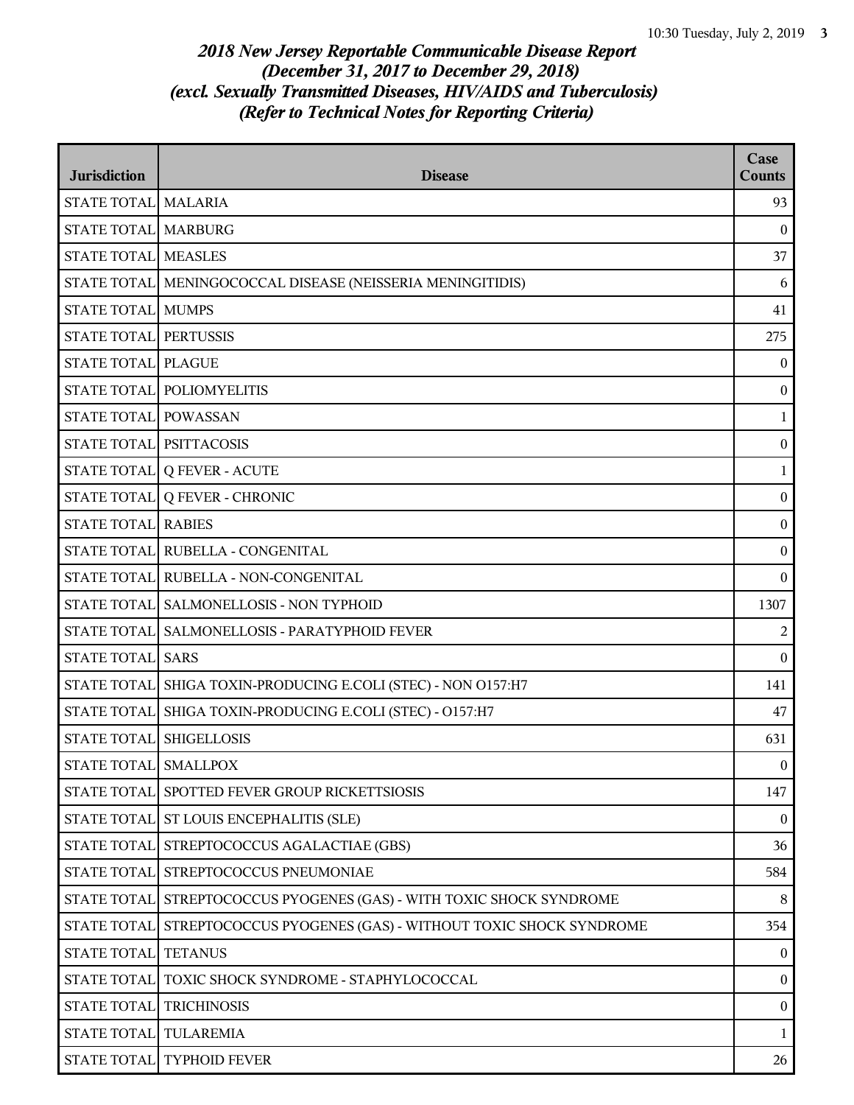| <b>Jurisdiction</b>        | <b>Disease</b>                                                | Case<br><b>Counts</b> |
|----------------------------|---------------------------------------------------------------|-----------------------|
| STATE TOTAL MALARIA        |                                                               | 93                    |
| STATE TOTAL MARBURG        |                                                               | $\boldsymbol{0}$      |
| <b>STATE TOTAL MEASLES</b> |                                                               | 37                    |
|                            | STATE TOTAL MENINGOCOCCAL DISEASE (NEISSERIA MENINGITIDIS)    | 6                     |
| <b>STATE TOTAL MUMPS</b>   |                                                               | 41                    |
| STATE TOTAL PERTUSSIS      |                                                               | 275                   |
| STATE TOTAL PLAGUE         |                                                               | $\mathbf{0}$          |
|                            | STATE TOTAL POLIOMYELITIS                                     | $\bf{0}$              |
| STATE TOTAL POWASSAN       |                                                               | 1                     |
| STATE TOTAL PSITTACOSIS    |                                                               | $\boldsymbol{0}$      |
|                            | STATE TOTAL Q FEVER - ACUTE                                   | $\mathbf{1}$          |
|                            | STATE TOTAL Q FEVER - CHRONIC                                 | $\bf{0}$              |
| <b>STATE TOTAL RABIES</b>  |                                                               | $\bf{0}$              |
|                            | STATE TOTAL RUBELLA - CONGENITAL                              | $\boldsymbol{0}$      |
|                            | STATE TOTAL RUBELLA - NON-CONGENITAL                          | $\boldsymbol{0}$      |
|                            | STATE TOTAL SALMONELLOSIS - NON TYPHOID                       | 1307                  |
|                            | STATE TOTAL SALMONELLOSIS - PARATYPHOID FEVER                 | $\overline{2}$        |
| STATE TOTAL SARS           |                                                               | $\theta$              |
|                            | STATE TOTAL SHIGA TOXIN-PRODUCING E.COLI (STEC) - NON O157:H7 | 141                   |
| <b>STATE TOTAL</b>         | SHIGA TOXIN-PRODUCING E.COLI (STEC) - O157:H7                 | 47                    |
| STATE TOTAL SHIGELLOSIS    |                                                               | 631                   |
| STATE TOTAL SMALLPOX       |                                                               | $\overline{0}$        |
|                            | STATE TOTAL SPOTTED FEVER GROUP RICKETTSIOSIS                 | 147                   |
|                            | STATE TOTAL ST LOUIS ENCEPHALITIS (SLE)                       | $\theta$              |
| <b>STATE TOTAL</b>         | STREPTOCOCCUS AGALACTIAE (GBS)                                | 36                    |
|                            | STATE TOTAL STREPTOCOCCUS PNEUMONIAE                          | 584                   |
| STATE TOTAL                | STREPTOCOCCUS PYOGENES (GAS) - WITH TOXIC SHOCK SYNDROME      | 8                     |
| <b>STATE TOTAL</b>         | STREPTOCOCCUS PYOGENES (GAS) - WITHOUT TOXIC SHOCK SYNDROME   | 354                   |
| <b>STATE TOTAL</b>         | <b>TETANUS</b>                                                | $\mathbf{0}$          |
| STATE TOTAL                | TOXIC SHOCK SYNDROME - STAPHYLOCOCCAL                         | $\boldsymbol{0}$      |
| STATE TOTAL                | <b>TRICHINOSIS</b>                                            | $\boldsymbol{0}$      |
| STATE TOTAL TULAREMIA      |                                                               | 1                     |
|                            | STATE TOTAL TYPHOID FEVER                                     | 26                    |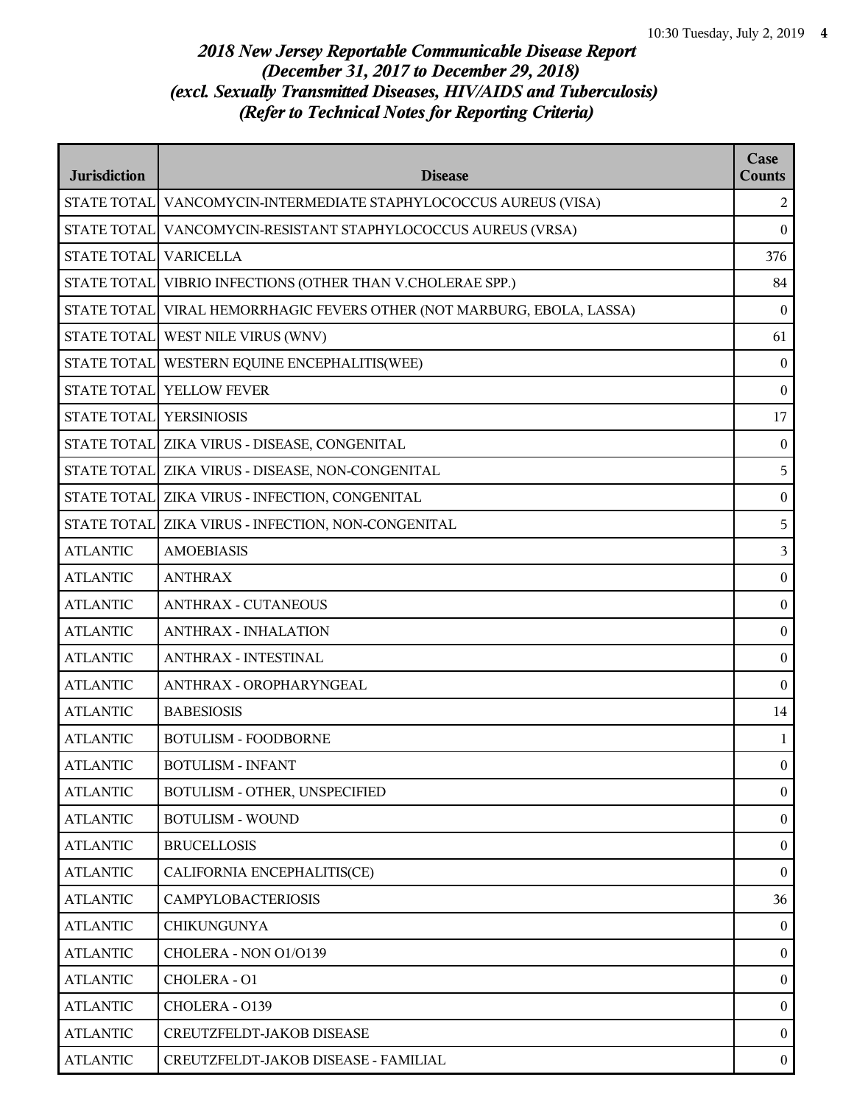| <b>Jurisdiction</b>     | <b>Disease</b>                                                           | Case<br><b>Counts</b> |
|-------------------------|--------------------------------------------------------------------------|-----------------------|
|                         | STATE TOTAL   VANCOMYCIN-INTERMEDIATE STAPHYLOCOCCUS AUREUS (VISA)       | 2                     |
|                         | STATE TOTAL VANCOMYCIN-RESISTANT STAPHYLOCOCCUS AUREUS (VRSA)            | $\bf{0}$              |
| STATE TOTAL VARICELLA   |                                                                          | 376                   |
|                         | STATE TOTAL VIBRIO INFECTIONS (OTHER THAN V.CHOLERAE SPP.)               | 84                    |
|                         | STATE TOTAL   VIRAL HEMORRHAGIC FEVERS OTHER (NOT MARBURG, EBOLA, LASSA) | $\mathbf{0}$          |
|                         | STATE TOTAL WEST NILE VIRUS (WNV)                                        | 61                    |
|                         | STATE TOTAL WESTERN EQUINE ENCEPHALITIS(WEE)                             | $\bf{0}$              |
|                         | STATE TOTAL YELLOW FEVER                                                 | $\bf{0}$              |
| STATE TOTAL YERSINIOSIS |                                                                          | 17                    |
|                         | STATE TOTAL ZIKA VIRUS - DISEASE, CONGENITAL                             | $\boldsymbol{0}$      |
|                         | STATE TOTAL ZIKA VIRUS - DISEASE, NON-CONGENITAL                         | 5                     |
|                         | STATE TOTAL ZIKA VIRUS - INFECTION, CONGENITAL                           | $\bf{0}$              |
|                         | STATE TOTAL ZIKA VIRUS - INFECTION, NON-CONGENITAL                       | 5                     |
| <b>ATLANTIC</b>         | <b>AMOEBIASIS</b>                                                        | 3                     |
| <b>ATLANTIC</b>         | <b>ANTHRAX</b>                                                           | $\boldsymbol{0}$      |
| <b>ATLANTIC</b>         | <b>ANTHRAX - CUTANEOUS</b>                                               | $\boldsymbol{0}$      |
| <b>ATLANTIC</b>         | <b>ANTHRAX - INHALATION</b>                                              | $\bf{0}$              |
| <b>ATLANTIC</b>         | <b>ANTHRAX - INTESTINAL</b>                                              | $\boldsymbol{0}$      |
| <b>ATLANTIC</b>         | ANTHRAX - OROPHARYNGEAL                                                  | $\bf{0}$              |
| <b>ATLANTIC</b>         | <b>BABESIOSIS</b>                                                        | 14                    |
| <b>ATLANTIC</b>         | <b>BOTULISM - FOODBORNE</b>                                              | $\mathbf{1}$          |
| <b>ATLANTIC</b>         | <b>BOTULISM - INFANT</b>                                                 | $\overline{0}$        |
| <b>ATLANTIC</b>         | BOTULISM - OTHER, UNSPECIFIED                                            | $\mathbf{0}$          |
| <b>ATLANTIC</b>         | <b>BOTULISM - WOUND</b>                                                  | $\boldsymbol{0}$      |
| <b>ATLANTIC</b>         | <b>BRUCELLOSIS</b>                                                       | $\boldsymbol{0}$      |
| <b>ATLANTIC</b>         | CALIFORNIA ENCEPHALITIS(CE)                                              | $\overline{0}$        |
| <b>ATLANTIC</b>         | <b>CAMPYLOBACTERIOSIS</b>                                                | 36                    |
| <b>ATLANTIC</b>         | <b>CHIKUNGUNYA</b>                                                       | $\overline{0}$        |
| <b>ATLANTIC</b>         | CHOLERA - NON 01/0139                                                    | $\boldsymbol{0}$      |
| <b>ATLANTIC</b>         | CHOLERA - O1                                                             | $\boldsymbol{0}$      |
| <b>ATLANTIC</b>         | CHOLERA - 0139                                                           | $\overline{0}$        |
| <b>ATLANTIC</b>         | CREUTZFELDT-JAKOB DISEASE                                                | $\overline{0}$        |
| <b>ATLANTIC</b>         | CREUTZFELDT-JAKOB DISEASE - FAMILIAL                                     | $\mathbf{0}$          |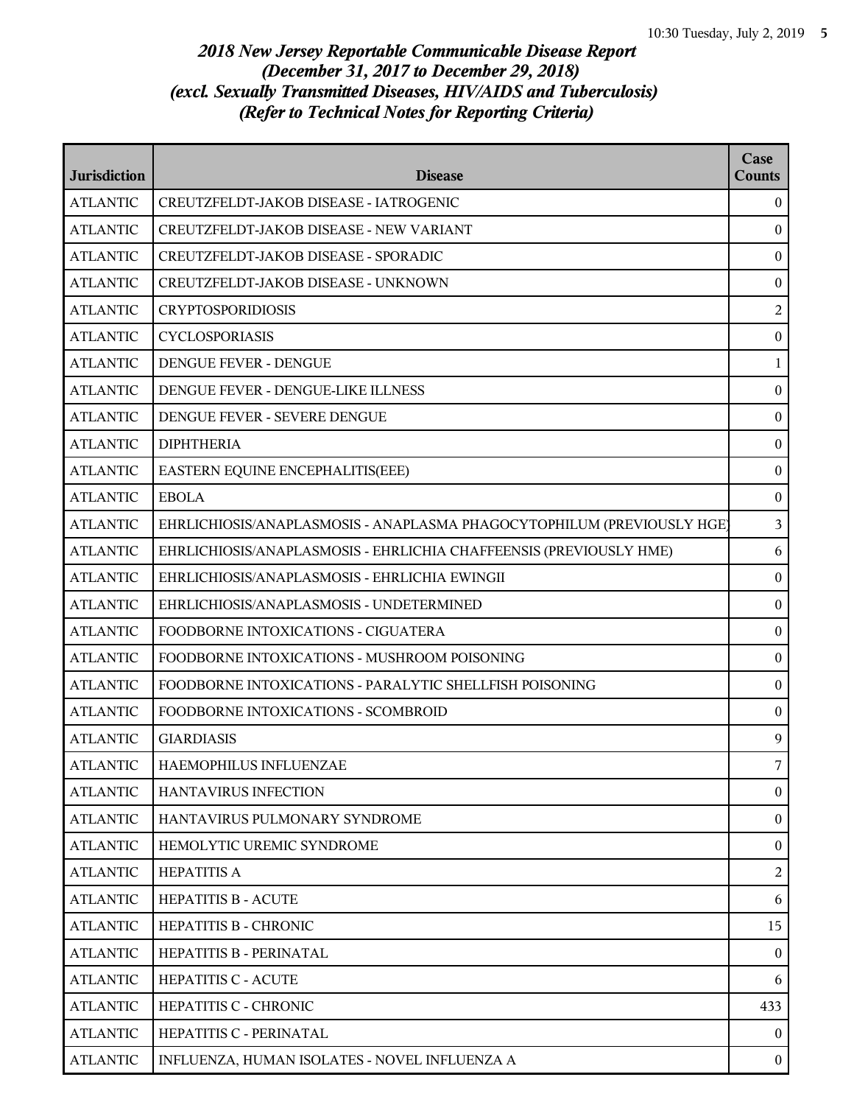| <b>Jurisdiction</b> | <b>Disease</b>                                                         | Case<br><b>Counts</b> |
|---------------------|------------------------------------------------------------------------|-----------------------|
| <b>ATLANTIC</b>     | CREUTZFELDT-JAKOB DISEASE - IATROGENIC                                 | $\theta$              |
| <b>ATLANTIC</b>     | CREUTZFELDT-JAKOB DISEASE - NEW VARIANT                                | $\boldsymbol{0}$      |
| <b>ATLANTIC</b>     | CREUTZFELDT-JAKOB DISEASE - SPORADIC                                   | $\boldsymbol{0}$      |
| <b>ATLANTIC</b>     | CREUTZFELDT-JAKOB DISEASE - UNKNOWN                                    | $\boldsymbol{0}$      |
| <b>ATLANTIC</b>     | <b>CRYPTOSPORIDIOSIS</b>                                               | $\overline{c}$        |
| <b>ATLANTIC</b>     | <b>CYCLOSPORIASIS</b>                                                  | $\boldsymbol{0}$      |
| <b>ATLANTIC</b>     | DENGUE FEVER - DENGUE                                                  | 1                     |
| <b>ATLANTIC</b>     | DENGUE FEVER - DENGUE-LIKE ILLNESS                                     | $\boldsymbol{0}$      |
| <b>ATLANTIC</b>     | DENGUE FEVER - SEVERE DENGUE                                           | $\boldsymbol{0}$      |
| <b>ATLANTIC</b>     | <b>DIPHTHERIA</b>                                                      | $\boldsymbol{0}$      |
| <b>ATLANTIC</b>     | EASTERN EQUINE ENCEPHALITIS(EEE)                                       | $\boldsymbol{0}$      |
| <b>ATLANTIC</b>     | <b>EBOLA</b>                                                           | $\boldsymbol{0}$      |
| <b>ATLANTIC</b>     | EHRLICHIOSIS/ANAPLASMOSIS - ANAPLASMA PHAGOCYTOPHILUM (PREVIOUSLY HGE) | $\mathfrak{Z}$        |
| <b>ATLANTIC</b>     | EHRLICHIOSIS/ANAPLASMOSIS - EHRLICHIA CHAFFEENSIS (PREVIOUSLY HME)     | 6                     |
| <b>ATLANTIC</b>     | EHRLICHIOSIS/ANAPLASMOSIS - EHRLICHIA EWINGII                          | $\boldsymbol{0}$      |
| <b>ATLANTIC</b>     | EHRLICHIOSIS/ANAPLASMOSIS - UNDETERMINED                               | $\bf{0}$              |
| <b>ATLANTIC</b>     | FOODBORNE INTOXICATIONS - CIGUATERA                                    | $\boldsymbol{0}$      |
| <b>ATLANTIC</b>     | FOODBORNE INTOXICATIONS - MUSHROOM POISONING                           | $\boldsymbol{0}$      |
| <b>ATLANTIC</b>     | FOODBORNE INTOXICATIONS - PARALYTIC SHELLFISH POISONING                | $\boldsymbol{0}$      |
| <b>ATLANTIC</b>     | FOODBORNE INTOXICATIONS - SCOMBROID                                    | $\boldsymbol{0}$      |
| <b>ATLANTIC</b>     | <b>GIARDIASIS</b>                                                      | 9                     |
| <b>ATLANTIC</b>     | <b>HAEMOPHILUS INFLUENZAE</b>                                          | 7                     |
| <b>ATLANTIC</b>     | <b>HANTAVIRUS INFECTION</b>                                            | $\boldsymbol{0}$      |
| <b>ATLANTIC</b>     | HANTAVIRUS PULMONARY SYNDROME                                          | $\boldsymbol{0}$      |
| <b>ATLANTIC</b>     | HEMOLYTIC UREMIC SYNDROME                                              | $\boldsymbol{0}$      |
| <b>ATLANTIC</b>     | <b>HEPATITIS A</b>                                                     | 2                     |
| <b>ATLANTIC</b>     | <b>HEPATITIS B - ACUTE</b>                                             | 6                     |
| <b>ATLANTIC</b>     | HEPATITIS B - CHRONIC                                                  | 15                    |
| <b>ATLANTIC</b>     | HEPATITIS B - PERINATAL                                                | $\boldsymbol{0}$      |
| <b>ATLANTIC</b>     | HEPATITIS C - ACUTE                                                    | 6                     |
| <b>ATLANTIC</b>     | HEPATITIS C - CHRONIC                                                  | 433                   |
| <b>ATLANTIC</b>     | HEPATITIS C - PERINATAL                                                | $\theta$              |
| <b>ATLANTIC</b>     | INFLUENZA, HUMAN ISOLATES - NOVEL INFLUENZA A                          | $\bf{0}$              |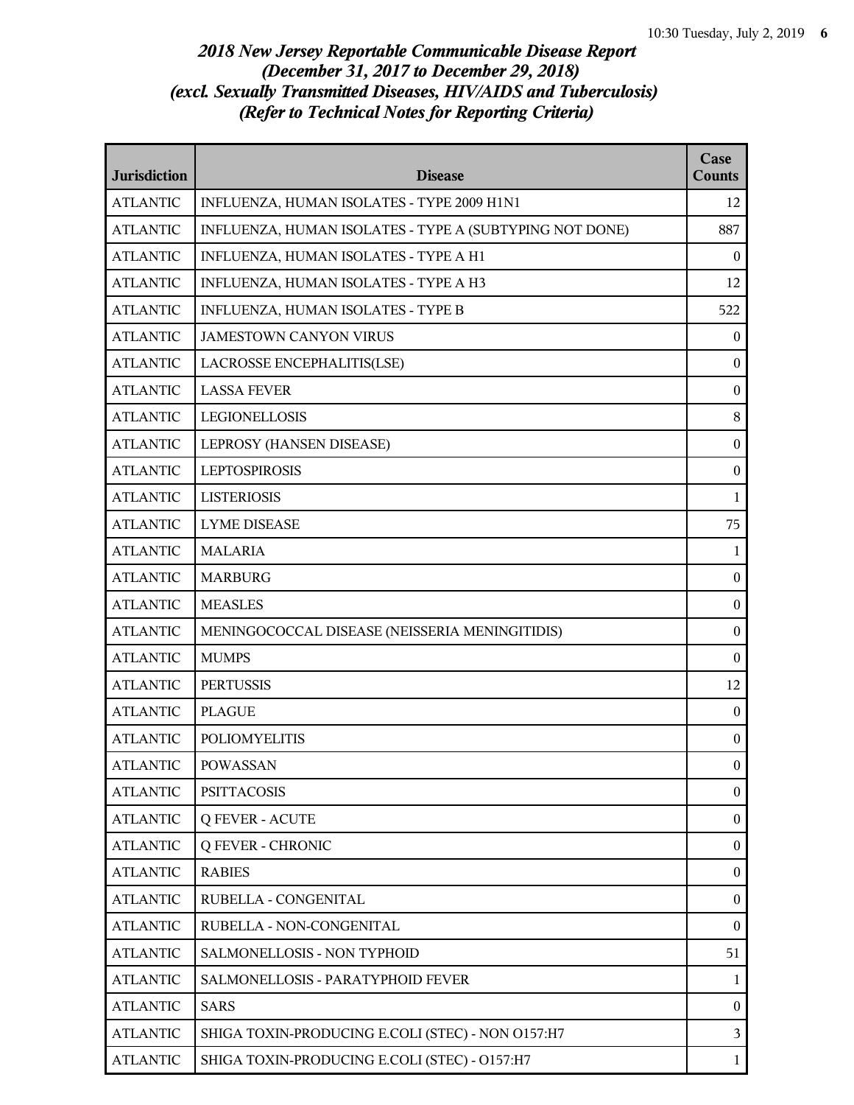| <b>Jurisdiction</b> | <b>Disease</b>                                          | Case<br><b>Counts</b> |
|---------------------|---------------------------------------------------------|-----------------------|
| <b>ATLANTIC</b>     | INFLUENZA, HUMAN ISOLATES - TYPE 2009 H1N1              | 12                    |
| <b>ATLANTIC</b>     | INFLUENZA, HUMAN ISOLATES - TYPE A (SUBTYPING NOT DONE) | 887                   |
| <b>ATLANTIC</b>     | INFLUENZA, HUMAN ISOLATES - TYPE A H1                   | $\theta$              |
| <b>ATLANTIC</b>     | INFLUENZA, HUMAN ISOLATES - TYPE A H3                   | 12                    |
| <b>ATLANTIC</b>     | INFLUENZA, HUMAN ISOLATES - TYPE B                      | 522                   |
| <b>ATLANTIC</b>     | <b>JAMESTOWN CANYON VIRUS</b>                           | $\overline{0}$        |
| <b>ATLANTIC</b>     | LACROSSE ENCEPHALITIS(LSE)                              | $\mathbf{0}$          |
| <b>ATLANTIC</b>     | <b>LASSA FEVER</b>                                      | $\boldsymbol{0}$      |
| <b>ATLANTIC</b>     | LEGIONELLOSIS                                           | $8\,$                 |
| <b>ATLANTIC</b>     | LEPROSY (HANSEN DISEASE)                                | $\boldsymbol{0}$      |
| <b>ATLANTIC</b>     | <b>LEPTOSPIROSIS</b>                                    | $\boldsymbol{0}$      |
| <b>ATLANTIC</b>     | <b>LISTERIOSIS</b>                                      | $\mathbf{1}$          |
| <b>ATLANTIC</b>     | <b>LYME DISEASE</b>                                     | 75                    |
| <b>ATLANTIC</b>     | <b>MALARIA</b>                                          | $\mathbf{1}$          |
| <b>ATLANTIC</b>     | <b>MARBURG</b>                                          | $\boldsymbol{0}$      |
| <b>ATLANTIC</b>     | <b>MEASLES</b>                                          | $\boldsymbol{0}$      |
| <b>ATLANTIC</b>     | MENINGOCOCCAL DISEASE (NEISSERIA MENINGITIDIS)          | $\boldsymbol{0}$      |
| <b>ATLANTIC</b>     | <b>MUMPS</b>                                            | $\boldsymbol{0}$      |
| <b>ATLANTIC</b>     | <b>PERTUSSIS</b>                                        | 12                    |
| <b>ATLANTIC</b>     | <b>PLAGUE</b>                                           | $\boldsymbol{0}$      |
| <b>ATLANTIC</b>     | <b>POLIOMYELITIS</b>                                    | $\boldsymbol{0}$      |
| <b>ATLANTIC</b>     | <b>POWASSAN</b>                                         | $\theta$              |
| <b>ATLANTIC</b>     | <b>PSITTACOSIS</b>                                      | $\mathbf{0}$          |
| <b>ATLANTIC</b>     | <b>Q FEVER - ACUTE</b>                                  | $\boldsymbol{0}$      |
| <b>ATLANTIC</b>     | <b>Q FEVER - CHRONIC</b>                                | $\boldsymbol{0}$      |
| <b>ATLANTIC</b>     | <b>RABIES</b>                                           | $\boldsymbol{0}$      |
| <b>ATLANTIC</b>     | RUBELLA - CONGENITAL                                    | $\overline{0}$        |
| <b>ATLANTIC</b>     | RUBELLA - NON-CONGENITAL                                | $\boldsymbol{0}$      |
| <b>ATLANTIC</b>     | SALMONELLOSIS - NON TYPHOID                             | 51                    |
| <b>ATLANTIC</b>     | SALMONELLOSIS - PARATYPHOID FEVER                       | $\mathbf{1}$          |
| <b>ATLANTIC</b>     | <b>SARS</b>                                             | $\mathbf{0}$          |
| <b>ATLANTIC</b>     | SHIGA TOXIN-PRODUCING E.COLI (STEC) - NON O157:H7       | $\mathfrak{Z}$        |
| <b>ATLANTIC</b>     | SHIGA TOXIN-PRODUCING E.COLI (STEC) - O157:H7           | $\mathbf{1}$          |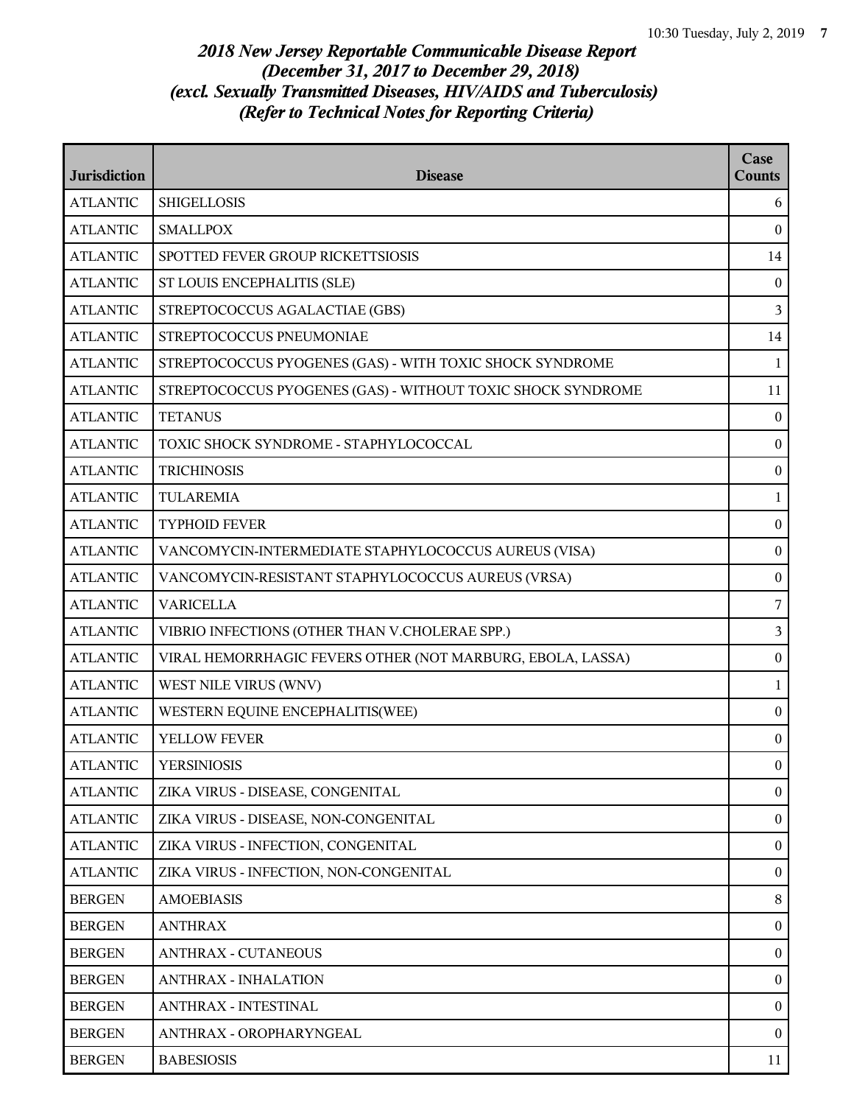| <b>Jurisdiction</b> | <b>Disease</b>                                              | Case<br><b>Counts</b> |
|---------------------|-------------------------------------------------------------|-----------------------|
| <b>ATLANTIC</b>     | <b>SHIGELLOSIS</b>                                          | 6                     |
| <b>ATLANTIC</b>     | <b>SMALLPOX</b>                                             | $\bf{0}$              |
| <b>ATLANTIC</b>     | SPOTTED FEVER GROUP RICKETTSIOSIS                           | 14                    |
| <b>ATLANTIC</b>     | ST LOUIS ENCEPHALITIS (SLE)                                 | $\boldsymbol{0}$      |
| <b>ATLANTIC</b>     | STREPTOCOCCUS AGALACTIAE (GBS)                              | $\mathbf{3}$          |
| <b>ATLANTIC</b>     | STREPTOCOCCUS PNEUMONIAE                                    | 14                    |
| <b>ATLANTIC</b>     | STREPTOCOCCUS PYOGENES (GAS) - WITH TOXIC SHOCK SYNDROME    | 1                     |
| <b>ATLANTIC</b>     | STREPTOCOCCUS PYOGENES (GAS) - WITHOUT TOXIC SHOCK SYNDROME | 11                    |
| <b>ATLANTIC</b>     | <b>TETANUS</b>                                              | $\bf{0}$              |
| <b>ATLANTIC</b>     | TOXIC SHOCK SYNDROME - STAPHYLOCOCCAL                       | $\boldsymbol{0}$      |
| <b>ATLANTIC</b>     | <b>TRICHINOSIS</b>                                          | $\bf{0}$              |
| <b>ATLANTIC</b>     | <b>TULAREMIA</b>                                            | $\mathbf{1}$          |
| <b>ATLANTIC</b>     | <b>TYPHOID FEVER</b>                                        | $\boldsymbol{0}$      |
| <b>ATLANTIC</b>     | VANCOMYCIN-INTERMEDIATE STAPHYLOCOCCUS AUREUS (VISA)        | $\bf{0}$              |
| <b>ATLANTIC</b>     | VANCOMYCIN-RESISTANT STAPHYLOCOCCUS AUREUS (VRSA)           | $\boldsymbol{0}$      |
| <b>ATLANTIC</b>     | <b>VARICELLA</b>                                            | 7                     |
| <b>ATLANTIC</b>     | VIBRIO INFECTIONS (OTHER THAN V.CHOLERAE SPP.)              | 3                     |
| <b>ATLANTIC</b>     | VIRAL HEMORRHAGIC FEVERS OTHER (NOT MARBURG, EBOLA, LASSA)  | $\boldsymbol{0}$      |
| <b>ATLANTIC</b>     | WEST NILE VIRUS (WNV)                                       | $\mathbf{1}$          |
| <b>ATLANTIC</b>     | WESTERN EQUINE ENCEPHALITIS(WEE)                            | $\boldsymbol{0}$      |
| <b>ATLANTIC</b>     | YELLOW FEVER                                                | $\mathbf{0}$          |
| <b>ATLANTIC</b>     | <b>YERSINIOSIS</b>                                          | $\overline{0}$        |
| <b>ATLANTIC</b>     | ZIKA VIRUS - DISEASE, CONGENITAL                            | $\overline{0}$        |
| <b>ATLANTIC</b>     | ZIKA VIRUS - DISEASE, NON-CONGENITAL                        | $\mathbf{0}$          |
| <b>ATLANTIC</b>     | ZIKA VIRUS - INFECTION, CONGENITAL                          | $\mathbf{0}$          |
| <b>ATLANTIC</b>     | ZIKA VIRUS - INFECTION, NON-CONGENITAL                      | $\mathbf{0}$          |
| <b>BERGEN</b>       | <b>AMOEBIASIS</b>                                           | 8                     |
| <b>BERGEN</b>       | <b>ANTHRAX</b>                                              | $\bf{0}$              |
| <b>BERGEN</b>       | <b>ANTHRAX - CUTANEOUS</b>                                  | $\mathbf{0}$          |
| <b>BERGEN</b>       | <b>ANTHRAX - INHALATION</b>                                 | $\mathbf{0}$          |
| <b>BERGEN</b>       | <b>ANTHRAX - INTESTINAL</b>                                 | $\mathbf{0}$          |
| <b>BERGEN</b>       | ANTHRAX - OROPHARYNGEAL                                     | $\overline{0}$        |
| <b>BERGEN</b>       | <b>BABESIOSIS</b>                                           | 11                    |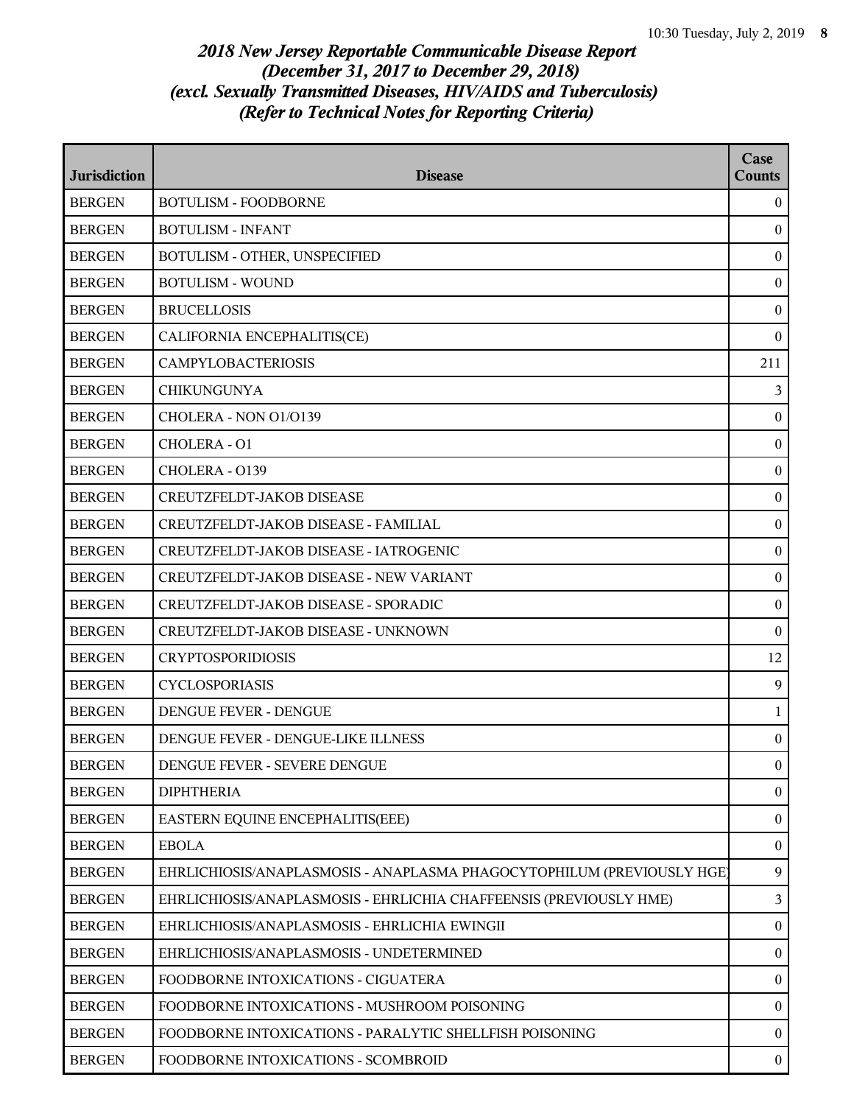| <b>Jurisdiction</b> | <b>Disease</b>                                                         | Case<br>Counts   |
|---------------------|------------------------------------------------------------------------|------------------|
| <b>BERGEN</b>       | <b>BOTULISM - FOODBORNE</b>                                            | $\mathbf{0}$     |
| <b>BERGEN</b>       | <b>BOTULISM - INFANT</b>                                               | $\mathbf{0}$     |
| <b>BERGEN</b>       | BOTULISM - OTHER, UNSPECIFIED                                          | $\bf{0}$         |
| <b>BERGEN</b>       | <b>BOTULISM - WOUND</b>                                                | $\bf{0}$         |
| <b>BERGEN</b>       | <b>BRUCELLOSIS</b>                                                     | $\bf{0}$         |
| <b>BERGEN</b>       | CALIFORNIA ENCEPHALITIS(CE)                                            | $\theta$         |
| <b>BERGEN</b>       | <b>CAMPYLOBACTERIOSIS</b>                                              | 211              |
| <b>BERGEN</b>       | <b>CHIKUNGUNYA</b>                                                     | 3                |
| <b>BERGEN</b>       | CHOLERA - NON O1/O139                                                  | $\bf{0}$         |
| <b>BERGEN</b>       | CHOLERA - O1                                                           | $\bf{0}$         |
| <b>BERGEN</b>       | CHOLERA - 0139                                                         | $\bf{0}$         |
| <b>BERGEN</b>       | CREUTZFELDT-JAKOB DISEASE                                              | $\boldsymbol{0}$ |
| <b>BERGEN</b>       | CREUTZFELDT-JAKOB DISEASE - FAMILIAL                                   | $\boldsymbol{0}$ |
| <b>BERGEN</b>       | CREUTZFELDT-JAKOB DISEASE - IATROGENIC                                 | $\bf{0}$         |
| <b>BERGEN</b>       | CREUTZFELDT-JAKOB DISEASE - NEW VARIANT                                | $\bf{0}$         |
| <b>BERGEN</b>       | CREUTZFELDT-JAKOB DISEASE - SPORADIC                                   | $\bf{0}$         |
| <b>BERGEN</b>       | <b>CREUTZFELDT-JAKOB DISEASE - UNKNOWN</b>                             | $\bf{0}$         |
| <b>BERGEN</b>       | <b>CRYPTOSPORIDIOSIS</b>                                               | 12               |
| <b>BERGEN</b>       | <b>CYCLOSPORIASIS</b>                                                  | 9                |
| <b>BERGEN</b>       | <b>DENGUE FEVER - DENGUE</b>                                           | $\mathbf{1}$     |
| <b>BERGEN</b>       | DENGUE FEVER - DENGUE-LIKE ILLNESS                                     | $\bf{0}$         |
| <b>BERGEN</b>       | DENGUE FEVER - SEVERE DENGUE                                           | $\mathbf{0}$     |
| <b>BERGEN</b>       | <b>DIPHTHERIA</b>                                                      | $\overline{0}$   |
| <b>BERGEN</b>       | EASTERN EQUINE ENCEPHALITIS(EEE)                                       | $\boldsymbol{0}$ |
| <b>BERGEN</b>       | <b>EBOLA</b>                                                           | $\bf{0}$         |
| <b>BERGEN</b>       | EHRLICHIOSIS/ANAPLASMOSIS - ANAPLASMA PHAGOCYTOPHILUM (PREVIOUSLY HGE) | 9                |
| <b>BERGEN</b>       | EHRLICHIOSIS/ANAPLASMOSIS - EHRLICHIA CHAFFEENSIS (PREVIOUSLY HME)     | $\overline{3}$   |
| <b>BERGEN</b>       | EHRLICHIOSIS/ANAPLASMOSIS - EHRLICHIA EWINGII                          | $\bf{0}$         |
| <b>BERGEN</b>       | EHRLICHIOSIS/ANAPLASMOSIS - UNDETERMINED                               | $\bf{0}$         |
| <b>BERGEN</b>       | FOODBORNE INTOXICATIONS - CIGUATERA                                    | $\bf{0}$         |
| <b>BERGEN</b>       | FOODBORNE INTOXICATIONS - MUSHROOM POISONING                           | $\bf{0}$         |
| <b>BERGEN</b>       | FOODBORNE INTOXICATIONS - PARALYTIC SHELLFISH POISONING                | $\bf{0}$         |
| <b>BERGEN</b>       | FOODBORNE INTOXICATIONS - SCOMBROID                                    | $\bf{0}$         |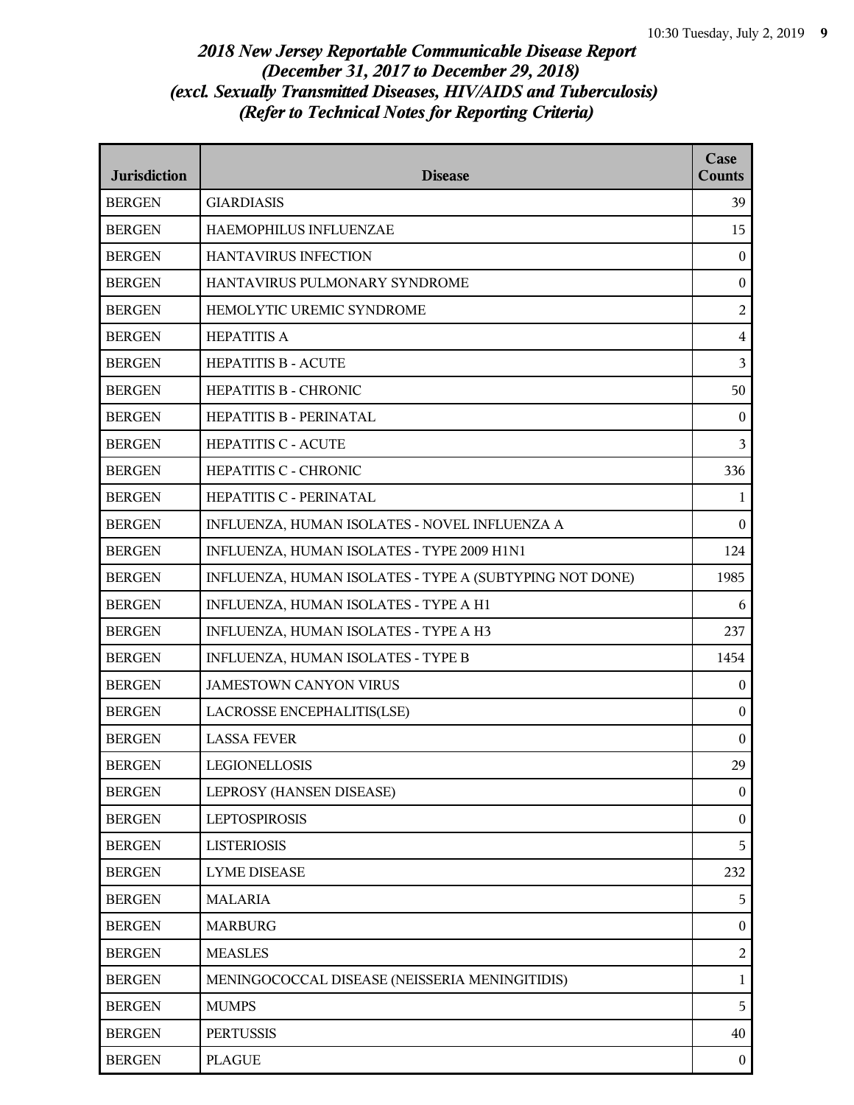| <b>Jurisdiction</b> | <b>Disease</b>                                          | Case<br><b>Counts</b> |
|---------------------|---------------------------------------------------------|-----------------------|
| <b>BERGEN</b>       | <b>GIARDIASIS</b>                                       | 39                    |
| <b>BERGEN</b>       | HAEMOPHILUS INFLUENZAE                                  | 15                    |
| <b>BERGEN</b>       | HANTAVIRUS INFECTION                                    | $\mathbf{0}$          |
| <b>BERGEN</b>       | HANTAVIRUS PULMONARY SYNDROME                           | $\boldsymbol{0}$      |
| <b>BERGEN</b>       | HEMOLYTIC UREMIC SYNDROME                               | $\overline{2}$        |
| <b>BERGEN</b>       | <b>HEPATITIS A</b>                                      | $\overline{4}$        |
| <b>BERGEN</b>       | <b>HEPATITIS B - ACUTE</b>                              | $\mathfrak{Z}$        |
| <b>BERGEN</b>       | HEPATITIS B - CHRONIC                                   | 50                    |
| <b>BERGEN</b>       | HEPATITIS B - PERINATAL                                 | $\boldsymbol{0}$      |
| <b>BERGEN</b>       | <b>HEPATITIS C - ACUTE</b>                              | 3                     |
| <b>BERGEN</b>       | HEPATITIS C - CHRONIC                                   | 336                   |
| <b>BERGEN</b>       | HEPATITIS C - PERINATAL                                 | 1                     |
| <b>BERGEN</b>       | INFLUENZA, HUMAN ISOLATES - NOVEL INFLUENZA A           | $\theta$              |
| <b>BERGEN</b>       | INFLUENZA, HUMAN ISOLATES - TYPE 2009 H1N1              | 124                   |
| <b>BERGEN</b>       | INFLUENZA, HUMAN ISOLATES - TYPE A (SUBTYPING NOT DONE) | 1985                  |
| <b>BERGEN</b>       | INFLUENZA, HUMAN ISOLATES - TYPE A H1                   | 6                     |
| <b>BERGEN</b>       | INFLUENZA, HUMAN ISOLATES - TYPE A H3                   | 237                   |
| <b>BERGEN</b>       | INFLUENZA, HUMAN ISOLATES - TYPE B                      | 1454                  |
| <b>BERGEN</b>       | <b>JAMESTOWN CANYON VIRUS</b>                           | $\mathbf{0}$          |
| <b>BERGEN</b>       | LACROSSE ENCEPHALITIS(LSE)                              | $\boldsymbol{0}$      |
| <b>BERGEN</b>       | <b>LASSA FEVER</b>                                      | $\boldsymbol{0}$      |
| <b>BERGEN</b>       | <b>LEGIONELLOSIS</b>                                    | 29                    |
| <b>BERGEN</b>       | LEPROSY (HANSEN DISEASE)                                | $\overline{0}$        |
| <b>BERGEN</b>       | <b>LEPTOSPIROSIS</b>                                    | $\boldsymbol{0}$      |
| <b>BERGEN</b>       | <b>LISTERIOSIS</b>                                      | 5                     |
| <b>BERGEN</b>       | <b>LYME DISEASE</b>                                     | 232                   |
| <b>BERGEN</b>       | <b>MALARIA</b>                                          | 5                     |
| <b>BERGEN</b>       | <b>MARBURG</b>                                          | $\bf{0}$              |
| <b>BERGEN</b>       | <b>MEASLES</b>                                          | $\overline{2}$        |
| <b>BERGEN</b>       | MENINGOCOCCAL DISEASE (NEISSERIA MENINGITIDIS)          | $\mathbf{1}$          |
| <b>BERGEN</b>       | <b>MUMPS</b>                                            | 5                     |
| <b>BERGEN</b>       | <b>PERTUSSIS</b>                                        | 40                    |
| <b>BERGEN</b>       | <b>PLAGUE</b>                                           | $\bf{0}$              |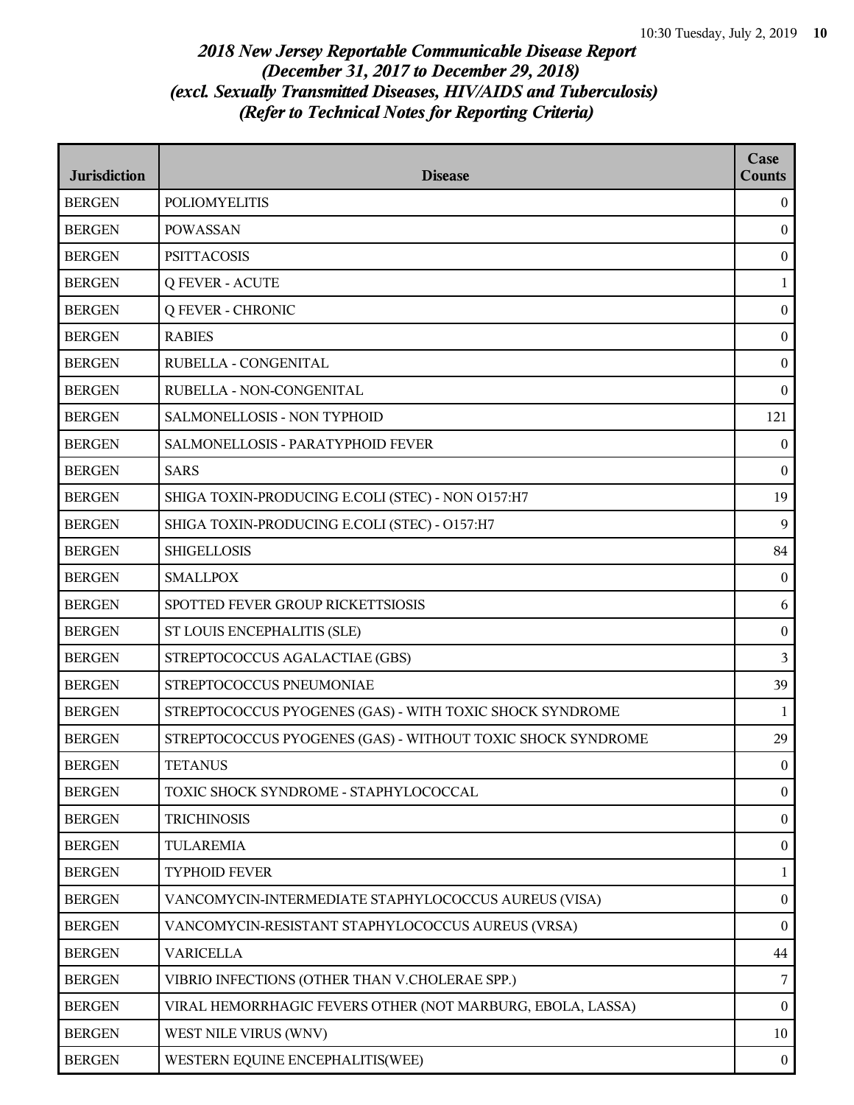| <b>Jurisdiction</b> | <b>Disease</b>                                              | Case<br><b>Counts</b> |
|---------------------|-------------------------------------------------------------|-----------------------|
| <b>BERGEN</b>       | <b>POLIOMYELITIS</b>                                        | $\boldsymbol{0}$      |
| <b>BERGEN</b>       | <b>POWASSAN</b>                                             | $\boldsymbol{0}$      |
| <b>BERGEN</b>       | <b>PSITTACOSIS</b>                                          | $\boldsymbol{0}$      |
| <b>BERGEN</b>       | <b>Q FEVER - ACUTE</b>                                      | $\mathbf 1$           |
| <b>BERGEN</b>       | <b>Q FEVER - CHRONIC</b>                                    | $\boldsymbol{0}$      |
| <b>BERGEN</b>       | <b>RABIES</b>                                               | $\boldsymbol{0}$      |
| <b>BERGEN</b>       | RUBELLA - CONGENITAL                                        | $\boldsymbol{0}$      |
| <b>BERGEN</b>       | RUBELLA - NON-CONGENITAL                                    | $\theta$              |
| <b>BERGEN</b>       | SALMONELLOSIS - NON TYPHOID                                 | 121                   |
| <b>BERGEN</b>       | SALMONELLOSIS - PARATYPHOID FEVER                           | $\boldsymbol{0}$      |
| <b>BERGEN</b>       | <b>SARS</b>                                                 | $\boldsymbol{0}$      |
| <b>BERGEN</b>       | SHIGA TOXIN-PRODUCING E.COLI (STEC) - NON 0157:H7           | 19                    |
| <b>BERGEN</b>       | SHIGA TOXIN-PRODUCING E.COLI (STEC) - O157:H7               | 9                     |
| <b>BERGEN</b>       | <b>SHIGELLOSIS</b>                                          | 84                    |
| <b>BERGEN</b>       | <b>SMALLPOX</b>                                             | $\boldsymbol{0}$      |
| <b>BERGEN</b>       | SPOTTED FEVER GROUP RICKETTSIOSIS                           | 6                     |
| <b>BERGEN</b>       | ST LOUIS ENCEPHALITIS (SLE)                                 | $\boldsymbol{0}$      |
| <b>BERGEN</b>       | STREPTOCOCCUS AGALACTIAE (GBS)                              | 3                     |
| <b>BERGEN</b>       | STREPTOCOCCUS PNEUMONIAE                                    | 39                    |
| <b>BERGEN</b>       | STREPTOCOCCUS PYOGENES (GAS) - WITH TOXIC SHOCK SYNDROME    | $\mathbf{1}$          |
| <b>BERGEN</b>       | STREPTOCOCCUS PYOGENES (GAS) - WITHOUT TOXIC SHOCK SYNDROME | 29                    |
| <b>BERGEN</b>       | <b>TETANUS</b>                                              | $\boldsymbol{0}$      |
| <b>BERGEN</b>       | TOXIC SHOCK SYNDROME - STAPHYLOCOCCAL                       | $\boldsymbol{0}$      |
| <b>BERGEN</b>       | <b>TRICHINOSIS</b>                                          | $\overline{0}$        |
| <b>BERGEN</b>       | <b>TULAREMIA</b>                                            | $\boldsymbol{0}$      |
| <b>BERGEN</b>       | <b>TYPHOID FEVER</b>                                        | $\mathbf{1}$          |
| <b>BERGEN</b>       | VANCOMYCIN-INTERMEDIATE STAPHYLOCOCCUS AUREUS (VISA)        | $\boldsymbol{0}$      |
| <b>BERGEN</b>       | VANCOMYCIN-RESISTANT STAPHYLOCOCCUS AUREUS (VRSA)           | $\boldsymbol{0}$      |
| <b>BERGEN</b>       | <b>VARICELLA</b>                                            | $44\,$                |
| <b>BERGEN</b>       | VIBRIO INFECTIONS (OTHER THAN V.CHOLERAE SPP.)              | 7                     |
| <b>BERGEN</b>       | VIRAL HEMORRHAGIC FEVERS OTHER (NOT MARBURG, EBOLA, LASSA)  | $\boldsymbol{0}$      |
| <b>BERGEN</b>       | WEST NILE VIRUS (WNV)                                       | $10\,$                |
| <b>BERGEN</b>       | WESTERN EQUINE ENCEPHALITIS(WEE)                            | $\overline{0}$        |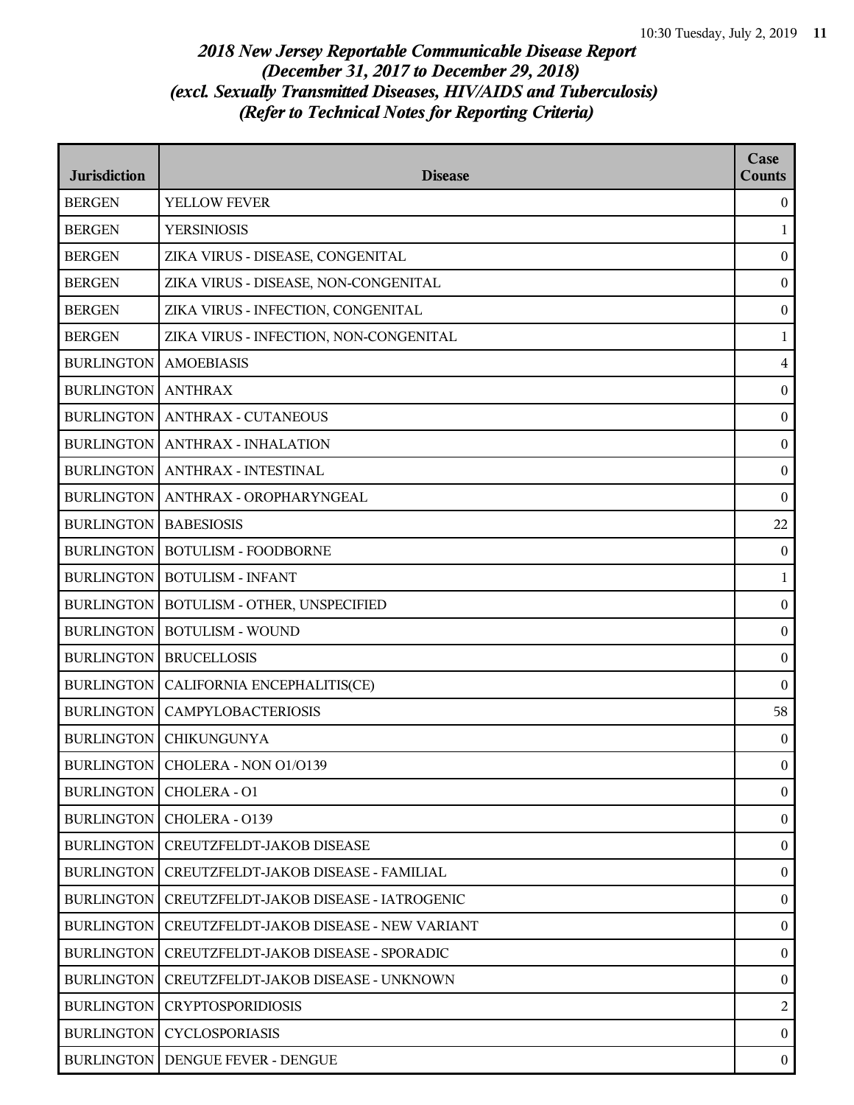| <b>Jurisdiction</b> | <b>Disease</b>                          | Case<br><b>Counts</b> |
|---------------------|-----------------------------------------|-----------------------|
| <b>BERGEN</b>       | YELLOW FEVER                            | $\boldsymbol{0}$      |
| <b>BERGEN</b>       | <b>YERSINIOSIS</b>                      | 1                     |
| <b>BERGEN</b>       | ZIKA VIRUS - DISEASE, CONGENITAL        | $\boldsymbol{0}$      |
| <b>BERGEN</b>       | ZIKA VIRUS - DISEASE, NON-CONGENITAL    | $\mathbf{0}$          |
| <b>BERGEN</b>       | ZIKA VIRUS - INFECTION, CONGENITAL      | $\boldsymbol{0}$      |
| <b>BERGEN</b>       | ZIKA VIRUS - INFECTION, NON-CONGENITAL  | $\mathbf{1}$          |
| <b>BURLINGTON</b>   | <b>AMOEBIASIS</b>                       | $\overline{4}$        |
| <b>BURLINGTON</b>   | <b>ANTHRAX</b>                          | $\boldsymbol{0}$      |
| <b>BURLINGTON</b>   | <b>ANTHRAX - CUTANEOUS</b>              | $\boldsymbol{0}$      |
| <b>BURLINGTON</b>   | <b>ANTHRAX - INHALATION</b>             | $\boldsymbol{0}$      |
|                     | BURLINGTON   ANTHRAX - INTESTINAL       | $\boldsymbol{0}$      |
| <b>BURLINGTON</b>   | ANTHRAX - OROPHARYNGEAL                 | $\boldsymbol{0}$      |
| <b>BURLINGTON</b>   | <b>BABESIOSIS</b>                       | 22                    |
| <b>BURLINGTON</b>   | <b>BOTULISM - FOODBORNE</b>             | $\mathbf{0}$          |
| <b>BURLINGTON</b>   | <b>BOTULISM - INFANT</b>                | $\mathbf{1}$          |
| <b>BURLINGTON</b>   | BOTULISM - OTHER, UNSPECIFIED           | $\boldsymbol{0}$      |
| <b>BURLINGTON</b>   | <b>BOTULISM - WOUND</b>                 | $\boldsymbol{0}$      |
| <b>BURLINGTON</b>   | <b>BRUCELLOSIS</b>                      | $\boldsymbol{0}$      |
| <b>BURLINGTON</b>   | CALIFORNIA ENCEPHALITIS(CE)             | $\mathbf{0}$          |
| <b>BURLINGTON</b>   | <b>CAMPYLOBACTERIOSIS</b>               | 58                    |
| <b>BURLINGTON</b>   | <b>CHIKUNGUNYA</b>                      | $\boldsymbol{0}$      |
|                     | BURLINGTON   CHOLERA - NON 01/0139      | $\boldsymbol{0}$      |
| <b>BURLINGTON</b>   | CHOLERA - O1                            | $\boldsymbol{0}$      |
| <b>BURLINGTON</b>   | CHOLERA - 0139                          | $\overline{0}$        |
| <b>BURLINGTON</b>   | CREUTZFELDT-JAKOB DISEASE               | $\boldsymbol{0}$      |
| <b>BURLINGTON</b>   | CREUTZFELDT-JAKOB DISEASE - FAMILIAL    | $\boldsymbol{0}$      |
| <b>BURLINGTON</b>   | CREUTZFELDT-JAKOB DISEASE - IATROGENIC  | $\overline{0}$        |
| <b>BURLINGTON</b>   | CREUTZFELDT-JAKOB DISEASE - NEW VARIANT | $\boldsymbol{0}$      |
| <b>BURLINGTON</b>   | CREUTZFELDT-JAKOB DISEASE - SPORADIC    | $\boldsymbol{0}$      |
| <b>BURLINGTON</b>   | CREUTZFELDT-JAKOB DISEASE - UNKNOWN     | $\overline{0}$        |
| <b>BURLINGTON</b>   | <b>CRYPTOSPORIDIOSIS</b>                | $\boldsymbol{2}$      |
| <b>BURLINGTON</b>   | <b>CYCLOSPORIASIS</b>                   | $\theta$              |
| <b>BURLINGTON</b>   | DENGUE FEVER - DENGUE                   | $\boldsymbol{0}$      |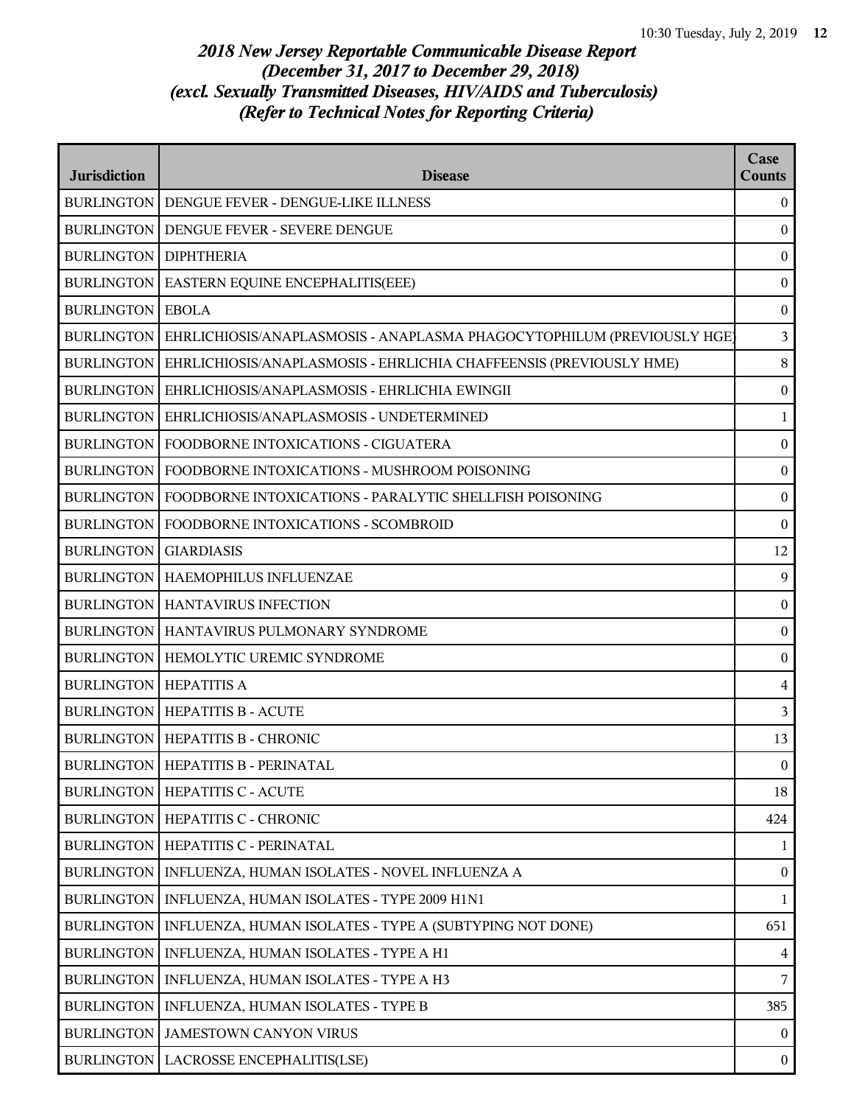| <b>Jurisdiction</b> | <b>Disease</b>                                                         | Case<br><b>Counts</b> |
|---------------------|------------------------------------------------------------------------|-----------------------|
|                     | BURLINGTON   DENGUE FEVER - DENGUE-LIKE ILLNESS                        | $\overline{0}$        |
| <b>BURLINGTON</b>   | DENGUE FEVER - SEVERE DENGUE                                           | $\mathbf{0}$          |
| <b>BURLINGTON</b>   | <b>DIPHTHERIA</b>                                                      | $\boldsymbol{0}$      |
| <b>BURLINGTON</b>   | EASTERN EQUINE ENCEPHALITIS(EEE)                                       | $\boldsymbol{0}$      |
| <b>BURLINGTON</b>   | <b>EBOLA</b>                                                           | $\boldsymbol{0}$      |
| <b>BURLINGTON</b>   | EHRLICHIOSIS/ANAPLASMOSIS - ANAPLASMA PHAGOCYTOPHILUM (PREVIOUSLY HGE) | $\overline{3}$        |
| <b>BURLINGTON</b>   | EHRLICHIOSIS/ANAPLASMOSIS - EHRLICHIA CHAFFEENSIS (PREVIOUSLY HME)     | $8\,$                 |
| <b>BURLINGTON</b>   | EHRLICHIOSIS/ANAPLASMOSIS - EHRLICHIA EWINGII                          | $\boldsymbol{0}$      |
| <b>BURLINGTON</b>   | EHRLICHIOSIS/ANAPLASMOSIS - UNDETERMINED                               | $\mathbf{1}$          |
| <b>BURLINGTON</b>   | FOODBORNE INTOXICATIONS - CIGUATERA                                    | $\boldsymbol{0}$      |
| <b>BURLINGTON</b>   | FOODBORNE INTOXICATIONS - MUSHROOM POISONING                           | $\boldsymbol{0}$      |
| <b>BURLINGTON</b>   | FOODBORNE INTOXICATIONS - PARALYTIC SHELLFISH POISONING                | $\boldsymbol{0}$      |
| <b>BURLINGTON</b>   | FOODBORNE INTOXICATIONS - SCOMBROID                                    | $\boldsymbol{0}$      |
| <b>BURLINGTON</b>   | <b>GIARDIASIS</b>                                                      | 12                    |
|                     | <b>BURLINGTON   HAEMOPHILUS INFLUENZAE</b>                             | 9                     |
|                     | <b>BURLINGTON   HANTAVIRUS INFECTION</b>                               | $\boldsymbol{0}$      |
| <b>BURLINGTON</b>   | HANTAVIRUS PULMONARY SYNDROME                                          | $\boldsymbol{0}$      |
| <b>BURLINGTON</b>   | HEMOLYTIC UREMIC SYNDROME                                              | $\boldsymbol{0}$      |
| <b>BURLINGTON</b>   | <b>HEPATITIS A</b>                                                     | $\overline{4}$        |
|                     | <b>BURLINGTON   HEPATITIS B - ACUTE</b>                                | 3                     |
|                     | BURLINGTON   HEPATITIS B - CHRONIC                                     | 13                    |
|                     | BURLINGTON   HEPATITIS B - PERINATAL                                   | $\overline{0}$        |
| <b>BURLINGTON</b>   | <b>HEPATITIS C - ACUTE</b>                                             | 18                    |
|                     | BURLINGTON   HEPATITIS C - CHRONIC                                     | 424                   |
| <b>BURLINGTON</b>   | HEPATITIS C - PERINATAL                                                | 1                     |
| <b>BURLINGTON</b>   | INFLUENZA, HUMAN ISOLATES - NOVEL INFLUENZA A                          | $\boldsymbol{0}$      |
| <b>BURLINGTON</b>   | INFLUENZA, HUMAN ISOLATES - TYPE 2009 H1N1                             | $\mathbf{1}$          |
| <b>BURLINGTON</b>   | INFLUENZA, HUMAN ISOLATES - TYPE A (SUBTYPING NOT DONE)                | 651                   |
| <b>BURLINGTON</b>   | INFLUENZA, HUMAN ISOLATES - TYPE A H1                                  | $\overline{4}$        |
| <b>BURLINGTON</b>   | INFLUENZA, HUMAN ISOLATES - TYPE A H3                                  | 7                     |
| <b>BURLINGTON</b>   | INFLUENZA, HUMAN ISOLATES - TYPE B                                     | 385                   |
| <b>BURLINGTON</b>   | JAMESTOWN CANYON VIRUS                                                 | $\overline{0}$        |
| <b>BURLINGTON</b>   | <b>LACROSSE ENCEPHALITIS(LSE)</b>                                      | $\bf{0}$              |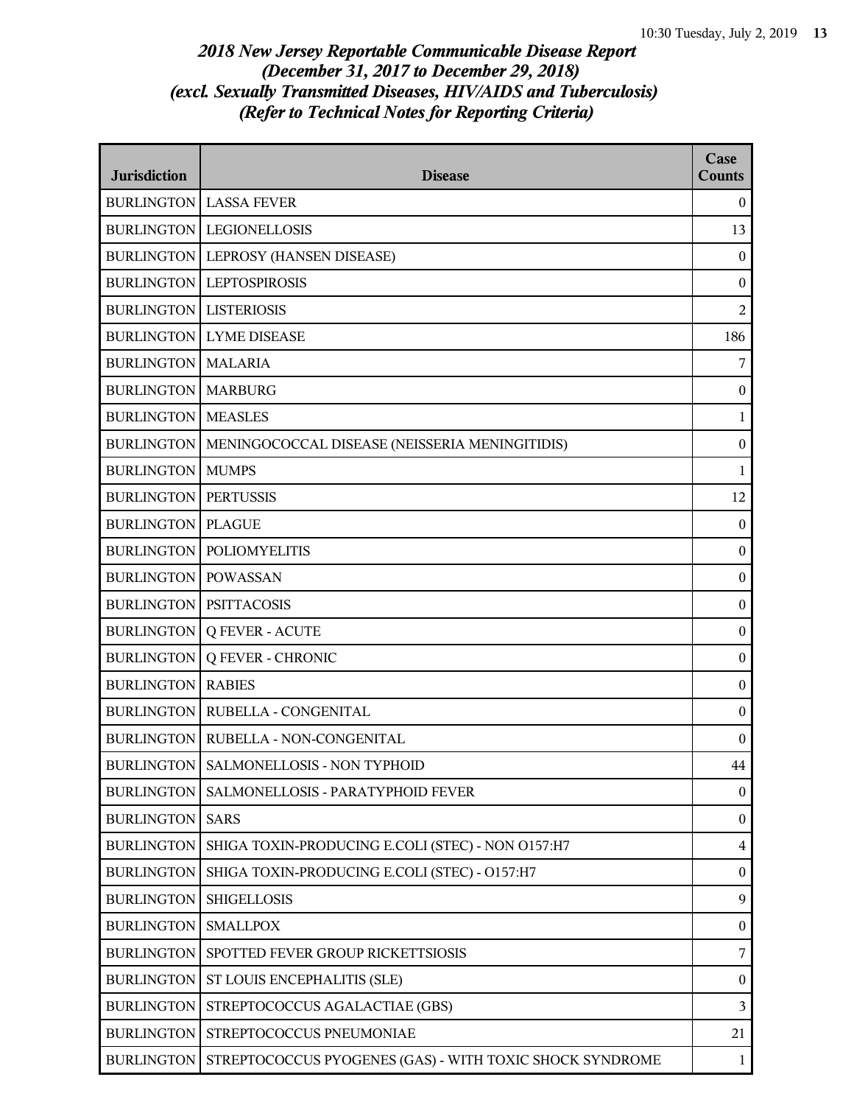| <b>Jurisdiction</b>             | <b>Disease</b>                                           | Case<br><b>Counts</b> |
|---------------------------------|----------------------------------------------------------|-----------------------|
|                                 | <b>BURLINGTON LASSA FEVER</b>                            | $\bf{0}$              |
|                                 | <b>BURLINGTON LEGIONELLOSIS</b>                          | 13                    |
|                                 | BURLINGTON   LEPROSY (HANSEN DISEASE)                    | $\mathbf{0}$          |
| <b>BURLINGTON</b>               | <b>LEPTOSPIROSIS</b>                                     | $\boldsymbol{0}$      |
| <b>BURLINGTON</b>               | <b>LISTERIOSIS</b>                                       | $\overline{2}$        |
| <b>BURLINGTON</b>               | <b>LYME DISEASE</b>                                      | 186                   |
| <b>BURLINGTON   MALARIA</b>     |                                                          | 7                     |
| <b>BURLINGTON   MARBURG</b>     |                                                          | $\mathbf{0}$          |
| <b>BURLINGTON</b>               | <b>MEASLES</b>                                           | $\mathbf{1}$          |
| <b>BURLINGTON</b>               | MENINGOCOCCAL DISEASE (NEISSERIA MENINGITIDIS)           | $\boldsymbol{0}$      |
| <b>BURLINGTON</b>               | <b>MUMPS</b>                                             | 1                     |
| <b>BURLINGTON</b>               | <b>PERTUSSIS</b>                                         | 12                    |
| <b>BURLINGTON   PLAGUE</b>      |                                                          | $\mathbf{0}$          |
| <b>BURLINGTON</b>               | <b>POLIOMYELITIS</b>                                     | $\boldsymbol{0}$      |
| <b>BURLINGTON</b>               | <b>POWASSAN</b>                                          | $\boldsymbol{0}$      |
| <b>BURLINGTON   PSITTACOSIS</b> |                                                          | $\boldsymbol{0}$      |
| <b>BURLINGTON</b>               | <b>Q FEVER - ACUTE</b>                                   | $\boldsymbol{0}$      |
| <b>BURLINGTON</b>               | <b>Q FEVER - CHRONIC</b>                                 | $\boldsymbol{0}$      |
| <b>BURLINGTON</b>               | <b>RABIES</b>                                            | $\boldsymbol{0}$      |
| <b>BURLINGTON</b>               | RUBELLA - CONGENITAL                                     | $\boldsymbol{0}$      |
|                                 | BURLINGTON   RUBELLA - NON-CONGENITAL                    | $\mathbf{0}$          |
|                                 | BURLINGTON   SALMONELLOSIS - NON TYPHOID                 | 44                    |
| <b>BURLINGTON</b>               | SALMONELLOSIS - PARATYPHOID FEVER                        | $\boldsymbol{0}$      |
| <b>BURLINGTON</b>               | <b>SARS</b>                                              | $\boldsymbol{0}$      |
| <b>BURLINGTON</b>               | SHIGA TOXIN-PRODUCING E.COLI (STEC) - NON O157:H7        | $\overline{4}$        |
| <b>BURLINGTON</b>               | SHIGA TOXIN-PRODUCING E.COLI (STEC) - O157:H7            | $\boldsymbol{0}$      |
| <b>BURLINGTON</b>               | <b>SHIGELLOSIS</b>                                       | 9                     |
| <b>BURLINGTON</b>               | <b>SMALLPOX</b>                                          | $\boldsymbol{0}$      |
| <b>BURLINGTON</b>               | SPOTTED FEVER GROUP RICKETTSIOSIS                        | $\overline{7}$        |
| <b>BURLINGTON</b>               | ST LOUIS ENCEPHALITIS (SLE)                              | $\bf{0}$              |
| <b>BURLINGTON</b>               | STREPTOCOCCUS AGALACTIAE (GBS)                           | $\mathfrak{Z}$        |
| <b>BURLINGTON</b>               | STREPTOCOCCUS PNEUMONIAE                                 | 21                    |
| <b>BURLINGTON</b>               | STREPTOCOCCUS PYOGENES (GAS) - WITH TOXIC SHOCK SYNDROME | $\mathbf{1}$          |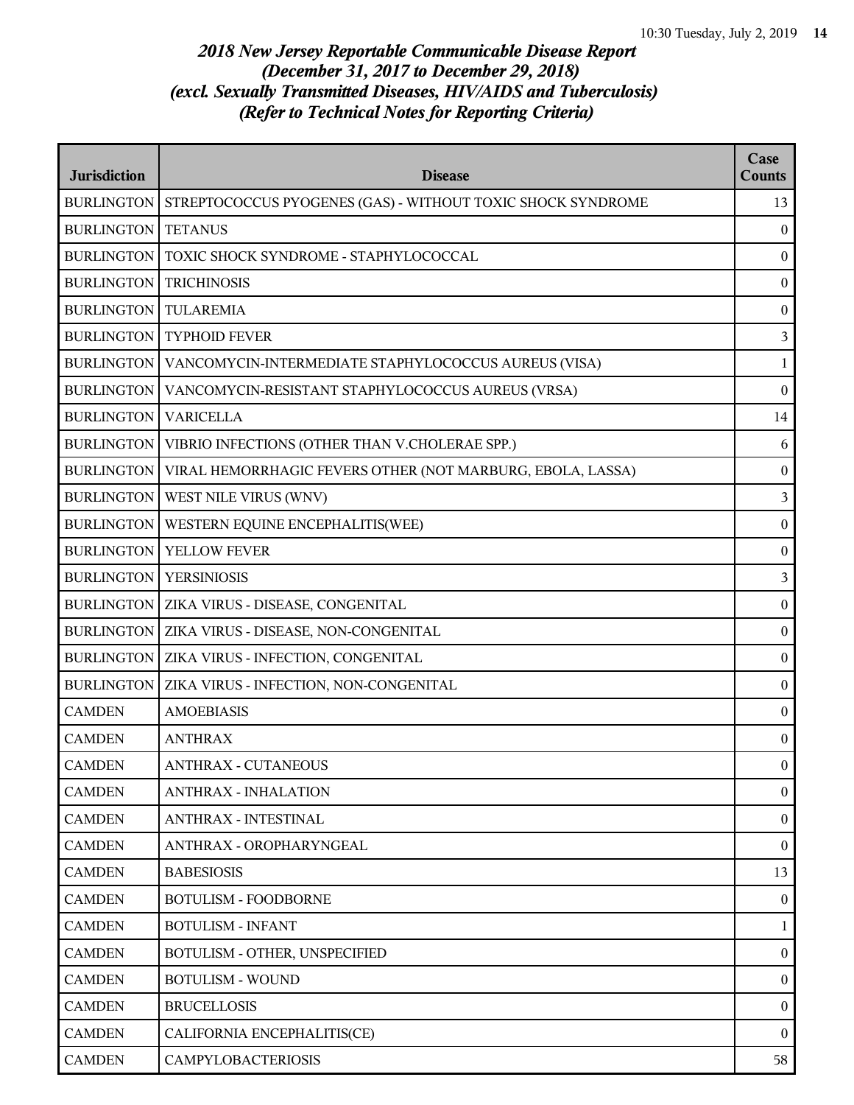| <b>Jurisdiction</b> | <b>Disease</b>                                              | Case<br>Counts   |
|---------------------|-------------------------------------------------------------|------------------|
| <b>BURLINGTON</b>   | STREPTOCOCCUS PYOGENES (GAS) - WITHOUT TOXIC SHOCK SYNDROME | 13               |
| <b>BURLINGTON</b>   | <b>TETANUS</b>                                              | $\mathbf{0}$     |
| <b>BURLINGTON</b>   | TOXIC SHOCK SYNDROME - STAPHYLOCOCCAL                       | $\boldsymbol{0}$ |
| <b>BURLINGTON</b>   | <b>TRICHINOSIS</b>                                          | $\boldsymbol{0}$ |
| <b>BURLINGTON</b>   | <b>TULAREMIA</b>                                            | $\boldsymbol{0}$ |
| <b>BURLINGTON</b>   | <b>TYPHOID FEVER</b>                                        | 3                |
| <b>BURLINGTON</b>   | VANCOMYCIN-INTERMEDIATE STAPHYLOCOCCUS AUREUS (VISA)        | $\mathbf{1}$     |
| <b>BURLINGTON</b>   | VANCOMYCIN-RESISTANT STAPHYLOCOCCUS AUREUS (VRSA)           | $\boldsymbol{0}$ |
| <b>BURLINGTON</b>   | <b>VARICELLA</b>                                            | 14               |
| <b>BURLINGTON</b>   | VIBRIO INFECTIONS (OTHER THAN V.CHOLERAE SPP.)              | 6                |
| <b>BURLINGTON</b>   | VIRAL HEMORRHAGIC FEVERS OTHER (NOT MARBURG, EBOLA, LASSA)  | $\boldsymbol{0}$ |
| <b>BURLINGTON</b>   | WEST NILE VIRUS (WNV)                                       | $\overline{3}$   |
| <b>BURLINGTON</b>   | WESTERN EQUINE ENCEPHALITIS(WEE)                            | $\boldsymbol{0}$ |
| <b>BURLINGTON</b>   | YELLOW FEVER                                                | $\boldsymbol{0}$ |
| <b>BURLINGTON</b>   | <b>YERSINIOSIS</b>                                          | $\mathfrak{Z}$   |
| <b>BURLINGTON</b>   | ZIKA VIRUS - DISEASE, CONGENITAL                            | $\boldsymbol{0}$ |
| <b>BURLINGTON</b>   | ZIKA VIRUS - DISEASE, NON-CONGENITAL                        | $\boldsymbol{0}$ |
| <b>BURLINGTON</b>   | ZIKA VIRUS - INFECTION, CONGENITAL                          | $\boldsymbol{0}$ |
| <b>BURLINGTON</b>   | ZIKA VIRUS - INFECTION, NON-CONGENITAL                      | $\mathbf{0}$     |
| <b>CAMDEN</b>       | <b>AMOEBIASIS</b>                                           | $\boldsymbol{0}$ |
| <b>CAMDEN</b>       | <b>ANTHRAX</b>                                              | $\boldsymbol{0}$ |
| <b>CAMDEN</b>       | <b>ANTHRAX - CUTANEOUS</b>                                  | $\boldsymbol{0}$ |
| <b>CAMDEN</b>       | <b>ANTHRAX - INHALATION</b>                                 | $\mathbf{0}$     |
| <b>CAMDEN</b>       | <b>ANTHRAX - INTESTINAL</b>                                 | $\overline{0}$   |
| <b>CAMDEN</b>       | ANTHRAX - OROPHARYNGEAL                                     | $\overline{0}$   |
| <b>CAMDEN</b>       | <b>BABESIOSIS</b>                                           | 13               |
| <b>CAMDEN</b>       | <b>BOTULISM - FOODBORNE</b>                                 | $\theta$         |
| <b>CAMDEN</b>       | <b>BOTULISM - INFANT</b>                                    | 1                |
| <b>CAMDEN</b>       | BOTULISM - OTHER, UNSPECIFIED                               | $\overline{0}$   |
| <b>CAMDEN</b>       | <b>BOTULISM - WOUND</b>                                     | $\overline{0}$   |
| <b>CAMDEN</b>       | <b>BRUCELLOSIS</b>                                          | $\bf{0}$         |
| <b>CAMDEN</b>       | CALIFORNIA ENCEPHALITIS(CE)                                 | $\theta$         |
| <b>CAMDEN</b>       | <b>CAMPYLOBACTERIOSIS</b>                                   | 58               |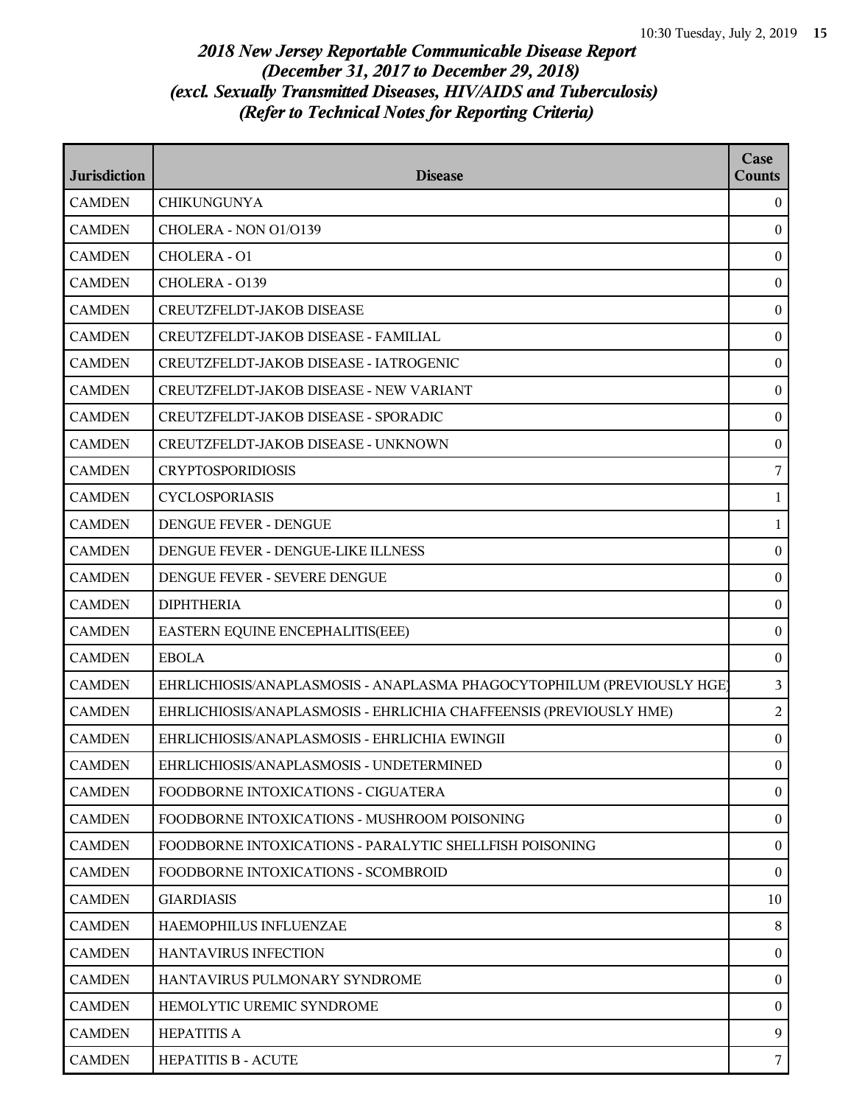| <b>Jurisdiction</b> | <b>Disease</b>                                                         | Case<br>Counts   |
|---------------------|------------------------------------------------------------------------|------------------|
| <b>CAMDEN</b>       | <b>CHIKUNGUNYA</b>                                                     | $\mathbf{0}$     |
| <b>CAMDEN</b>       | CHOLERA - NON 01/0139                                                  | $\mathbf{0}$     |
| <b>CAMDEN</b>       | <b>CHOLERA - O1</b>                                                    | $\boldsymbol{0}$ |
| <b>CAMDEN</b>       | CHOLERA - 0139                                                         | $\bf{0}$         |
| <b>CAMDEN</b>       | <b>CREUTZFELDT-JAKOB DISEASE</b>                                       | $\mathbf{0}$     |
| <b>CAMDEN</b>       | CREUTZFELDT-JAKOB DISEASE - FAMILIAL                                   | $\bf{0}$         |
| <b>CAMDEN</b>       | CREUTZFELDT-JAKOB DISEASE - IATROGENIC                                 | $\bf{0}$         |
| <b>CAMDEN</b>       | <b>CREUTZFELDT-JAKOB DISEASE - NEW VARIANT</b>                         | $\boldsymbol{0}$ |
| <b>CAMDEN</b>       | CREUTZFELDT-JAKOB DISEASE - SPORADIC                                   | $\bf{0}$         |
| <b>CAMDEN</b>       | CREUTZFELDT-JAKOB DISEASE - UNKNOWN                                    | $\mathbf{0}$     |
| <b>CAMDEN</b>       | <b>CRYPTOSPORIDIOSIS</b>                                               | 7                |
| <b>CAMDEN</b>       | <b>CYCLOSPORIASIS</b>                                                  | $\mathbf{1}$     |
| <b>CAMDEN</b>       | DENGUE FEVER - DENGUE                                                  | $\mathbf{1}$     |
| <b>CAMDEN</b>       | DENGUE FEVER - DENGUE-LIKE ILLNESS                                     | $\bf{0}$         |
| <b>CAMDEN</b>       | DENGUE FEVER - SEVERE DENGUE                                           | $\bf{0}$         |
| <b>CAMDEN</b>       | <b>DIPHTHERIA</b>                                                      | $\bf{0}$         |
| <b>CAMDEN</b>       | EASTERN EQUINE ENCEPHALITIS(EEE)                                       | $\bf{0}$         |
| <b>CAMDEN</b>       | <b>EBOLA</b>                                                           | $\bf{0}$         |
| <b>CAMDEN</b>       | EHRLICHIOSIS/ANAPLASMOSIS - ANAPLASMA PHAGOCYTOPHILUM (PREVIOUSLY HGE) | 3                |
| <b>CAMDEN</b>       | EHRLICHIOSIS/ANAPLASMOSIS - EHRLICHIA CHAFFEENSIS (PREVIOUSLY HME)     | 2                |
| <b>CAMDEN</b>       | EHRLICHIOSIS/ANAPLASMOSIS - EHRLICHIA EWINGII                          | $\bf{0}$         |
| <b>CAMDEN</b>       | EHRLICHIOSIS/ANAPLASMOSIS - UNDETERMINED                               | $\mathbf{0}$     |
| <b>CAMDEN</b>       | FOODBORNE INTOXICATIONS - CIGUATERA                                    | $\overline{0}$   |
| <b>CAMDEN</b>       | FOODBORNE INTOXICATIONS - MUSHROOM POISONING                           | $\bf{0}$         |
| <b>CAMDEN</b>       | FOODBORNE INTOXICATIONS - PARALYTIC SHELLFISH POISONING                | $\overline{0}$   |
| <b>CAMDEN</b>       | FOODBORNE INTOXICATIONS - SCOMBROID                                    | $\bf{0}$         |
| <b>CAMDEN</b>       | <b>GIARDIASIS</b>                                                      | 10               |
| <b>CAMDEN</b>       | HAEMOPHILUS INFLUENZAE                                                 | 8                |
| <b>CAMDEN</b>       | HANTAVIRUS INFECTION                                                   | $\bf{0}$         |
| <b>CAMDEN</b>       | HANTAVIRUS PULMONARY SYNDROME                                          | $\overline{0}$   |
| <b>CAMDEN</b>       | HEMOLYTIC UREMIC SYNDROME                                              | $\bf{0}$         |
| <b>CAMDEN</b>       | <b>HEPATITIS A</b>                                                     | 9                |
| <b>CAMDEN</b>       | <b>HEPATITIS B - ACUTE</b>                                             | 7                |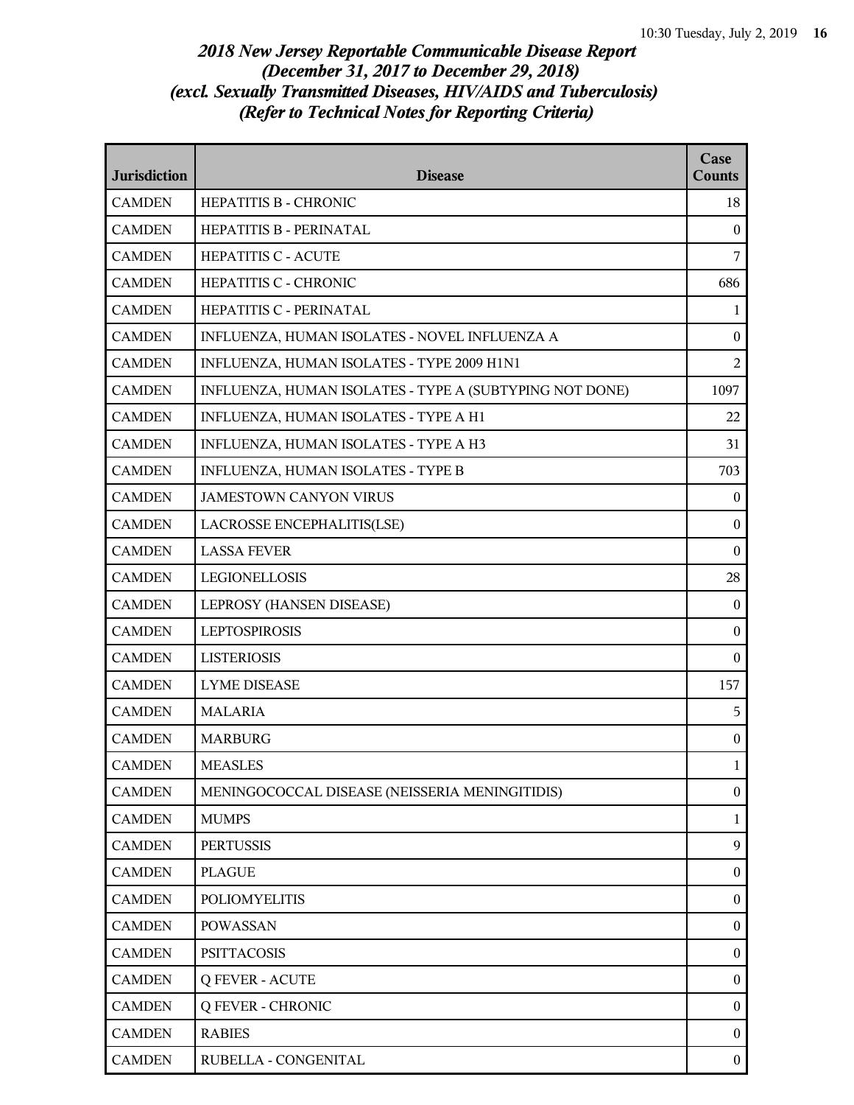| <b>Jurisdiction</b> | <b>Disease</b>                                          | Case<br><b>Counts</b> |
|---------------------|---------------------------------------------------------|-----------------------|
| <b>CAMDEN</b>       | HEPATITIS B - CHRONIC                                   | 18                    |
| <b>CAMDEN</b>       | <b>HEPATITIS B - PERINATAL</b>                          | $\mathbf{0}$          |
| <b>CAMDEN</b>       | HEPATITIS C - ACUTE                                     | 7                     |
| <b>CAMDEN</b>       | HEPATITIS C - CHRONIC                                   | 686                   |
| <b>CAMDEN</b>       | HEPATITIS C - PERINATAL                                 | $\mathbf{1}$          |
| <b>CAMDEN</b>       | INFLUENZA, HUMAN ISOLATES - NOVEL INFLUENZA A           | $\boldsymbol{0}$      |
| <b>CAMDEN</b>       | INFLUENZA, HUMAN ISOLATES - TYPE 2009 H1N1              | $\overline{2}$        |
| <b>CAMDEN</b>       | INFLUENZA, HUMAN ISOLATES - TYPE A (SUBTYPING NOT DONE) | 1097                  |
| <b>CAMDEN</b>       | INFLUENZA, HUMAN ISOLATES - TYPE A H1                   | 22                    |
| <b>CAMDEN</b>       | INFLUENZA, HUMAN ISOLATES - TYPE A H3                   | 31                    |
| <b>CAMDEN</b>       | INFLUENZA, HUMAN ISOLATES - TYPE B                      | 703                   |
| <b>CAMDEN</b>       | <b>JAMESTOWN CANYON VIRUS</b>                           | $\boldsymbol{0}$      |
| <b>CAMDEN</b>       | LACROSSE ENCEPHALITIS(LSE)                              | $\mathbf{0}$          |
| <b>CAMDEN</b>       | <b>LASSA FEVER</b>                                      | $\boldsymbol{0}$      |
| <b>CAMDEN</b>       | LEGIONELLOSIS                                           | 28                    |
| <b>CAMDEN</b>       | LEPROSY (HANSEN DISEASE)                                | $\boldsymbol{0}$      |
| <b>CAMDEN</b>       | <b>LEPTOSPIROSIS</b>                                    | $\boldsymbol{0}$      |
| <b>CAMDEN</b>       | <b>LISTERIOSIS</b>                                      | $\mathbf{0}$          |
| <b>CAMDEN</b>       | <b>LYME DISEASE</b>                                     | 157                   |
| <b>CAMDEN</b>       | <b>MALARIA</b>                                          | 5                     |
| <b>CAMDEN</b>       | <b>MARBURG</b>                                          | $\boldsymbol{0}$      |
| <b>CAMDEN</b>       | <b>MEASLES</b>                                          | 1                     |
| <b>CAMDEN</b>       | MENINGOCOCCAL DISEASE (NEISSERIA MENINGITIDIS)          | $\boldsymbol{0}$      |
| <b>CAMDEN</b>       | <b>MUMPS</b>                                            | $\mathbf{1}$          |
| <b>CAMDEN</b>       | <b>PERTUSSIS</b>                                        | 9                     |
| <b>CAMDEN</b>       | <b>PLAGUE</b>                                           | $\boldsymbol{0}$      |
| <b>CAMDEN</b>       | <b>POLIOMYELITIS</b>                                    | $\boldsymbol{0}$      |
| <b>CAMDEN</b>       | <b>POWASSAN</b>                                         | $\boldsymbol{0}$      |
| <b>CAMDEN</b>       | <b>PSITTACOSIS</b>                                      | $\boldsymbol{0}$      |
| <b>CAMDEN</b>       | <b>Q FEVER - ACUTE</b>                                  | $\boldsymbol{0}$      |
| <b>CAMDEN</b>       | <b>Q FEVER - CHRONIC</b>                                | $\boldsymbol{0}$      |
| <b>CAMDEN</b>       | <b>RABIES</b>                                           | $\mathbf{0}$          |
| <b>CAMDEN</b>       | RUBELLA - CONGENITAL                                    | $\mathbf{0}$          |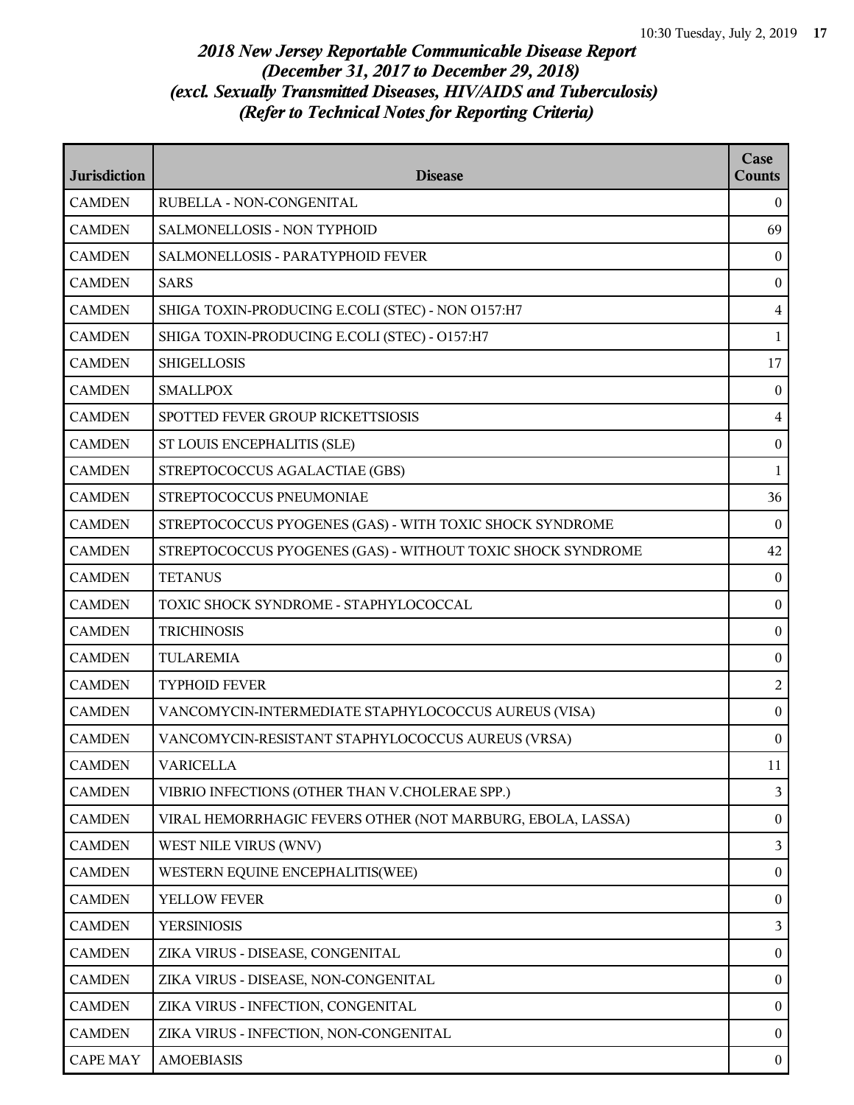| <b>Jurisdiction</b> | <b>Disease</b>                                              | Case<br><b>Counts</b> |
|---------------------|-------------------------------------------------------------|-----------------------|
| <b>CAMDEN</b>       | RUBELLA - NON-CONGENITAL                                    | $\Omega$              |
| <b>CAMDEN</b>       | SALMONELLOSIS - NON TYPHOID                                 | 69                    |
| <b>CAMDEN</b>       | SALMONELLOSIS - PARATYPHOID FEVER                           | $\overline{0}$        |
| <b>CAMDEN</b>       | <b>SARS</b>                                                 | $\bf{0}$              |
| <b>CAMDEN</b>       | SHIGA TOXIN-PRODUCING E.COLI (STEC) - NON 0157:H7           | $\overline{4}$        |
| <b>CAMDEN</b>       | SHIGA TOXIN-PRODUCING E.COLI (STEC) - O157:H7               | $\mathbf{1}$          |
| <b>CAMDEN</b>       | <b>SHIGELLOSIS</b>                                          | 17                    |
| <b>CAMDEN</b>       | <b>SMALLPOX</b>                                             | $\bf{0}$              |
| <b>CAMDEN</b>       | SPOTTED FEVER GROUP RICKETTSIOSIS                           | $\overline{4}$        |
| <b>CAMDEN</b>       | ST LOUIS ENCEPHALITIS (SLE)                                 | $\mathbf{0}$          |
| <b>CAMDEN</b>       | STREPTOCOCCUS AGALACTIAE (GBS)                              | $\mathbf{1}$          |
| <b>CAMDEN</b>       | STREPTOCOCCUS PNEUMONIAE                                    | 36                    |
| <b>CAMDEN</b>       | STREPTOCOCCUS PYOGENES (GAS) - WITH TOXIC SHOCK SYNDROME    | $\theta$              |
| <b>CAMDEN</b>       | STREPTOCOCCUS PYOGENES (GAS) - WITHOUT TOXIC SHOCK SYNDROME | 42                    |
| <b>CAMDEN</b>       | <b>TETANUS</b>                                              | $\bf{0}$              |
| <b>CAMDEN</b>       | TOXIC SHOCK SYNDROME - STAPHYLOCOCCAL                       | $\bf{0}$              |
| <b>CAMDEN</b>       | <b>TRICHINOSIS</b>                                          | $\bf{0}$              |
| <b>CAMDEN</b>       | <b>TULAREMIA</b>                                            | $\boldsymbol{0}$      |
| <b>CAMDEN</b>       | <b>TYPHOID FEVER</b>                                        | 2                     |
| <b>CAMDEN</b>       | VANCOMYCIN-INTERMEDIATE STAPHYLOCOCCUS AUREUS (VISA)        | $\mathbf{0}$          |
| <b>CAMDEN</b>       | VANCOMYCIN-RESISTANT STAPHYLOCOCCUS AUREUS (VRSA)           | $\bf{0}$              |
| <b>CAMDEN</b>       | <b>VARICELLA</b>                                            | 11                    |
| <b>CAMDEN</b>       | VIBRIO INFECTIONS (OTHER THAN V.CHOLERAE SPP.)              | 3                     |
| <b>CAMDEN</b>       | VIRAL HEMORRHAGIC FEVERS OTHER (NOT MARBURG, EBOLA, LASSA)  | $\mathbf{0}$          |
| <b>CAMDEN</b>       | WEST NILE VIRUS (WNV)                                       | 3                     |
| <b>CAMDEN</b>       | WESTERN EQUINE ENCEPHALITIS(WEE)                            | $\overline{0}$        |
| <b>CAMDEN</b>       | YELLOW FEVER                                                | $\mathbf{0}$          |
| <b>CAMDEN</b>       | <b>YERSINIOSIS</b>                                          | 3                     |
| <b>CAMDEN</b>       | ZIKA VIRUS - DISEASE, CONGENITAL                            | $\mathbf{0}$          |
| <b>CAMDEN</b>       | ZIKA VIRUS - DISEASE, NON-CONGENITAL                        | $\mathbf{0}$          |
| <b>CAMDEN</b>       | ZIKA VIRUS - INFECTION, CONGENITAL                          | $\overline{0}$        |
| <b>CAMDEN</b>       | ZIKA VIRUS - INFECTION, NON-CONGENITAL                      | $\bf{0}$              |
| <b>CAPE MAY</b>     | <b>AMOEBIASIS</b>                                           | $\mathbf{0}$          |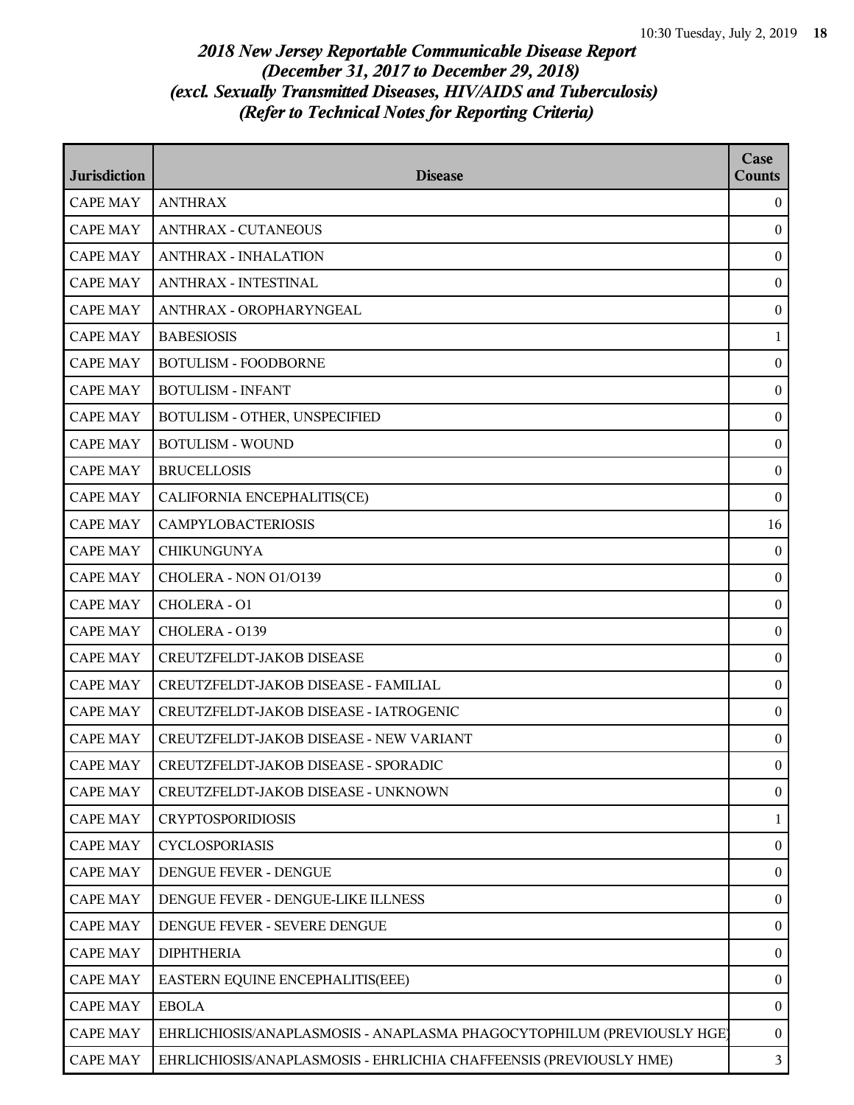| <b>Jurisdiction</b> | <b>Disease</b>                                                         | Case<br>Counts   |
|---------------------|------------------------------------------------------------------------|------------------|
| <b>CAPE MAY</b>     | <b>ANTHRAX</b>                                                         | $\overline{0}$   |
| <b>CAPE MAY</b>     | <b>ANTHRAX - CUTANEOUS</b>                                             | $\bf{0}$         |
| <b>CAPE MAY</b>     | <b>ANTHRAX - INHALATION</b>                                            | $\boldsymbol{0}$ |
| <b>CAPE MAY</b>     | ANTHRAX - INTESTINAL                                                   | $\bf{0}$         |
| <b>CAPE MAY</b>     | ANTHRAX - OROPHARYNGEAL                                                | $\bf{0}$         |
| <b>CAPE MAY</b>     | <b>BABESIOSIS</b>                                                      | $\mathbf{1}$     |
| <b>CAPE MAY</b>     | <b>BOTULISM - FOODBORNE</b>                                            | $\boldsymbol{0}$ |
| <b>CAPE MAY</b>     | <b>BOTULISM - INFANT</b>                                               | $\boldsymbol{0}$ |
| <b>CAPE MAY</b>     | BOTULISM - OTHER, UNSPECIFIED                                          | $\bf{0}$         |
| <b>CAPE MAY</b>     | <b>BOTULISM - WOUND</b>                                                | $\boldsymbol{0}$ |
| <b>CAPE MAY</b>     | <b>BRUCELLOSIS</b>                                                     | $\boldsymbol{0}$ |
| <b>CAPE MAY</b>     | CALIFORNIA ENCEPHALITIS(CE)                                            | $\bf{0}$         |
| <b>CAPE MAY</b>     | <b>CAMPYLOBACTERIOSIS</b>                                              | 16               |
| <b>CAPE MAY</b>     | <b>CHIKUNGUNYA</b>                                                     | $\bf{0}$         |
| <b>CAPE MAY</b>     | CHOLERA - NON 01/0139                                                  | $\bf{0}$         |
| <b>CAPE MAY</b>     | CHOLERA - O1                                                           | $\boldsymbol{0}$ |
| <b>CAPE MAY</b>     | CHOLERA - 0139                                                         | $\boldsymbol{0}$ |
| <b>CAPE MAY</b>     | CREUTZFELDT-JAKOB DISEASE                                              | $\boldsymbol{0}$ |
| <b>CAPE MAY</b>     | CREUTZFELDT-JAKOB DISEASE - FAMILIAL                                   | $\bf{0}$         |
| <b>CAPE MAY</b>     | CREUTZFELDT-JAKOB DISEASE - IATROGENIC                                 | $\boldsymbol{0}$ |
| <b>CAPE MAY</b>     | CREUTZFELDT-JAKOB DISEASE - NEW VARIANT                                | $\boldsymbol{0}$ |
| <b>CAPE MAY</b>     | CREUTZFELDT-JAKOB DISEASE - SPORADIC                                   | $\mathbf{0}$     |
| <b>CAPE MAY</b>     | CREUTZFELDT-JAKOB DISEASE - UNKNOWN                                    | $\bf{0}$         |
| <b>CAPE MAY</b>     | <b>CRYPTOSPORIDIOSIS</b>                                               | $\mathbf{1}$     |
| <b>CAPE MAY</b>     | <b>CYCLOSPORIASIS</b>                                                  | $\overline{0}$   |
| <b>CAPE MAY</b>     | DENGUE FEVER - DENGUE                                                  | $\bf{0}$         |
| <b>CAPE MAY</b>     | DENGUE FEVER - DENGUE-LIKE ILLNESS                                     | $\overline{0}$   |
| <b>CAPE MAY</b>     | DENGUE FEVER - SEVERE DENGUE                                           | $\bf{0}$         |
| <b>CAPE MAY</b>     | <b>DIPHTHERIA</b>                                                      | $\bf{0}$         |
| <b>CAPE MAY</b>     | EASTERN EQUINE ENCEPHALITIS(EEE)                                       | $\bf{0}$         |
| <b>CAPE MAY</b>     | <b>EBOLA</b>                                                           | $\bf{0}$         |
| <b>CAPE MAY</b>     | EHRLICHIOSIS/ANAPLASMOSIS - ANAPLASMA PHAGOCYTOPHILUM (PREVIOUSLY HGE) | $\overline{0}$   |
| <b>CAPE MAY</b>     | EHRLICHIOSIS/ANAPLASMOSIS - EHRLICHIA CHAFFEENSIS (PREVIOUSLY HME)     | 3                |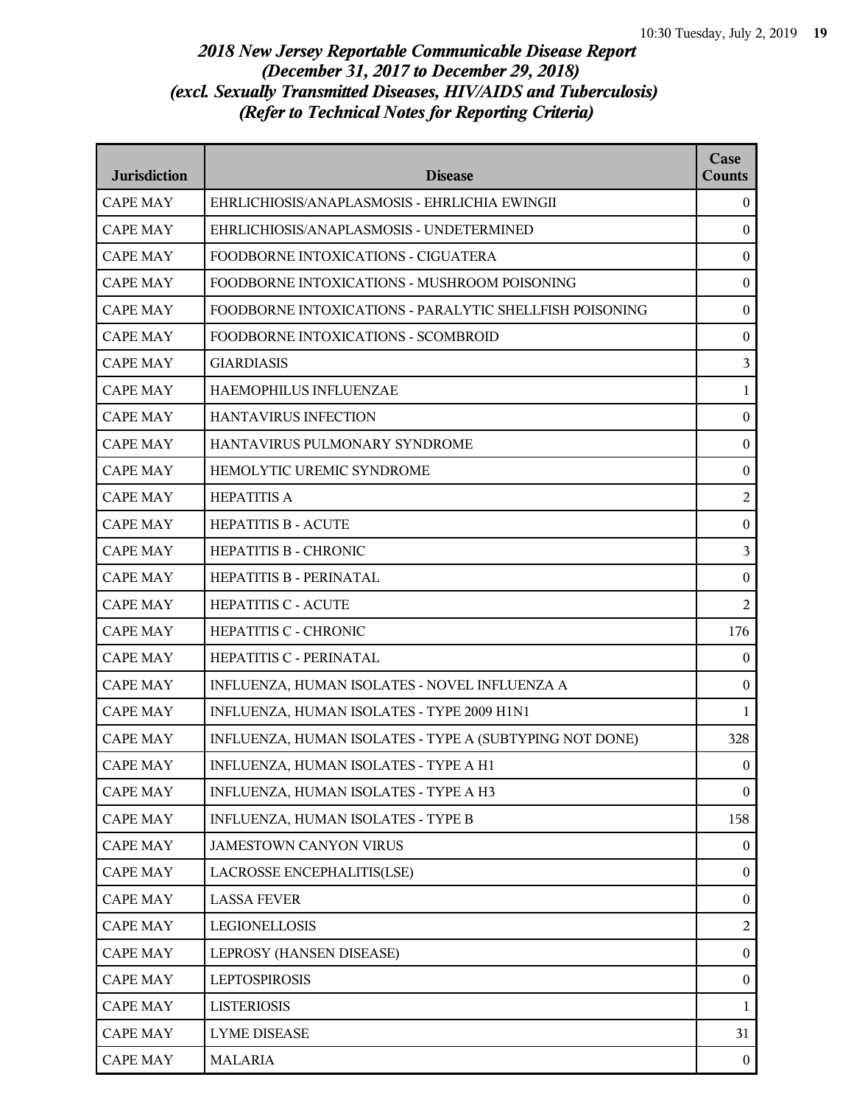| <b>Jurisdiction</b> | <b>Disease</b>                                          | Case<br><b>Counts</b> |
|---------------------|---------------------------------------------------------|-----------------------|
| <b>CAPE MAY</b>     | EHRLICHIOSIS/ANAPLASMOSIS - EHRLICHIA EWINGII           | $\boldsymbol{0}$      |
| <b>CAPE MAY</b>     | EHRLICHIOSIS/ANAPLASMOSIS - UNDETERMINED                | $\boldsymbol{0}$      |
| <b>CAPE MAY</b>     | FOODBORNE INTOXICATIONS - CIGUATERA                     | $\boldsymbol{0}$      |
| <b>CAPE MAY</b>     | FOODBORNE INTOXICATIONS - MUSHROOM POISONING            | $\boldsymbol{0}$      |
| <b>CAPE MAY</b>     | FOODBORNE INTOXICATIONS - PARALYTIC SHELLFISH POISONING | $\boldsymbol{0}$      |
| <b>CAPE MAY</b>     | FOODBORNE INTOXICATIONS - SCOMBROID                     | $\boldsymbol{0}$      |
| <b>CAPE MAY</b>     | <b>GIARDIASIS</b>                                       | 3                     |
| <b>CAPE MAY</b>     | HAEMOPHILUS INFLUENZAE                                  | $\mathbf{1}$          |
| <b>CAPE MAY</b>     | <b>HANTAVIRUS INFECTION</b>                             | $\boldsymbol{0}$      |
| <b>CAPE MAY</b>     | HANTAVIRUS PULMONARY SYNDROME                           | $\boldsymbol{0}$      |
| <b>CAPE MAY</b>     | HEMOLYTIC UREMIC SYNDROME                               | $\boldsymbol{0}$      |
| <b>CAPE MAY</b>     | <b>HEPATITIS A</b>                                      | $\overline{c}$        |
| <b>CAPE MAY</b>     | <b>HEPATITIS B - ACUTE</b>                              | $\boldsymbol{0}$      |
| <b>CAPE MAY</b>     | <b>HEPATITIS B - CHRONIC</b>                            | $\mathfrak{Z}$        |
| <b>CAPE MAY</b>     | HEPATITIS B - PERINATAL                                 | $\boldsymbol{0}$      |
| <b>CAPE MAY</b>     | <b>HEPATITIS C - ACUTE</b>                              | 2                     |
| <b>CAPE MAY</b>     | <b>HEPATITIS C - CHRONIC</b>                            | 176                   |
| <b>CAPE MAY</b>     | HEPATITIS C - PERINATAL                                 | 0                     |
| <b>CAPE MAY</b>     | INFLUENZA, HUMAN ISOLATES - NOVEL INFLUENZA A           | $\boldsymbol{0}$      |
| <b>CAPE MAY</b>     | INFLUENZA, HUMAN ISOLATES - TYPE 2009 H1N1              | $\mathbf{1}$          |
| <b>CAPE MAY</b>     | INFLUENZA, HUMAN ISOLATES - TYPE A (SUBTYPING NOT DONE) | 328                   |
| <b>CAPE MAY</b>     | INFLUENZA, HUMAN ISOLATES - TYPE A H1                   | $\overline{0}$        |
| <b>CAPE MAY</b>     | INFLUENZA, HUMAN ISOLATES - TYPE A H3                   | $\boldsymbol{0}$      |
| <b>CAPE MAY</b>     | INFLUENZA, HUMAN ISOLATES - TYPE B                      | 158                   |
| <b>CAPE MAY</b>     | <b>JAMESTOWN CANYON VIRUS</b>                           | $\boldsymbol{0}$      |
| <b>CAPE MAY</b>     | LACROSSE ENCEPHALITIS(LSE)                              | $\boldsymbol{0}$      |
| <b>CAPE MAY</b>     | <b>LASSA FEVER</b>                                      | $\boldsymbol{0}$      |
| <b>CAPE MAY</b>     | LEGIONELLOSIS                                           | $\overline{c}$        |
| <b>CAPE MAY</b>     | LEPROSY (HANSEN DISEASE)                                | $\boldsymbol{0}$      |
| <b>CAPE MAY</b>     | <b>LEPTOSPIROSIS</b>                                    | $\boldsymbol{0}$      |
| <b>CAPE MAY</b>     | <b>LISTERIOSIS</b>                                      | $\mathbf 1$           |
| <b>CAPE MAY</b>     | <b>LYME DISEASE</b>                                     | 31                    |
| <b>CAPE MAY</b>     | <b>MALARIA</b>                                          | $\boldsymbol{0}$      |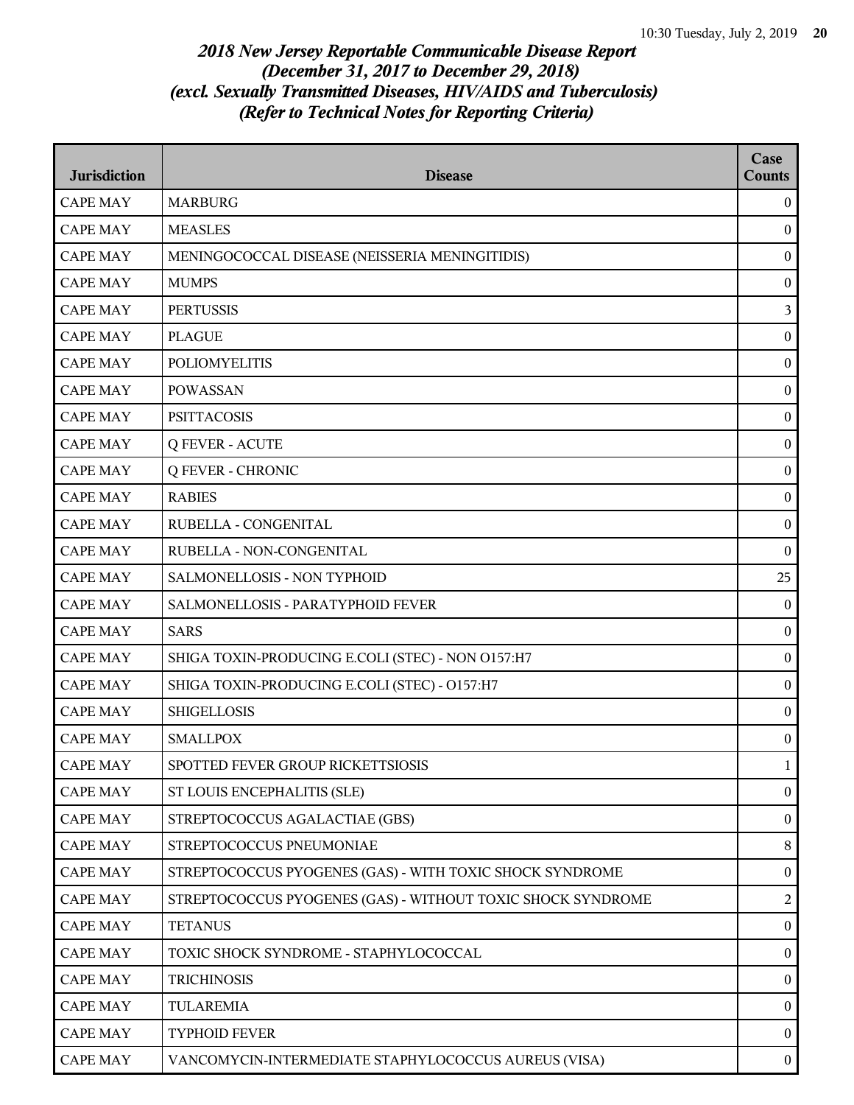| <b>Jurisdiction</b> | <b>Disease</b>                                              | Case<br><b>Counts</b> |
|---------------------|-------------------------------------------------------------|-----------------------|
| <b>CAPE MAY</b>     | <b>MARBURG</b>                                              | $\overline{0}$        |
| <b>CAPE MAY</b>     | <b>MEASLES</b>                                              | $\mathbf{0}$          |
| <b>CAPE MAY</b>     | MENINGOCOCCAL DISEASE (NEISSERIA MENINGITIDIS)              | $\boldsymbol{0}$      |
| <b>CAPE MAY</b>     | <b>MUMPS</b>                                                | $\boldsymbol{0}$      |
| <b>CAPE MAY</b>     | <b>PERTUSSIS</b>                                            | $\mathfrak{Z}$        |
| <b>CAPE MAY</b>     | <b>PLAGUE</b>                                               | $\bf{0}$              |
| <b>CAPE MAY</b>     | <b>POLIOMYELITIS</b>                                        | $\boldsymbol{0}$      |
| <b>CAPE MAY</b>     | <b>POWASSAN</b>                                             | $\boldsymbol{0}$      |
| <b>CAPE MAY</b>     | <b>PSITTACOSIS</b>                                          | $\boldsymbol{0}$      |
| <b>CAPE MAY</b>     | <b>Q FEVER - ACUTE</b>                                      | $\boldsymbol{0}$      |
| <b>CAPE MAY</b>     | <b>Q FEVER - CHRONIC</b>                                    | $\bf{0}$              |
| <b>CAPE MAY</b>     | <b>RABIES</b>                                               | $\boldsymbol{0}$      |
| <b>CAPE MAY</b>     | RUBELLA - CONGENITAL                                        | $\boldsymbol{0}$      |
| <b>CAPE MAY</b>     | RUBELLA - NON-CONGENITAL                                    | $\boldsymbol{0}$      |
| <b>CAPE MAY</b>     | SALMONELLOSIS - NON TYPHOID                                 | 25                    |
| <b>CAPE MAY</b>     | SALMONELLOSIS - PARATYPHOID FEVER                           | $\overline{0}$        |
| <b>CAPE MAY</b>     | <b>SARS</b>                                                 | $\boldsymbol{0}$      |
| <b>CAPE MAY</b>     | SHIGA TOXIN-PRODUCING E.COLI (STEC) - NON O157:H7           | $\boldsymbol{0}$      |
| <b>CAPE MAY</b>     | SHIGA TOXIN-PRODUCING E.COLI (STEC) - O157:H7               | $\boldsymbol{0}$      |
| <b>CAPE MAY</b>     | <b>SHIGELLOSIS</b>                                          | $\boldsymbol{0}$      |
| <b>CAPE MAY</b>     | <b>SMALLPOX</b>                                             | $\boldsymbol{0}$      |
| <b>CAPE MAY</b>     | SPOTTED FEVER GROUP RICKETTSIOSIS                           | 1                     |
| <b>CAPE MAY</b>     | ST LOUIS ENCEPHALITIS (SLE)                                 | $\bf{0}$              |
| <b>CAPE MAY</b>     | STREPTOCOCCUS AGALACTIAE (GBS)                              | $\boldsymbol{0}$      |
| <b>CAPE MAY</b>     | STREPTOCOCCUS PNEUMONIAE                                    | $\,8\,$               |
| <b>CAPE MAY</b>     | STREPTOCOCCUS PYOGENES (GAS) - WITH TOXIC SHOCK SYNDROME    | $\bf{0}$              |
| <b>CAPE MAY</b>     | STREPTOCOCCUS PYOGENES (GAS) - WITHOUT TOXIC SHOCK SYNDROME | 2                     |
| <b>CAPE MAY</b>     | <b>TETANUS</b>                                              | $\boldsymbol{0}$      |
| <b>CAPE MAY</b>     | TOXIC SHOCK SYNDROME - STAPHYLOCOCCAL                       | $\boldsymbol{0}$      |
| <b>CAPE MAY</b>     | <b>TRICHINOSIS</b>                                          | $\boldsymbol{0}$      |
| <b>CAPE MAY</b>     | <b>TULAREMIA</b>                                            | $\boldsymbol{0}$      |
| <b>CAPE MAY</b>     | <b>TYPHOID FEVER</b>                                        | $\overline{0}$        |
| <b>CAPE MAY</b>     | VANCOMYCIN-INTERMEDIATE STAPHYLOCOCCUS AUREUS (VISA)        | $\bf{0}$              |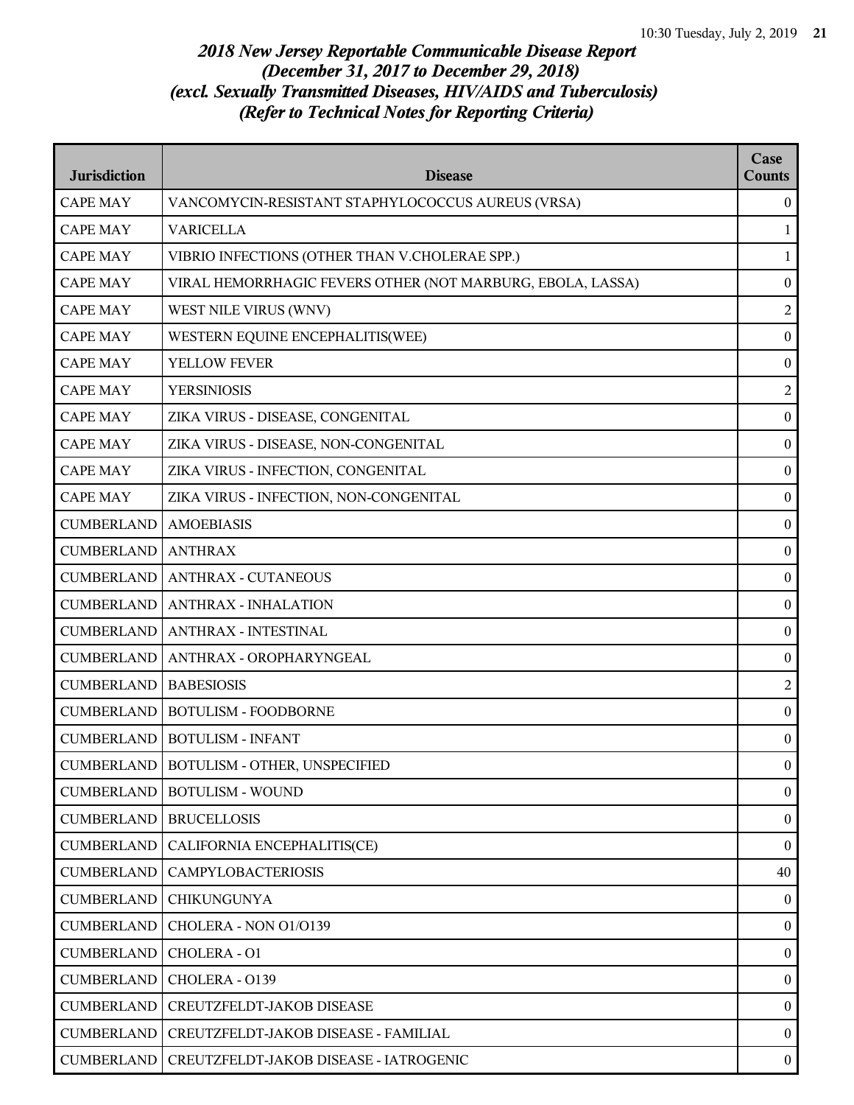| <b>Jurisdiction</b> | <b>Disease</b>                                             | Case<br><b>Counts</b> |
|---------------------|------------------------------------------------------------|-----------------------|
| <b>CAPE MAY</b>     | VANCOMYCIN-RESISTANT STAPHYLOCOCCUS AUREUS (VRSA)          | $\overline{0}$        |
| <b>CAPE MAY</b>     | <b>VARICELLA</b>                                           | $\mathbf{1}$          |
| <b>CAPE MAY</b>     | VIBRIO INFECTIONS (OTHER THAN V.CHOLERAE SPP.)             | $\mathbf{1}$          |
| <b>CAPE MAY</b>     | VIRAL HEMORRHAGIC FEVERS OTHER (NOT MARBURG, EBOLA, LASSA) | $\boldsymbol{0}$      |
| <b>CAPE MAY</b>     | WEST NILE VIRUS (WNV)                                      | $\overline{2}$        |
| <b>CAPE MAY</b>     | WESTERN EQUINE ENCEPHALITIS(WEE)                           | $\bf{0}$              |
| <b>CAPE MAY</b>     | YELLOW FEVER                                               | $\boldsymbol{0}$      |
| <b>CAPE MAY</b>     | <b>YERSINIOSIS</b>                                         | $\overline{c}$        |
| <b>CAPE MAY</b>     | ZIKA VIRUS - DISEASE, CONGENITAL                           | $\boldsymbol{0}$      |
| <b>CAPE MAY</b>     | ZIKA VIRUS - DISEASE, NON-CONGENITAL                       | $\boldsymbol{0}$      |
| <b>CAPE MAY</b>     | ZIKA VIRUS - INFECTION, CONGENITAL                         | $\bf{0}$              |
| <b>CAPE MAY</b>     | ZIKA VIRUS - INFECTION, NON-CONGENITAL                     | $\boldsymbol{0}$      |
| <b>CUMBERLAND</b>   | <b>AMOEBIASIS</b>                                          | $\boldsymbol{0}$      |
| <b>CUMBERLAND</b>   | <b>ANTHRAX</b>                                             | $\boldsymbol{0}$      |
| <b>CUMBERLAND</b>   | <b>ANTHRAX - CUTANEOUS</b>                                 | $\boldsymbol{0}$      |
| <b>CUMBERLAND</b>   | <b>ANTHRAX - INHALATION</b>                                | $\boldsymbol{0}$      |
| <b>CUMBERLAND</b>   | <b>ANTHRAX - INTESTINAL</b>                                | $\boldsymbol{0}$      |
| <b>CUMBERLAND</b>   | ANTHRAX - OROPHARYNGEAL                                    | $\boldsymbol{0}$      |
| <b>CUMBERLAND</b>   | <b>BABESIOSIS</b>                                          | $\overline{c}$        |
| <b>CUMBERLAND</b>   | <b>BOTULISM - FOODBORNE</b>                                | $\boldsymbol{0}$      |
| <b>CUMBERLAND</b>   | <b>BOTULISM - INFANT</b>                                   | $\boldsymbol{0}$      |
|                     | CUMBERLAND   BOTULISM - OTHER, UNSPECIFIED                 | $\overline{0}$        |
| <b>CUMBERLAND</b>   | <b>BOTULISM - WOUND</b>                                    | $\overline{0}$        |
| <b>CUMBERLAND</b>   | <b>BRUCELLOSIS</b>                                         | $\boldsymbol{0}$      |
| <b>CUMBERLAND</b>   | CALIFORNIA ENCEPHALITIS(CE)                                | $\overline{0}$        |
| <b>CUMBERLAND</b>   | <b>CAMPYLOBACTERIOSIS</b>                                  | 40                    |
| <b>CUMBERLAND</b>   | <b>CHIKUNGUNYA</b>                                         | $\overline{0}$        |
| <b>CUMBERLAND</b>   | CHOLERA - NON 01/0139                                      | $\boldsymbol{0}$      |
| <b>CUMBERLAND</b>   | CHOLERA - O1                                               | $\boldsymbol{0}$      |
| <b>CUMBERLAND</b>   | CHOLERA - 0139                                             | $\overline{0}$        |
| <b>CUMBERLAND</b>   | CREUTZFELDT-JAKOB DISEASE                                  | $\overline{0}$        |
| <b>CUMBERLAND</b>   | CREUTZFELDT-JAKOB DISEASE - FAMILIAL                       | $\overline{0}$        |
| <b>CUMBERLAND</b>   | CREUTZFELDT-JAKOB DISEASE - IATROGENIC                     | $\bf{0}$              |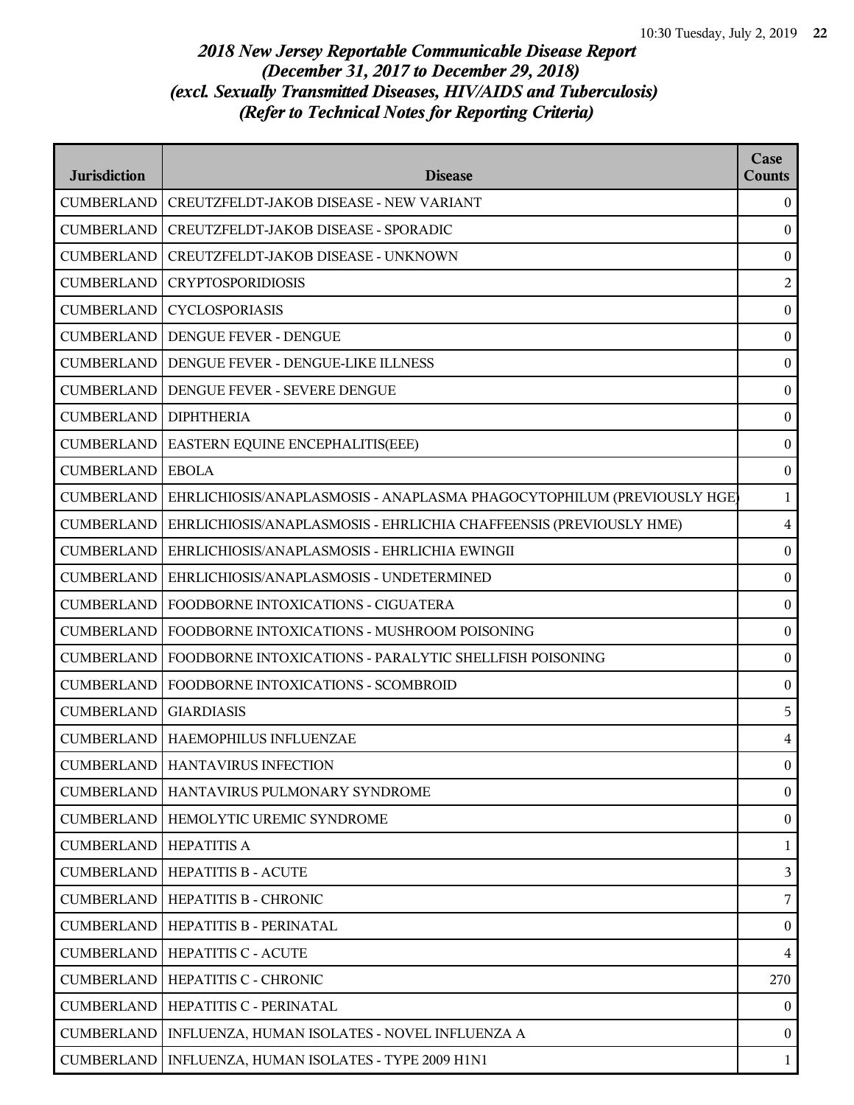| <b>Jurisdiction</b> | <b>Disease</b>                                                         | Case<br><b>Counts</b> |
|---------------------|------------------------------------------------------------------------|-----------------------|
| <b>CUMBERLAND</b>   | <b>CREUTZFELDT-JAKOB DISEASE - NEW VARIANT</b>                         | $\overline{0}$        |
| <b>CUMBERLAND</b>   | CREUTZFELDT-JAKOB DISEASE - SPORADIC                                   | $\boldsymbol{0}$      |
| <b>CUMBERLAND</b>   | CREUTZFELDT-JAKOB DISEASE - UNKNOWN                                    | $\boldsymbol{0}$      |
| <b>CUMBERLAND</b>   | <b>CRYPTOSPORIDIOSIS</b>                                               | $\overline{2}$        |
| <b>CUMBERLAND</b>   | <b>CYCLOSPORIASIS</b>                                                  | $\boldsymbol{0}$      |
|                     | <b>CUMBERLAND   DENGUE FEVER - DENGUE</b>                              | $\boldsymbol{0}$      |
| <b>CUMBERLAND</b>   | DENGUE FEVER - DENGUE-LIKE ILLNESS                                     | $\boldsymbol{0}$      |
| <b>CUMBERLAND</b>   | DENGUE FEVER - SEVERE DENGUE                                           | $\boldsymbol{0}$      |
| <b>CUMBERLAND</b>   | <b>DIPHTHERIA</b>                                                      | $\boldsymbol{0}$      |
| <b>CUMBERLAND</b>   | EASTERN EQUINE ENCEPHALITIS(EEE)                                       | $\boldsymbol{0}$      |
| <b>CUMBERLAND</b>   | <b>EBOLA</b>                                                           | $\boldsymbol{0}$      |
| <b>CUMBERLAND</b>   | EHRLICHIOSIS/ANAPLASMOSIS - ANAPLASMA PHAGOCYTOPHILUM (PREVIOUSLY HGE) | $\mathbf{1}$          |
| <b>CUMBERLAND</b>   | EHRLICHIOSIS/ANAPLASMOSIS - EHRLICHIA CHAFFEENSIS (PREVIOUSLY HME)     | $\overline{4}$        |
| <b>CUMBERLAND</b>   | EHRLICHIOSIS/ANAPLASMOSIS - EHRLICHIA EWINGII                          | $\boldsymbol{0}$      |
| <b>CUMBERLAND</b>   | EHRLICHIOSIS/ANAPLASMOSIS - UNDETERMINED                               | $\boldsymbol{0}$      |
| <b>CUMBERLAND</b>   | FOODBORNE INTOXICATIONS - CIGUATERA                                    | $\boldsymbol{0}$      |
| <b>CUMBERLAND</b>   | FOODBORNE INTOXICATIONS - MUSHROOM POISONING                           | $\boldsymbol{0}$      |
| <b>CUMBERLAND</b>   | FOODBORNE INTOXICATIONS - PARALYTIC SHELLFISH POISONING                | $\boldsymbol{0}$      |
| <b>CUMBERLAND</b>   | FOODBORNE INTOXICATIONS - SCOMBROID                                    | $\boldsymbol{0}$      |
| <b>CUMBERLAND</b>   | <b>GIARDIASIS</b>                                                      | 5                     |
|                     | CUMBERLAND   HAEMOPHILUS INFLUENZAE                                    | $\overline{4}$        |
|                     | <b>CUMBERLAND   HANTAVIRUS INFECTION</b>                               | $\overline{0}$        |
| <b>CUMBERLAND</b>   | HANTAVIRUS PULMONARY SYNDROME                                          | $\overline{0}$        |
| <b>CUMBERLAND</b>   | HEMOLYTIC UREMIC SYNDROME                                              | $\boldsymbol{0}$      |
| <b>CUMBERLAND</b>   | <b>HEPATITIS A</b>                                                     | $\mathbf{1}$          |
|                     | <b>CUMBERLAND   HEPATITIS B - ACUTE</b>                                | 3                     |
| <b>CUMBERLAND</b>   | HEPATITIS B - CHRONIC                                                  | $\overline{7}$        |
| <b>CUMBERLAND</b>   | HEPATITIS B - PERINATAL                                                | $\mathbf{0}$          |
| <b>CUMBERLAND</b>   | HEPATITIS C - ACUTE                                                    | $\overline{4}$        |
| <b>CUMBERLAND</b>   | HEPATITIS C - CHRONIC                                                  | 270                   |
| <b>CUMBERLAND</b>   | HEPATITIS C - PERINATAL                                                | $\overline{0}$        |
| <b>CUMBERLAND</b>   | INFLUENZA, HUMAN ISOLATES - NOVEL INFLUENZA A                          | $\bf{0}$              |
|                     | CUMBERLAND   INFLUENZA, HUMAN ISOLATES - TYPE 2009 H1N1                | $\mathbf{1}$          |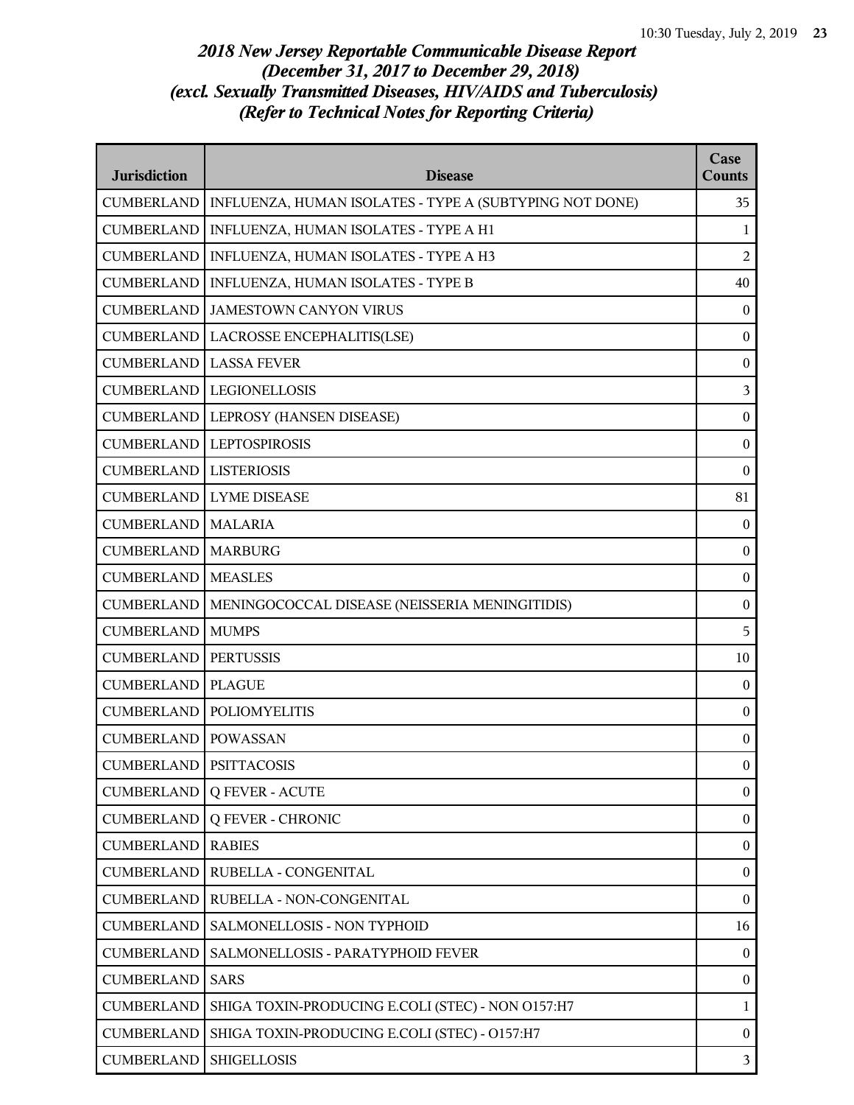| <b>Jurisdiction</b>             | <b>Disease</b>                                          | Case<br><b>Counts</b> |
|---------------------------------|---------------------------------------------------------|-----------------------|
| <b>CUMBERLAND</b>               | INFLUENZA, HUMAN ISOLATES - TYPE A (SUBTYPING NOT DONE) | 35                    |
| <b>CUMBERLAND</b>               | INFLUENZA, HUMAN ISOLATES - TYPE A H1                   | 1                     |
| <b>CUMBERLAND</b>               | INFLUENZA, HUMAN ISOLATES - TYPE A H3                   | 2                     |
| <b>CUMBERLAND</b>               | INFLUENZA, HUMAN ISOLATES - TYPE B                      | 40                    |
| <b>CUMBERLAND</b>               | <b>JAMESTOWN CANYON VIRUS</b>                           | $\boldsymbol{0}$      |
| <b>CUMBERLAND</b>               | LACROSSE ENCEPHALITIS(LSE)                              | $\boldsymbol{0}$      |
| <b>CUMBERLAND</b>               | <b>LASSA FEVER</b>                                      | $\boldsymbol{0}$      |
| <b>CUMBERLAND</b>               | <b>LEGIONELLOSIS</b>                                    | 3                     |
| <b>CUMBERLAND</b>               | LEPROSY (HANSEN DISEASE)                                | $\boldsymbol{0}$      |
| <b>CUMBERLAND</b>               | <b>LEPTOSPIROSIS</b>                                    | $\boldsymbol{0}$      |
| <b>CUMBERLAND</b>               | <b>LISTERIOSIS</b>                                      | $\mathbf{0}$          |
| <b>CUMBERLAND</b>               | <b>LYME DISEASE</b>                                     | 81                    |
| <b>CUMBERLAND</b>               | <b>MALARIA</b>                                          | $\boldsymbol{0}$      |
| <b>CUMBERLAND</b>               | <b>MARBURG</b>                                          | $\boldsymbol{0}$      |
| <b>CUMBERLAND</b>               | <b>MEASLES</b>                                          | $\boldsymbol{0}$      |
| <b>CUMBERLAND</b>               | MENINGOCOCCAL DISEASE (NEISSERIA MENINGITIDIS)          | $\boldsymbol{0}$      |
| <b>CUMBERLAND</b>               | <b>MUMPS</b>                                            | 5                     |
| <b>CUMBERLAND</b>               | <b>PERTUSSIS</b>                                        | 10                    |
| <b>CUMBERLAND</b>               | <b>PLAGUE</b>                                           | $\boldsymbol{0}$      |
| <b>CUMBERLAND</b>               | <b>POLIOMYELITIS</b>                                    | $\boldsymbol{0}$      |
| <b>CUMBERLAND</b>               | <b>POWASSAN</b>                                         | $\boldsymbol{0}$      |
| <b>CUMBERLAND   PSITTACOSIS</b> |                                                         | $\mathbf{0}$          |
| <b>CUMBERLAND</b>               | <b>Q FEVER - ACUTE</b>                                  | $\boldsymbol{0}$      |
| <b>CUMBERLAND</b>               | <b>Q FEVER - CHRONIC</b>                                | $\boldsymbol{0}$      |
| <b>CUMBERLAND</b>               | <b>RABIES</b>                                           | $\boldsymbol{0}$      |
| <b>CUMBERLAND</b>               | RUBELLA - CONGENITAL                                    | $\boldsymbol{0}$      |
| <b>CUMBERLAND</b>               | RUBELLA - NON-CONGENITAL                                | $\mathbf{0}$          |
| <b>CUMBERLAND</b>               | SALMONELLOSIS - NON TYPHOID                             | 16                    |
| <b>CUMBERLAND</b>               | SALMONELLOSIS - PARATYPHOID FEVER                       | $\boldsymbol{0}$      |
| <b>CUMBERLAND</b>               | <b>SARS</b>                                             | $\boldsymbol{0}$      |
| <b>CUMBERLAND</b>               | SHIGA TOXIN-PRODUCING E.COLI (STEC) - NON O157:H7       | $\mathbf 1$           |
| <b>CUMBERLAND</b>               | SHIGA TOXIN-PRODUCING E.COLI (STEC) - O157:H7           | $\boldsymbol{0}$      |
| <b>CUMBERLAND</b>               | <b>SHIGELLOSIS</b>                                      | $\mathfrak{Z}$        |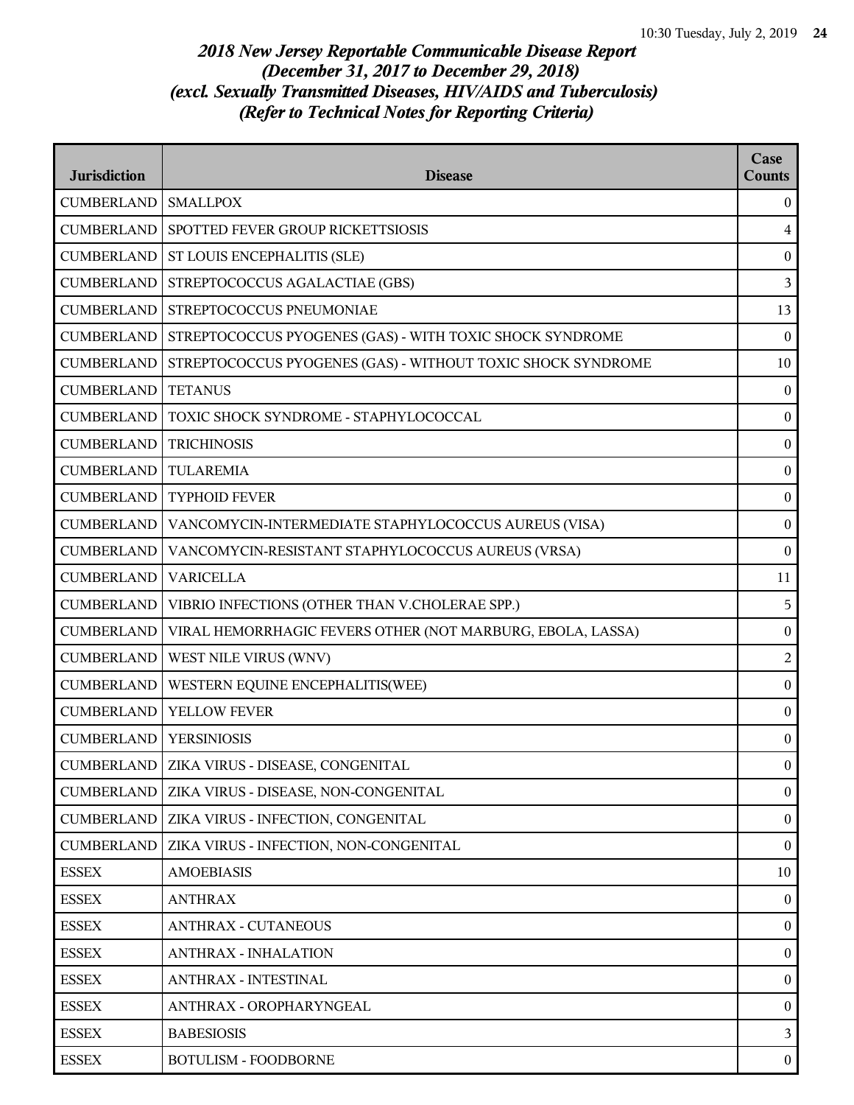| <b>Jurisdiction</b> | <b>Disease</b>                                              | Case<br><b>Counts</b> |
|---------------------|-------------------------------------------------------------|-----------------------|
| <b>CUMBERLAND</b>   | <b>SMALLPOX</b>                                             | $\mathbf{0}$          |
| <b>CUMBERLAND</b>   | SPOTTED FEVER GROUP RICKETTSIOSIS                           | $\overline{4}$        |
| <b>CUMBERLAND</b>   | ST LOUIS ENCEPHALITIS (SLE)                                 | $\bf{0}$              |
| <b>CUMBERLAND</b>   | STREPTOCOCCUS AGALACTIAE (GBS)                              | 3                     |
| <b>CUMBERLAND</b>   | STREPTOCOCCUS PNEUMONIAE                                    | 13                    |
| CUMBERLAND          | STREPTOCOCCUS PYOGENES (GAS) - WITH TOXIC SHOCK SYNDROME    | $\boldsymbol{0}$      |
| <b>CUMBERLAND</b>   | STREPTOCOCCUS PYOGENES (GAS) - WITHOUT TOXIC SHOCK SYNDROME | 10                    |
| <b>CUMBERLAND</b>   | <b>TETANUS</b>                                              | $\boldsymbol{0}$      |
| <b>CUMBERLAND</b>   | TOXIC SHOCK SYNDROME - STAPHYLOCOCCAL                       | $\boldsymbol{0}$      |
| <b>CUMBERLAND</b>   | <b>TRICHINOSIS</b>                                          | $\boldsymbol{0}$      |
| <b>CUMBERLAND</b>   | <b>TULAREMIA</b>                                            | $\bf{0}$              |
| <b>CUMBERLAND</b>   | <b>TYPHOID FEVER</b>                                        | $\boldsymbol{0}$      |
| <b>CUMBERLAND</b>   | VANCOMYCIN-INTERMEDIATE STAPHYLOCOCCUS AUREUS (VISA)        | $\boldsymbol{0}$      |
| <b>CUMBERLAND</b>   | VANCOMYCIN-RESISTANT STAPHYLOCOCCUS AUREUS (VRSA)           | $\boldsymbol{0}$      |
| <b>CUMBERLAND</b>   | <b>VARICELLA</b>                                            | 11                    |
| <b>CUMBERLAND</b>   | VIBRIO INFECTIONS (OTHER THAN V.CHOLERAE SPP.)              | 5                     |
| <b>CUMBERLAND</b>   | VIRAL HEMORRHAGIC FEVERS OTHER (NOT MARBURG, EBOLA, LASSA)  | $\boldsymbol{0}$      |
| <b>CUMBERLAND</b>   | WEST NILE VIRUS (WNV)                                       | $\overline{2}$        |
| <b>CUMBERLAND</b>   | WESTERN EQUINE ENCEPHALITIS(WEE)                            | $\boldsymbol{0}$      |
| <b>CUMBERLAND</b>   | YELLOW FEVER                                                | $\boldsymbol{0}$      |
| <b>CUMBERLAND</b>   | <b>YERSINIOSIS</b>                                          | $\mathbf{0}$          |
|                     | CUMBERLAND   ZIKA VIRUS - DISEASE, CONGENITAL               | $\bf{0}$              |
| <b>CUMBERLAND</b>   | ZIKA VIRUS - DISEASE, NON-CONGENITAL                        | $\mathbf{0}$          |
| <b>CUMBERLAND</b>   | ZIKA VIRUS - INFECTION, CONGENITAL                          | $\boldsymbol{0}$      |
| <b>CUMBERLAND</b>   | ZIKA VIRUS - INFECTION, NON-CONGENITAL                      | $\bf{0}$              |
| <b>ESSEX</b>        | <b>AMOEBIASIS</b>                                           | 10                    |
| <b>ESSEX</b>        | <b>ANTHRAX</b>                                              | $\theta$              |
| <b>ESSEX</b>        | <b>ANTHRAX - CUTANEOUS</b>                                  | $\mathbf{0}$          |
| <b>ESSEX</b>        | <b>ANTHRAX - INHALATION</b>                                 | $\boldsymbol{0}$      |
| <b>ESSEX</b>        | ANTHRAX - INTESTINAL                                        | $\bf{0}$              |
| <b>ESSEX</b>        | ANTHRAX - OROPHARYNGEAL                                     | $\bf{0}$              |
| <b>ESSEX</b>        | <b>BABESIOSIS</b>                                           | $\mathbf{3}$          |
| <b>ESSEX</b>        | <b>BOTULISM - FOODBORNE</b>                                 | $\bf{0}$              |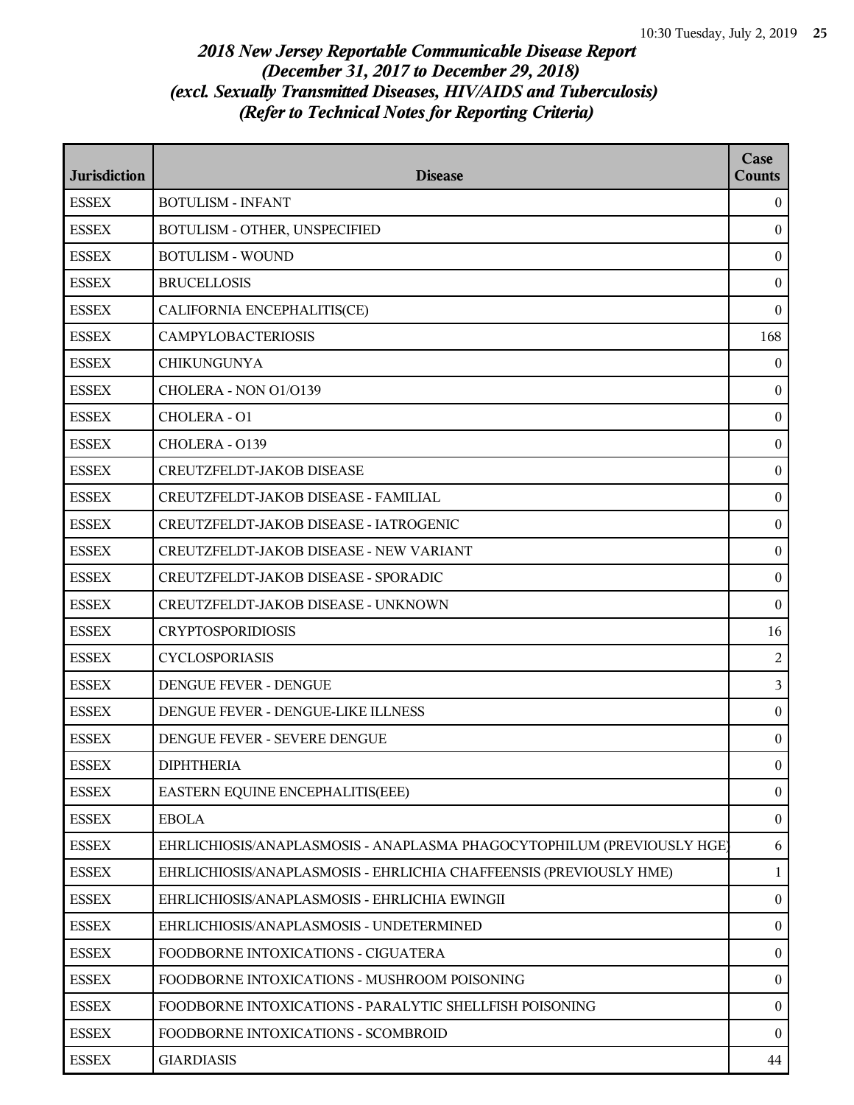| <b>Jurisdiction</b> | <b>Disease</b>                                                         | Case<br><b>Counts</b> |
|---------------------|------------------------------------------------------------------------|-----------------------|
| <b>ESSEX</b>        | <b>BOTULISM - INFANT</b>                                               | $\theta$              |
| <b>ESSEX</b>        | BOTULISM - OTHER, UNSPECIFIED                                          | $\boldsymbol{0}$      |
| <b>ESSEX</b>        | <b>BOTULISM - WOUND</b>                                                | $\boldsymbol{0}$      |
| <b>ESSEX</b>        | <b>BRUCELLOSIS</b>                                                     | $\mathbf{0}$          |
| <b>ESSEX</b>        | CALIFORNIA ENCEPHALITIS(CE)                                            | $\boldsymbol{0}$      |
| <b>ESSEX</b>        | <b>CAMPYLOBACTERIOSIS</b>                                              | 168                   |
| <b>ESSEX</b>        | <b>CHIKUNGUNYA</b>                                                     | $\bf{0}$              |
| <b>ESSEX</b>        | CHOLERA - NON 01/0139                                                  | $\bf{0}$              |
| <b>ESSEX</b>        | CHOLERA - O1                                                           | $\mathbf{0}$          |
| <b>ESSEX</b>        | CHOLERA - O139                                                         | $\boldsymbol{0}$      |
| <b>ESSEX</b>        | CREUTZFELDT-JAKOB DISEASE                                              | $\bf{0}$              |
| <b>ESSEX</b>        | CREUTZFELDT-JAKOB DISEASE - FAMILIAL                                   | $\boldsymbol{0}$      |
| <b>ESSEX</b>        | CREUTZFELDT-JAKOB DISEASE - IATROGENIC                                 | $\boldsymbol{0}$      |
| <b>ESSEX</b>        | <b>CREUTZFELDT-JAKOB DISEASE - NEW VARIANT</b>                         | $\mathbf{0}$          |
| <b>ESSEX</b>        | CREUTZFELDT-JAKOB DISEASE - SPORADIC                                   | $\boldsymbol{0}$      |
| <b>ESSEX</b>        | <b>CREUTZFELDT-JAKOB DISEASE - UNKNOWN</b>                             | $\mathbf{0}$          |
| <b>ESSEX</b>        | <b>CRYPTOSPORIDIOSIS</b>                                               | 16                    |
| <b>ESSEX</b>        | <b>CYCLOSPORIASIS</b>                                                  | $\overline{2}$        |
| <b>ESSEX</b>        | <b>DENGUE FEVER - DENGUE</b>                                           | 3                     |
| <b>ESSEX</b>        | DENGUE FEVER - DENGUE-LIKE ILLNESS                                     | $\boldsymbol{0}$      |
| <b>ESSEX</b>        | DENGUE FEVER - SEVERE DENGUE                                           | $\mathbf{0}$          |
| <b>ESSEX</b>        | <b>DIPHTHERIA</b>                                                      | $\boldsymbol{0}$      |
| <b>ESSEX</b>        | EASTERN EQUINE ENCEPHALITIS(EEE)                                       | $\mathbf{0}$          |
| <b>ESSEX</b>        | <b>EBOLA</b>                                                           | $\boldsymbol{0}$      |
| <b>ESSEX</b>        | EHRLICHIOSIS/ANAPLASMOSIS - ANAPLASMA PHAGOCYTOPHILUM (PREVIOUSLY HGE) | 6                     |
| <b>ESSEX</b>        | EHRLICHIOSIS/ANAPLASMOSIS - EHRLICHIA CHAFFEENSIS (PREVIOUSLY HME)     | 1                     |
| <b>ESSEX</b>        | EHRLICHIOSIS/ANAPLASMOSIS - EHRLICHIA EWINGII                          | $\boldsymbol{0}$      |
| <b>ESSEX</b>        | EHRLICHIOSIS/ANAPLASMOSIS - UNDETERMINED                               | $\boldsymbol{0}$      |
| <b>ESSEX</b>        | FOODBORNE INTOXICATIONS - CIGUATERA                                    | $\boldsymbol{0}$      |
| <b>ESSEX</b>        | FOODBORNE INTOXICATIONS - MUSHROOM POISONING                           | $\boldsymbol{0}$      |
| <b>ESSEX</b>        | FOODBORNE INTOXICATIONS - PARALYTIC SHELLFISH POISONING                | $\boldsymbol{0}$      |
| <b>ESSEX</b>        | FOODBORNE INTOXICATIONS - SCOMBROID                                    | $\theta$              |
| <b>ESSEX</b>        | <b>GIARDIASIS</b>                                                      | 44                    |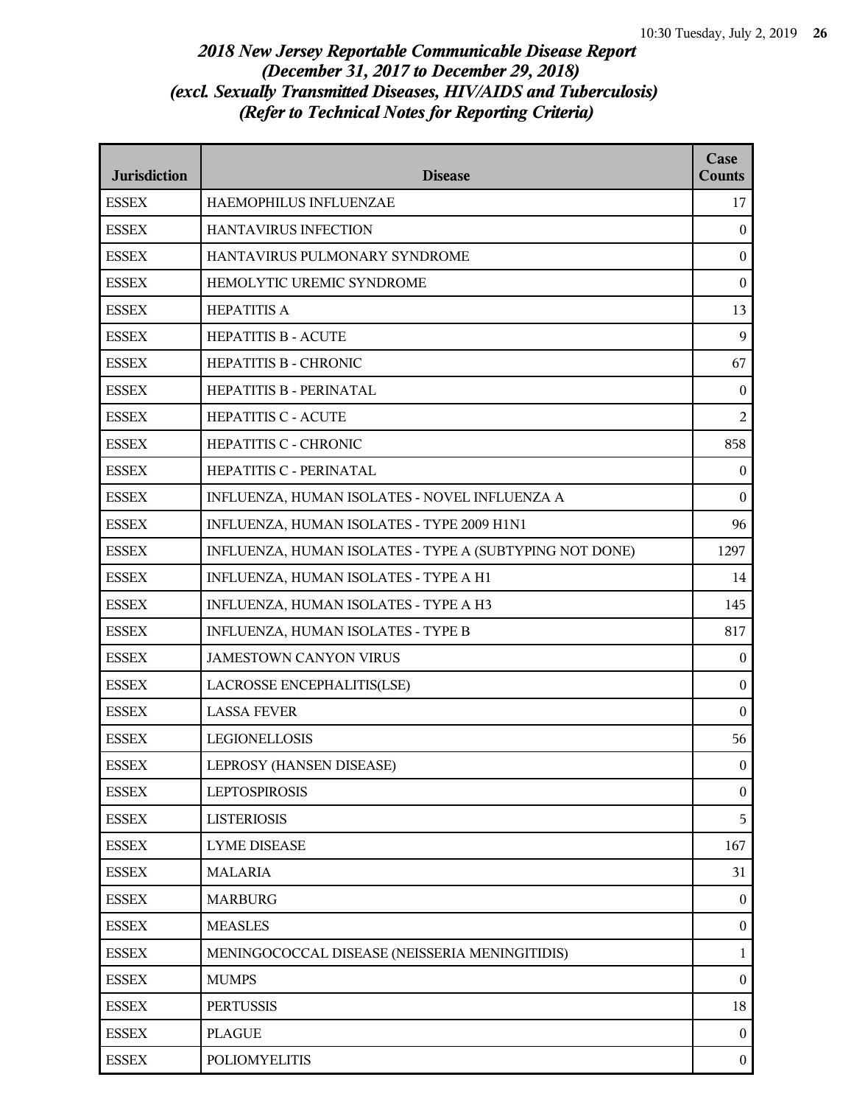| <b>Jurisdiction</b> | <b>Disease</b>                                          | Case<br><b>Counts</b> |
|---------------------|---------------------------------------------------------|-----------------------|
| <b>ESSEX</b>        | HAEMOPHILUS INFLUENZAE                                  | 17                    |
| <b>ESSEX</b>        | HANTAVIRUS INFECTION                                    | $\overline{0}$        |
| <b>ESSEX</b>        | HANTAVIRUS PULMONARY SYNDROME                           | $\overline{0}$        |
| <b>ESSEX</b>        | HEMOLYTIC UREMIC SYNDROME                               | $\mathbf{0}$          |
| <b>ESSEX</b>        | <b>HEPATITIS A</b>                                      | 13                    |
| <b>ESSEX</b>        | <b>HEPATITIS B - ACUTE</b>                              | 9                     |
| <b>ESSEX</b>        | HEPATITIS B - CHRONIC                                   | 67                    |
| <b>ESSEX</b>        | HEPATITIS B - PERINATAL                                 | $\overline{0}$        |
| <b>ESSEX</b>        | <b>HEPATITIS C - ACUTE</b>                              | $\overline{2}$        |
| <b>ESSEX</b>        | HEPATITIS C - CHRONIC                                   | 858                   |
| <b>ESSEX</b>        | HEPATITIS C - PERINATAL                                 | $\boldsymbol{0}$      |
| <b>ESSEX</b>        | INFLUENZA, HUMAN ISOLATES - NOVEL INFLUENZA A           | $\theta$              |
| <b>ESSEX</b>        | INFLUENZA, HUMAN ISOLATES - TYPE 2009 H1N1              | 96                    |
| <b>ESSEX</b>        | INFLUENZA, HUMAN ISOLATES - TYPE A (SUBTYPING NOT DONE) | 1297                  |
| <b>ESSEX</b>        | INFLUENZA, HUMAN ISOLATES - TYPE A H1                   | 14                    |
| <b>ESSEX</b>        | INFLUENZA, HUMAN ISOLATES - TYPE A H3                   | 145                   |
| <b>ESSEX</b>        | INFLUENZA, HUMAN ISOLATES - TYPE B                      | 817                   |
| <b>ESSEX</b>        | <b>JAMESTOWN CANYON VIRUS</b>                           | $\overline{0}$        |
| <b>ESSEX</b>        | LACROSSE ENCEPHALITIS(LSE)                              | $\bf{0}$              |
| <b>ESSEX</b>        | <b>LASSA FEVER</b>                                      | $\bf{0}$              |
| <b>ESSEX</b>        | <b>LEGIONELLOSIS</b>                                    | 56                    |
| <b>ESSEX</b>        | LEPROSY (HANSEN DISEASE)                                | $\overline{0}$        |
| <b>ESSEX</b>        | <b>LEPTOSPIROSIS</b>                                    | $\overline{0}$        |
| <b>ESSEX</b>        | <b>LISTERIOSIS</b>                                      | 5                     |
| <b>ESSEX</b>        | <b>LYME DISEASE</b>                                     | 167                   |
| <b>ESSEX</b>        | <b>MALARIA</b>                                          | 31                    |
| <b>ESSEX</b>        | <b>MARBURG</b>                                          | $\overline{0}$        |
| <b>ESSEX</b>        | <b>MEASLES</b>                                          | $\overline{0}$        |
| <b>ESSEX</b>        | MENINGOCOCCAL DISEASE (NEISSERIA MENINGITIDIS)          | $\mathbf{1}$          |
| <b>ESSEX</b>        | <b>MUMPS</b>                                            | $\boldsymbol{0}$      |
| <b>ESSEX</b>        | <b>PERTUSSIS</b>                                        | 18                    |
| <b>ESSEX</b>        | <b>PLAGUE</b>                                           | $\mathbf{0}$          |
| <b>ESSEX</b>        | <b>POLIOMYELITIS</b>                                    | $\mathbf{0}$          |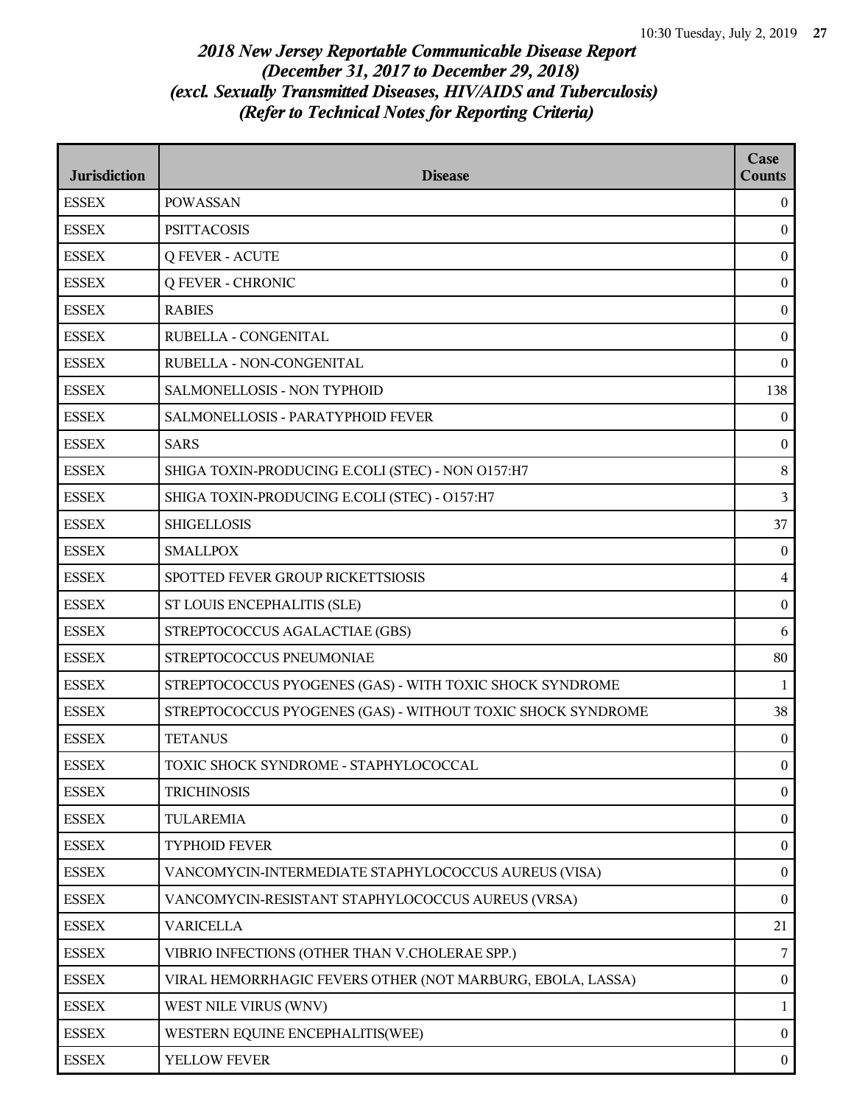| <b>Jurisdiction</b> | <b>Disease</b>                                              | Case<br><b>Counts</b> |
|---------------------|-------------------------------------------------------------|-----------------------|
| <b>ESSEX</b>        | <b>POWASSAN</b>                                             | $\overline{0}$        |
| <b>ESSEX</b>        | <b>PSITTACOSIS</b>                                          | $\boldsymbol{0}$      |
| <b>ESSEX</b>        | <b>Q FEVER - ACUTE</b>                                      | $\boldsymbol{0}$      |
| <b>ESSEX</b>        | <b>Q FEVER - CHRONIC</b>                                    | $\mathbf{0}$          |
| <b>ESSEX</b>        | <b>RABIES</b>                                               | $\boldsymbol{0}$      |
| <b>ESSEX</b>        | RUBELLA - CONGENITAL                                        | $\boldsymbol{0}$      |
| <b>ESSEX</b>        | RUBELLA - NON-CONGENITAL                                    | $\boldsymbol{0}$      |
| <b>ESSEX</b>        | SALMONELLOSIS - NON TYPHOID                                 | 138                   |
| <b>ESSEX</b>        | SALMONELLOSIS - PARATYPHOID FEVER                           | $\mathbf{0}$          |
| <b>ESSEX</b>        | <b>SARS</b>                                                 | $\boldsymbol{0}$      |
| <b>ESSEX</b>        | SHIGA TOXIN-PRODUCING E.COLI (STEC) - NON O157:H7           | $8\,$                 |
| <b>ESSEX</b>        | SHIGA TOXIN-PRODUCING E.COLI (STEC) - O157:H7               | $\overline{3}$        |
| <b>ESSEX</b>        | <b>SHIGELLOSIS</b>                                          | 37                    |
| <b>ESSEX</b>        | <b>SMALLPOX</b>                                             | $\mathbf{0}$          |
| <b>ESSEX</b>        | SPOTTED FEVER GROUP RICKETTSIOSIS                           | $\overline{4}$        |
| <b>ESSEX</b>        | ST LOUIS ENCEPHALITIS (SLE)                                 | $\boldsymbol{0}$      |
| <b>ESSEX</b>        | STREPTOCOCCUS AGALACTIAE (GBS)                              | 6                     |
| <b>ESSEX</b>        | STREPTOCOCCUS PNEUMONIAE                                    | 80                    |
| <b>ESSEX</b>        | STREPTOCOCCUS PYOGENES (GAS) - WITH TOXIC SHOCK SYNDROME    | 1                     |
| <b>ESSEX</b>        | STREPTOCOCCUS PYOGENES (GAS) - WITHOUT TOXIC SHOCK SYNDROME | 38                    |
| <b>ESSEX</b>        | <b>TETANUS</b>                                              | $\bf{0}$              |
| <b>ESSEX</b>        | TOXIC SHOCK SYNDROME - STAPHYLOCOCCAL                       | $\overline{0}$        |
| <b>ESSEX</b>        | <b>TRICHINOSIS</b>                                          | $\boldsymbol{0}$      |
| <b>ESSEX</b>        | <b>TULAREMIA</b>                                            | $\boldsymbol{0}$      |
| <b>ESSEX</b>        | TYPHOID FEVER                                               | $\boldsymbol{0}$      |
| <b>ESSEX</b>        | VANCOMYCIN-INTERMEDIATE STAPHYLOCOCCUS AUREUS (VISA)        | $\boldsymbol{0}$      |
| <b>ESSEX</b>        | VANCOMYCIN-RESISTANT STAPHYLOCOCCUS AUREUS (VRSA)           | $\bf{0}$              |
| <b>ESSEX</b>        | <b>VARICELLA</b>                                            | 21                    |
| <b>ESSEX</b>        | VIBRIO INFECTIONS (OTHER THAN V.CHOLERAE SPP.)              | 7                     |
| <b>ESSEX</b>        | VIRAL HEMORRHAGIC FEVERS OTHER (NOT MARBURG, EBOLA, LASSA)  | $\boldsymbol{0}$      |
| <b>ESSEX</b>        | WEST NILE VIRUS (WNV)                                       | $\mathbf{1}$          |
| <b>ESSEX</b>        | WESTERN EQUINE ENCEPHALITIS(WEE)                            | $\overline{0}$        |
| <b>ESSEX</b>        | YELLOW FEVER                                                | $\boldsymbol{0}$      |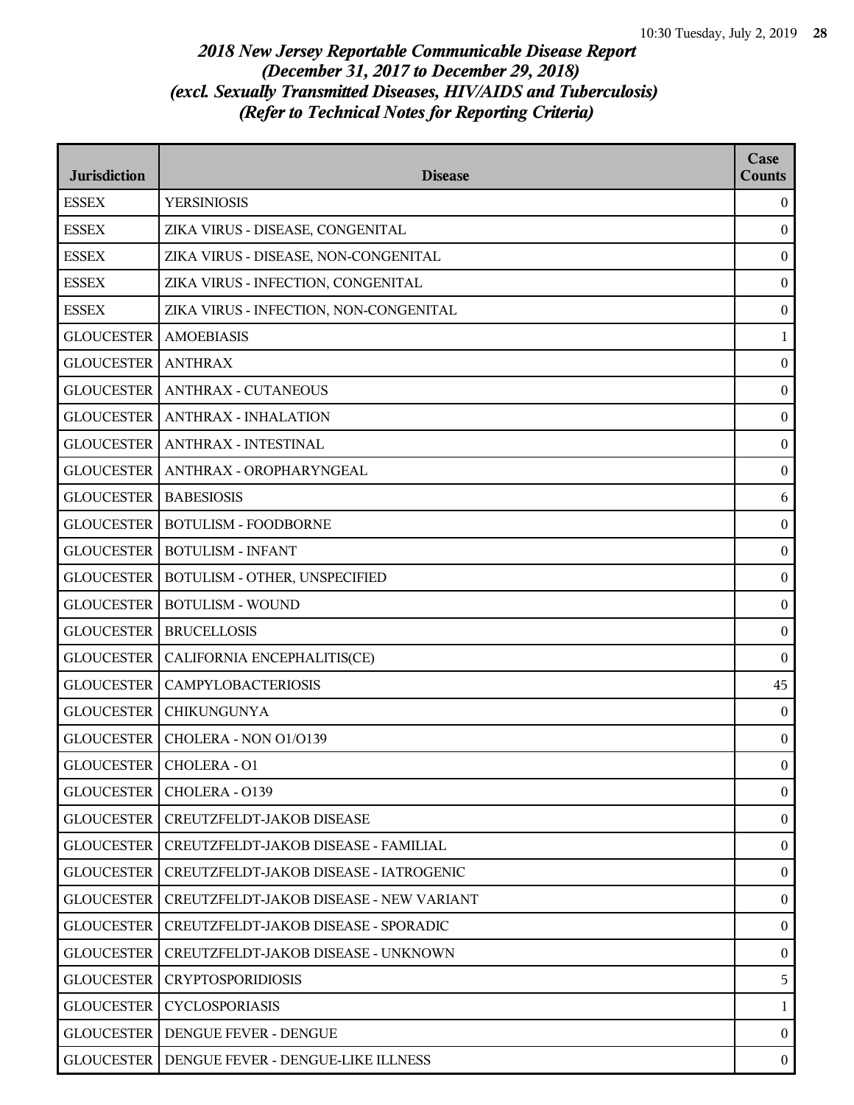| <b>Jurisdiction</b> | <b>Disease</b>                                  | Case<br><b>Counts</b> |
|---------------------|-------------------------------------------------|-----------------------|
| <b>ESSEX</b>        | <b>YERSINIOSIS</b>                              | $\boldsymbol{0}$      |
| <b>ESSEX</b>        | ZIKA VIRUS - DISEASE, CONGENITAL                | $\boldsymbol{0}$      |
| <b>ESSEX</b>        | ZIKA VIRUS - DISEASE, NON-CONGENITAL            | $\boldsymbol{0}$      |
| <b>ESSEX</b>        | ZIKA VIRUS - INFECTION, CONGENITAL              | $\boldsymbol{0}$      |
| <b>ESSEX</b>        | ZIKA VIRUS - INFECTION, NON-CONGENITAL          | $\boldsymbol{0}$      |
| <b>GLOUCESTER</b>   | <b>AMOEBIASIS</b>                               | $\mathbf{1}$          |
| <b>GLOUCESTER</b>   | <b>ANTHRAX</b>                                  | $\boldsymbol{0}$      |
| <b>GLOUCESTER</b>   | <b>ANTHRAX - CUTANEOUS</b>                      | $\boldsymbol{0}$      |
| <b>GLOUCESTER</b>   | <b>ANTHRAX - INHALATION</b>                     | $\boldsymbol{0}$      |
| <b>GLOUCESTER</b>   | <b>ANTHRAX - INTESTINAL</b>                     | $\boldsymbol{0}$      |
|                     | GLOUCESTER   ANTHRAX - OROPHARYNGEAL            | $\boldsymbol{0}$      |
| <b>GLOUCESTER</b>   | <b>BABESIOSIS</b>                               | 6                     |
| <b>GLOUCESTER</b>   | <b>BOTULISM - FOODBORNE</b>                     | $\boldsymbol{0}$      |
| <b>GLOUCESTER</b>   | <b>BOTULISM - INFANT</b>                        | $\boldsymbol{0}$      |
| <b>GLOUCESTER</b>   | BOTULISM - OTHER, UNSPECIFIED                   | $\boldsymbol{0}$      |
| <b>GLOUCESTER</b>   | <b>BOTULISM - WOUND</b>                         | $\boldsymbol{0}$      |
| <b>GLOUCESTER</b>   | <b>BRUCELLOSIS</b>                              | $\boldsymbol{0}$      |
| <b>GLOUCESTER</b>   | CALIFORNIA ENCEPHALITIS(CE)                     | $\boldsymbol{0}$      |
| <b>GLOUCESTER</b>   | <b>CAMPYLOBACTERIOSIS</b>                       | 45                    |
| <b>GLOUCESTER</b>   | <b>CHIKUNGUNYA</b>                              | $\boldsymbol{0}$      |
| <b>GLOUCESTER</b>   | CHOLERA - NON O1/O139                           | $\boldsymbol{0}$      |
|                     | GLOUCESTER   CHOLERA - O1                       | $\boldsymbol{0}$      |
| <b>GLOUCESTER</b>   | CHOLERA - 0139                                  | $\boldsymbol{0}$      |
| <b>GLOUCESTER</b>   | CREUTZFELDT-JAKOB DISEASE                       | $\boldsymbol{0}$      |
| <b>GLOUCESTER</b>   | CREUTZFELDT-JAKOB DISEASE - FAMILIAL            | $\overline{0}$        |
| <b>GLOUCESTER</b>   | CREUTZFELDT-JAKOB DISEASE - IATROGENIC          | $\boldsymbol{0}$      |
| <b>GLOUCESTER</b>   | CREUTZFELDT-JAKOB DISEASE - NEW VARIANT         | $\overline{0}$        |
| <b>GLOUCESTER</b>   | CREUTZFELDT-JAKOB DISEASE - SPORADIC            | $\boldsymbol{0}$      |
| <b>GLOUCESTER</b>   | CREUTZFELDT-JAKOB DISEASE - UNKNOWN             | $\boldsymbol{0}$      |
| <b>GLOUCESTER</b>   | <b>CRYPTOSPORIDIOSIS</b>                        | 5                     |
| <b>GLOUCESTER</b>   | <b>CYCLOSPORIASIS</b>                           | $\mathbf{1}$          |
| <b>GLOUCESTER</b>   | DENGUE FEVER - DENGUE                           | $\overline{0}$        |
|                     | GLOUCESTER   DENGUE FEVER - DENGUE-LIKE ILLNESS | $\overline{0}$        |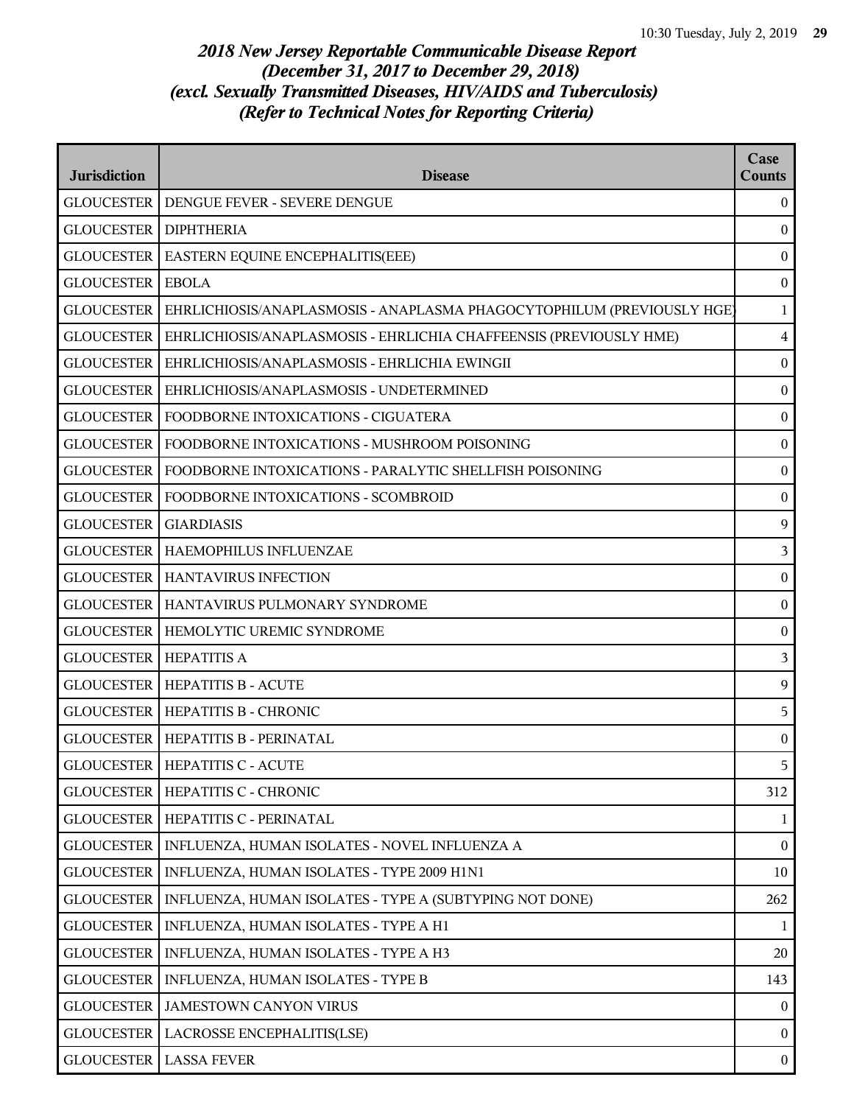| <b>Jurisdiction</b>          | <b>Disease</b>                                                         | Case<br><b>Counts</b> |
|------------------------------|------------------------------------------------------------------------|-----------------------|
|                              | <b>GLOUCESTER   DENGUE FEVER - SEVERE DENGUE</b>                       | $\overline{0}$        |
| <b>GLOUCESTER DIPHTHERIA</b> |                                                                        | $\mathbf{0}$          |
| <b>GLOUCESTER</b>            | EASTERN EQUINE ENCEPHALITIS(EEE)                                       | $\boldsymbol{0}$      |
| <b>GLOUCESTER</b>            | <b>EBOLA</b>                                                           | $\boldsymbol{0}$      |
| <b>GLOUCESTER</b>            | EHRLICHIOSIS/ANAPLASMOSIS - ANAPLASMA PHAGOCYTOPHILUM (PREVIOUSLY HGE) | $\mathbf{1}$          |
| <b>GLOUCESTER</b>            | EHRLICHIOSIS/ANAPLASMOSIS - EHRLICHIA CHAFFEENSIS (PREVIOUSLY HME)     | $\overline{4}$        |
| <b>GLOUCESTER</b>            | EHRLICHIOSIS/ANAPLASMOSIS - EHRLICHIA EWINGII                          | $\boldsymbol{0}$      |
| <b>GLOUCESTER</b>            | EHRLICHIOSIS/ANAPLASMOSIS - UNDETERMINED                               | $\boldsymbol{0}$      |
| <b>GLOUCESTER</b>            | FOODBORNE INTOXICATIONS - CIGUATERA                                    | $\boldsymbol{0}$      |
| <b>GLOUCESTER</b>            | FOODBORNE INTOXICATIONS - MUSHROOM POISONING                           | $\boldsymbol{0}$      |
| <b>GLOUCESTER</b>            | FOODBORNE INTOXICATIONS - PARALYTIC SHELLFISH POISONING                | $\boldsymbol{0}$      |
| <b>GLOUCESTER</b>            | FOODBORNE INTOXICATIONS - SCOMBROID                                    | $\boldsymbol{0}$      |
| <b>GLOUCESTER</b>            | <b>GIARDIASIS</b>                                                      | 9                     |
| <b>GLOUCESTER</b>            | HAEMOPHILUS INFLUENZAE                                                 | 3                     |
| <b>GLOUCESTER</b>            | HANTAVIRUS INFECTION                                                   | $\boldsymbol{0}$      |
| <b>GLOUCESTER</b>            | HANTAVIRUS PULMONARY SYNDROME                                          | $\boldsymbol{0}$      |
| <b>GLOUCESTER</b>            | HEMOLYTIC UREMIC SYNDROME                                              | $\boldsymbol{0}$      |
| <b>GLOUCESTER</b>            | <b>HEPATITIS A</b>                                                     | 3                     |
|                              | <b>GLOUCESTER   HEPATITIS B - ACUTE</b>                                | 9                     |
|                              | <b>GLOUCESTER   HEPATITIS B - CHRONIC</b>                              | 5                     |
|                              | <b>GLOUCESTER   HEPATITIS B - PERINATAL</b>                            | $\boldsymbol{0}$      |
|                              | <b>GLOUCESTER   HEPATITIS C - ACUTE</b>                                | 5.                    |
| <b>GLOUCESTER</b>            | HEPATITIS C - CHRONIC                                                  | 312                   |
| <b>GLOUCESTER</b>            | HEPATITIS C - PERINATAL                                                | 1                     |
| <b>GLOUCESTER</b>            | INFLUENZA, HUMAN ISOLATES - NOVEL INFLUENZA A                          | $\boldsymbol{0}$      |
| <b>GLOUCESTER</b>            | INFLUENZA, HUMAN ISOLATES - TYPE 2009 H1N1                             | 10                    |
| <b>GLOUCESTER</b>            | INFLUENZA, HUMAN ISOLATES - TYPE A (SUBTYPING NOT DONE)                | 262                   |
| <b>GLOUCESTER</b>            | INFLUENZA, HUMAN ISOLATES - TYPE A H1                                  | 1                     |
| <b>GLOUCESTER</b>            | INFLUENZA, HUMAN ISOLATES - TYPE A H3                                  | $20\,$                |
| <b>GLOUCESTER</b>            | INFLUENZA, HUMAN ISOLATES - TYPE B                                     | 143                   |
| <b>GLOUCESTER</b>            | <b>JAMESTOWN CANYON VIRUS</b>                                          | $\boldsymbol{0}$      |
| <b>GLOUCESTER</b>            | LACROSSE ENCEPHALITIS(LSE)                                             | $\overline{0}$        |
|                              | <b>GLOUCESTER   LASSA FEVER</b>                                        | $\boldsymbol{0}$      |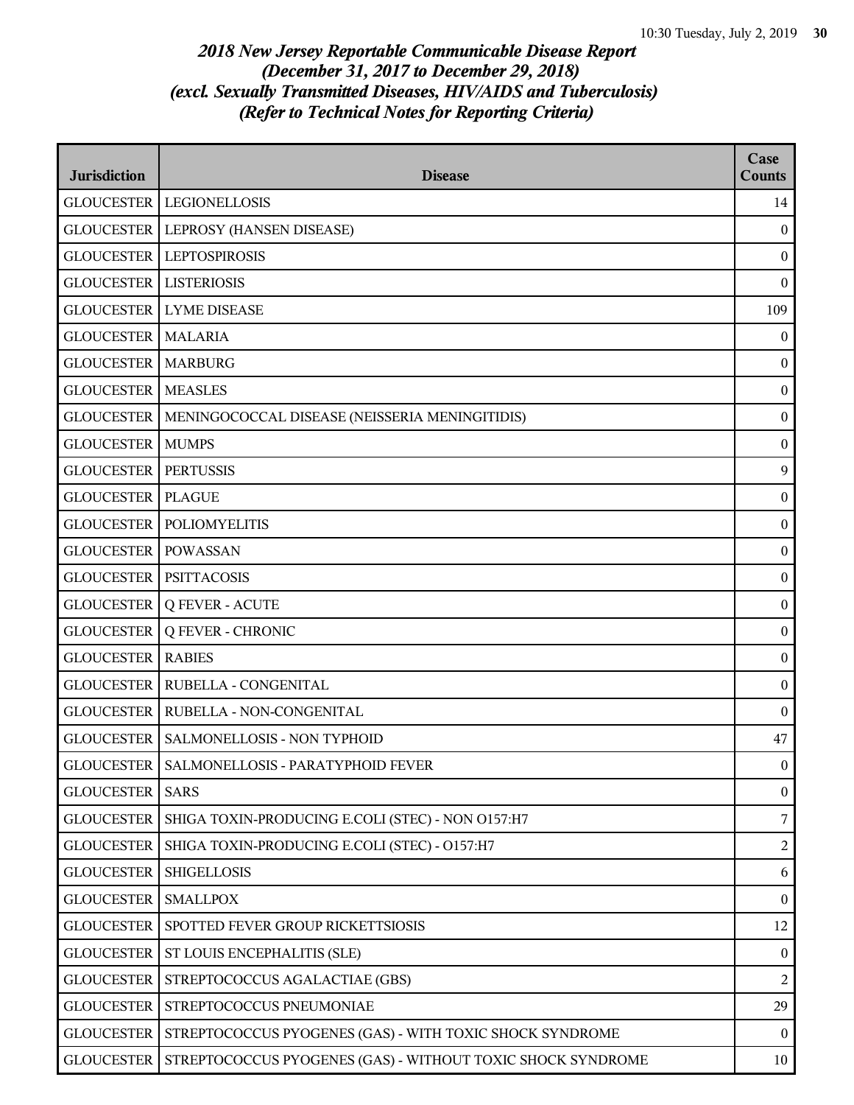| <b>Jurisdiction</b> | <b>Disease</b>                                              | Case<br><b>Counts</b> |
|---------------------|-------------------------------------------------------------|-----------------------|
| <b>GLOUCESTER</b>   | <b>LEGIONELLOSIS</b>                                        | 14                    |
| <b>GLOUCESTER</b>   | LEPROSY (HANSEN DISEASE)                                    | $\boldsymbol{0}$      |
| <b>GLOUCESTER</b>   | <b>LEPTOSPIROSIS</b>                                        | $\boldsymbol{0}$      |
| <b>GLOUCESTER</b>   | <b>LISTERIOSIS</b>                                          | $\mathbf{0}$          |
| <b>GLOUCESTER</b>   | <b>LYME DISEASE</b>                                         | 109                   |
| <b>GLOUCESTER</b>   | <b>MALARIA</b>                                              | $\boldsymbol{0}$      |
| <b>GLOUCESTER</b>   | <b>MARBURG</b>                                              | $\boldsymbol{0}$      |
| <b>GLOUCESTER</b>   | <b>MEASLES</b>                                              | $\boldsymbol{0}$      |
| <b>GLOUCESTER</b>   | MENINGOCOCCAL DISEASE (NEISSERIA MENINGITIDIS)              | $\boldsymbol{0}$      |
| <b>GLOUCESTER</b>   | <b>MUMPS</b>                                                | $\boldsymbol{0}$      |
| <b>GLOUCESTER</b>   | <b>PERTUSSIS</b>                                            | 9                     |
| <b>GLOUCESTER</b>   | <b>PLAGUE</b>                                               | $\boldsymbol{0}$      |
| <b>GLOUCESTER</b>   | <b>POLIOMYELITIS</b>                                        | $\boldsymbol{0}$      |
| <b>GLOUCESTER</b>   | <b>POWASSAN</b>                                             | $\boldsymbol{0}$      |
| <b>GLOUCESTER</b>   | <b>PSITTACOSIS</b>                                          | $\boldsymbol{0}$      |
| <b>GLOUCESTER</b>   | <b>Q FEVER - ACUTE</b>                                      | $\boldsymbol{0}$      |
| <b>GLOUCESTER</b>   | <b>Q FEVER - CHRONIC</b>                                    | $\boldsymbol{0}$      |
| <b>GLOUCESTER</b>   | <b>RABIES</b>                                               | $\boldsymbol{0}$      |
| <b>GLOUCESTER</b>   | RUBELLA - CONGENITAL                                        | $\boldsymbol{0}$      |
| <b>GLOUCESTER</b>   | RUBELLA - NON-CONGENITAL                                    | $\boldsymbol{0}$      |
| <b>GLOUCESTER</b>   | SALMONELLOSIS - NON TYPHOID                                 | 47                    |
|                     | GLOUCESTER   SALMONELLOSIS - PARATYPHOID FEVER              | $\boldsymbol{0}$      |
| <b>GLOUCESTER</b>   | <b>SARS</b>                                                 | $\boldsymbol{0}$      |
| <b>GLOUCESTER</b>   | SHIGA TOXIN-PRODUCING E.COLI (STEC) - NON 0157:H7           | $\overline{7}$        |
| <b>GLOUCESTER</b>   | SHIGA TOXIN-PRODUCING E.COLI (STEC) - O157:H7               | $\overline{2}$        |
| <b>GLOUCESTER</b>   | <b>SHIGELLOSIS</b>                                          | $\boldsymbol{6}$      |
| <b>GLOUCESTER</b>   | <b>SMALLPOX</b>                                             | $\boldsymbol{0}$      |
| <b>GLOUCESTER</b>   | SPOTTED FEVER GROUP RICKETTSIOSIS                           | 12                    |
| <b>GLOUCESTER</b>   | ST LOUIS ENCEPHALITIS (SLE)                                 | $\boldsymbol{0}$      |
| <b>GLOUCESTER</b>   | STREPTOCOCCUS AGALACTIAE (GBS)                              | $\overline{2}$        |
| <b>GLOUCESTER</b>   | STREPTOCOCCUS PNEUMONIAE                                    | 29                    |
| <b>GLOUCESTER</b>   | STREPTOCOCCUS PYOGENES (GAS) - WITH TOXIC SHOCK SYNDROME    | $\overline{0}$        |
| <b>GLOUCESTER</b>   | STREPTOCOCCUS PYOGENES (GAS) - WITHOUT TOXIC SHOCK SYNDROME | 10                    |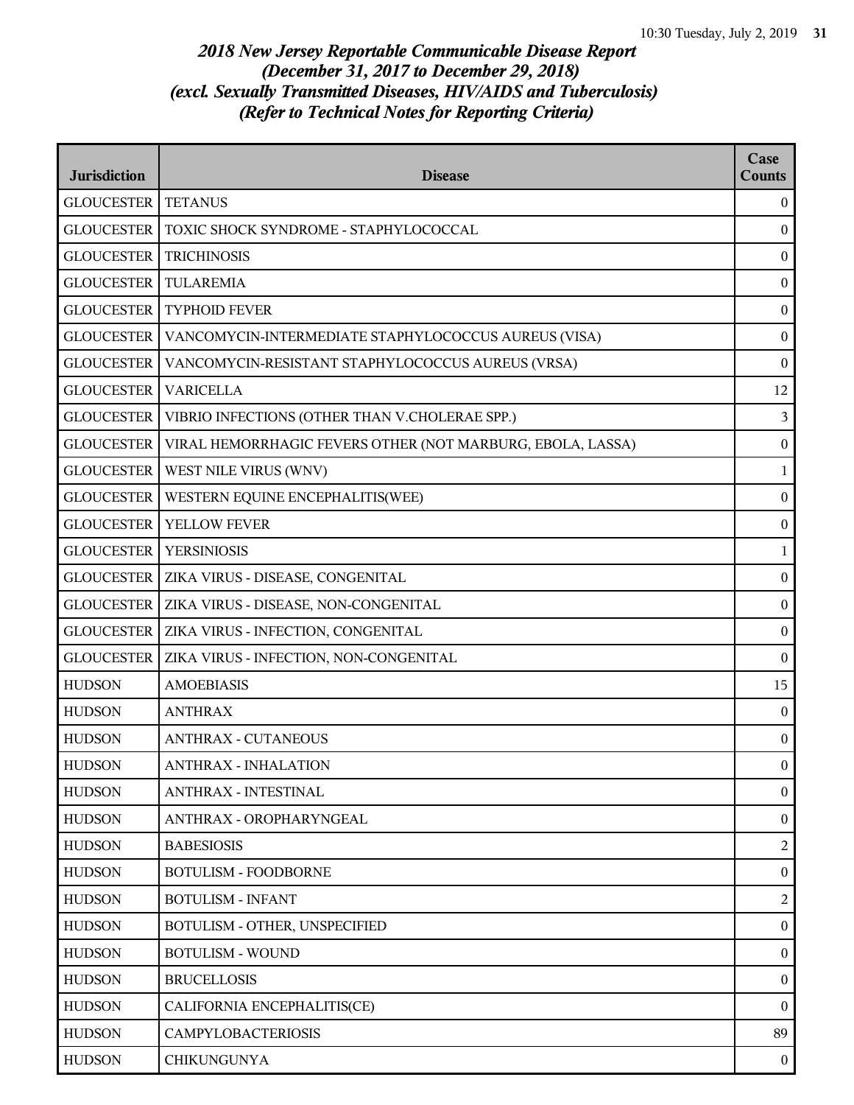| <b>Jurisdiction</b> | <b>Disease</b>                                             | Case<br><b>Counts</b> |
|---------------------|------------------------------------------------------------|-----------------------|
| <b>GLOUCESTER</b>   | <b>TETANUS</b>                                             | $\overline{0}$        |
| <b>GLOUCESTER</b>   | TOXIC SHOCK SYNDROME - STAPHYLOCOCCAL                      | $\mathbf{0}$          |
| <b>GLOUCESTER</b>   | <b>TRICHINOSIS</b>                                         | $\boldsymbol{0}$      |
| <b>GLOUCESTER</b>   | <b>TULAREMIA</b>                                           | $\boldsymbol{0}$      |
| <b>GLOUCESTER</b>   | <b>TYPHOID FEVER</b>                                       | $\boldsymbol{0}$      |
| <b>GLOUCESTER</b>   | VANCOMYCIN-INTERMEDIATE STAPHYLOCOCCUS AUREUS (VISA)       | $\boldsymbol{0}$      |
| <b>GLOUCESTER</b>   | VANCOMYCIN-RESISTANT STAPHYLOCOCCUS AUREUS (VRSA)          | $\boldsymbol{0}$      |
| <b>GLOUCESTER</b>   | <b>VARICELLA</b>                                           | 12                    |
| <b>GLOUCESTER</b>   | VIBRIO INFECTIONS (OTHER THAN V.CHOLERAE SPP.)             | 3                     |
| <b>GLOUCESTER</b>   | VIRAL HEMORRHAGIC FEVERS OTHER (NOT MARBURG, EBOLA, LASSA) | $\boldsymbol{0}$      |
| <b>GLOUCESTER</b>   | WEST NILE VIRUS (WNV)                                      | $\mathbf{1}$          |
| <b>GLOUCESTER</b>   | WESTERN EQUINE ENCEPHALITIS(WEE)                           | $\boldsymbol{0}$      |
| <b>GLOUCESTER</b>   | YELLOW FEVER                                               | $\boldsymbol{0}$      |
| <b>GLOUCESTER</b>   | <b>YERSINIOSIS</b>                                         | 1                     |
| <b>GLOUCESTER</b>   | ZIKA VIRUS - DISEASE, CONGENITAL                           | $\boldsymbol{0}$      |
| <b>GLOUCESTER</b>   | ZIKA VIRUS - DISEASE, NON-CONGENITAL                       | $\boldsymbol{0}$      |
| <b>GLOUCESTER</b>   | ZIKA VIRUS - INFECTION, CONGENITAL                         | $\boldsymbol{0}$      |
| <b>GLOUCESTER</b>   | ZIKA VIRUS - INFECTION, NON-CONGENITAL                     | $\boldsymbol{0}$      |
| <b>HUDSON</b>       | <b>AMOEBIASIS</b>                                          | 15                    |
| <b>HUDSON</b>       | <b>ANTHRAX</b>                                             | $\boldsymbol{0}$      |
| <b>HUDSON</b>       | <b>ANTHRAX - CUTANEOUS</b>                                 | $\boldsymbol{0}$      |
| <b>HUDSON</b>       | <b>ANTHRAX - INHALATION</b>                                | $\boldsymbol{0}$      |
| <b>HUDSON</b>       | <b>ANTHRAX - INTESTINAL</b>                                | $\boldsymbol{0}$      |
| <b>HUDSON</b>       | ANTHRAX - OROPHARYNGEAL                                    | $\overline{0}$        |
| <b>HUDSON</b>       | <b>BABESIOSIS</b>                                          | $\overline{2}$        |
| <b>HUDSON</b>       | <b>BOTULISM - FOODBORNE</b>                                | $\boldsymbol{0}$      |
| <b>HUDSON</b>       | <b>BOTULISM - INFANT</b>                                   | 2                     |
| <b>HUDSON</b>       | BOTULISM - OTHER, UNSPECIFIED                              | $\overline{0}$        |
| <b>HUDSON</b>       | <b>BOTULISM - WOUND</b>                                    | $\boldsymbol{0}$      |
| <b>HUDSON</b>       | <b>BRUCELLOSIS</b>                                         | $\boldsymbol{0}$      |
| <b>HUDSON</b>       | CALIFORNIA ENCEPHALITIS(CE)                                | $\boldsymbol{0}$      |
| <b>HUDSON</b>       | CAMPYLOBACTERIOSIS                                         | 89                    |
| <b>HUDSON</b>       | <b>CHIKUNGUNYA</b>                                         | $\overline{0}$        |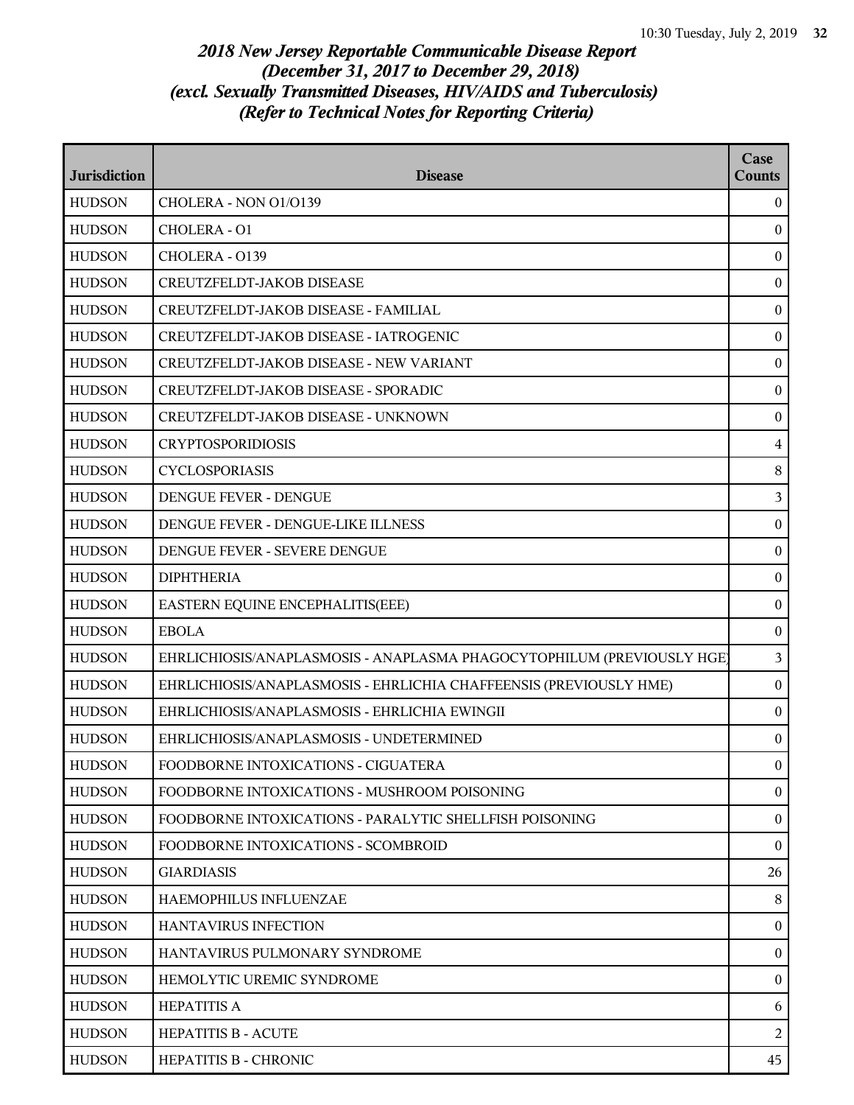| <b>Jurisdiction</b> | <b>Disease</b>                                                         | Case<br><b>Counts</b> |
|---------------------|------------------------------------------------------------------------|-----------------------|
| <b>HUDSON</b>       | CHOLERA - NON 01/0139                                                  | $\theta$              |
| <b>HUDSON</b>       | CHOLERA - O1                                                           | $\mathbf{0}$          |
| <b>HUDSON</b>       | CHOLERA - 0139                                                         | $\boldsymbol{0}$      |
| <b>HUDSON</b>       | <b>CREUTZFELDT-JAKOB DISEASE</b>                                       | $\boldsymbol{0}$      |
| <b>HUDSON</b>       | CREUTZFELDT-JAKOB DISEASE - FAMILIAL                                   | $\boldsymbol{0}$      |
| <b>HUDSON</b>       | CREUTZFELDT-JAKOB DISEASE - IATROGENIC                                 | $\boldsymbol{0}$      |
| <b>HUDSON</b>       | CREUTZFELDT-JAKOB DISEASE - NEW VARIANT                                | $\boldsymbol{0}$      |
| <b>HUDSON</b>       | CREUTZFELDT-JAKOB DISEASE - SPORADIC                                   | $\boldsymbol{0}$      |
| <b>HUDSON</b>       | CREUTZFELDT-JAKOB DISEASE - UNKNOWN                                    | $\boldsymbol{0}$      |
| <b>HUDSON</b>       | <b>CRYPTOSPORIDIOSIS</b>                                               | $\overline{4}$        |
| <b>HUDSON</b>       | <b>CYCLOSPORIASIS</b>                                                  | $\, 8$                |
| <b>HUDSON</b>       | DENGUE FEVER - DENGUE                                                  | 3                     |
| <b>HUDSON</b>       | DENGUE FEVER - DENGUE-LIKE ILLNESS                                     | $\boldsymbol{0}$      |
| <b>HUDSON</b>       | DENGUE FEVER - SEVERE DENGUE                                           | $\boldsymbol{0}$      |
| <b>HUDSON</b>       | <b>DIPHTHERIA</b>                                                      | $\boldsymbol{0}$      |
| <b>HUDSON</b>       | EASTERN EQUINE ENCEPHALITIS(EEE)                                       | $\boldsymbol{0}$      |
| <b>HUDSON</b>       | <b>EBOLA</b>                                                           | $\mathbf{0}$          |
| <b>HUDSON</b>       | EHRLICHIOSIS/ANAPLASMOSIS - ANAPLASMA PHAGOCYTOPHILUM (PREVIOUSLY HGE) | $\mathfrak{Z}$        |
| <b>HUDSON</b>       | EHRLICHIOSIS/ANAPLASMOSIS - EHRLICHIA CHAFFEENSIS (PREVIOUSLY HME)     | $\boldsymbol{0}$      |
| <b>HUDSON</b>       | EHRLICHIOSIS/ANAPLASMOSIS - EHRLICHIA EWINGII                          | $\boldsymbol{0}$      |
| <b>HUDSON</b>       | EHRLICHIOSIS/ANAPLASMOSIS - UNDETERMINED                               | $\mathbf{0}$          |
| <b>HUDSON</b>       | FOODBORNE INTOXICATIONS - CIGUATERA                                    | $\Omega$              |
| <b>HUDSON</b>       | FOODBORNE INTOXICATIONS - MUSHROOM POISONING                           | $\mathbf{0}$          |
| <b>HUDSON</b>       | FOODBORNE INTOXICATIONS - PARALYTIC SHELLFISH POISONING                | $\boldsymbol{0}$      |
| <b>HUDSON</b>       | FOODBORNE INTOXICATIONS - SCOMBROID                                    | $\mathbf{0}$          |
| <b>HUDSON</b>       | <b>GIARDIASIS</b>                                                      | 26                    |
| <b>HUDSON</b>       | HAEMOPHILUS INFLUENZAE                                                 | 8                     |
| <b>HUDSON</b>       | <b>HANTAVIRUS INFECTION</b>                                            | $\mathbf{0}$          |
| <b>HUDSON</b>       | HANTAVIRUS PULMONARY SYNDROME                                          | $\boldsymbol{0}$      |
| <b>HUDSON</b>       | HEMOLYTIC UREMIC SYNDROME                                              | $\mathbf{0}$          |
| <b>HUDSON</b>       | <b>HEPATITIS A</b>                                                     | 6                     |
| <b>HUDSON</b>       | <b>HEPATITIS B - ACUTE</b>                                             | 2                     |
| <b>HUDSON</b>       | HEPATITIS B - CHRONIC                                                  | 45                    |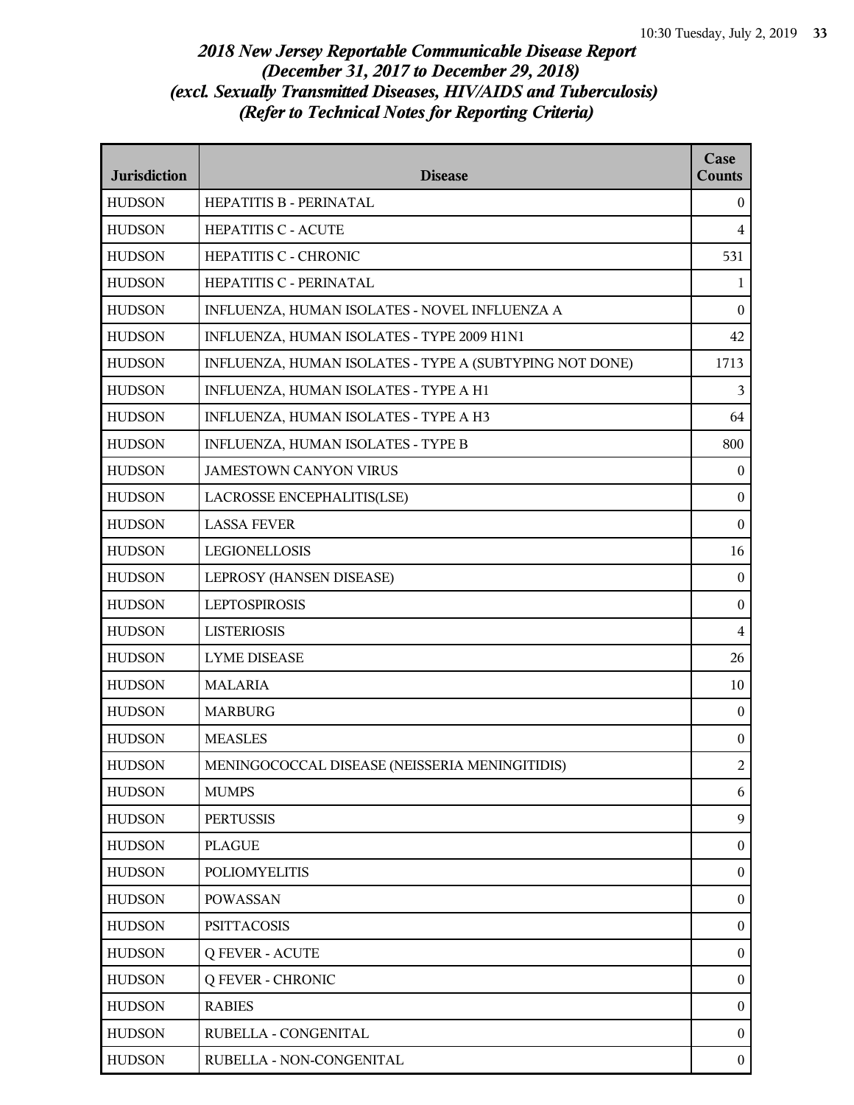| <b>Jurisdiction</b> | <b>Disease</b>                                          | Case<br><b>Counts</b> |
|---------------------|---------------------------------------------------------|-----------------------|
| <b>HUDSON</b>       | HEPATITIS B - PERINATAL                                 | $\overline{0}$        |
| <b>HUDSON</b>       | <b>HEPATITIS C - ACUTE</b>                              | $\overline{4}$        |
| <b>HUDSON</b>       | <b>HEPATITIS C - CHRONIC</b>                            | 531                   |
| <b>HUDSON</b>       | HEPATITIS C - PERINATAL                                 | 1                     |
| <b>HUDSON</b>       | INFLUENZA, HUMAN ISOLATES - NOVEL INFLUENZA A           | $\theta$              |
| <b>HUDSON</b>       | INFLUENZA, HUMAN ISOLATES - TYPE 2009 H1N1              | 42                    |
| <b>HUDSON</b>       | INFLUENZA, HUMAN ISOLATES - TYPE A (SUBTYPING NOT DONE) | 1713                  |
| <b>HUDSON</b>       | INFLUENZA, HUMAN ISOLATES - TYPE A H1                   | $\overline{3}$        |
| <b>HUDSON</b>       | INFLUENZA, HUMAN ISOLATES - TYPE A H3                   | 64                    |
| <b>HUDSON</b>       | INFLUENZA, HUMAN ISOLATES - TYPE B                      | 800                   |
| <b>HUDSON</b>       | <b>JAMESTOWN CANYON VIRUS</b>                           | $\overline{0}$        |
| <b>HUDSON</b>       | LACROSSE ENCEPHALITIS(LSE)                              | $\boldsymbol{0}$      |
| <b>HUDSON</b>       | <b>LASSA FEVER</b>                                      | $\theta$              |
| <b>HUDSON</b>       | <b>LEGIONELLOSIS</b>                                    | 16                    |
| <b>HUDSON</b>       | LEPROSY (HANSEN DISEASE)                                | $\bf{0}$              |
| <b>HUDSON</b>       | <b>LEPTOSPIROSIS</b>                                    | $\boldsymbol{0}$      |
| <b>HUDSON</b>       | <b>LISTERIOSIS</b>                                      | $\overline{4}$        |
| <b>HUDSON</b>       | <b>LYME DISEASE</b>                                     | 26                    |
| <b>HUDSON</b>       | <b>MALARIA</b>                                          | 10                    |
| <b>HUDSON</b>       | <b>MARBURG</b>                                          | $\bf{0}$              |
| <b>HUDSON</b>       | <b>MEASLES</b>                                          | $\boldsymbol{0}$      |
| <b>HUDSON</b>       | MENINGOCOCCAL DISEASE (NEISSERIA MENINGITIDIS)          | $\overline{2}$        |
| <b>HUDSON</b>       | <b>MUMPS</b>                                            | 6                     |
| <b>HUDSON</b>       | <b>PERTUSSIS</b>                                        | 9                     |
| <b>HUDSON</b>       | <b>PLAGUE</b>                                           | $\boldsymbol{0}$      |
| <b>HUDSON</b>       | <b>POLIOMYELITIS</b>                                    | $\mathbf{0}$          |
| <b>HUDSON</b>       | <b>POWASSAN</b>                                         | $\overline{0}$        |
| <b>HUDSON</b>       | <b>PSITTACOSIS</b>                                      | $\overline{0}$        |
| <b>HUDSON</b>       | <b>Q FEVER - ACUTE</b>                                  | $\boldsymbol{0}$      |
| <b>HUDSON</b>       | <b>Q FEVER - CHRONIC</b>                                | $\boldsymbol{0}$      |
| <b>HUDSON</b>       | <b>RABIES</b>                                           | $\mathbf{0}$          |
| <b>HUDSON</b>       | RUBELLA - CONGENITAL                                    | $\overline{0}$        |
| <b>HUDSON</b>       | RUBELLA - NON-CONGENITAL                                | $\overline{0}$        |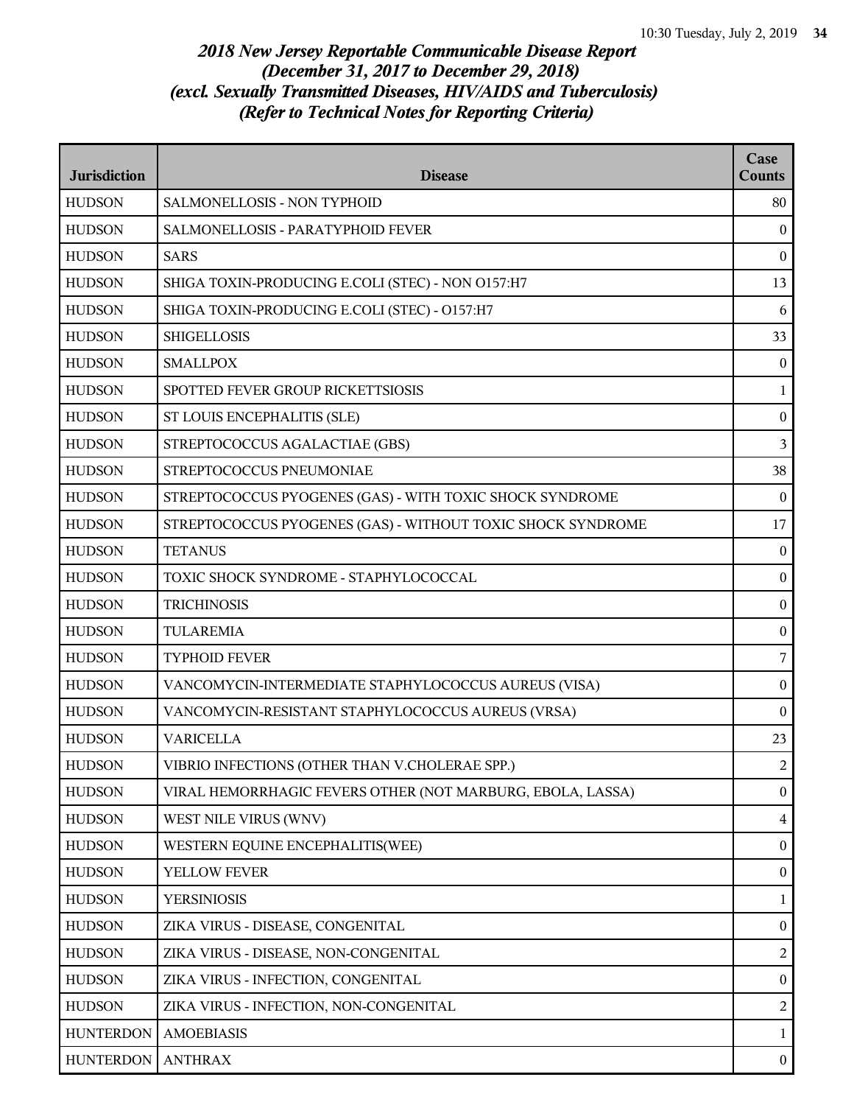| <b>Jurisdiction</b> | <b>Disease</b>                                              | Case<br><b>Counts</b> |
|---------------------|-------------------------------------------------------------|-----------------------|
| <b>HUDSON</b>       | SALMONELLOSIS - NON TYPHOID                                 | 80                    |
| <b>HUDSON</b>       | SALMONELLOSIS - PARATYPHOID FEVER                           | $\mathbf{0}$          |
| <b>HUDSON</b>       | <b>SARS</b>                                                 | $\bf{0}$              |
| <b>HUDSON</b>       | SHIGA TOXIN-PRODUCING E.COLI (STEC) - NON 0157:H7           | 13                    |
| <b>HUDSON</b>       | SHIGA TOXIN-PRODUCING E.COLI (STEC) - O157:H7               | 6                     |
| <b>HUDSON</b>       | <b>SHIGELLOSIS</b>                                          | 33                    |
| <b>HUDSON</b>       | <b>SMALLPOX</b>                                             | $\bf{0}$              |
| <b>HUDSON</b>       | SPOTTED FEVER GROUP RICKETTSIOSIS                           | $\mathbf{1}$          |
| <b>HUDSON</b>       | ST LOUIS ENCEPHALITIS (SLE)                                 | $\bf{0}$              |
| <b>HUDSON</b>       | STREPTOCOCCUS AGALACTIAE (GBS)                              | $\overline{3}$        |
| <b>HUDSON</b>       | STREPTOCOCCUS PNEUMONIAE                                    | 38                    |
| <b>HUDSON</b>       | STREPTOCOCCUS PYOGENES (GAS) - WITH TOXIC SHOCK SYNDROME    | $\mathbf{0}$          |
| <b>HUDSON</b>       | STREPTOCOCCUS PYOGENES (GAS) - WITHOUT TOXIC SHOCK SYNDROME | 17                    |
| <b>HUDSON</b>       | <b>TETANUS</b>                                              | $\bf{0}$              |
| <b>HUDSON</b>       | TOXIC SHOCK SYNDROME - STAPHYLOCOCCAL                       | $\boldsymbol{0}$      |
| <b>HUDSON</b>       | <b>TRICHINOSIS</b>                                          | $\bf{0}$              |
| <b>HUDSON</b>       | <b>TULAREMIA</b>                                            | $\boldsymbol{0}$      |
| <b>HUDSON</b>       | <b>TYPHOID FEVER</b>                                        | $\overline{7}$        |
| <b>HUDSON</b>       | VANCOMYCIN-INTERMEDIATE STAPHYLOCOCCUS AUREUS (VISA)        | $\bf{0}$              |
| <b>HUDSON</b>       | VANCOMYCIN-RESISTANT STAPHYLOCOCCUS AUREUS (VRSA)           | $\boldsymbol{0}$      |
| <b>HUDSON</b>       | <b>VARICELLA</b>                                            | 23                    |
| <b>HUDSON</b>       | VIBRIO INFECTIONS (OTHER THAN V.CHOLERAE SPP.)              | $\overline{2}$        |
| <b>HUDSON</b>       | VIRAL HEMORRHAGIC FEVERS OTHER (NOT MARBURG, EBOLA, LASSA)  | $\overline{0}$        |
| <b>HUDSON</b>       | WEST NILE VIRUS (WNV)                                       | $\overline{4}$        |
| <b>HUDSON</b>       | WESTERN EQUINE ENCEPHALITIS(WEE)                            | $\mathbf{0}$          |
| <b>HUDSON</b>       | YELLOW FEVER                                                | $\bf{0}$              |
| <b>HUDSON</b>       | <b>YERSINIOSIS</b>                                          | $\mathbf{1}$          |
| <b>HUDSON</b>       | ZIKA VIRUS - DISEASE, CONGENITAL                            | $\boldsymbol{0}$      |
| <b>HUDSON</b>       | ZIKA VIRUS - DISEASE, NON-CONGENITAL                        | 2                     |
| <b>HUDSON</b>       | ZIKA VIRUS - INFECTION, CONGENITAL                          | $\overline{0}$        |
| <b>HUDSON</b>       | ZIKA VIRUS - INFECTION, NON-CONGENITAL                      | 2                     |
| <b>HUNTERDON</b>    | <b>AMOEBIASIS</b>                                           | $\mathbf{1}$          |
| <b>HUNTERDON</b>    | <b>ANTHRAX</b>                                              | $\bf{0}$              |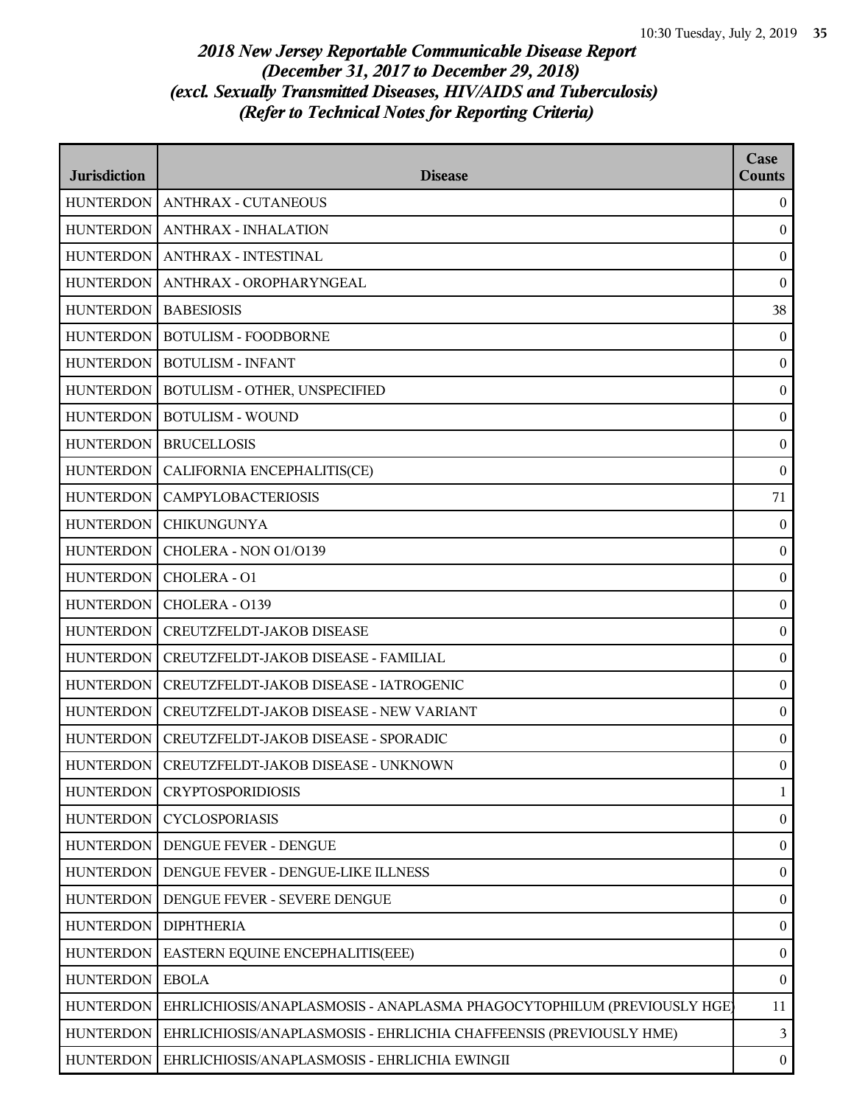| <b>Jurisdiction</b> | <b>Disease</b>                                                         | Case<br><b>Counts</b> |
|---------------------|------------------------------------------------------------------------|-----------------------|
| <b>HUNTERDON</b>    | <b>ANTHRAX - CUTANEOUS</b>                                             | $\bf{0}$              |
| <b>HUNTERDON</b>    | <b>ANTHRAX - INHALATION</b>                                            | $\mathbf{0}$          |
| <b>HUNTERDON</b>    | <b>ANTHRAX - INTESTINAL</b>                                            | $\boldsymbol{0}$      |
| <b>HUNTERDON</b>    | ANTHRAX - OROPHARYNGEAL                                                | $\boldsymbol{0}$      |
| <b>HUNTERDON</b>    | <b>BABESIOSIS</b>                                                      | 38                    |
| HUNTERDON           | <b>BOTULISM - FOODBORNE</b>                                            | $\mathbf{0}$          |
| <b>HUNTERDON</b>    | <b>BOTULISM - INFANT</b>                                               | $\mathbf{0}$          |
| <b>HUNTERDON</b>    | BOTULISM - OTHER, UNSPECIFIED                                          | $\boldsymbol{0}$      |
| <b>HUNTERDON</b>    | <b>BOTULISM - WOUND</b>                                                | $\boldsymbol{0}$      |
| <b>HUNTERDON</b>    | <b>BRUCELLOSIS</b>                                                     | $\boldsymbol{0}$      |
| <b>HUNTERDON</b>    | CALIFORNIA ENCEPHALITIS(CE)                                            | $\mathbf{0}$          |
| <b>HUNTERDON</b>    | <b>CAMPYLOBACTERIOSIS</b>                                              | 71                    |
| <b>HUNTERDON</b>    | <b>CHIKUNGUNYA</b>                                                     | $\mathbf{0}$          |
| <b>HUNTERDON</b>    | CHOLERA - NON 01/0139                                                  | $\boldsymbol{0}$      |
| <b>HUNTERDON</b>    | CHOLERA - O1                                                           | $\boldsymbol{0}$      |
| <b>HUNTERDON</b>    | CHOLERA - 0139                                                         | $\bf{0}$              |
| <b>HUNTERDON</b>    | CREUTZFELDT-JAKOB DISEASE                                              | $\boldsymbol{0}$      |
| <b>HUNTERDON</b>    | CREUTZFELDT-JAKOB DISEASE - FAMILIAL                                   | $\boldsymbol{0}$      |
| <b>HUNTERDON</b>    | CREUTZFELDT-JAKOB DISEASE - IATROGENIC                                 | $\boldsymbol{0}$      |
| <b>HUNTERDON</b>    | CREUTZFELDT-JAKOB DISEASE - NEW VARIANT                                | $\boldsymbol{0}$      |
| <b>HUNTERDON</b>    | CREUTZFELDT-JAKOB DISEASE - SPORADIC                                   | $\boldsymbol{0}$      |
|                     | HUNTERDON   CREUTZFELDT-JAKOB DISEASE - UNKNOWN                        | $\overline{0}$        |
| <b>HUNTERDON</b>    | <b>CRYPTOSPORIDIOSIS</b>                                               | $\mathbf{1}$          |
| <b>HUNTERDON</b>    | <b>CYCLOSPORIASIS</b>                                                  | $\boldsymbol{0}$      |
| <b>HUNTERDON</b>    | DENGUE FEVER - DENGUE                                                  | $\boldsymbol{0}$      |
| <b>HUNTERDON</b>    | DENGUE FEVER - DENGUE-LIKE ILLNESS                                     | $\boldsymbol{0}$      |
| <b>HUNTERDON</b>    | DENGUE FEVER - SEVERE DENGUE                                           | $\bf{0}$              |
| <b>HUNTERDON</b>    | <b>DIPHTHERIA</b>                                                      | $\boldsymbol{0}$      |
| <b>HUNTERDON</b>    | EASTERN EQUINE ENCEPHALITIS(EEE)                                       | $\boldsymbol{0}$      |
| <b>HUNTERDON</b>    | <b>EBOLA</b>                                                           | $\boldsymbol{0}$      |
| <b>HUNTERDON</b>    | EHRLICHIOSIS/ANAPLASMOSIS - ANAPLASMA PHAGOCYTOPHILUM (PREVIOUSLY HGE) | 11                    |
| <b>HUNTERDON</b>    | EHRLICHIOSIS/ANAPLASMOSIS - EHRLICHIA CHAFFEENSIS (PREVIOUSLY HME)     | 3                     |
| <b>HUNTERDON</b>    | EHRLICHIOSIS/ANAPLASMOSIS - EHRLICHIA EWINGII                          | $\bf{0}$              |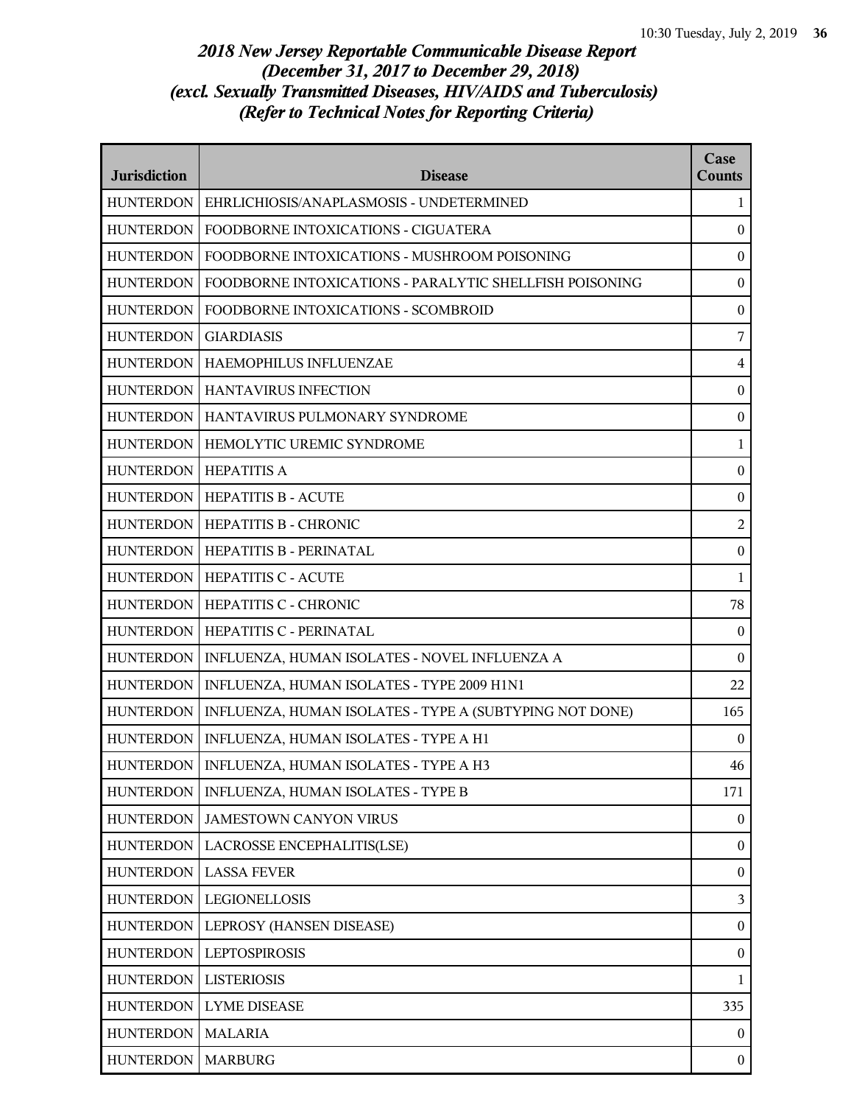| <b>Jurisdiction</b> | <b>Disease</b>                                          | Case<br><b>Counts</b>   |
|---------------------|---------------------------------------------------------|-------------------------|
| <b>HUNTERDON</b>    | EHRLICHIOSIS/ANAPLASMOSIS - UNDETERMINED                | 1                       |
| <b>HUNTERDON</b>    | FOODBORNE INTOXICATIONS - CIGUATERA                     | $\overline{0}$          |
| <b>HUNTERDON</b>    | FOODBORNE INTOXICATIONS - MUSHROOM POISONING            | $\mathbf{0}$            |
| <b>HUNTERDON</b>    | FOODBORNE INTOXICATIONS - PARALYTIC SHELLFISH POISONING | $\bf{0}$                |
| <b>HUNTERDON</b>    | FOODBORNE INTOXICATIONS - SCOMBROID                     | $\boldsymbol{0}$        |
| <b>HUNTERDON</b>    | <b>GIARDIASIS</b>                                       | 7                       |
| <b>HUNTERDON</b>    | HAEMOPHILUS INFLUENZAE                                  | $\overline{4}$          |
| <b>HUNTERDON</b>    | <b>HANTAVIRUS INFECTION</b>                             | $\mathbf{0}$            |
| <b>HUNTERDON</b>    | HANTAVIRUS PULMONARY SYNDROME                           | $\bf{0}$                |
| <b>HUNTERDON</b>    | HEMOLYTIC UREMIC SYNDROME                               | $\mathbf{1}$            |
| <b>HUNTERDON</b>    | <b>HEPATITIS A</b>                                      | $\boldsymbol{0}$        |
| <b>HUNTERDON</b>    | <b>HEPATITIS B - ACUTE</b>                              | $\boldsymbol{0}$        |
| HUNTERDON           | <b>HEPATITIS B - CHRONIC</b>                            | $\overline{c}$          |
| <b>HUNTERDON</b>    | HEPATITIS B - PERINATAL                                 | $\bf{0}$                |
| <b>HUNTERDON</b>    | <b>HEPATITIS C - ACUTE</b>                              | $\mathbf{1}$            |
| <b>HUNTERDON</b>    | HEPATITIS C - CHRONIC                                   | 78                      |
| <b>HUNTERDON</b>    | HEPATITIS C - PERINATAL                                 | $\overline{0}$          |
| <b>HUNTERDON</b>    | INFLUENZA, HUMAN ISOLATES - NOVEL INFLUENZA A           | $\Omega$                |
| <b>HUNTERDON</b>    | INFLUENZA, HUMAN ISOLATES - TYPE 2009 H1N1              | 22                      |
| <b>HUNTERDON</b>    | INFLUENZA, HUMAN ISOLATES - TYPE A (SUBTYPING NOT DONE) | 165                     |
| <b>HUNTERDON</b>    | INFLUENZA, HUMAN ISOLATES - TYPE A H1                   | $\overline{0}$          |
|                     | HUNTERDON   INFLUENZA, HUMAN ISOLATES - TYPE A H3       | 46                      |
| <b>HUNTERDON</b>    | INFLUENZA, HUMAN ISOLATES - TYPE B                      | 171                     |
| <b>HUNTERDON</b>    | <b>JAMESTOWN CANYON VIRUS</b>                           | $\overline{0}$          |
| <b>HUNTERDON</b>    | LACROSSE ENCEPHALITIS(LSE)                              | $\boldsymbol{0}$        |
| <b>HUNTERDON</b>    | <b>LASSA FEVER</b>                                      | $\boldsymbol{0}$        |
| <b>HUNTERDON</b>    | LEGIONELLOSIS                                           | $\overline{\mathbf{3}}$ |
| <b>HUNTERDON</b>    | LEPROSY (HANSEN DISEASE)                                | $\boldsymbol{0}$        |
| <b>HUNTERDON</b>    | <b>LEPTOSPIROSIS</b>                                    | $\bf{0}$                |
| <b>HUNTERDON</b>    | <b>LISTERIOSIS</b>                                      | $\mathbf{1}$            |
| <b>HUNTERDON</b>    | <b>LYME DISEASE</b>                                     | 335                     |
| <b>HUNTERDON</b>    | <b>MALARIA</b>                                          | $\mathbf{0}$            |
| <b>HUNTERDON</b>    | <b>MARBURG</b>                                          | $\mathbf{0}$            |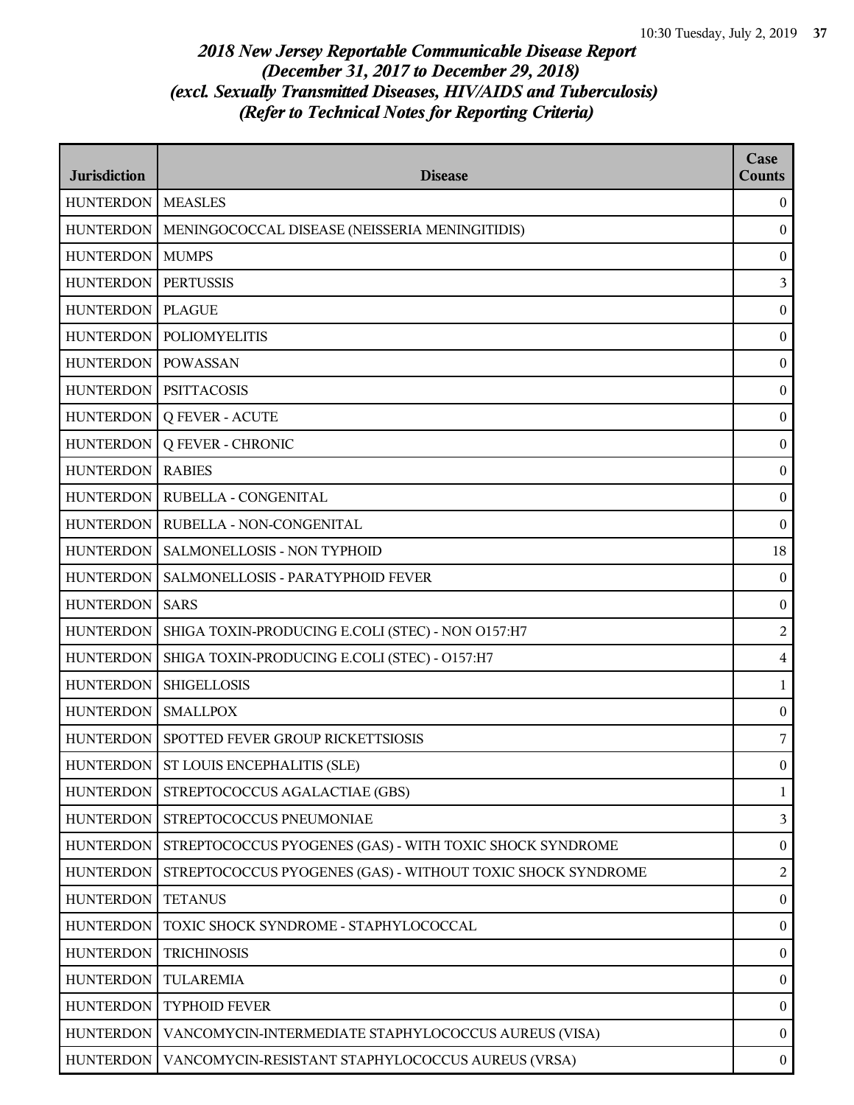| <b>Jurisdiction</b> | <b>Disease</b>                                              | Case<br><b>Counts</b> |
|---------------------|-------------------------------------------------------------|-----------------------|
| <b>HUNTERDON</b>    | <b>MEASLES</b>                                              | $\boldsymbol{0}$      |
| <b>HUNTERDON</b>    | MENINGOCOCCAL DISEASE (NEISSERIA MENINGITIDIS)              | $\boldsymbol{0}$      |
| <b>HUNTERDON</b>    | <b>MUMPS</b>                                                | $\boldsymbol{0}$      |
| <b>HUNTERDON</b>    | <b>PERTUSSIS</b>                                            | $\mathfrak{Z}$        |
| <b>HUNTERDON</b>    | <b>PLAGUE</b>                                               | $\boldsymbol{0}$      |
| <b>HUNTERDON</b>    | <b>POLIOMYELITIS</b>                                        | $\boldsymbol{0}$      |
| <b>HUNTERDON</b>    | <b>POWASSAN</b>                                             | $\boldsymbol{0}$      |
| <b>HUNTERDON</b>    | <b>PSITTACOSIS</b>                                          | $\boldsymbol{0}$      |
| <b>HUNTERDON</b>    | <b>Q FEVER - ACUTE</b>                                      | $\mathbf{0}$          |
| <b>HUNTERDON</b>    | <b>Q FEVER - CHRONIC</b>                                    | $\boldsymbol{0}$      |
| <b>HUNTERDON</b>    | <b>RABIES</b>                                               | $\boldsymbol{0}$      |
| <b>HUNTERDON</b>    | RUBELLA - CONGENITAL                                        | $\boldsymbol{0}$      |
| <b>HUNTERDON</b>    | RUBELLA - NON-CONGENITAL                                    | $\boldsymbol{0}$      |
| <b>HUNTERDON</b>    | SALMONELLOSIS - NON TYPHOID                                 | 18                    |
| <b>HUNTERDON</b>    | SALMONELLOSIS - PARATYPHOID FEVER                           | $\boldsymbol{0}$      |
| <b>HUNTERDON</b>    | <b>SARS</b>                                                 | $\boldsymbol{0}$      |
| <b>HUNTERDON</b>    | SHIGA TOXIN-PRODUCING E.COLI (STEC) - NON O157:H7           | $\overline{2}$        |
| <b>HUNTERDON</b>    | SHIGA TOXIN-PRODUCING E.COLI (STEC) - O157:H7               | $\bf 4$               |
| <b>HUNTERDON</b>    | <b>SHIGELLOSIS</b>                                          | 1                     |
| <b>HUNTERDON</b>    | <b>SMALLPOX</b>                                             | $\boldsymbol{0}$      |
| <b>HUNTERDON</b>    | SPOTTED FEVER GROUP RICKETTSIOSIS                           | 7                     |
|                     | HUNTERDON   ST LOUIS ENCEPHALITIS (SLE)                     | $\bf{0}$              |
| <b>HUNTERDON</b>    | STREPTOCOCCUS AGALACTIAE (GBS)                              | 1                     |
| <b>HUNTERDON</b>    | STREPTOCOCCUS PNEUMONIAE                                    | $\mathfrak{Z}$        |
| <b>HUNTERDON</b>    | STREPTOCOCCUS PYOGENES (GAS) - WITH TOXIC SHOCK SYNDROME    | $\mathbf{0}$          |
| <b>HUNTERDON</b>    | STREPTOCOCCUS PYOGENES (GAS) - WITHOUT TOXIC SHOCK SYNDROME | $\overline{2}$        |
| <b>HUNTERDON</b>    | <b>TETANUS</b>                                              | $\overline{0}$        |
| <b>HUNTERDON</b>    | TOXIC SHOCK SYNDROME - STAPHYLOCOCCAL                       | $\boldsymbol{0}$      |
| <b>HUNTERDON</b>    | <b>TRICHINOSIS</b>                                          | $\boldsymbol{0}$      |
| <b>HUNTERDON</b>    | TULAREMIA                                                   | $\boldsymbol{0}$      |
| <b>HUNTERDON</b>    | <b>TYPHOID FEVER</b>                                        | $\boldsymbol{0}$      |
| <b>HUNTERDON</b>    | VANCOMYCIN-INTERMEDIATE STAPHYLOCOCCUS AUREUS (VISA)        | $\bf{0}$              |
| <b>HUNTERDON</b>    | VANCOMYCIN-RESISTANT STAPHYLOCOCCUS AUREUS (VRSA)           | $\boldsymbol{0}$      |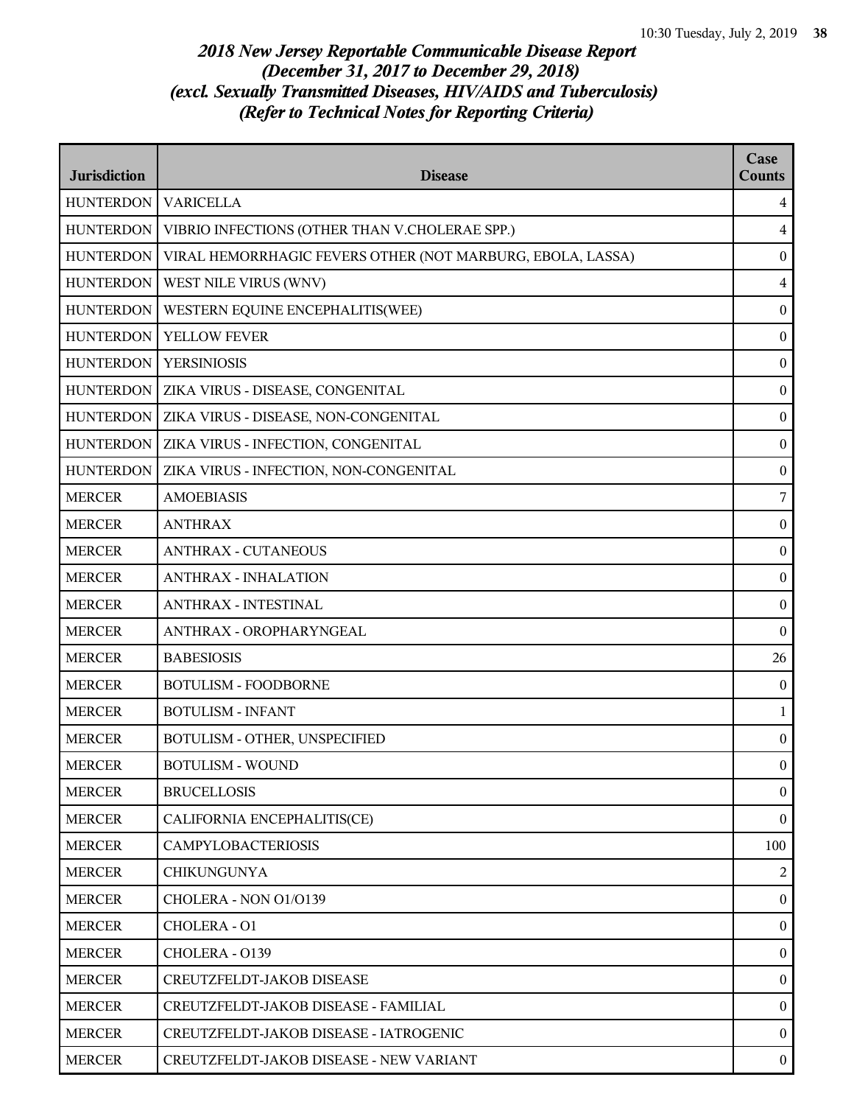| <b>Jurisdiction</b> | <b>Disease</b>                                             | Case<br><b>Counts</b> |
|---------------------|------------------------------------------------------------|-----------------------|
| <b>HUNTERDON</b>    | <b>VARICELLA</b>                                           | $\overline{4}$        |
| <b>HUNTERDON</b>    | VIBRIO INFECTIONS (OTHER THAN V.CHOLERAE SPP.)             | $\overline{4}$        |
| <b>HUNTERDON</b>    | VIRAL HEMORRHAGIC FEVERS OTHER (NOT MARBURG, EBOLA, LASSA) | $\boldsymbol{0}$      |
| <b>HUNTERDON</b>    | WEST NILE VIRUS (WNV)                                      | $\overline{4}$        |
| <b>HUNTERDON</b>    | WESTERN EQUINE ENCEPHALITIS(WEE)                           | $\boldsymbol{0}$      |
| <b>HUNTERDON</b>    | YELLOW FEVER                                               | $\bf{0}$              |
| <b>HUNTERDON</b>    | <b>YERSINIOSIS</b>                                         | $\boldsymbol{0}$      |
| <b>HUNTERDON</b>    | ZIKA VIRUS - DISEASE, CONGENITAL                           | $\boldsymbol{0}$      |
| <b>HUNTERDON</b>    | ZIKA VIRUS - DISEASE, NON-CONGENITAL                       | $\boldsymbol{0}$      |
| <b>HUNTERDON</b>    | ZIKA VIRUS - INFECTION, CONGENITAL                         | $\boldsymbol{0}$      |
| <b>HUNTERDON</b>    | ZIKA VIRUS - INFECTION, NON-CONGENITAL                     | $\boldsymbol{0}$      |
| <b>MERCER</b>       | <b>AMOEBIASIS</b>                                          | $\overline{7}$        |
| <b>MERCER</b>       | <b>ANTHRAX</b>                                             | $\boldsymbol{0}$      |
| <b>MERCER</b>       | <b>ANTHRAX - CUTANEOUS</b>                                 | $\boldsymbol{0}$      |
| <b>MERCER</b>       | <b>ANTHRAX - INHALATION</b>                                | $\boldsymbol{0}$      |
| <b>MERCER</b>       | <b>ANTHRAX - INTESTINAL</b>                                | $\bf{0}$              |
| <b>MERCER</b>       | ANTHRAX - OROPHARYNGEAL                                    | $\boldsymbol{0}$      |
| <b>MERCER</b>       | <b>BABESIOSIS</b>                                          | 26                    |
| <b>MERCER</b>       | <b>BOTULISM - FOODBORNE</b>                                | $\boldsymbol{0}$      |
| <b>MERCER</b>       | <b>BOTULISM - INFANT</b>                                   | $\mathbf{1}$          |
| <b>MERCER</b>       | BOTULISM - OTHER, UNSPECIFIED                              | $\bf{0}$              |
| <b>MERCER</b>       | <b>BOTULISM - WOUND</b>                                    | $\mathbf{0}$          |
| <b>MERCER</b>       | <b>BRUCELLOSIS</b>                                         | $\overline{0}$        |
| <b>MERCER</b>       | CALIFORNIA ENCEPHALITIS(CE)                                | $\bf{0}$              |
| <b>MERCER</b>       | <b>CAMPYLOBACTERIOSIS</b>                                  | 100                   |
| <b>MERCER</b>       | <b>CHIKUNGUNYA</b>                                         | 2                     |
| <b>MERCER</b>       | CHOLERA - NON 01/0139                                      | $\theta$              |
| <b>MERCER</b>       | CHOLERA - 01                                               | $\bf{0}$              |
| <b>MERCER</b>       | CHOLERA - 0139                                             | $\bf{0}$              |
| <b>MERCER</b>       | CREUTZFELDT-JAKOB DISEASE                                  | $\mathbf{0}$          |
| <b>MERCER</b>       | CREUTZFELDT-JAKOB DISEASE - FAMILIAL                       | $\mathbf{0}$          |
| <b>MERCER</b>       | CREUTZFELDT-JAKOB DISEASE - IATROGENIC                     | $\theta$              |
| <b>MERCER</b>       | CREUTZFELDT-JAKOB DISEASE - NEW VARIANT                    | $\mathbf{0}$          |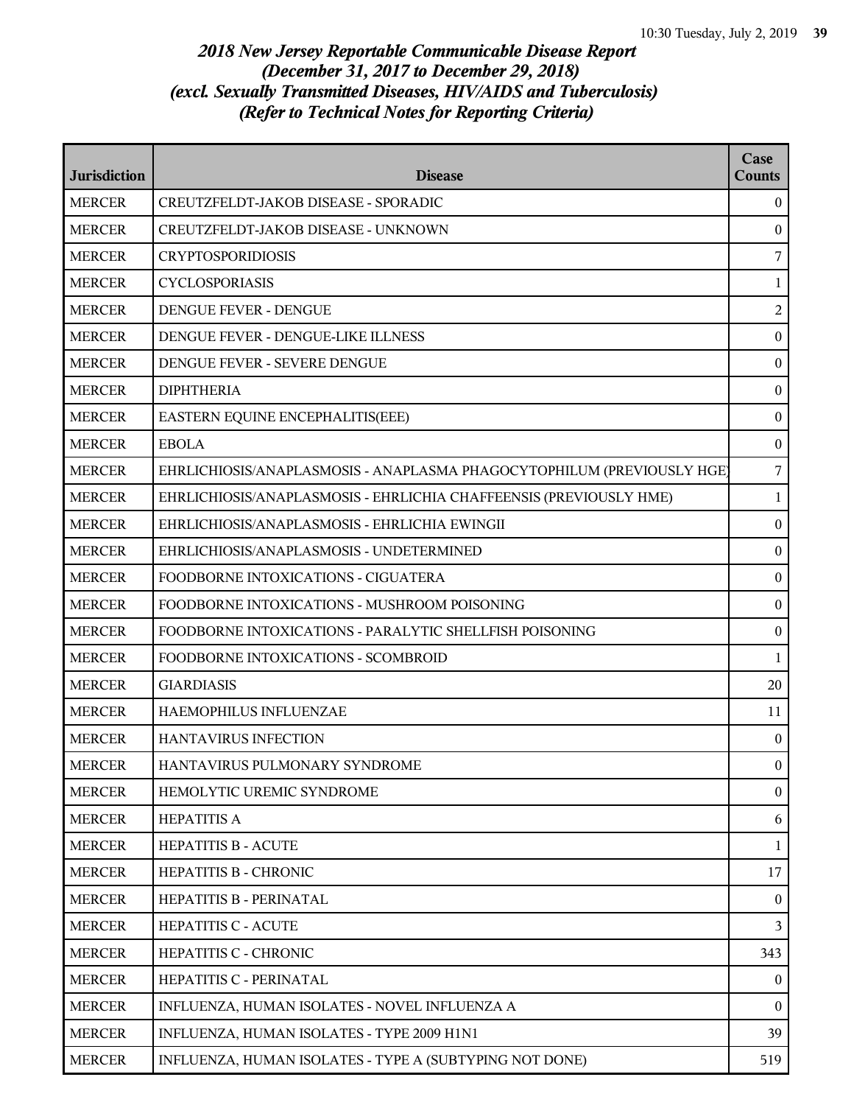| <b>Jurisdiction</b> | <b>Disease</b>                                                         | Case<br><b>Counts</b> |
|---------------------|------------------------------------------------------------------------|-----------------------|
| <b>MERCER</b>       | CREUTZFELDT-JAKOB DISEASE - SPORADIC                                   | $\theta$              |
| <b>MERCER</b>       | CREUTZFELDT-JAKOB DISEASE - UNKNOWN                                    | $\mathbf{0}$          |
| <b>MERCER</b>       | <b>CRYPTOSPORIDIOSIS</b>                                               | 7                     |
| <b>MERCER</b>       | <b>CYCLOSPORIASIS</b>                                                  | $\mathbf{1}$          |
| <b>MERCER</b>       | DENGUE FEVER - DENGUE                                                  | $\overline{c}$        |
| <b>MERCER</b>       | DENGUE FEVER - DENGUE-LIKE ILLNESS                                     | $\boldsymbol{0}$      |
| <b>MERCER</b>       | DENGUE FEVER - SEVERE DENGUE                                           | $\boldsymbol{0}$      |
| <b>MERCER</b>       | <b>DIPHTHERIA</b>                                                      | $\boldsymbol{0}$      |
| <b>MERCER</b>       | EASTERN EQUINE ENCEPHALITIS(EEE)                                       | $\boldsymbol{0}$      |
| <b>MERCER</b>       | <b>EBOLA</b>                                                           | $\boldsymbol{0}$      |
| <b>MERCER</b>       | EHRLICHIOSIS/ANAPLASMOSIS - ANAPLASMA PHAGOCYTOPHILUM (PREVIOUSLY HGE) | 7                     |
| <b>MERCER</b>       | EHRLICHIOSIS/ANAPLASMOSIS - EHRLICHIA CHAFFEENSIS (PREVIOUSLY HME)     | 1                     |
| <b>MERCER</b>       | EHRLICHIOSIS/ANAPLASMOSIS - EHRLICHIA EWINGII                          | $\boldsymbol{0}$      |
| <b>MERCER</b>       | EHRLICHIOSIS/ANAPLASMOSIS - UNDETERMINED                               | $\boldsymbol{0}$      |
| <b>MERCER</b>       | FOODBORNE INTOXICATIONS - CIGUATERA                                    | $\boldsymbol{0}$      |
| <b>MERCER</b>       | FOODBORNE INTOXICATIONS - MUSHROOM POISONING                           | $\boldsymbol{0}$      |
| <b>MERCER</b>       | FOODBORNE INTOXICATIONS - PARALYTIC SHELLFISH POISONING                | $\boldsymbol{0}$      |
| <b>MERCER</b>       | FOODBORNE INTOXICATIONS - SCOMBROID                                    | $\mathbf{1}$          |
| <b>MERCER</b>       | <b>GIARDIASIS</b>                                                      | 20                    |
| <b>MERCER</b>       | HAEMOPHILUS INFLUENZAE                                                 | 11                    |
| <b>MERCER</b>       | <b>HANTAVIRUS INFECTION</b>                                            | $\mathbf{0}$          |
| <b>MERCER</b>       | HANTAVIRUS PULMONARY SYNDROME                                          | $\mathbf{0}$          |
| <b>MERCER</b>       | HEMOLYTIC UREMIC SYNDROME                                              | $\mathbf{0}$          |
| <b>MERCER</b>       | <b>HEPATITIS A</b>                                                     | 6                     |
| <b>MERCER</b>       | <b>HEPATITIS B - ACUTE</b>                                             | 1                     |
| <b>MERCER</b>       | HEPATITIS B - CHRONIC                                                  | 17                    |
| <b>MERCER</b>       | HEPATITIS B - PERINATAL                                                | $\left($              |
| <b>MERCER</b>       | HEPATITIS C - ACUTE                                                    | 3                     |
| <b>MERCER</b>       | HEPATITIS C - CHRONIC                                                  | 343                   |
| <b>MERCER</b>       | HEPATITIS C - PERINATAL                                                | $\mathbf{0}$          |
| <b>MERCER</b>       | INFLUENZA, HUMAN ISOLATES - NOVEL INFLUENZA A                          | $\theta$              |
| <b>MERCER</b>       | INFLUENZA, HUMAN ISOLATES - TYPE 2009 H1N1                             | 39                    |
| <b>MERCER</b>       | INFLUENZA, HUMAN ISOLATES - TYPE A (SUBTYPING NOT DONE)                | 519                   |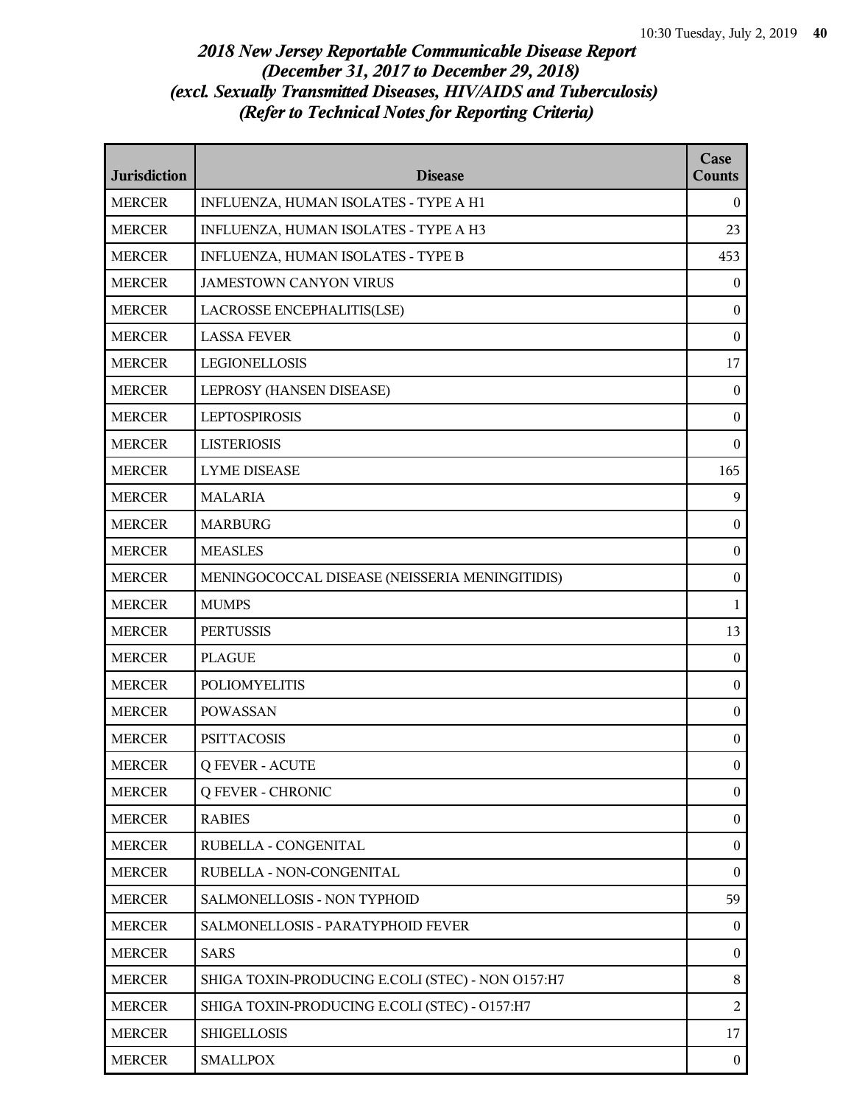| <b>Jurisdiction</b> | <b>Disease</b>                                    | Case<br><b>Counts</b> |
|---------------------|---------------------------------------------------|-----------------------|
| <b>MERCER</b>       | INFLUENZA, HUMAN ISOLATES - TYPE A H1             | $\bf{0}$              |
| <b>MERCER</b>       | INFLUENZA, HUMAN ISOLATES - TYPE A H3             | 23                    |
| <b>MERCER</b>       | INFLUENZA, HUMAN ISOLATES - TYPE B                | 453                   |
| <b>MERCER</b>       | <b>JAMESTOWN CANYON VIRUS</b>                     | $\boldsymbol{0}$      |
| <b>MERCER</b>       | LACROSSE ENCEPHALITIS(LSE)                        | $\boldsymbol{0}$      |
| <b>MERCER</b>       | <b>LASSA FEVER</b>                                | $\boldsymbol{0}$      |
| <b>MERCER</b>       | <b>LEGIONELLOSIS</b>                              | 17                    |
| <b>MERCER</b>       | LEPROSY (HANSEN DISEASE)                          | $\mathbf{0}$          |
| <b>MERCER</b>       | <b>LEPTOSPIROSIS</b>                              | $\mathbf{0}$          |
| <b>MERCER</b>       | <b>LISTERIOSIS</b>                                | $\boldsymbol{0}$      |
| <b>MERCER</b>       | <b>LYME DISEASE</b>                               | 165                   |
| <b>MERCER</b>       | <b>MALARIA</b>                                    | 9                     |
| <b>MERCER</b>       | <b>MARBURG</b>                                    | $\mathbf{0}$          |
| <b>MERCER</b>       | <b>MEASLES</b>                                    | $\boldsymbol{0}$      |
| <b>MERCER</b>       | MENINGOCOCCAL DISEASE (NEISSERIA MENINGITIDIS)    | $\boldsymbol{0}$      |
| <b>MERCER</b>       | <b>MUMPS</b>                                      | 1                     |
| <b>MERCER</b>       | <b>PERTUSSIS</b>                                  | 13                    |
| <b>MERCER</b>       | <b>PLAGUE</b>                                     | $\mathbf{0}$          |
| <b>MERCER</b>       | <b>POLIOMYELITIS</b>                              | $\boldsymbol{0}$      |
| <b>MERCER</b>       | <b>POWASSAN</b>                                   | $\boldsymbol{0}$      |
| <b>MERCER</b>       | <b>PSITTACOSIS</b>                                | $\boldsymbol{0}$      |
| <b>MERCER</b>       | <b>Q FEVER - ACUTE</b>                            | $\theta$              |
| <b>MERCER</b>       | <b>Q FEVER - CHRONIC</b>                          | $\mathbf{0}$          |
| <b>MERCER</b>       | <b>RABIES</b>                                     | $\boldsymbol{0}$      |
| <b>MERCER</b>       | RUBELLA - CONGENITAL                              | $\boldsymbol{0}$      |
| <b>MERCER</b>       | RUBELLA - NON-CONGENITAL                          | $\boldsymbol{0}$      |
| <b>MERCER</b>       | SALMONELLOSIS - NON TYPHOID                       | 59                    |
| <b>MERCER</b>       | SALMONELLOSIS - PARATYPHOID FEVER                 | $\boldsymbol{0}$      |
| <b>MERCER</b>       | <b>SARS</b>                                       | $\boldsymbol{0}$      |
| <b>MERCER</b>       | SHIGA TOXIN-PRODUCING E.COLI (STEC) - NON O157:H7 | $8\,$                 |
| <b>MERCER</b>       | SHIGA TOXIN-PRODUCING E.COLI (STEC) - O157:H7     | $\overline{2}$        |
| <b>MERCER</b>       | <b>SHIGELLOSIS</b>                                | 17                    |
| <b>MERCER</b>       | <b>SMALLPOX</b>                                   | $\mathbf{0}$          |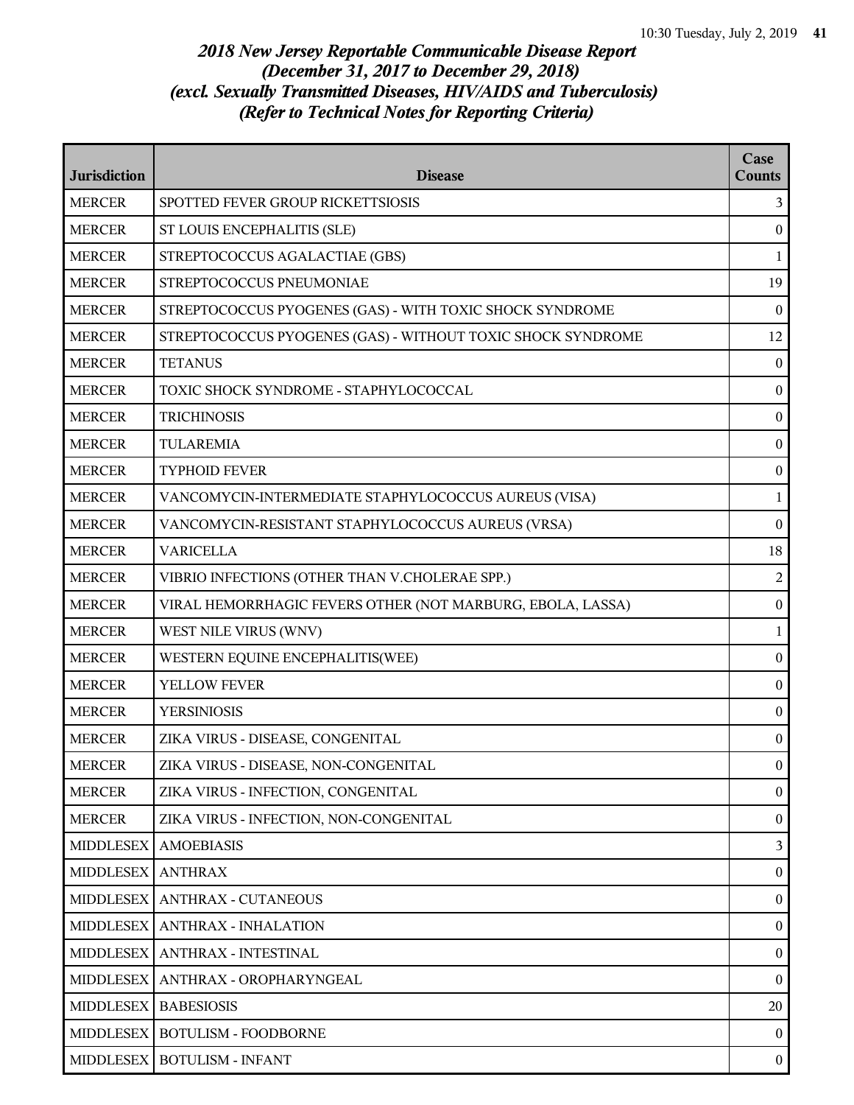| <b>Jurisdiction</b> | <b>Disease</b>                                              | Case<br><b>Counts</b> |
|---------------------|-------------------------------------------------------------|-----------------------|
| <b>MERCER</b>       | SPOTTED FEVER GROUP RICKETTSIOSIS                           | 3                     |
| <b>MERCER</b>       | ST LOUIS ENCEPHALITIS (SLE)                                 | $\mathbf{0}$          |
| <b>MERCER</b>       | STREPTOCOCCUS AGALACTIAE (GBS)                              | 1                     |
| <b>MERCER</b>       | STREPTOCOCCUS PNEUMONIAE                                    | 19                    |
| <b>MERCER</b>       | STREPTOCOCCUS PYOGENES (GAS) - WITH TOXIC SHOCK SYNDROME    | $\bf{0}$              |
| <b>MERCER</b>       | STREPTOCOCCUS PYOGENES (GAS) - WITHOUT TOXIC SHOCK SYNDROME | 12                    |
| <b>MERCER</b>       | <b>TETANUS</b>                                              | $\mathbf{0}$          |
| <b>MERCER</b>       | TOXIC SHOCK SYNDROME - STAPHYLOCOCCAL                       | $\boldsymbol{0}$      |
| <b>MERCER</b>       | <b>TRICHINOSIS</b>                                          | $\boldsymbol{0}$      |
| <b>MERCER</b>       | <b>TULAREMIA</b>                                            | $\bf{0}$              |
| <b>MERCER</b>       | <b>TYPHOID FEVER</b>                                        | $\bf{0}$              |
| <b>MERCER</b>       | VANCOMYCIN-INTERMEDIATE STAPHYLOCOCCUS AUREUS (VISA)        | $\mathbf{1}$          |
| <b>MERCER</b>       | VANCOMYCIN-RESISTANT STAPHYLOCOCCUS AUREUS (VRSA)           | $\boldsymbol{0}$      |
| <b>MERCER</b>       | <b>VARICELLA</b>                                            | 18                    |
| <b>MERCER</b>       | VIBRIO INFECTIONS (OTHER THAN V.CHOLERAE SPP.)              | $\overline{2}$        |
| <b>MERCER</b>       | VIRAL HEMORRHAGIC FEVERS OTHER (NOT MARBURG, EBOLA, LASSA)  | $\bf{0}$              |
| <b>MERCER</b>       | WEST NILE VIRUS (WNV)                                       | $\mathbf{1}$          |
| <b>MERCER</b>       | WESTERN EQUINE ENCEPHALITIS(WEE)                            | $\boldsymbol{0}$      |
| <b>MERCER</b>       | YELLOW FEVER                                                | $\boldsymbol{0}$      |
| <b>MERCER</b>       | <b>YERSINIOSIS</b>                                          | $\bf{0}$              |
| <b>MERCER</b>       | ZIKA VIRUS - DISEASE, CONGENITAL                            | $\bf{0}$              |
| <b>MERCER</b>       | ZIKA VIRUS - DISEASE, NON-CONGENITAL                        | $\overline{0}$        |
| <b>MERCER</b>       | ZIKA VIRUS - INFECTION, CONGENITAL                          | $\boldsymbol{0}$      |
| <b>MERCER</b>       | ZIKA VIRUS - INFECTION, NON-CONGENITAL                      | $\boldsymbol{0}$      |
| <b>MIDDLESEX</b>    | <b>AMOEBIASIS</b>                                           | $\mathbf{3}$          |
| <b>MIDDLESEX</b>    | <b>ANTHRAX</b>                                              | $\bf{0}$              |
| <b>MIDDLESEX</b>    | <b>ANTHRAX - CUTANEOUS</b>                                  | $\bf{0}$              |
| <b>MIDDLESEX</b>    | <b>ANTHRAX - INHALATION</b>                                 | $\overline{0}$        |
| <b>MIDDLESEX</b>    | ANTHRAX - INTESTINAL                                        | $\boldsymbol{0}$      |
| <b>MIDDLESEX</b>    | ANTHRAX - OROPHARYNGEAL                                     | $\bf{0}$              |
| <b>MIDDLESEX</b>    | <b>BABESIOSIS</b>                                           | 20                    |
| <b>MIDDLESEX</b>    | <b>BOTULISM - FOODBORNE</b>                                 | $\overline{0}$        |
| <b>MIDDLESEX</b>    | <b>BOTULISM - INFANT</b>                                    | $\bf{0}$              |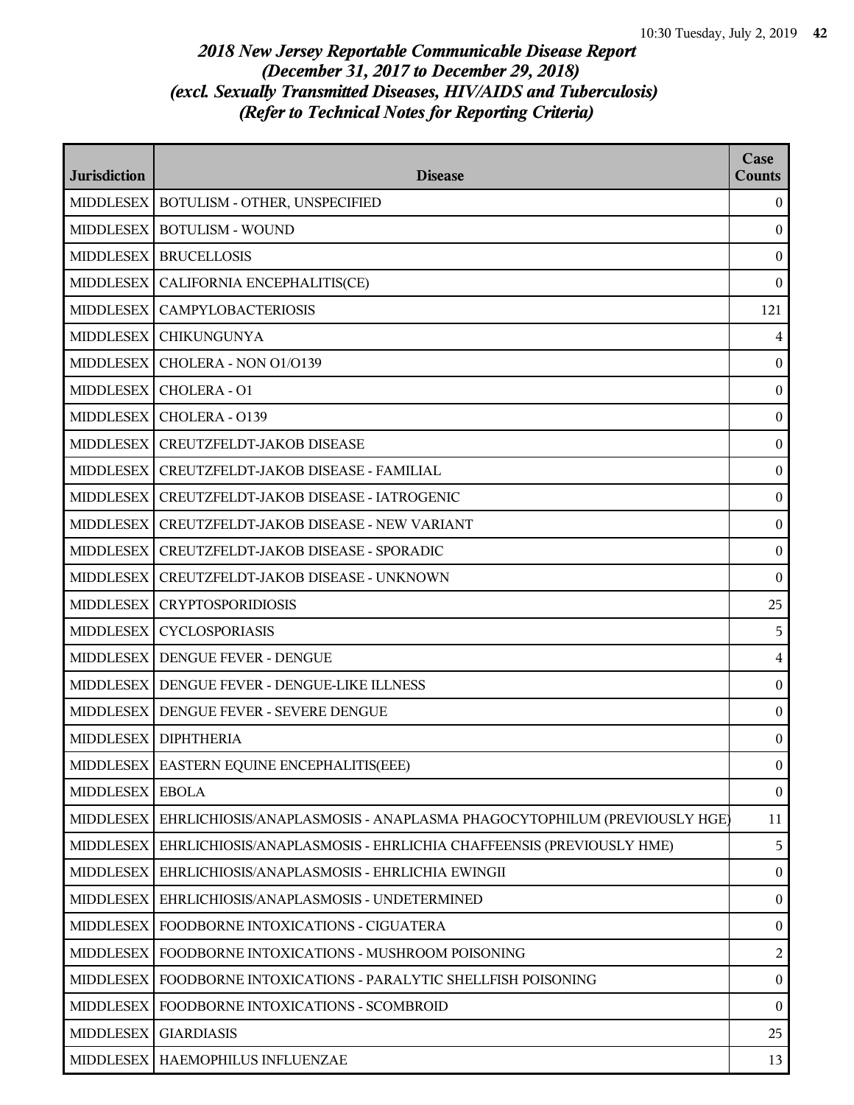| <b>Jurisdiction</b> | <b>Disease</b>                                                         | Case<br><b>Counts</b> |
|---------------------|------------------------------------------------------------------------|-----------------------|
| <b>MIDDLESEX</b>    | BOTULISM - OTHER, UNSPECIFIED                                          | $\overline{0}$        |
| <b>MIDDLESEX</b>    | <b>BOTULISM - WOUND</b>                                                | $\boldsymbol{0}$      |
| <b>MIDDLESEX</b>    | <b>BRUCELLOSIS</b>                                                     | $\boldsymbol{0}$      |
| <b>MIDDLESEX</b>    | CALIFORNIA ENCEPHALITIS(CE)                                            | $\bf{0}$              |
| <b>MIDDLESEX</b>    | <b>CAMPYLOBACTERIOSIS</b>                                              | 121                   |
| <b>MIDDLESEX</b>    | <b>CHIKUNGUNYA</b>                                                     | 4                     |
| <b>MIDDLESEX</b>    | CHOLERA - NON 01/0139                                                  | $\boldsymbol{0}$      |
| <b>MIDDLESEX</b>    | CHOLERA - O1                                                           | $\boldsymbol{0}$      |
| <b>MIDDLESEX</b>    | CHOLERA - 0139                                                         | $\bf{0}$              |
| <b>MIDDLESEX</b>    | CREUTZFELDT-JAKOB DISEASE                                              | $\boldsymbol{0}$      |
| <b>MIDDLESEX</b>    | CREUTZFELDT-JAKOB DISEASE - FAMILIAL                                   | $\bf{0}$              |
| <b>MIDDLESEX</b>    | CREUTZFELDT-JAKOB DISEASE - IATROGENIC                                 | $\boldsymbol{0}$      |
| <b>MIDDLESEX</b>    | <b>CREUTZFELDT-JAKOB DISEASE - NEW VARIANT</b>                         | $\boldsymbol{0}$      |
| <b>MIDDLESEX</b>    | CREUTZFELDT-JAKOB DISEASE - SPORADIC                                   | $\bf{0}$              |
| <b>MIDDLESEX</b>    | CREUTZFELDT-JAKOB DISEASE - UNKNOWN                                    | $\boldsymbol{0}$      |
| <b>MIDDLESEX</b>    | <b>CRYPTOSPORIDIOSIS</b>                                               | 25                    |
| <b>MIDDLESEX</b>    | <b>CYCLOSPORIASIS</b>                                                  | 5                     |
| <b>MIDDLESEX</b>    | DENGUE FEVER - DENGUE                                                  | $\overline{4}$        |
| <b>MIDDLESEX</b>    | DENGUE FEVER - DENGUE-LIKE ILLNESS                                     | $\bf{0}$              |
| <b>MIDDLESEX</b>    | DENGUE FEVER - SEVERE DENGUE                                           | $\boldsymbol{0}$      |
|                     | MIDDLESEX   DIPHTHERIA                                                 | $\bf{0}$              |
|                     | MIDDLESEX   EASTERN EQUINE ENCEPHALITIS(EEE)                           | $\overline{0}$        |
| <b>MIDDLESEX</b>    | <b>EBOLA</b>                                                           | $\boldsymbol{0}$      |
| <b>MIDDLESEX</b>    | EHRLICHIOSIS/ANAPLASMOSIS - ANAPLASMA PHAGOCYTOPHILUM (PREVIOUSLY HGE) | 11                    |
| <b>MIDDLESEX</b>    | EHRLICHIOSIS/ANAPLASMOSIS - EHRLICHIA CHAFFEENSIS (PREVIOUSLY HME)     | 5                     |
| <b>MIDDLESEX</b>    | EHRLICHIOSIS/ANAPLASMOSIS - EHRLICHIA EWINGII                          | $\bf{0}$              |
| <b>MIDDLESEX</b>    | EHRLICHIOSIS/ANAPLASMOSIS - UNDETERMINED                               | $\overline{0}$        |
| <b>MIDDLESEX</b>    | FOODBORNE INTOXICATIONS - CIGUATERA                                    | $\boldsymbol{0}$      |
| <b>MIDDLESEX</b>    | FOODBORNE INTOXICATIONS - MUSHROOM POISONING                           | $\overline{a}$        |
|                     | MIDDLESEX   FOODBORNE INTOXICATIONS - PARALYTIC SHELLFISH POISONING    | $\mathbf{0}$          |
| <b>MIDDLESEX</b>    | FOODBORNE INTOXICATIONS - SCOMBROID                                    | $\mathbf{0}$          |
| <b>MIDDLESEX</b>    | <b>GIARDIASIS</b>                                                      | 25                    |
| <b>MIDDLESEX</b>    | HAEMOPHILUS INFLUENZAE                                                 | 13                    |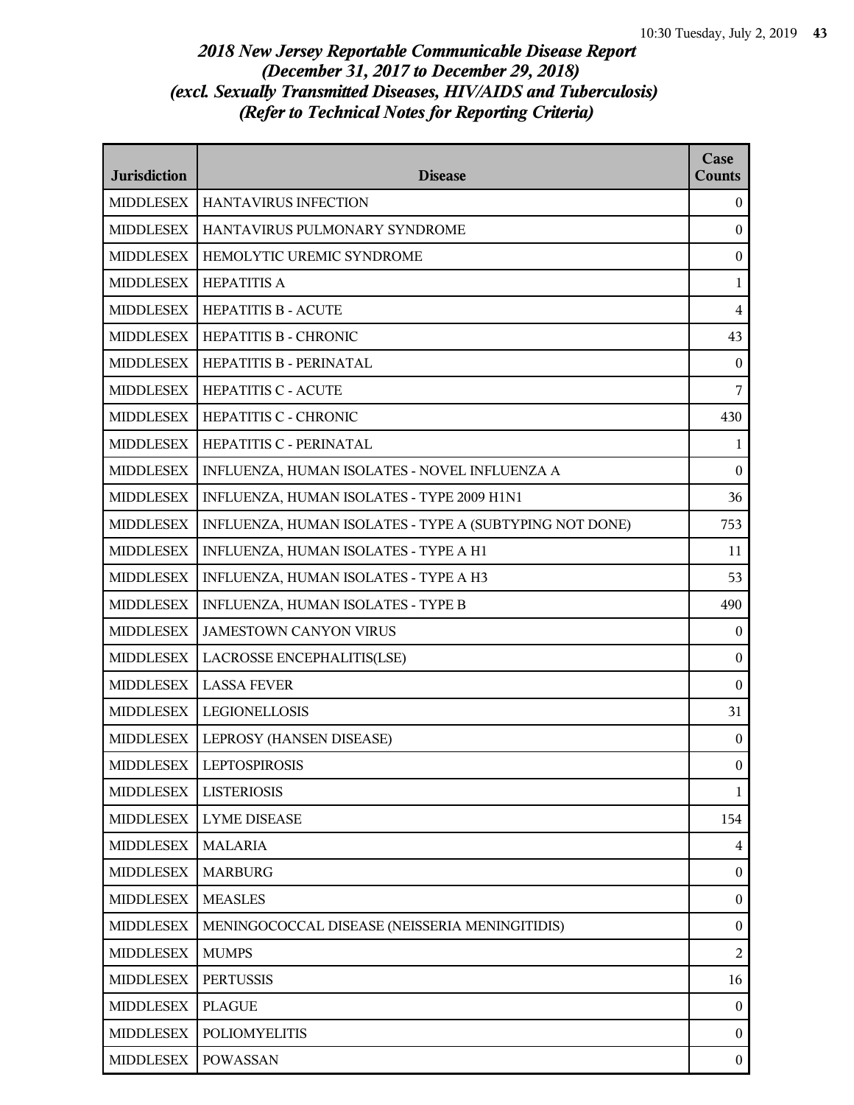| <b>Jurisdiction</b> | <b>Disease</b>                                          | Case<br><b>Counts</b>   |
|---------------------|---------------------------------------------------------|-------------------------|
| <b>MIDDLESEX</b>    | <b>HANTAVIRUS INFECTION</b>                             | $\boldsymbol{0}$        |
| <b>MIDDLESEX</b>    | HANTAVIRUS PULMONARY SYNDROME                           | $\mathbf{0}$            |
| <b>MIDDLESEX</b>    | HEMOLYTIC UREMIC SYNDROME                               | $\mathbf{0}$            |
| <b>MIDDLESEX</b>    | <b>HEPATITIS A</b>                                      | $\mathbf{1}$            |
| <b>MIDDLESEX</b>    | <b>HEPATITIS B - ACUTE</b>                              | $\overline{\mathbf{4}}$ |
| <b>MIDDLESEX</b>    | HEPATITIS B - CHRONIC                                   | 43                      |
| <b>MIDDLESEX</b>    | HEPATITIS B - PERINATAL                                 | $\mathbf{0}$            |
| <b>MIDDLESEX</b>    | HEPATITIS C - ACUTE                                     | 7                       |
| <b>MIDDLESEX</b>    | HEPATITIS C - CHRONIC                                   | 430                     |
| <b>MIDDLESEX</b>    | HEPATITIS C - PERINATAL                                 | $\mathbf{1}$            |
| <b>MIDDLESEX</b>    | INFLUENZA, HUMAN ISOLATES - NOVEL INFLUENZA A           | $\boldsymbol{0}$        |
| <b>MIDDLESEX</b>    | INFLUENZA, HUMAN ISOLATES - TYPE 2009 H1N1              | 36                      |
| <b>MIDDLESEX</b>    | INFLUENZA, HUMAN ISOLATES - TYPE A (SUBTYPING NOT DONE) | 753                     |
| <b>MIDDLESEX</b>    | INFLUENZA, HUMAN ISOLATES - TYPE A H1                   | 11                      |
| <b>MIDDLESEX</b>    | INFLUENZA, HUMAN ISOLATES - TYPE A H3                   | 53                      |
| <b>MIDDLESEX</b>    | INFLUENZA, HUMAN ISOLATES - TYPE B                      | 490                     |
| <b>MIDDLESEX</b>    | <b>JAMESTOWN CANYON VIRUS</b>                           | $\mathbf{0}$            |
| <b>MIDDLESEX</b>    | LACROSSE ENCEPHALITIS(LSE)                              | $\mathbf{0}$            |
| <b>MIDDLESEX</b>    | <b>LASSA FEVER</b>                                      | $\mathbf{0}$            |
| <b>MIDDLESEX</b>    | <b>LEGIONELLOSIS</b>                                    | 31                      |
| <b>MIDDLESEX</b>    | LEPROSY (HANSEN DISEASE)                                | $\boldsymbol{0}$        |
| <b>MIDDLESEX</b>    | <b>LEPTOSPIROSIS</b>                                    | $\mathbf{0}$            |
| <b>MIDDLESEX</b>    | <b>LISTERIOSIS</b>                                      | $\mathbf{1}$            |
| <b>MIDDLESEX</b>    | <b>LYME DISEASE</b>                                     | 154                     |
| <b>MIDDLESEX</b>    | <b>MALARIA</b>                                          | $\overline{4}$          |
| <b>MIDDLESEX</b>    | <b>MARBURG</b>                                          | $\boldsymbol{0}$        |
| <b>MIDDLESEX</b>    | <b>MEASLES</b>                                          | $\mathbf{0}$            |
| <b>MIDDLESEX</b>    | MENINGOCOCCAL DISEASE (NEISSERIA MENINGITIDIS)          | $\boldsymbol{0}$        |
| <b>MIDDLESEX</b>    | <b>MUMPS</b>                                            | $\overline{2}$          |
| <b>MIDDLESEX</b>    | <b>PERTUSSIS</b>                                        | 16                      |
| <b>MIDDLESEX</b>    | <b>PLAGUE</b>                                           | $\boldsymbol{0}$        |
| <b>MIDDLESEX</b>    | <b>POLIOMYELITIS</b>                                    | $\mathbf{0}$            |
| <b>MIDDLESEX</b>    | <b>POWASSAN</b>                                         | $\mathbf{0}$            |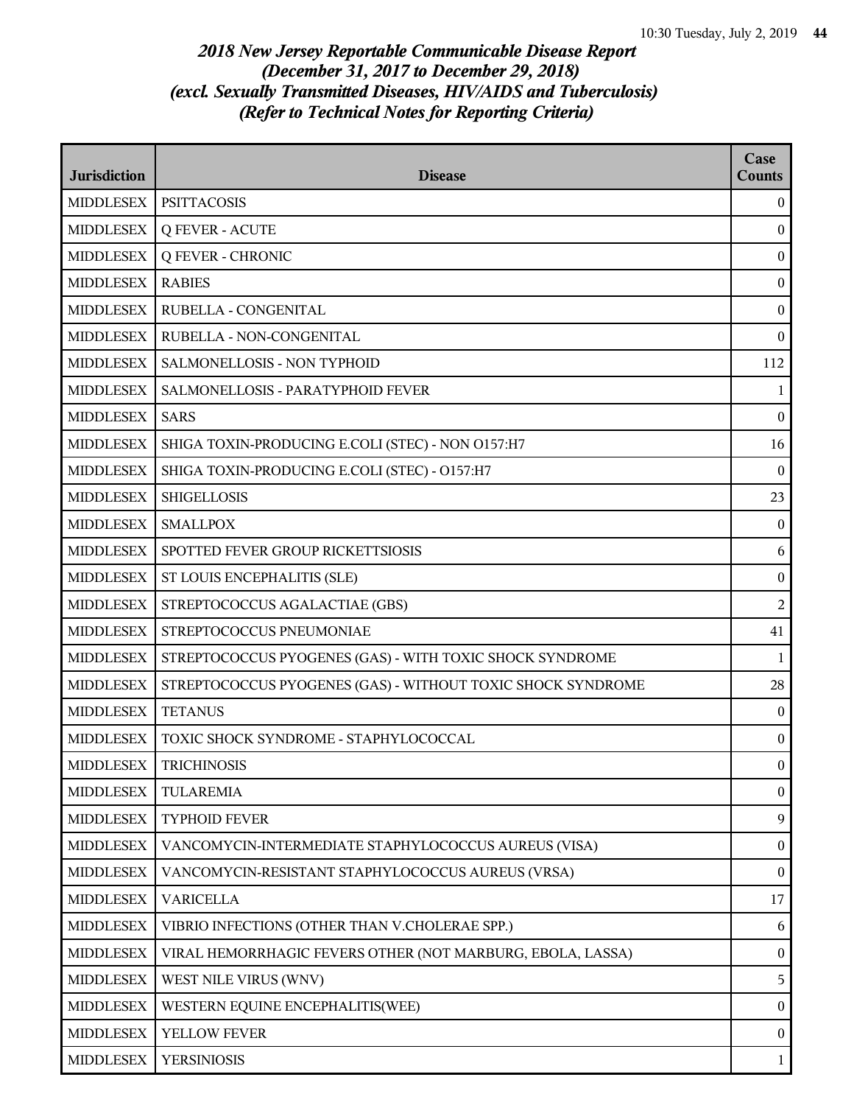| <b>Jurisdiction</b> | <b>Disease</b>                                              | Case<br><b>Counts</b> |
|---------------------|-------------------------------------------------------------|-----------------------|
| <b>MIDDLESEX</b>    | <b>PSITTACOSIS</b>                                          | $\boldsymbol{0}$      |
| <b>MIDDLESEX</b>    | <b>Q FEVER - ACUTE</b>                                      | $\mathbf{0}$          |
| <b>MIDDLESEX</b>    | <b>Q FEVER - CHRONIC</b>                                    | $\boldsymbol{0}$      |
| <b>MIDDLESEX</b>    | <b>RABIES</b>                                               | $\mathbf{0}$          |
| <b>MIDDLESEX</b>    | RUBELLA - CONGENITAL                                        | $\boldsymbol{0}$      |
| <b>MIDDLESEX</b>    | RUBELLA - NON-CONGENITAL                                    | $\bf{0}$              |
| <b>MIDDLESEX</b>    | SALMONELLOSIS - NON TYPHOID                                 | 112                   |
| <b>MIDDLESEX</b>    | SALMONELLOSIS - PARATYPHOID FEVER                           | 1                     |
| <b>MIDDLESEX</b>    | <b>SARS</b>                                                 | $\bf{0}$              |
| <b>MIDDLESEX</b>    | SHIGA TOXIN-PRODUCING E.COLI (STEC) - NON O157:H7           | 16                    |
| <b>MIDDLESEX</b>    | SHIGA TOXIN-PRODUCING E.COLI (STEC) - O157:H7               | $\bf{0}$              |
| <b>MIDDLESEX</b>    | <b>SHIGELLOSIS</b>                                          | 23                    |
| <b>MIDDLESEX</b>    | <b>SMALLPOX</b>                                             | $\bf{0}$              |
| <b>MIDDLESEX</b>    | SPOTTED FEVER GROUP RICKETTSIOSIS                           | 6                     |
| <b>MIDDLESEX</b>    | ST LOUIS ENCEPHALITIS (SLE)                                 | $\boldsymbol{0}$      |
| <b>MIDDLESEX</b>    | STREPTOCOCCUS AGALACTIAE (GBS)                              | 2                     |
| <b>MIDDLESEX</b>    | STREPTOCOCCUS PNEUMONIAE                                    | 41                    |
| <b>MIDDLESEX</b>    | STREPTOCOCCUS PYOGENES (GAS) - WITH TOXIC SHOCK SYNDROME    | $\mathbf{1}$          |
| <b>MIDDLESEX</b>    | STREPTOCOCCUS PYOGENES (GAS) - WITHOUT TOXIC SHOCK SYNDROME | 28                    |
| <b>MIDDLESEX</b>    | <b>TETANUS</b>                                              | $\boldsymbol{0}$      |
| <b>MIDDLESEX</b>    | TOXIC SHOCK SYNDROME - STAPHYLOCOCCAL                       | $\boldsymbol{0}$      |
| <b>MIDDLESEX</b>    | <b>TRICHINOSIS</b>                                          | $\overline{0}$        |
| <b>MIDDLESEX</b>    | <b>TULAREMIA</b>                                            | $\boldsymbol{0}$      |
| <b>MIDDLESEX</b>    | <b>TYPHOID FEVER</b>                                        | 9                     |
| <b>MIDDLESEX</b>    | VANCOMYCIN-INTERMEDIATE STAPHYLOCOCCUS AUREUS (VISA)        | $\boldsymbol{0}$      |
| <b>MIDDLESEX</b>    | VANCOMYCIN-RESISTANT STAPHYLOCOCCUS AUREUS (VRSA)           | $\boldsymbol{0}$      |
| <b>MIDDLESEX</b>    | <b>VARICELLA</b>                                            | 17                    |
| <b>MIDDLESEX</b>    | VIBRIO INFECTIONS (OTHER THAN V.CHOLERAE SPP.)              | 6                     |
| <b>MIDDLESEX</b>    | VIRAL HEMORRHAGIC FEVERS OTHER (NOT MARBURG, EBOLA, LASSA)  | $\boldsymbol{0}$      |
| <b>MIDDLESEX</b>    | WEST NILE VIRUS (WNV)                                       | 5                     |
| <b>MIDDLESEX</b>    | WESTERN EQUINE ENCEPHALITIS(WEE)                            | $\boldsymbol{0}$      |
| <b>MIDDLESEX</b>    | YELLOW FEVER                                                | $\boldsymbol{0}$      |
| <b>MIDDLESEX</b>    | <b>YERSINIOSIS</b>                                          | $\mathbf{1}$          |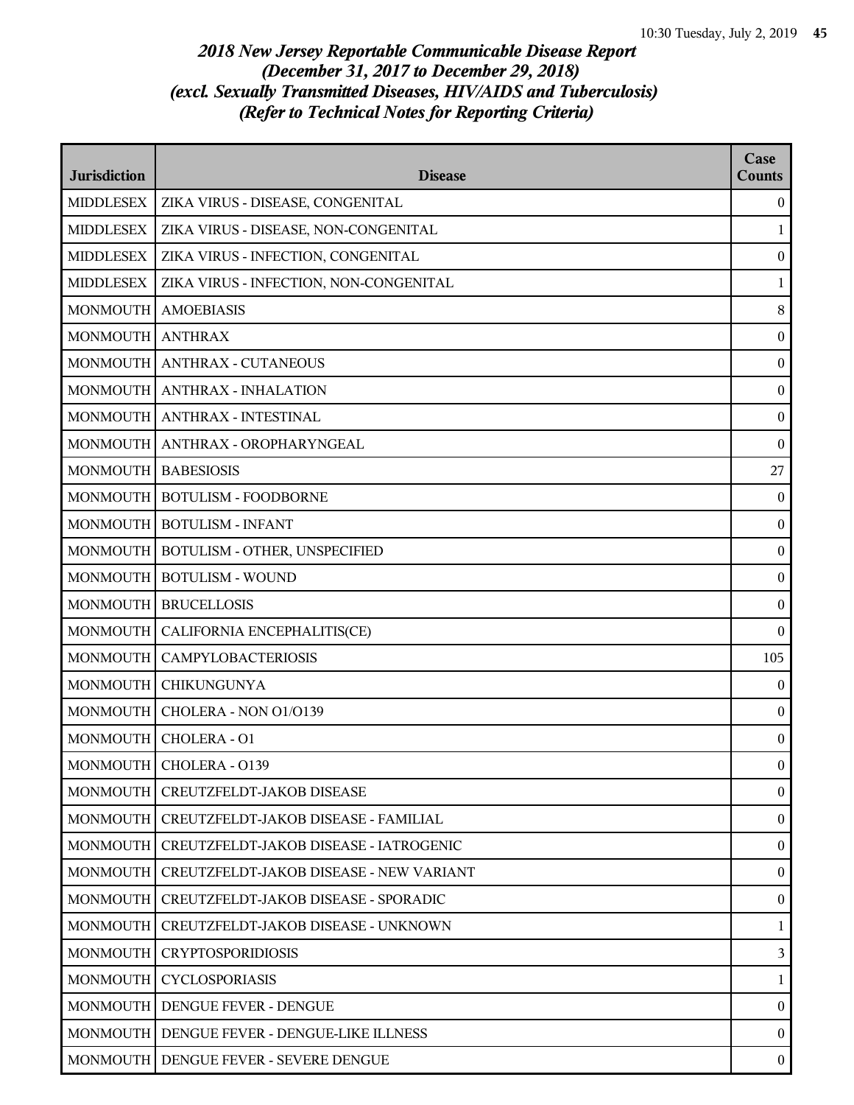| <b>Jurisdiction</b>   | <b>Disease</b>                                | Case<br><b>Counts</b> |
|-----------------------|-----------------------------------------------|-----------------------|
| <b>MIDDLESEX</b>      | ZIKA VIRUS - DISEASE, CONGENITAL              | $\boldsymbol{0}$      |
| <b>MIDDLESEX</b>      | ZIKA VIRUS - DISEASE, NON-CONGENITAL          | 1                     |
| <b>MIDDLESEX</b>      | ZIKA VIRUS - INFECTION, CONGENITAL            | $\boldsymbol{0}$      |
| <b>MIDDLESEX</b>      | ZIKA VIRUS - INFECTION, NON-CONGENITAL        | 1                     |
| <b>MONMOUTH</b>       | <b>AMOEBIASIS</b>                             | $\, 8$                |
| MONMOUTH ANTHRAX      |                                               | $\boldsymbol{0}$      |
| <b>MONMOUTH</b>       | <b>ANTHRAX - CUTANEOUS</b>                    | $\boldsymbol{0}$      |
|                       | MONMOUTH   ANTHRAX - INHALATION               | $\boldsymbol{0}$      |
| <b>MONMOUTH</b>       | <b>ANTHRAX - INTESTINAL</b>                   | $\boldsymbol{0}$      |
| <b>MONMOUTH</b>       | ANTHRAX - OROPHARYNGEAL                       | $\boldsymbol{0}$      |
| MONMOUTH   BABESIOSIS |                                               | 27                    |
| <b>MONMOUTH</b>       | <b>BOTULISM - FOODBORNE</b>                   | $\mathbf{0}$          |
|                       | MONMOUTH   BOTULISM - INFANT                  | $\boldsymbol{0}$      |
| <b>MONMOUTH</b>       | <b>BOTULISM - OTHER, UNSPECIFIED</b>          | $\boldsymbol{0}$      |
| <b>MONMOUTH</b>       | <b>BOTULISM - WOUND</b>                       | $\boldsymbol{0}$      |
|                       | MONMOUTH   BRUCELLOSIS                        | $\boldsymbol{0}$      |
| <b>MONMOUTH</b>       | CALIFORNIA ENCEPHALITIS(CE)                   | $\overline{0}$        |
| <b>MONMOUTH</b>       | <b>CAMPYLOBACTERIOSIS</b>                     | 105                   |
| <b>MONMOUTH</b>       | <b>CHIKUNGUNYA</b>                            | $\mathbf{0}$          |
| <b>MONMOUTH</b>       | CHOLERA - NON O1/O139                         | $\boldsymbol{0}$      |
|                       | MONMOUTH   CHOLERA - O1                       | $\boldsymbol{0}$      |
|                       | MONMOUTH   CHOLERA - 0139                     | $\bf{0}$              |
|                       | MONMOUTH   CREUTZFELDT-JAKOB DISEASE          | $\boldsymbol{0}$      |
| <b>MONMOUTH</b>       | CREUTZFELDT-JAKOB DISEASE - FAMILIAL          | $\overline{0}$        |
| <b>MONMOUTH</b>       | CREUTZFELDT-JAKOB DISEASE - IATROGENIC        | $\boldsymbol{0}$      |
| <b>MONMOUTH</b>       | CREUTZFELDT-JAKOB DISEASE - NEW VARIANT       | $\bf{0}$              |
| <b>MONMOUTH</b>       | CREUTZFELDT-JAKOB DISEASE - SPORADIC          | $\overline{0}$        |
| <b>MONMOUTH</b>       | CREUTZFELDT-JAKOB DISEASE - UNKNOWN           | 1                     |
| <b>MONMOUTH</b>       | <b>CRYPTOSPORIDIOSIS</b>                      | $\overline{3}$        |
| <b>MONMOUTH</b>       | CYCLOSPORIASIS                                | $\mathbf{1}$          |
|                       | MONMOUTH   DENGUE FEVER - DENGUE              | $\bf{0}$              |
|                       | MONMOUTH   DENGUE FEVER - DENGUE-LIKE ILLNESS | $\overline{0}$        |
|                       | MONMOUTH   DENGUE FEVER - SEVERE DENGUE       | $\boldsymbol{0}$      |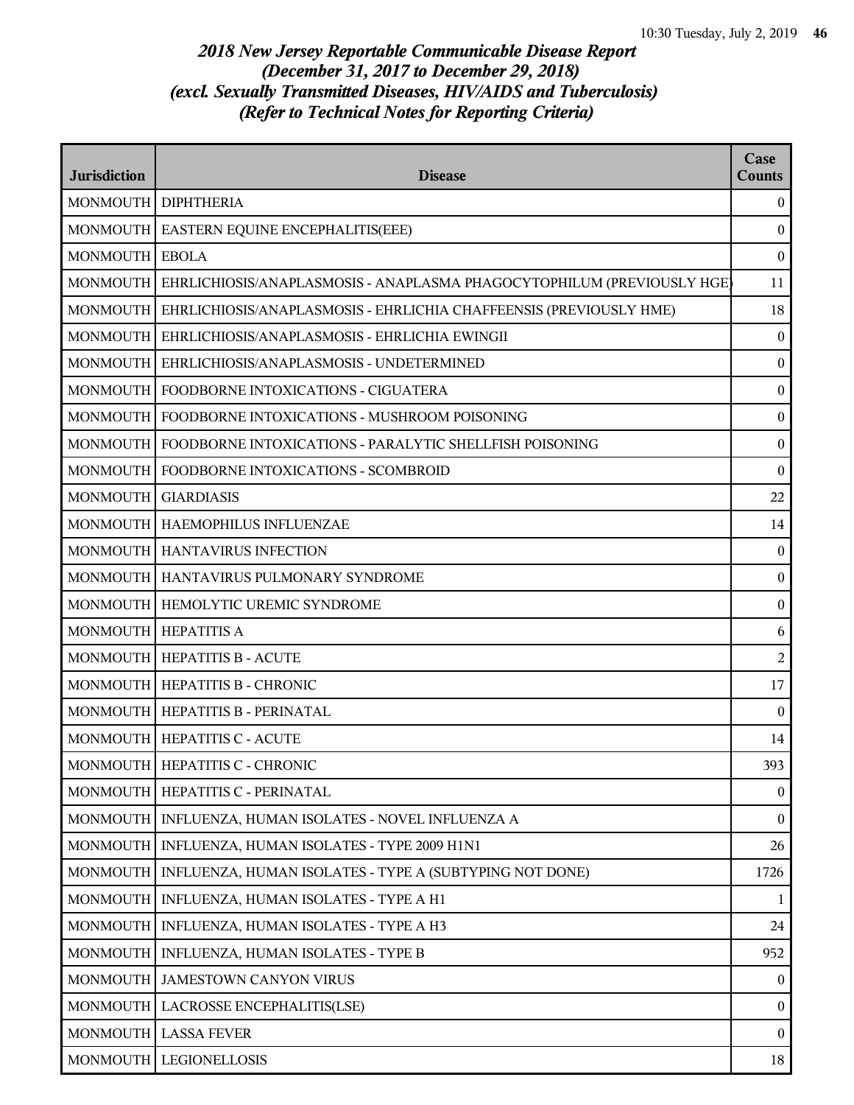| <b>Jurisdiction</b> | <b>Disease</b>                                                                    | Case<br><b>Counts</b> |
|---------------------|-----------------------------------------------------------------------------------|-----------------------|
|                     | MONMOUTH   DIPHTHERIA                                                             | $\boldsymbol{0}$      |
| <b>MONMOUTH</b>     | EASTERN EQUINE ENCEPHALITIS(EEE)                                                  | $\boldsymbol{0}$      |
| <b>MONMOUTH</b>     | <b>EBOLA</b>                                                                      | $\boldsymbol{0}$      |
|                     | MONMOUTH   EHRLICHIOSIS/ANAPLASMOSIS - ANAPLASMA PHAGOCYTOPHILUM (PREVIOUSLY HGE) | 11                    |
| <b>MONMOUTH</b>     | EHRLICHIOSIS/ANAPLASMOSIS - EHRLICHIA CHAFFEENSIS (PREVIOUSLY HME)                | 18                    |
|                     | MONMOUTH   EHRLICHIOSIS/ANAPLASMOSIS - EHRLICHIA EWINGII                          | $\boldsymbol{0}$      |
| <b>MONMOUTH</b>     | EHRLICHIOSIS/ANAPLASMOSIS - UNDETERMINED                                          | $\bf{0}$              |
| <b>MONMOUTH</b>     | FOODBORNE INTOXICATIONS - CIGUATERA                                               | $\bf{0}$              |
| <b>MONMOUTH</b>     | FOODBORNE INTOXICATIONS - MUSHROOM POISONING                                      | $\boldsymbol{0}$      |
| <b>MONMOUTH</b>     | FOODBORNE INTOXICATIONS - PARALYTIC SHELLFISH POISONING                           | $\boldsymbol{0}$      |
|                     | MONMOUTH   FOODBORNE INTOXICATIONS - SCOMBROID                                    | $\bf{0}$              |
| <b>MONMOUTH</b>     | <b>GIARDIASIS</b>                                                                 | 22                    |
|                     | MONMOUTH   HAEMOPHILUS INFLUENZAE                                                 | 14                    |
|                     | MONMOUTH   HANTAVIRUS INFECTION                                                   | $\mathbf{0}$          |
| <b>MONMOUTH</b>     | <b>HANTAVIRUS PULMONARY SYNDROME</b>                                              | $\boldsymbol{0}$      |
|                     | MONMOUTH   HEMOLYTIC UREMIC SYNDROME                                              | $\bf{0}$              |
| <b>MONMOUTH</b>     | <b>HEPATITIS A</b>                                                                | 6                     |
|                     | MONMOUTH   HEPATITIS B - ACUTE                                                    | $\overline{c}$        |
|                     | MONMOUTH   HEPATITIS B - CHRONIC                                                  | 17                    |
|                     | MONMOUTH   HEPATITIS B - PERINATAL                                                | $\boldsymbol{0}$      |
|                     | MONMOUTH   HEPATITIS C - ACUTE                                                    | 14                    |
|                     | MONMOUTH   HEPATITIS C - CHRONIC                                                  | 393                   |
| <b>MONMOUTH</b>     | HEPATITIS C - PERINATAL                                                           | $\boldsymbol{0}$      |
|                     | MONMOUTH   INFLUENZA, HUMAN ISOLATES - NOVEL INFLUENZA A                          | $\overline{0}$        |
| <b>MONMOUTH</b>     | INFLUENZA, HUMAN ISOLATES - TYPE 2009 H1N1                                        | 26                    |
| <b>MONMOUTH</b>     | INFLUENZA, HUMAN ISOLATES - TYPE A (SUBTYPING NOT DONE)                           | 1726                  |
| <b>MONMOUTH</b>     | INFLUENZA, HUMAN ISOLATES - TYPE A H1                                             | 1                     |
| <b>MONMOUTH</b>     | INFLUENZA, HUMAN ISOLATES - TYPE A H3                                             | 24                    |
| <b>MONMOUTH</b>     | INFLUENZA, HUMAN ISOLATES - TYPE B                                                | 952                   |
| <b>MONMOUTH</b>     | <b>JAMESTOWN CANYON VIRUS</b>                                                     | $\overline{0}$        |
| <b>MONMOUTH</b>     | LACROSSE ENCEPHALITIS(LSE)                                                        | $\bf{0}$              |
| <b>MONMOUTH</b>     | <b>LASSA FEVER</b>                                                                | $\overline{0}$        |
| <b>MONMOUTH</b>     | LEGIONELLOSIS                                                                     | 18                    |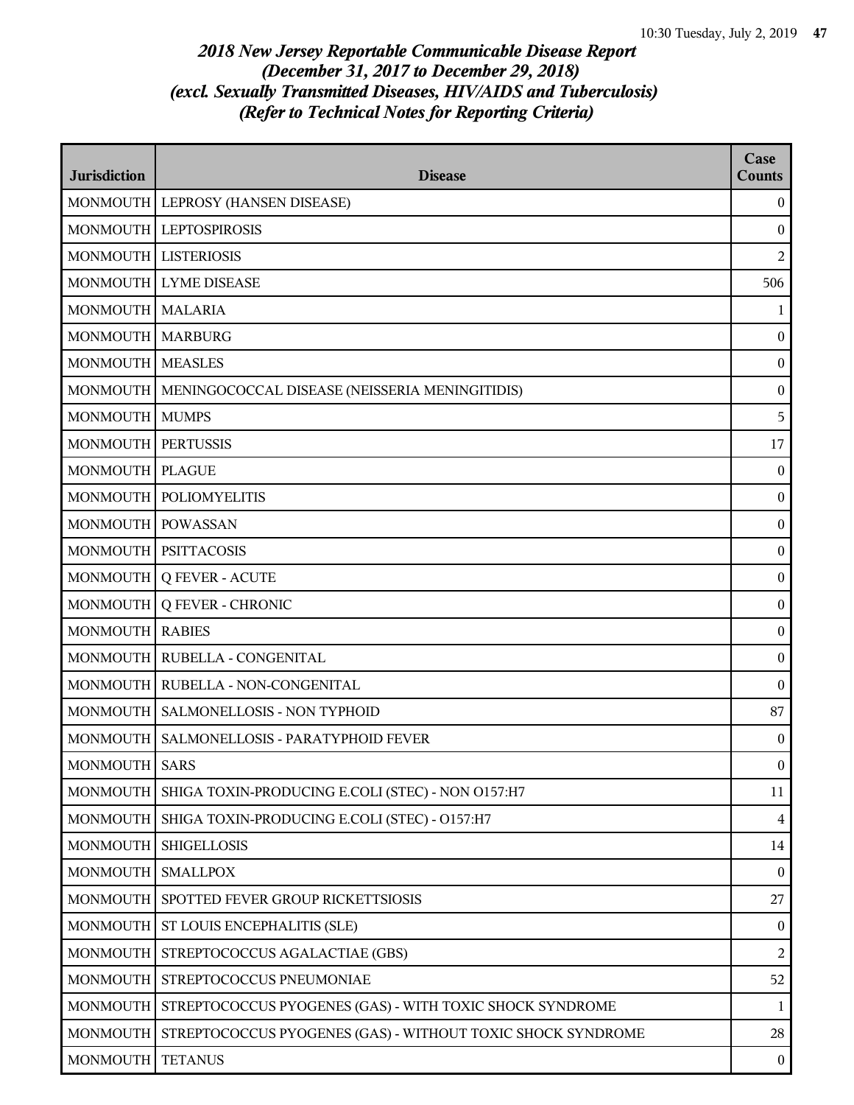| <b>Jurisdiction</b>    | <b>Disease</b>                                              | Case<br><b>Counts</b> |
|------------------------|-------------------------------------------------------------|-----------------------|
|                        | MONMOUTH   LEPROSY (HANSEN DISEASE)                         | $\boldsymbol{0}$      |
| <b>MONMOUTH</b>        | <b>LEPTOSPIROSIS</b>                                        | $\boldsymbol{0}$      |
| MONMOUTH   LISTERIOSIS |                                                             | 2                     |
|                        | MONMOUTH LYME DISEASE                                       | 506                   |
| MONMOUTH MALARIA       |                                                             | $\mathbf{1}$          |
| MONMOUTH MARBURG       |                                                             | $\bf{0}$              |
| <b>MONMOUTH</b>        | <b>MEASLES</b>                                              | $\boldsymbol{0}$      |
| <b>MONMOUTH</b>        | MENINGOCOCCAL DISEASE (NEISSERIA MENINGITIDIS)              | $\boldsymbol{0}$      |
| <b>MONMOUTH</b>        | <b>MUMPS</b>                                                | 5                     |
| <b>MONMOUTH</b>        | <b>PERTUSSIS</b>                                            | 17                    |
| MONMOUTH   PLAGUE      |                                                             | $\boldsymbol{0}$      |
| <b>MONMOUTH</b>        | <b>POLIOMYELITIS</b>                                        | $\boldsymbol{0}$      |
| <b>MONMOUTH</b>        | <b>POWASSAN</b>                                             | $\boldsymbol{0}$      |
|                        | MONMOUTH   PSITTACOSIS                                      | $\boldsymbol{0}$      |
| <b>MONMOUTH</b>        | <b>Q FEVER - ACUTE</b>                                      | $\boldsymbol{0}$      |
| MONMOUTH               | <b>Q FEVER - CHRONIC</b>                                    | $\boldsymbol{0}$      |
| <b>MONMOUTH</b>        | <b>RABIES</b>                                               | $\boldsymbol{0}$      |
| <b>MONMOUTH</b>        | RUBELLA - CONGENITAL                                        | $\boldsymbol{0}$      |
|                        | MONMOUTH   RUBELLA - NON-CONGENITAL                         | $\boldsymbol{0}$      |
| <b>MONMOUTH</b>        | SALMONELLOSIS - NON TYPHOID                                 | 87                    |
|                        | MONMOUTH   SALMONELLOSIS - PARATYPHOID FEVER                | $\boldsymbol{0}$      |
| MONMOUTH   SARS        |                                                             | $\boldsymbol{0}$      |
| <b>MONMOUTH</b>        | SHIGA TOXIN-PRODUCING E.COLI (STEC) - NON O157:H7           | 11                    |
| <b>MONMOUTH</b>        | SHIGA TOXIN-PRODUCING E.COLI (STEC) - O157:H7               | $\overline{4}$        |
| <b>MONMOUTH</b>        | <b>SHIGELLOSIS</b>                                          | 14                    |
| <b>MONMOUTH</b>        | <b>SMALLPOX</b>                                             | $\boldsymbol{0}$      |
| <b>MONMOUTH</b>        | SPOTTED FEVER GROUP RICKETTSIOSIS                           | 27                    |
| <b>MONMOUTH</b>        | <b>ST LOUIS ENCEPHALITIS (SLE)</b>                          | $\boldsymbol{0}$      |
| <b>MONMOUTH</b>        | STREPTOCOCCUS AGALACTIAE (GBS)                              | 2                     |
| <b>MONMOUTH</b>        | STREPTOCOCCUS PNEUMONIAE                                    | 52                    |
| <b>MONMOUTH</b>        | STREPTOCOCCUS PYOGENES (GAS) - WITH TOXIC SHOCK SYNDROME    | 1                     |
| <b>MONMOUTH</b>        | STREPTOCOCCUS PYOGENES (GAS) - WITHOUT TOXIC SHOCK SYNDROME | 28                    |
| <b>MONMOUTH</b>        | <b>TETANUS</b>                                              | $\boldsymbol{0}$      |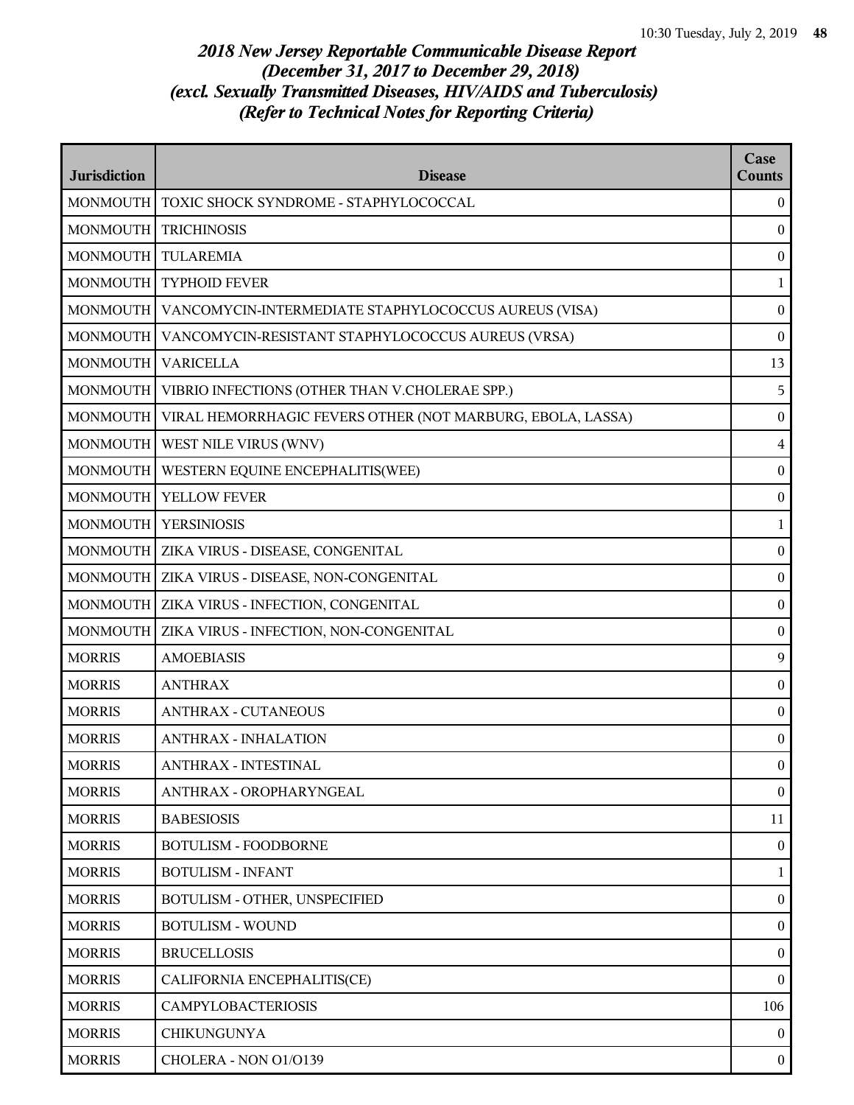| <b>Jurisdiction</b> | <b>Disease</b>                                             | Case<br><b>Counts</b> |
|---------------------|------------------------------------------------------------|-----------------------|
| <b>MONMOUTH</b>     | TOXIC SHOCK SYNDROME - STAPHYLOCOCCAL                      | $\overline{0}$        |
| <b>MONMOUTH</b>     | <b>TRICHINOSIS</b>                                         | $\mathbf{0}$          |
| <b>MONMOUTH</b>     | <b>TULAREMIA</b>                                           | $\boldsymbol{0}$      |
| <b>MONMOUTH</b>     | <b>TYPHOID FEVER</b>                                       | 1                     |
| <b>MONMOUTH</b>     | VANCOMYCIN-INTERMEDIATE STAPHYLOCOCCUS AUREUS (VISA)       | $\boldsymbol{0}$      |
| <b>MONMOUTH</b>     | VANCOMYCIN-RESISTANT STAPHYLOCOCCUS AUREUS (VRSA)          | $\boldsymbol{0}$      |
| <b>MONMOUTH</b>     | <b>VARICELLA</b>                                           | 13                    |
| <b>MONMOUTH</b>     | VIBRIO INFECTIONS (OTHER THAN V.CHOLERAE SPP.)             | 5                     |
| <b>MONMOUTH</b>     | VIRAL HEMORRHAGIC FEVERS OTHER (NOT MARBURG, EBOLA, LASSA) | $\boldsymbol{0}$      |
| <b>MONMOUTH</b>     | WEST NILE VIRUS (WNV)                                      | $\overline{4}$        |
| <b>MONMOUTH</b>     | WESTERN EQUINE ENCEPHALITIS(WEE)                           | $\bf{0}$              |
| <b>MONMOUTH</b>     | <b>YELLOW FEVER</b>                                        | $\boldsymbol{0}$      |
| <b>MONMOUTH</b>     | <b>YERSINIOSIS</b>                                         | 1                     |
| <b>MONMOUTH</b>     | ZIKA VIRUS - DISEASE, CONGENITAL                           | $\boldsymbol{0}$      |
| <b>MONMOUTH</b>     | ZIKA VIRUS - DISEASE, NON-CONGENITAL                       | $\boldsymbol{0}$      |
| <b>MONMOUTH</b>     | <b>ZIKA VIRUS - INFECTION, CONGENITAL</b>                  | $\boldsymbol{0}$      |
| <b>MONMOUTH</b>     | ZIKA VIRUS - INFECTION, NON-CONGENITAL                     | $\boldsymbol{0}$      |
| <b>MORRIS</b>       | <b>AMOEBIASIS</b>                                          | 9                     |
| <b>MORRIS</b>       | <b>ANTHRAX</b>                                             | $\boldsymbol{0}$      |
| <b>MORRIS</b>       | <b>ANTHRAX - CUTANEOUS</b>                                 | $\boldsymbol{0}$      |
| <b>MORRIS</b>       | <b>ANTHRAX - INHALATION</b>                                | $\boldsymbol{0}$      |
| <b>MORRIS</b>       | ANTHRAX - INTESTINAL                                       | $\mathbf{0}$          |
| <b>MORRIS</b>       | ANTHRAX - OROPHARYNGEAL                                    | $\boldsymbol{0}$      |
| <b>MORRIS</b>       | <b>BABESIOSIS</b>                                          | 11                    |
| <b>MORRIS</b>       | <b>BOTULISM - FOODBORNE</b>                                | $\boldsymbol{0}$      |
| <b>MORRIS</b>       | <b>BOTULISM - INFANT</b>                                   | $\mathbf{1}$          |
| <b>MORRIS</b>       | BOTULISM - OTHER, UNSPECIFIED                              | $\overline{0}$        |
| <b>MORRIS</b>       | <b>BOTULISM - WOUND</b>                                    | $\boldsymbol{0}$      |
| <b>MORRIS</b>       | <b>BRUCELLOSIS</b>                                         | $\boldsymbol{0}$      |
| <b>MORRIS</b>       | CALIFORNIA ENCEPHALITIS(CE)                                | $\boldsymbol{0}$      |
| <b>MORRIS</b>       | <b>CAMPYLOBACTERIOSIS</b>                                  | 106                   |
| <b>MORRIS</b>       | <b>CHIKUNGUNYA</b>                                         | $\theta$              |
| <b>MORRIS</b>       | CHOLERA - NON 01/0139                                      | $\bf{0}$              |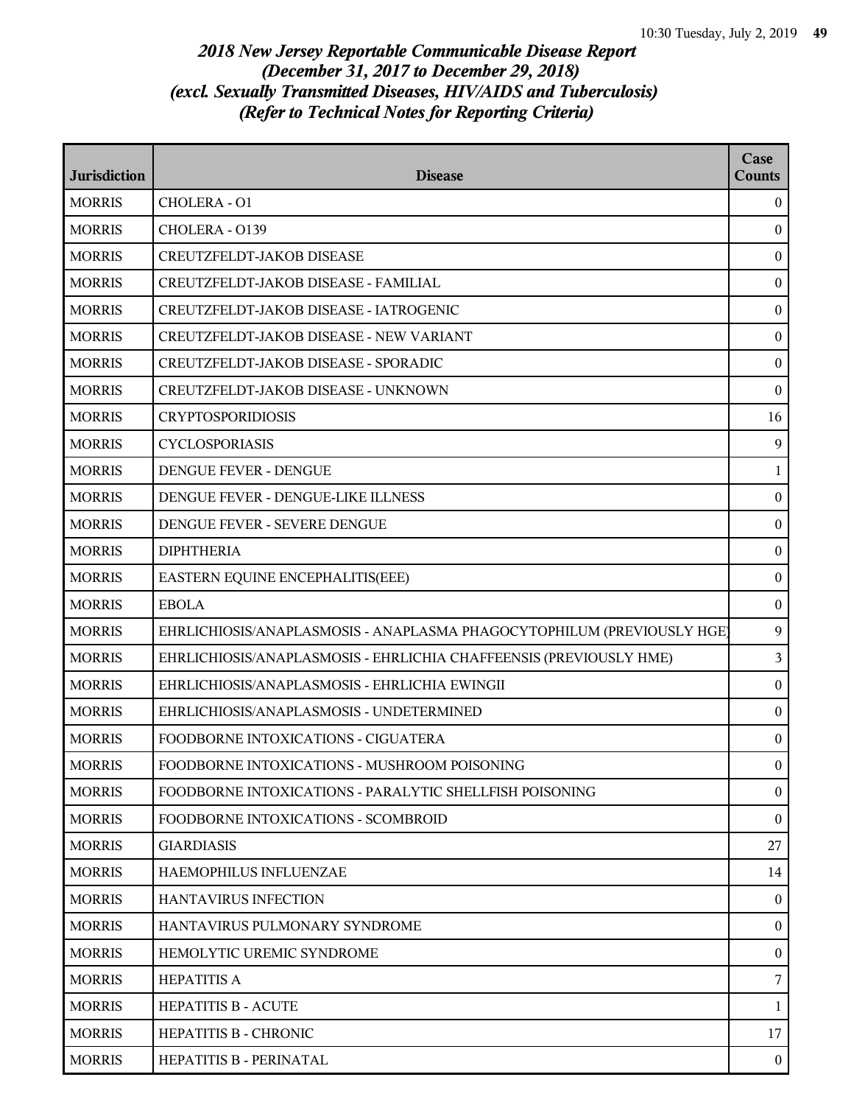| <b>Jurisdiction</b> | <b>Disease</b>                                                         | Case<br>Counts   |
|---------------------|------------------------------------------------------------------------|------------------|
| <b>MORRIS</b>       | CHOLERA - O1                                                           | $\overline{0}$   |
| <b>MORRIS</b>       | CHOLERA - 0139                                                         | $\mathbf{0}$     |
| <b>MORRIS</b>       | CREUTZFELDT-JAKOB DISEASE                                              | $\bf{0}$         |
| <b>MORRIS</b>       | CREUTZFELDT-JAKOB DISEASE - FAMILIAL                                   | $\boldsymbol{0}$ |
| <b>MORRIS</b>       | CREUTZFELDT-JAKOB DISEASE - IATROGENIC                                 | $\mathbf{0}$     |
| <b>MORRIS</b>       | <b>CREUTZFELDT-JAKOB DISEASE - NEW VARIANT</b>                         | $\overline{0}$   |
| <b>MORRIS</b>       | CREUTZFELDT-JAKOB DISEASE - SPORADIC                                   | $\bf{0}$         |
| <b>MORRIS</b>       | CREUTZFELDT-JAKOB DISEASE - UNKNOWN                                    | $\bf{0}$         |
| <b>MORRIS</b>       | <b>CRYPTOSPORIDIOSIS</b>                                               | 16               |
| <b>MORRIS</b>       | <b>CYCLOSPORIASIS</b>                                                  | 9                |
| <b>MORRIS</b>       | DENGUE FEVER - DENGUE                                                  | $\mathbf{1}$     |
| <b>MORRIS</b>       | DENGUE FEVER - DENGUE-LIKE ILLNESS                                     | $\overline{0}$   |
| <b>MORRIS</b>       | DENGUE FEVER - SEVERE DENGUE                                           | $\bf{0}$         |
| <b>MORRIS</b>       | <b>DIPHTHERIA</b>                                                      | $\bf{0}$         |
| <b>MORRIS</b>       | EASTERN EQUINE ENCEPHALITIS(EEE)                                       | $\mathbf{0}$     |
| <b>MORRIS</b>       | <b>EBOLA</b>                                                           | $\bf{0}$         |
| <b>MORRIS</b>       | EHRLICHIOSIS/ANAPLASMOSIS - ANAPLASMA PHAGOCYTOPHILUM (PREVIOUSLY HGE) | 9                |
| <b>MORRIS</b>       | EHRLICHIOSIS/ANAPLASMOSIS - EHRLICHIA CHAFFEENSIS (PREVIOUSLY HME)     | $\overline{3}$   |
| <b>MORRIS</b>       | EHRLICHIOSIS/ANAPLASMOSIS - EHRLICHIA EWINGII                          | $\bf{0}$         |
| <b>MORRIS</b>       | EHRLICHIOSIS/ANAPLASMOSIS - UNDETERMINED                               | $\boldsymbol{0}$ |
| <b>MORRIS</b>       | FOODBORNE INTOXICATIONS - CIGUATERA                                    | $\boldsymbol{0}$ |
| <b>MORRIS</b>       | FOODBORNE INTOXICATIONS - MUSHROOM POISONING                           | $\overline{0}$   |
| <b>MORRIS</b>       | FOODBORNE INTOXICATIONS - PARALYTIC SHELLFISH POISONING                | $\overline{0}$   |
| <b>MORRIS</b>       | FOODBORNE INTOXICATIONS - SCOMBROID                                    | $\overline{0}$   |
| <b>MORRIS</b>       | <b>GIARDIASIS</b>                                                      | 27               |
| <b>MORRIS</b>       | HAEMOPHILUS INFLUENZAE                                                 | 14               |
| <b>MORRIS</b>       | <b>HANTAVIRUS INFECTION</b>                                            | $\theta$         |
| <b>MORRIS</b>       | HANTAVIRUS PULMONARY SYNDROME                                          | $\overline{0}$   |
| <b>MORRIS</b>       | HEMOLYTIC UREMIC SYNDROME                                              | $\mathbf{0}$     |
| <b>MORRIS</b>       | <b>HEPATITIS A</b>                                                     | 7                |
| <b>MORRIS</b>       | <b>HEPATITIS B - ACUTE</b>                                             | $\mathbf{1}$     |
| <b>MORRIS</b>       | <b>HEPATITIS B - CHRONIC</b>                                           | 17               |
| <b>MORRIS</b>       | HEPATITIS B - PERINATAL                                                | $\mathbf{0}$     |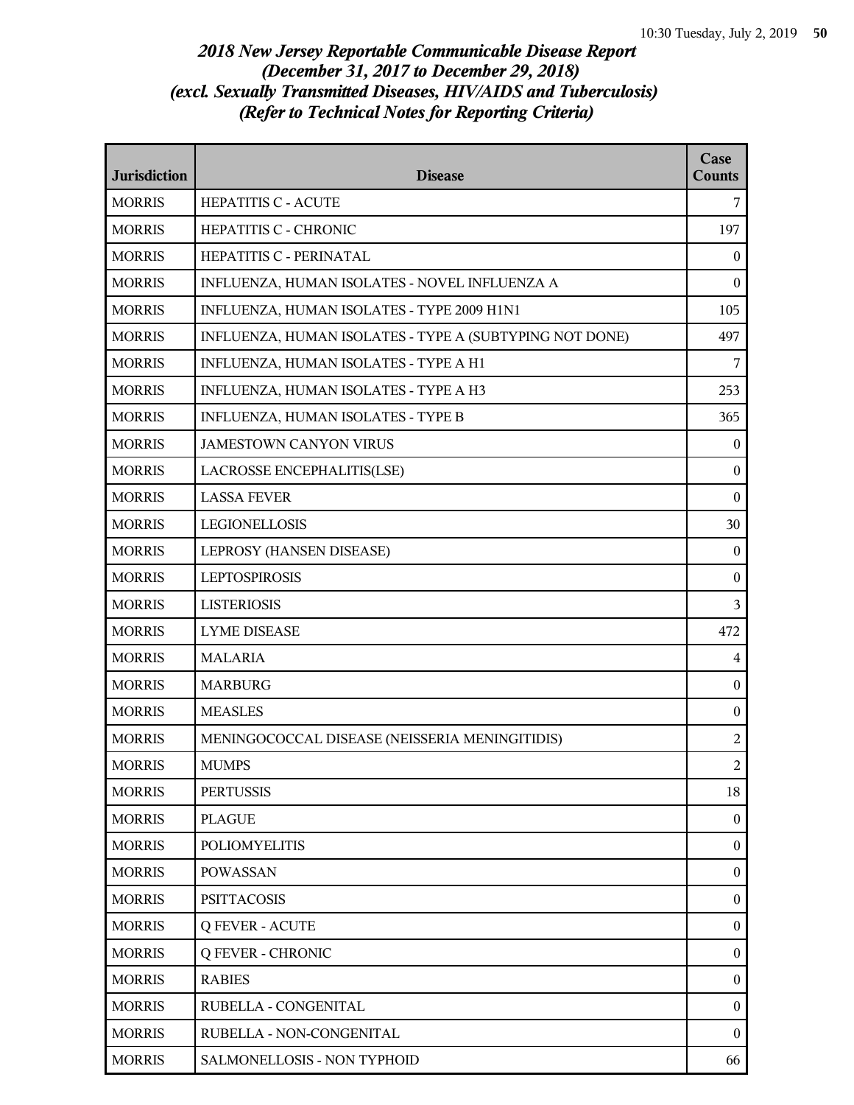| <b>Jurisdiction</b> | <b>Disease</b>                                          | Case<br><b>Counts</b> |
|---------------------|---------------------------------------------------------|-----------------------|
| <b>MORRIS</b>       | <b>HEPATITIS C - ACUTE</b>                              | 7                     |
| <b>MORRIS</b>       | HEPATITIS C - CHRONIC                                   | 197                   |
| <b>MORRIS</b>       | HEPATITIS C - PERINATAL                                 | $\theta$              |
| <b>MORRIS</b>       | INFLUENZA, HUMAN ISOLATES - NOVEL INFLUENZA A           | $\boldsymbol{0}$      |
| <b>MORRIS</b>       | INFLUENZA, HUMAN ISOLATES - TYPE 2009 H1N1              | 105                   |
| <b>MORRIS</b>       | INFLUENZA, HUMAN ISOLATES - TYPE A (SUBTYPING NOT DONE) | 497                   |
| <b>MORRIS</b>       | INFLUENZA, HUMAN ISOLATES - TYPE A H1                   | 7                     |
| <b>MORRIS</b>       | INFLUENZA, HUMAN ISOLATES - TYPE A H3                   | 253                   |
| <b>MORRIS</b>       | INFLUENZA, HUMAN ISOLATES - TYPE B                      | 365                   |
| <b>MORRIS</b>       | <b>JAMESTOWN CANYON VIRUS</b>                           | $\mathbf{0}$          |
| <b>MORRIS</b>       | LACROSSE ENCEPHALITIS(LSE)                              | $\boldsymbol{0}$      |
| <b>MORRIS</b>       | <b>LASSA FEVER</b>                                      | $\boldsymbol{0}$      |
| <b>MORRIS</b>       | <b>LEGIONELLOSIS</b>                                    | 30                    |
| <b>MORRIS</b>       | LEPROSY (HANSEN DISEASE)                                | $\mathbf{0}$          |
| <b>MORRIS</b>       | <b>LEPTOSPIROSIS</b>                                    | $\boldsymbol{0}$      |
| <b>MORRIS</b>       | <b>LISTERIOSIS</b>                                      | 3                     |
| <b>MORRIS</b>       | <b>LYME DISEASE</b>                                     | 472                   |
| <b>MORRIS</b>       | <b>MALARIA</b>                                          | $\overline{4}$        |
| <b>MORRIS</b>       | <b>MARBURG</b>                                          | $\boldsymbol{0}$      |
| <b>MORRIS</b>       | <b>MEASLES</b>                                          | $\boldsymbol{0}$      |
| <b>MORRIS</b>       | MENINGOCOCCAL DISEASE (NEISSERIA MENINGITIDIS)          | $\overline{c}$        |
| <b>MORRIS</b>       | <b>MUMPS</b>                                            | $\overline{2}$        |
| <b>MORRIS</b>       | <b>PERTUSSIS</b>                                        | 18                    |
| <b>MORRIS</b>       | <b>PLAGUE</b>                                           | $\overline{0}$        |
| <b>MORRIS</b>       | <b>POLIOMYELITIS</b>                                    | $\boldsymbol{0}$      |
| <b>MORRIS</b>       | <b>POWASSAN</b>                                         | $\boldsymbol{0}$      |
| <b>MORRIS</b>       | <b>PSITTACOSIS</b>                                      | $\boldsymbol{0}$      |
| <b>MORRIS</b>       | <b>Q FEVER - ACUTE</b>                                  | $\overline{0}$        |
| <b>MORRIS</b>       | <b>Q FEVER - CHRONIC</b>                                | $\overline{0}$        |
| <b>MORRIS</b>       | <b>RABIES</b>                                           | $\boldsymbol{0}$      |
| <b>MORRIS</b>       | RUBELLA - CONGENITAL                                    | $\boldsymbol{0}$      |
| <b>MORRIS</b>       | RUBELLA - NON-CONGENITAL                                | $\theta$              |
| <b>MORRIS</b>       | SALMONELLOSIS - NON TYPHOID                             | 66                    |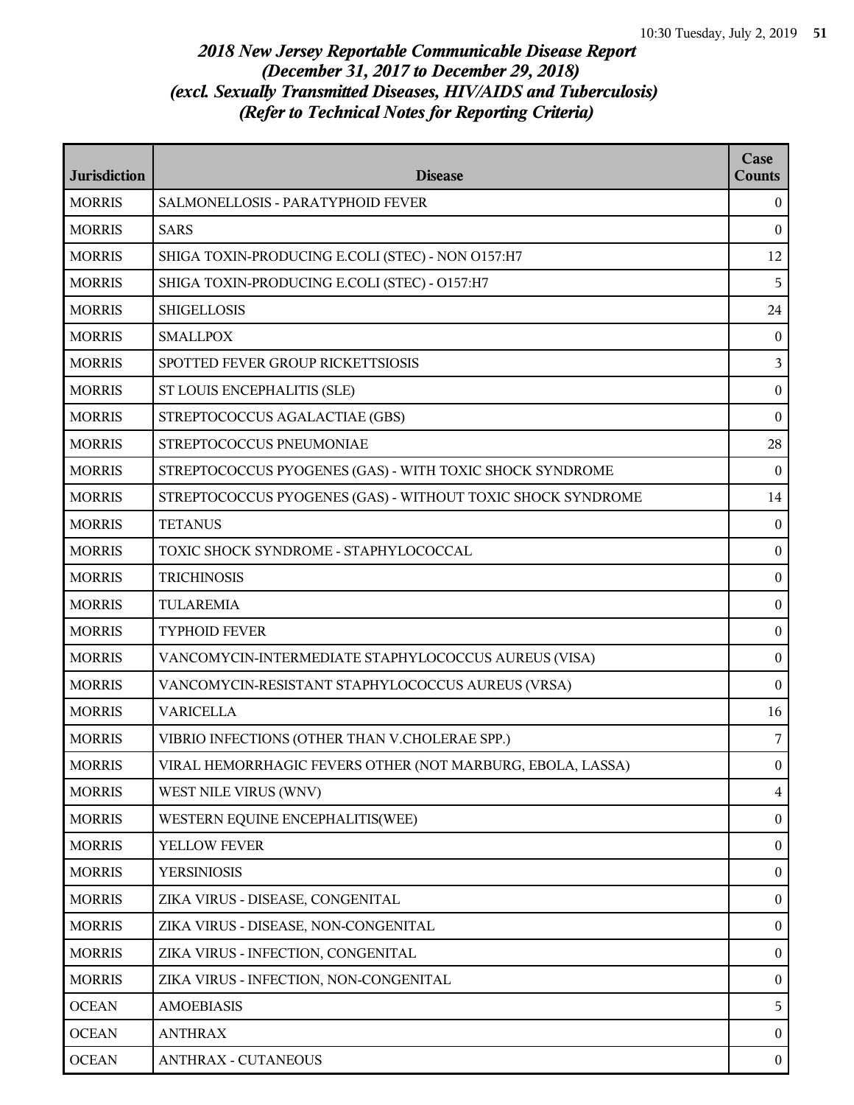| <b>Jurisdiction</b> | <b>Disease</b>                                              | Case<br><b>Counts</b> |
|---------------------|-------------------------------------------------------------|-----------------------|
| <b>MORRIS</b>       | SALMONELLOSIS - PARATYPHOID FEVER                           | $\mathbf{0}$          |
| <b>MORRIS</b>       | <b>SARS</b>                                                 | $\bf{0}$              |
| <b>MORRIS</b>       | SHIGA TOXIN-PRODUCING E.COLI (STEC) - NON O157:H7           | 12                    |
| <b>MORRIS</b>       | SHIGA TOXIN-PRODUCING E.COLI (STEC) - O157:H7               | 5                     |
| <b>MORRIS</b>       | <b>SHIGELLOSIS</b>                                          | 24                    |
| <b>MORRIS</b>       | <b>SMALLPOX</b>                                             | $\bf{0}$              |
| <b>MORRIS</b>       | SPOTTED FEVER GROUP RICKETTSIOSIS                           | 3                     |
| <b>MORRIS</b>       | ST LOUIS ENCEPHALITIS (SLE)                                 | $\bf{0}$              |
| <b>MORRIS</b>       | STREPTOCOCCUS AGALACTIAE (GBS)                              | $\mathbf{0}$          |
| <b>MORRIS</b>       | STREPTOCOCCUS PNEUMONIAE                                    | 28                    |
| <b>MORRIS</b>       | STREPTOCOCCUS PYOGENES (GAS) - WITH TOXIC SHOCK SYNDROME    | $\theta$              |
| <b>MORRIS</b>       | STREPTOCOCCUS PYOGENES (GAS) - WITHOUT TOXIC SHOCK SYNDROME | 14                    |
| <b>MORRIS</b>       | <b>TETANUS</b>                                              | $\theta$              |
| <b>MORRIS</b>       | TOXIC SHOCK SYNDROME - STAPHYLOCOCCAL                       | $\mathbf{0}$          |
| <b>MORRIS</b>       | <b>TRICHINOSIS</b>                                          | $\boldsymbol{0}$      |
| <b>MORRIS</b>       | TULAREMIA                                                   | $\mathbf{0}$          |
| <b>MORRIS</b>       | <b>TYPHOID FEVER</b>                                        | $\bf{0}$              |
| <b>MORRIS</b>       | VANCOMYCIN-INTERMEDIATE STAPHYLOCOCCUS AUREUS (VISA)        | $\bf{0}$              |
| <b>MORRIS</b>       | VANCOMYCIN-RESISTANT STAPHYLOCOCCUS AUREUS (VRSA)           | $\mathbf{0}$          |
| <b>MORRIS</b>       | <b>VARICELLA</b>                                            | 16                    |
| <b>MORRIS</b>       | VIBRIO INFECTIONS (OTHER THAN V.CHOLERAE SPP.)              | 7                     |
| <b>MORRIS</b>       | VIRAL HEMORRHAGIC FEVERS OTHER (NOT MARBURG, EBOLA, LASSA)  | $\mathbf{0}$          |
| <b>MORRIS</b>       | WEST NILE VIRUS (WNV)                                       | 4                     |
| <b>MORRIS</b>       | WESTERN EQUINE ENCEPHALITIS(WEE)                            | $\boldsymbol{0}$      |
| <b>MORRIS</b>       | YELLOW FEVER                                                | $\boldsymbol{0}$      |
| <b>MORRIS</b>       | <b>YERSINIOSIS</b>                                          | $\boldsymbol{0}$      |
| <b>MORRIS</b>       | ZIKA VIRUS - DISEASE, CONGENITAL                            | $\mathbf{0}$          |
| <b>MORRIS</b>       | ZIKA VIRUS - DISEASE, NON-CONGENITAL                        | $\boldsymbol{0}$      |
| <b>MORRIS</b>       | ZIKA VIRUS - INFECTION, CONGENITAL                          | $\boldsymbol{0}$      |
| <b>MORRIS</b>       | ZIKA VIRUS - INFECTION, NON-CONGENITAL                      | $\boldsymbol{0}$      |
| <b>OCEAN</b>        | <b>AMOEBIASIS</b>                                           | 5                     |
| <b>OCEAN</b>        | <b>ANTHRAX</b>                                              | $\mathbf{0}$          |
| <b>OCEAN</b>        | <b>ANTHRAX - CUTANEOUS</b>                                  | $\boldsymbol{0}$      |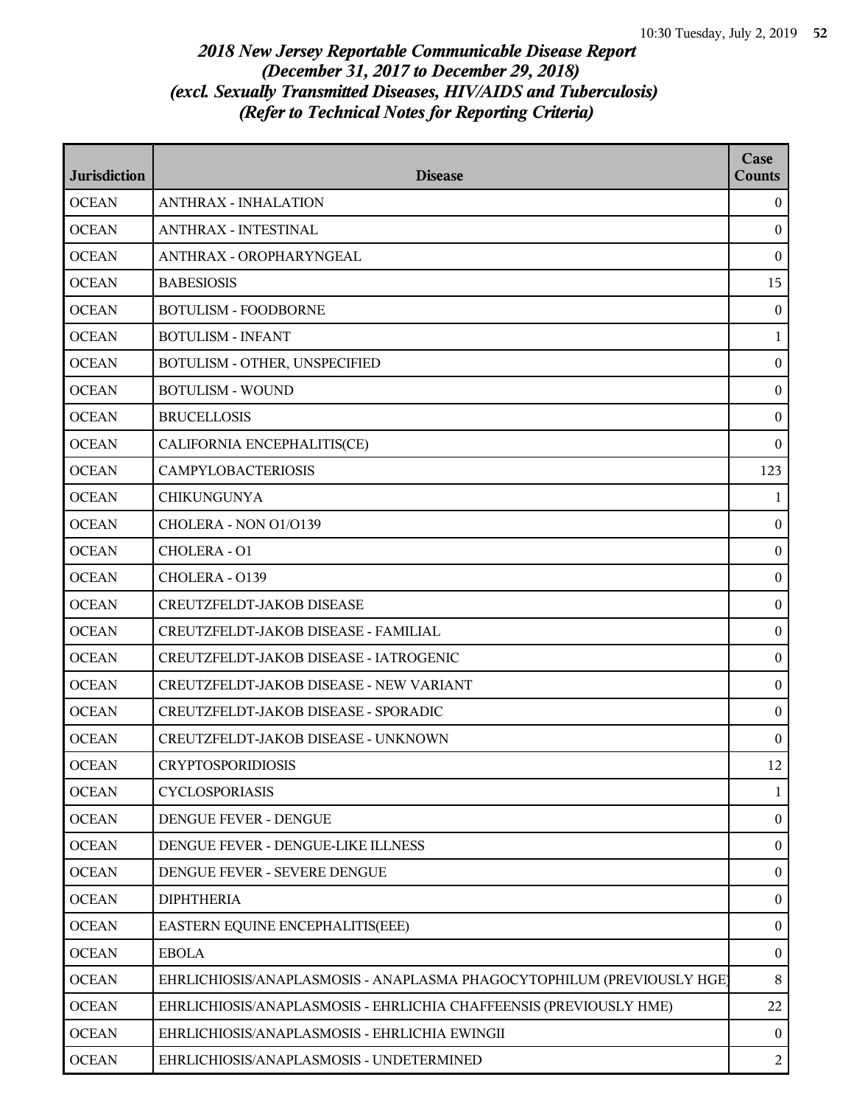| <b>Jurisdiction</b> | <b>Disease</b>                                                         | Case<br>Counts   |
|---------------------|------------------------------------------------------------------------|------------------|
| <b>OCEAN</b>        | <b>ANTHRAX - INHALATION</b>                                            | $\overline{0}$   |
| <b>OCEAN</b>        | <b>ANTHRAX - INTESTINAL</b>                                            | $\mathbf{0}$     |
| <b>OCEAN</b>        | ANTHRAX - OROPHARYNGEAL                                                | $\bf{0}$         |
| <b>OCEAN</b>        | <b>BABESIOSIS</b>                                                      | 15               |
| <b>OCEAN</b>        | <b>BOTULISM - FOODBORNE</b>                                            | $\mathbf{0}$     |
| <b>OCEAN</b>        | <b>BOTULISM - INFANT</b>                                               | $\mathbf{1}$     |
| <b>OCEAN</b>        | BOTULISM - OTHER, UNSPECIFIED                                          | $\boldsymbol{0}$ |
| <b>OCEAN</b>        | <b>BOTULISM - WOUND</b>                                                | $\boldsymbol{0}$ |
| <b>OCEAN</b>        | <b>BRUCELLOSIS</b>                                                     | $\bf{0}$         |
| <b>OCEAN</b>        | CALIFORNIA ENCEPHALITIS(CE)                                            | $\mathbf{0}$     |
| <b>OCEAN</b>        | <b>CAMPYLOBACTERIOSIS</b>                                              | 123              |
| <b>OCEAN</b>        | <b>CHIKUNGUNYA</b>                                                     | 1                |
| <b>OCEAN</b>        | CHOLERA - NON 01/0139                                                  | $\boldsymbol{0}$ |
| <b>OCEAN</b>        | CHOLERA - O1                                                           | $\bf{0}$         |
| <b>OCEAN</b>        | CHOLERA - 0139                                                         | $\mathbf{0}$     |
| <b>OCEAN</b>        | CREUTZFELDT-JAKOB DISEASE                                              | $\bf{0}$         |
| <b>OCEAN</b>        | CREUTZFELDT-JAKOB DISEASE - FAMILIAL                                   | $\boldsymbol{0}$ |
| <b>OCEAN</b>        | CREUTZFELDT-JAKOB DISEASE - IATROGENIC                                 | $\boldsymbol{0}$ |
| <b>OCEAN</b>        | CREUTZFELDT-JAKOB DISEASE - NEW VARIANT                                | $\bf{0}$         |
| <b>OCEAN</b>        | CREUTZFELDT-JAKOB DISEASE - SPORADIC                                   | $\mathbf{0}$     |
| <b>OCEAN</b>        | CREUTZFELDT-JAKOB DISEASE - UNKNOWN                                    | $\bf{0}$         |
| <b>OCEAN</b>        | <b>CRYPTOSPORIDIOSIS</b>                                               | 12               |
| <b>OCEAN</b>        | <b>CYCLOSPORIASIS</b>                                                  | $\mathbf{1}$     |
| <b>OCEAN</b>        | DENGUE FEVER - DENGUE                                                  | $\mathbf{0}$     |
| <b>OCEAN</b>        | DENGUE FEVER - DENGUE-LIKE ILLNESS                                     | $\mathbf{0}$     |
| <b>OCEAN</b>        | DENGUE FEVER - SEVERE DENGUE                                           | $\bf{0}$         |
| <b>OCEAN</b>        | <b>DIPHTHERIA</b>                                                      | $\bf{0}$         |
| <b>OCEAN</b>        | EASTERN EQUINE ENCEPHALITIS(EEE)                                       | $\bf{0}$         |
| <b>OCEAN</b>        | <b>EBOLA</b>                                                           | $\bf{0}$         |
| <b>OCEAN</b>        | EHRLICHIOSIS/ANAPLASMOSIS - ANAPLASMA PHAGOCYTOPHILUM (PREVIOUSLY HGE) | 8                |
| <b>OCEAN</b>        | EHRLICHIOSIS/ANAPLASMOSIS - EHRLICHIA CHAFFEENSIS (PREVIOUSLY HME)     | 22               |
| <b>OCEAN</b>        | EHRLICHIOSIS/ANAPLASMOSIS - EHRLICHIA EWINGII                          | $\theta$         |
| <b>OCEAN</b>        | EHRLICHIOSIS/ANAPLASMOSIS - UNDETERMINED                               | $\overline{a}$   |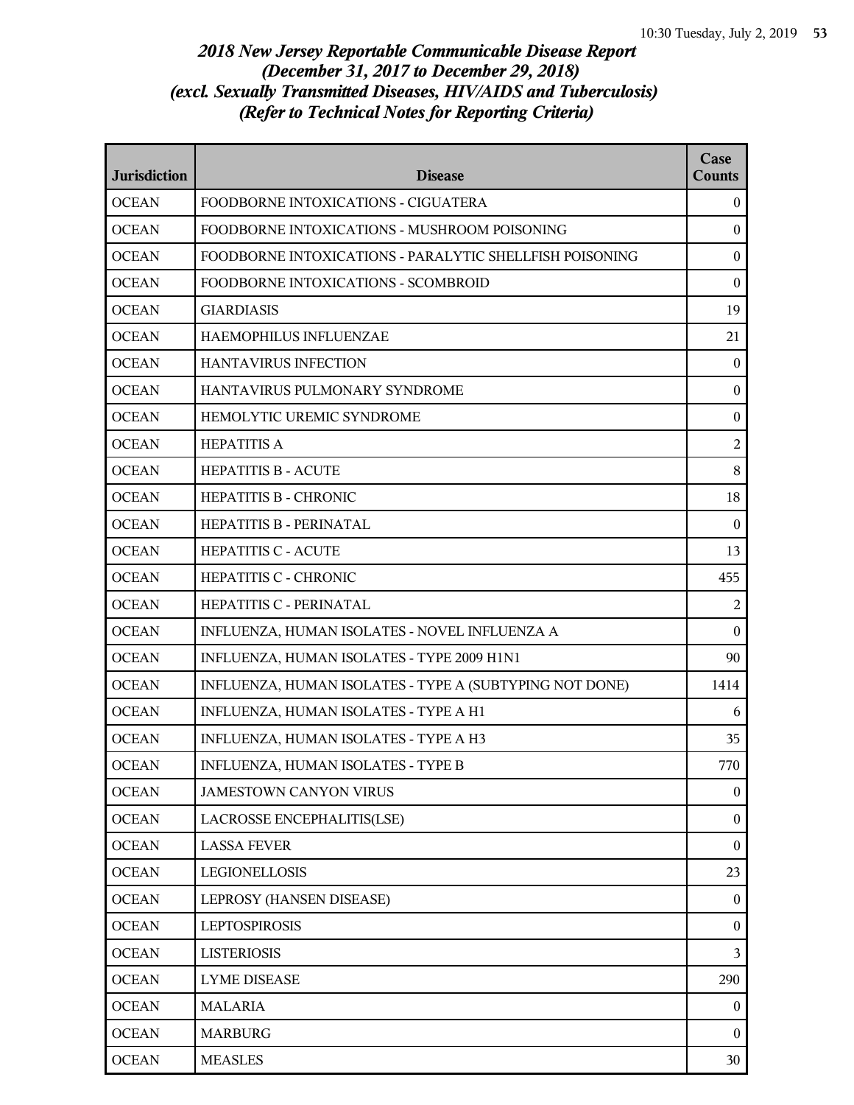| <b>Jurisdiction</b> | <b>Disease</b>                                          | Case<br><b>Counts</b> |
|---------------------|---------------------------------------------------------|-----------------------|
| <b>OCEAN</b>        | FOODBORNE INTOXICATIONS - CIGUATERA                     | $\overline{0}$        |
| <b>OCEAN</b>        | FOODBORNE INTOXICATIONS - MUSHROOM POISONING            | $\boldsymbol{0}$      |
| <b>OCEAN</b>        | FOODBORNE INTOXICATIONS - PARALYTIC SHELLFISH POISONING | $\mathbf{0}$          |
| <b>OCEAN</b>        | FOODBORNE INTOXICATIONS - SCOMBROID                     | $\mathbf{0}$          |
| <b>OCEAN</b>        | <b>GIARDIASIS</b>                                       | 19                    |
| <b>OCEAN</b>        | HAEMOPHILUS INFLUENZAE                                  | 21                    |
| <b>OCEAN</b>        | <b>HANTAVIRUS INFECTION</b>                             | $\overline{0}$        |
| <b>OCEAN</b>        | HANTAVIRUS PULMONARY SYNDROME                           | $\mathbf{0}$          |
| <b>OCEAN</b>        | HEMOLYTIC UREMIC SYNDROME                               | $\boldsymbol{0}$      |
| <b>OCEAN</b>        | <b>HEPATITIS A</b>                                      | $\overline{2}$        |
| <b>OCEAN</b>        | <b>HEPATITIS B - ACUTE</b>                              | 8                     |
| <b>OCEAN</b>        | <b>HEPATITIS B - CHRONIC</b>                            | 18                    |
| <b>OCEAN</b>        | HEPATITIS B - PERINATAL                                 | $\Omega$              |
| <b>OCEAN</b>        | <b>HEPATITIS C - ACUTE</b>                              | 13                    |
| <b>OCEAN</b>        | HEPATITIS C - CHRONIC                                   | 455                   |
| <b>OCEAN</b>        | HEPATITIS C - PERINATAL                                 | 2                     |
| <b>OCEAN</b>        | INFLUENZA, HUMAN ISOLATES - NOVEL INFLUENZA A           | $\mathbf{0}$          |
| <b>OCEAN</b>        | INFLUENZA, HUMAN ISOLATES - TYPE 2009 H1N1              | 90                    |
| <b>OCEAN</b>        | INFLUENZA, HUMAN ISOLATES - TYPE A (SUBTYPING NOT DONE) | 1414                  |
| <b>OCEAN</b>        | INFLUENZA, HUMAN ISOLATES - TYPE A H1                   | 6                     |
| <b>OCEAN</b>        | INFLUENZA, HUMAN ISOLATES - TYPE A H3                   | 35                    |
| <b>OCEAN</b>        | INFLUENZA, HUMAN ISOLATES - TYPE B                      | 770                   |
| <b>OCEAN</b>        | <b>JAMESTOWN CANYON VIRUS</b>                           | $\mathbf{0}$          |
| <b>OCEAN</b>        | LACROSSE ENCEPHALITIS(LSE)                              | $\boldsymbol{0}$      |
| <b>OCEAN</b>        | <b>LASSA FEVER</b>                                      | $\boldsymbol{0}$      |
| <b>OCEAN</b>        | LEGIONELLOSIS                                           | 23                    |
| <b>OCEAN</b>        | LEPROSY (HANSEN DISEASE)                                | $\overline{0}$        |
| <b>OCEAN</b>        | <b>LEPTOSPIROSIS</b>                                    | $\boldsymbol{0}$      |
| <b>OCEAN</b>        | <b>LISTERIOSIS</b>                                      | $\overline{3}$        |
| <b>OCEAN</b>        | <b>LYME DISEASE</b>                                     | 290                   |
| <b>OCEAN</b>        | <b>MALARIA</b>                                          | $\boldsymbol{0}$      |
| <b>OCEAN</b>        | <b>MARBURG</b>                                          | $\overline{0}$        |
| <b>OCEAN</b>        | <b>MEASLES</b>                                          | 30                    |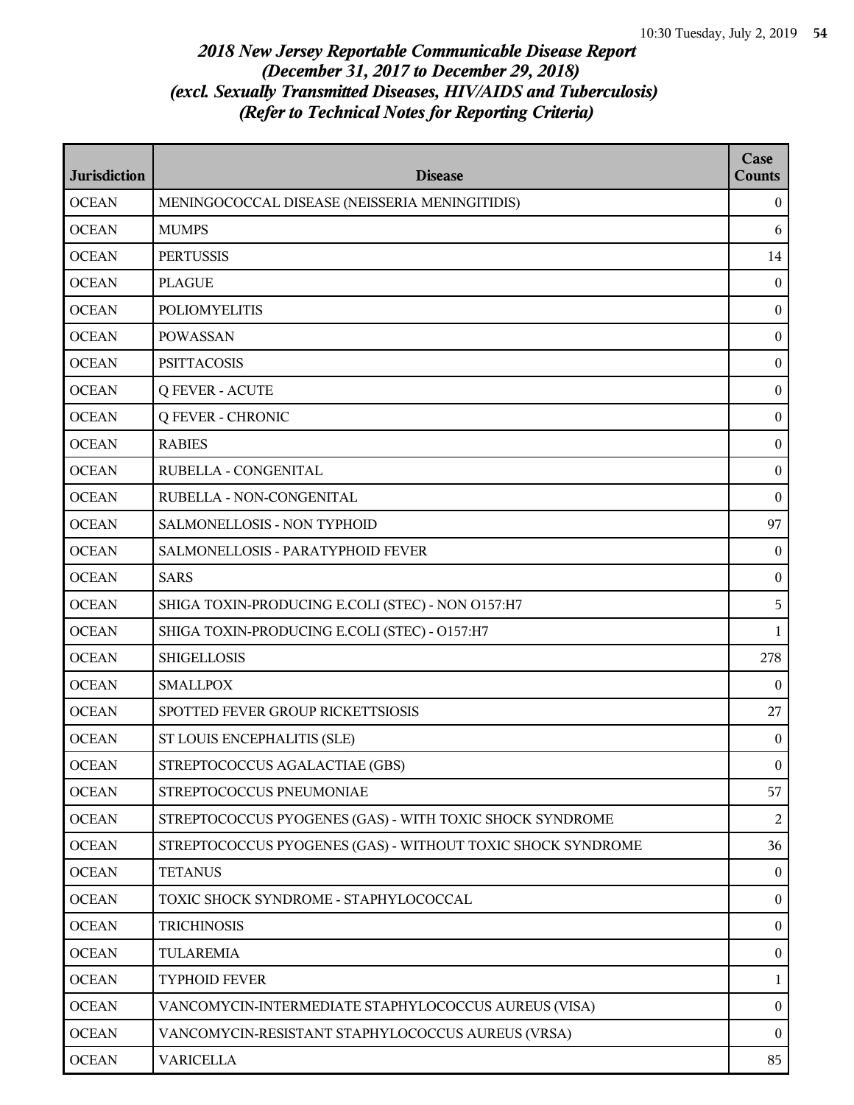| <b>Jurisdiction</b> | <b>Disease</b>                                              | Case<br><b>Counts</b> |
|---------------------|-------------------------------------------------------------|-----------------------|
| <b>OCEAN</b>        | MENINGOCOCCAL DISEASE (NEISSERIA MENINGITIDIS)              | $\theta$              |
| <b>OCEAN</b>        | <b>MUMPS</b>                                                | 6                     |
| <b>OCEAN</b>        | <b>PERTUSSIS</b>                                            | 14                    |
| <b>OCEAN</b>        | <b>PLAGUE</b>                                               | $\mathbf{0}$          |
| <b>OCEAN</b>        | <b>POLIOMYELITIS</b>                                        | $\boldsymbol{0}$      |
| <b>OCEAN</b>        | <b>POWASSAN</b>                                             | $\bf{0}$              |
| <b>OCEAN</b>        | <b>PSITTACOSIS</b>                                          | $\boldsymbol{0}$      |
| <b>OCEAN</b>        | <b>Q FEVER - ACUTE</b>                                      | $\boldsymbol{0}$      |
| <b>OCEAN</b>        | <b>Q FEVER - CHRONIC</b>                                    | $\mathbf{0}$          |
| <b>OCEAN</b>        | <b>RABIES</b>                                               | $\boldsymbol{0}$      |
| <b>OCEAN</b>        | RUBELLA - CONGENITAL                                        | $\bf{0}$              |
| <b>OCEAN</b>        | RUBELLA - NON-CONGENITAL                                    | $\bf{0}$              |
| <b>OCEAN</b>        | SALMONELLOSIS - NON TYPHOID                                 | 97                    |
| <b>OCEAN</b>        | SALMONELLOSIS - PARATYPHOID FEVER                           | $\mathbf{0}$          |
| <b>OCEAN</b>        | <b>SARS</b>                                                 | $\boldsymbol{0}$      |
| <b>OCEAN</b>        | SHIGA TOXIN-PRODUCING E.COLI (STEC) - NON 0157:H7           | 5                     |
| <b>OCEAN</b>        | SHIGA TOXIN-PRODUCING E.COLI (STEC) - O157:H7               | 1                     |
| <b>OCEAN</b>        | <b>SHIGELLOSIS</b>                                          | 278                   |
| <b>OCEAN</b>        | <b>SMALLPOX</b>                                             | $\theta$              |
| <b>OCEAN</b>        | SPOTTED FEVER GROUP RICKETTSIOSIS                           | 27                    |
| <b>OCEAN</b>        | ST LOUIS ENCEPHALITIS (SLE)                                 | $\bf{0}$              |
| <b>OCEAN</b>        | STREPTOCOCCUS AGALACTIAE (GBS)                              | $\boldsymbol{0}$      |
| <b>OCEAN</b>        | STREPTOCOCCUS PNEUMONIAE                                    | 57                    |
| <b>OCEAN</b>        | STREPTOCOCCUS PYOGENES (GAS) - WITH TOXIC SHOCK SYNDROME    | 2                     |
| <b>OCEAN</b>        | STREPTOCOCCUS PYOGENES (GAS) - WITHOUT TOXIC SHOCK SYNDROME | 36                    |
| <b>OCEAN</b>        | <b>TETANUS</b>                                              | $\overline{0}$        |
| <b>OCEAN</b>        | TOXIC SHOCK SYNDROME - STAPHYLOCOCCAL                       | $\mathbf{0}$          |
| <b>OCEAN</b>        | <b>TRICHINOSIS</b>                                          | $\boldsymbol{0}$      |
| <b>OCEAN</b>        | TULAREMIA                                                   | $\boldsymbol{0}$      |
| <b>OCEAN</b>        | <b>TYPHOID FEVER</b>                                        | 1                     |
| <b>OCEAN</b>        | VANCOMYCIN-INTERMEDIATE STAPHYLOCOCCUS AUREUS (VISA)        | $\mathbf{0}$          |
| <b>OCEAN</b>        | VANCOMYCIN-RESISTANT STAPHYLOCOCCUS AUREUS (VRSA)           | $\theta$              |
| <b>OCEAN</b>        | <b>VARICELLA</b>                                            | 85                    |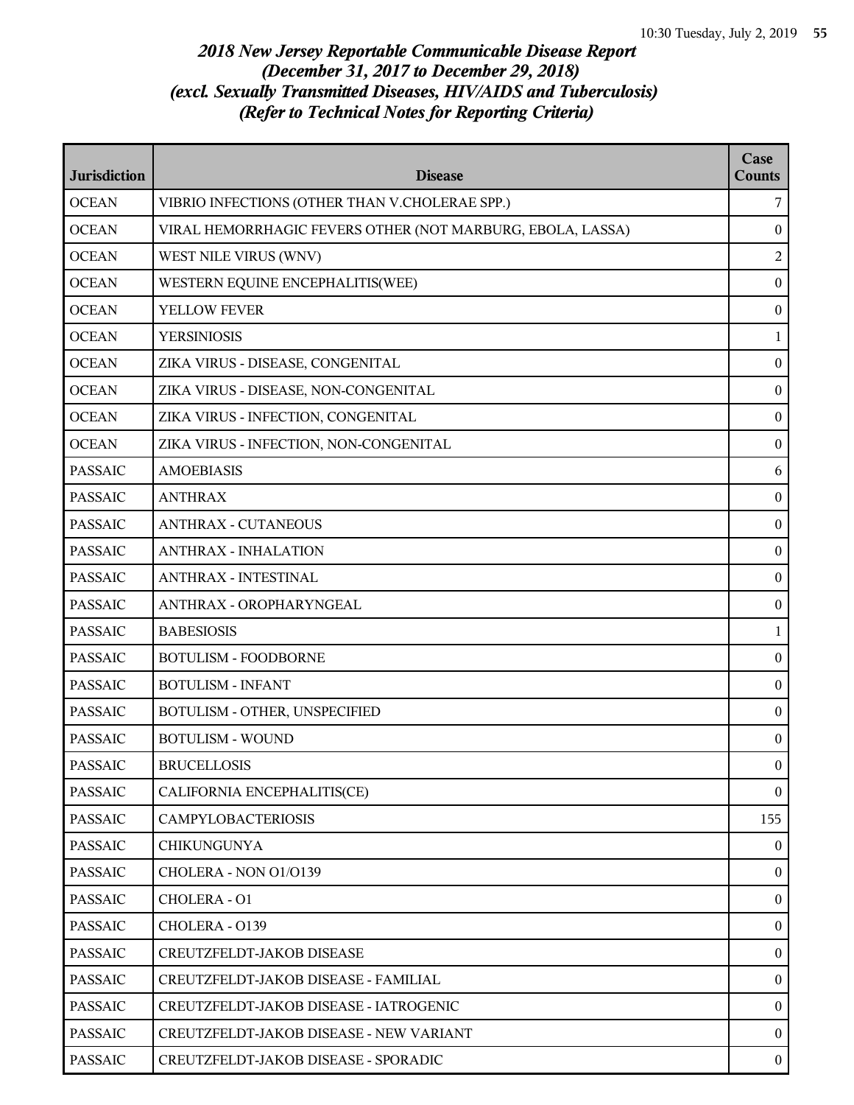| <b>Jurisdiction</b> | <b>Disease</b>                                             | Case<br><b>Counts</b> |
|---------------------|------------------------------------------------------------|-----------------------|
| <b>OCEAN</b>        | VIBRIO INFECTIONS (OTHER THAN V.CHOLERAE SPP.)             | 7                     |
| <b>OCEAN</b>        | VIRAL HEMORRHAGIC FEVERS OTHER (NOT MARBURG, EBOLA, LASSA) | $\bf{0}$              |
| <b>OCEAN</b>        | WEST NILE VIRUS (WNV)                                      | $\overline{2}$        |
| <b>OCEAN</b>        | WESTERN EQUINE ENCEPHALITIS(WEE)                           | $\boldsymbol{0}$      |
| <b>OCEAN</b>        | <b>YELLOW FEVER</b>                                        | $\bf{0}$              |
| <b>OCEAN</b>        | <b>YERSINIOSIS</b>                                         | 1                     |
| <b>OCEAN</b>        | ZIKA VIRUS - DISEASE, CONGENITAL                           | $\bf{0}$              |
| <b>OCEAN</b>        | ZIKA VIRUS - DISEASE, NON-CONGENITAL                       | $\boldsymbol{0}$      |
| <b>OCEAN</b>        | ZIKA VIRUS - INFECTION, CONGENITAL                         | $\boldsymbol{0}$      |
| <b>OCEAN</b>        | ZIKA VIRUS - INFECTION, NON-CONGENITAL                     | $\mathbf{0}$          |
| <b>PASSAIC</b>      | <b>AMOEBIASIS</b>                                          | 6                     |
| <b>PASSAIC</b>      | <b>ANTHRAX</b>                                             | $\bf{0}$              |
| <b>PASSAIC</b>      | <b>ANTHRAX - CUTANEOUS</b>                                 | $\boldsymbol{0}$      |
| <b>PASSAIC</b>      | <b>ANTHRAX - INHALATION</b>                                | $\boldsymbol{0}$      |
| <b>PASSAIC</b>      | <b>ANTHRAX - INTESTINAL</b>                                | $\mathbf{0}$          |
| <b>PASSAIC</b>      | ANTHRAX - OROPHARYNGEAL                                    | $\boldsymbol{0}$      |
| <b>PASSAIC</b>      | <b>BABESIOSIS</b>                                          | 1                     |
| <b>PASSAIC</b>      | <b>BOTULISM - FOODBORNE</b>                                | $\boldsymbol{0}$      |
| <b>PASSAIC</b>      | <b>BOTULISM - INFANT</b>                                   | $\boldsymbol{0}$      |
| <b>PASSAIC</b>      | BOTULISM - OTHER, UNSPECIFIED                              | $\mathbf{0}$          |
| <b>PASSAIC</b>      | <b>BOTULISM - WOUND</b>                                    | $\mathbf{0}$          |
| <b>PASSAIC</b>      | <b>BRUCELLOSIS</b>                                         | $\Omega$              |
| <b>PASSAIC</b>      | CALIFORNIA ENCEPHALITIS(CE)                                | $\mathbf{0}$          |
| <b>PASSAIC</b>      | <b>CAMPYLOBACTERIOSIS</b>                                  | 155                   |
| PASSAIC             | <b>CHIKUNGUNYA</b>                                         | $\mathbf{0}$          |
| <b>PASSAIC</b>      | CHOLERA - NON 01/0139                                      | $\bf{0}$              |
| <b>PASSAIC</b>      | CHOLERA - 01                                               | $\mathbf{0}$          |
| <b>PASSAIC</b>      | CHOLERA - 0139                                             | $\mathbf{0}$          |
| <b>PASSAIC</b>      | CREUTZFELDT-JAKOB DISEASE                                  | $\boldsymbol{0}$      |
| PASSAIC             | CREUTZFELDT-JAKOB DISEASE - FAMILIAL                       | $\mathbf{0}$          |
| <b>PASSAIC</b>      | CREUTZFELDT-JAKOB DISEASE - IATROGENIC                     | $\boldsymbol{0}$      |
| <b>PASSAIC</b>      | CREUTZFELDT-JAKOB DISEASE - NEW VARIANT                    | $\mathbf{0}$          |
| <b>PASSAIC</b>      | CREUTZFELDT-JAKOB DISEASE - SPORADIC                       | $\boldsymbol{0}$      |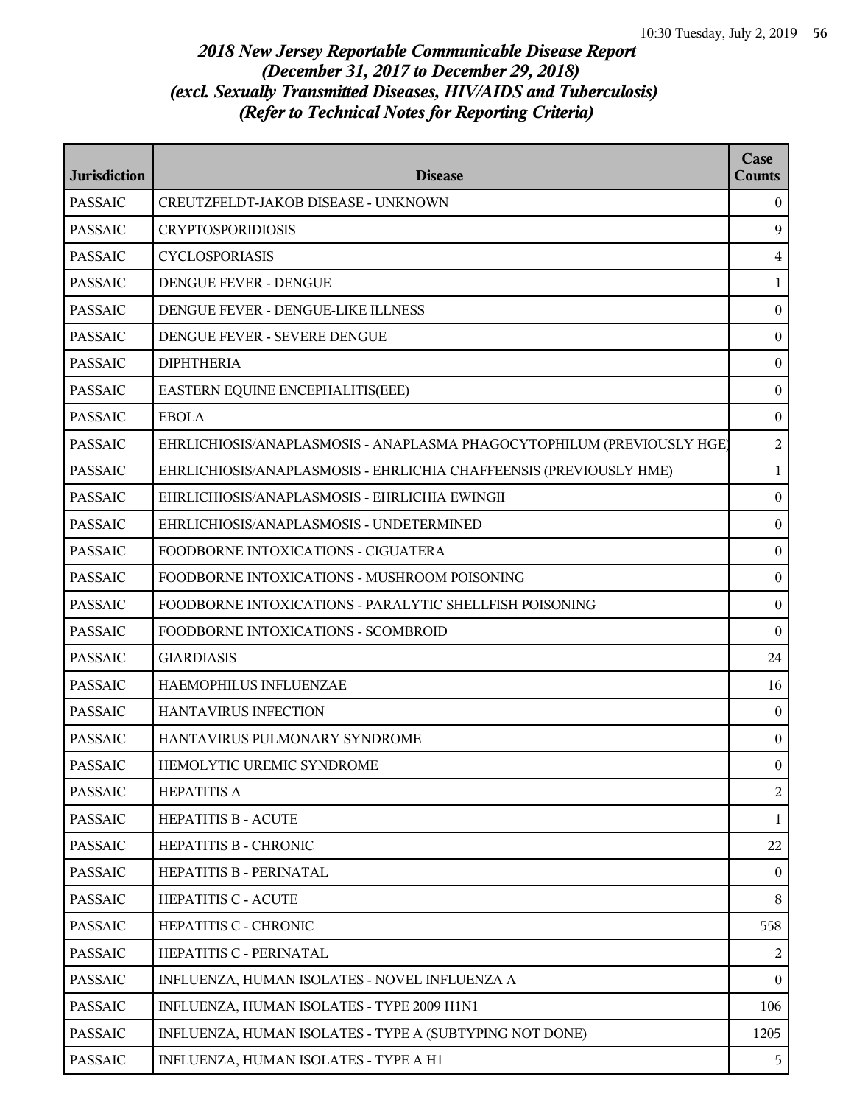| <b>Jurisdiction</b> | <b>Disease</b>                                                         | Case<br><b>Counts</b> |
|---------------------|------------------------------------------------------------------------|-----------------------|
| <b>PASSAIC</b>      | CREUTZFELDT-JAKOB DISEASE - UNKNOWN                                    | $\overline{0}$        |
| <b>PASSAIC</b>      | <b>CRYPTOSPORIDIOSIS</b>                                               | 9                     |
| <b>PASSAIC</b>      | <b>CYCLOSPORIASIS</b>                                                  | $\overline{4}$        |
| <b>PASSAIC</b>      | DENGUE FEVER - DENGUE                                                  | $\mathbf{1}$          |
| <b>PASSAIC</b>      | DENGUE FEVER - DENGUE-LIKE ILLNESS                                     | $\mathbf{0}$          |
| <b>PASSAIC</b>      | DENGUE FEVER - SEVERE DENGUE                                           | $\overline{0}$        |
| <b>PASSAIC</b>      | <b>DIPHTHERIA</b>                                                      | $\boldsymbol{0}$      |
| <b>PASSAIC</b>      | EASTERN EQUINE ENCEPHALITIS(EEE)                                       | $\boldsymbol{0}$      |
| <b>PASSAIC</b>      | <b>EBOLA</b>                                                           | $\boldsymbol{0}$      |
| <b>PASSAIC</b>      | EHRLICHIOSIS/ANAPLASMOSIS - ANAPLASMA PHAGOCYTOPHILUM (PREVIOUSLY HGE) | $\overline{a}$        |
| <b>PASSAIC</b>      | EHRLICHIOSIS/ANAPLASMOSIS - EHRLICHIA CHAFFEENSIS (PREVIOUSLY HME)     | $\mathbf{1}$          |
| <b>PASSAIC</b>      | EHRLICHIOSIS/ANAPLASMOSIS - EHRLICHIA EWINGII                          | $\boldsymbol{0}$      |
| <b>PASSAIC</b>      | EHRLICHIOSIS/ANAPLASMOSIS - UNDETERMINED                               | $\boldsymbol{0}$      |
| <b>PASSAIC</b>      | FOODBORNE INTOXICATIONS - CIGUATERA                                    | $\boldsymbol{0}$      |
| <b>PASSAIC</b>      | FOODBORNE INTOXICATIONS - MUSHROOM POISONING                           | $\overline{0}$        |
| <b>PASSAIC</b>      | FOODBORNE INTOXICATIONS - PARALYTIC SHELLFISH POISONING                | $\overline{0}$        |
| <b>PASSAIC</b>      | FOODBORNE INTOXICATIONS - SCOMBROID                                    | $\boldsymbol{0}$      |
| <b>PASSAIC</b>      | <b>GIARDIASIS</b>                                                      | 24                    |
| <b>PASSAIC</b>      | HAEMOPHILUS INFLUENZAE                                                 | 16                    |
| <b>PASSAIC</b>      | HANTAVIRUS INFECTION                                                   | $\boldsymbol{0}$      |
| <b>PASSAIC</b>      | HANTAVIRUS PULMONARY SYNDROME                                          | $\overline{0}$        |
| <b>PASSAIC</b>      | HEMOLYTIC UREMIC SYNDROME                                              | $\overline{0}$        |
| <b>PASSAIC</b>      | <b>HEPATITIS A</b>                                                     | 2                     |
| <b>PASSAIC</b>      | HEPATITIS B - ACUTE                                                    | $\mathbf{1}$          |
| <b>PASSAIC</b>      | HEPATITIS B - CHRONIC                                                  | 22                    |
| <b>PASSAIC</b>      | HEPATITIS B - PERINATAL                                                | $\overline{0}$        |
| <b>PASSAIC</b>      | HEPATITIS C - ACUTE                                                    | 8                     |
| <b>PASSAIC</b>      | HEPATITIS C - CHRONIC                                                  | 558                   |
| <b>PASSAIC</b>      | HEPATITIS C - PERINATAL                                                | 2                     |
| <b>PASSAIC</b>      | INFLUENZA, HUMAN ISOLATES - NOVEL INFLUENZA A                          | $\overline{0}$        |
| <b>PASSAIC</b>      | INFLUENZA, HUMAN ISOLATES - TYPE 2009 H1N1                             | 106                   |
| <b>PASSAIC</b>      | INFLUENZA, HUMAN ISOLATES - TYPE A (SUBTYPING NOT DONE)                | 1205                  |
| <b>PASSAIC</b>      | INFLUENZA, HUMAN ISOLATES - TYPE A H1                                  | 5                     |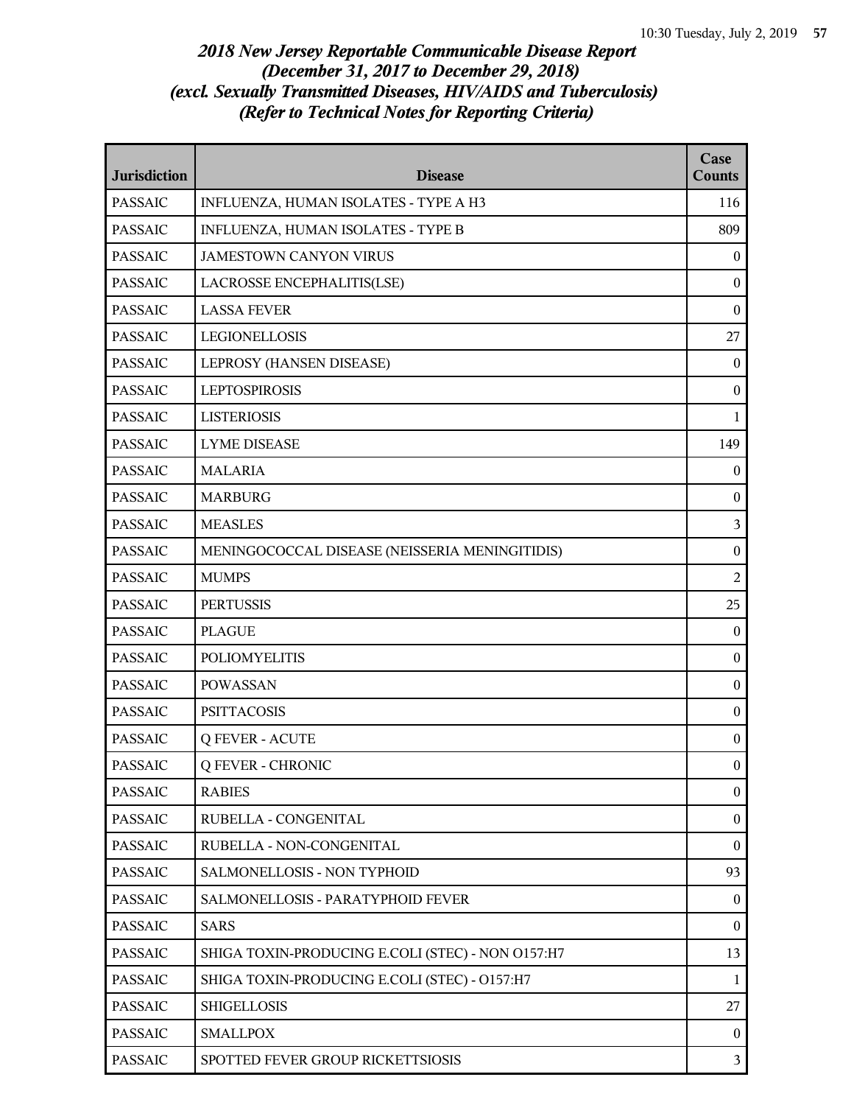| <b>Jurisdiction</b> | <b>Disease</b>                                    | Case<br><b>Counts</b> |
|---------------------|---------------------------------------------------|-----------------------|
| <b>PASSAIC</b>      | INFLUENZA, HUMAN ISOLATES - TYPE A H3             | 116                   |
| <b>PASSAIC</b>      | INFLUENZA, HUMAN ISOLATES - TYPE B                | 809                   |
| <b>PASSAIC</b>      | <b>JAMESTOWN CANYON VIRUS</b>                     | $\mathbf{0}$          |
| <b>PASSAIC</b>      | LACROSSE ENCEPHALITIS(LSE)                        | $\boldsymbol{0}$      |
| <b>PASSAIC</b>      | <b>LASSA FEVER</b>                                | $\boldsymbol{0}$      |
| <b>PASSAIC</b>      | <b>LEGIONELLOSIS</b>                              | 27                    |
| <b>PASSAIC</b>      | LEPROSY (HANSEN DISEASE)                          | $\mathbf{0}$          |
| <b>PASSAIC</b>      | <b>LEPTOSPIROSIS</b>                              | $\mathbf{0}$          |
| <b>PASSAIC</b>      | <b>LISTERIOSIS</b>                                | $\mathbf{1}$          |
| <b>PASSAIC</b>      | <b>LYME DISEASE</b>                               | 149                   |
| <b>PASSAIC</b>      | <b>MALARIA</b>                                    | $\boldsymbol{0}$      |
| <b>PASSAIC</b>      | <b>MARBURG</b>                                    | $\mathbf{0}$          |
| <b>PASSAIC</b>      | <b>MEASLES</b>                                    | 3                     |
| <b>PASSAIC</b>      | MENINGOCOCCAL DISEASE (NEISSERIA MENINGITIDIS)    | $\boldsymbol{0}$      |
| <b>PASSAIC</b>      | <b>MUMPS</b>                                      | $\overline{2}$        |
| <b>PASSAIC</b>      | <b>PERTUSSIS</b>                                  | 25                    |
| <b>PASSAIC</b>      | <b>PLAGUE</b>                                     | $\mathbf{0}$          |
| <b>PASSAIC</b>      | <b>POLIOMYELITIS</b>                              | $\mathbf{0}$          |
| <b>PASSAIC</b>      | <b>POWASSAN</b>                                   | $\boldsymbol{0}$      |
| <b>PASSAIC</b>      | <b>PSITTACOSIS</b>                                | $\boldsymbol{0}$      |
| <b>PASSAIC</b>      | <b>Q FEVER - ACUTE</b>                            | $\boldsymbol{0}$      |
| <b>PASSAIC</b>      | <b>Q FEVER - CHRONIC</b>                          | $\mathbf{0}$          |
| <b>PASSAIC</b>      | <b>RABIES</b>                                     | $\boldsymbol{0}$      |
| <b>PASSAIC</b>      | RUBELLA - CONGENITAL                              | $\boldsymbol{0}$      |
| <b>PASSAIC</b>      | RUBELLA - NON-CONGENITAL                          | $\boldsymbol{0}$      |
| <b>PASSAIC</b>      | SALMONELLOSIS - NON TYPHOID                       | 93                    |
| <b>PASSAIC</b>      | SALMONELLOSIS - PARATYPHOID FEVER                 | $\mathbf{0}$          |
| <b>PASSAIC</b>      | <b>SARS</b>                                       | $\mathbf{0}$          |
| <b>PASSAIC</b>      | SHIGA TOXIN-PRODUCING E.COLI (STEC) - NON O157:H7 | 13                    |
| <b>PASSAIC</b>      | SHIGA TOXIN-PRODUCING E.COLI (STEC) - O157:H7     | $\mathbf{1}$          |
| <b>PASSAIC</b>      | <b>SHIGELLOSIS</b>                                | 27                    |
| <b>PASSAIC</b>      | <b>SMALLPOX</b>                                   | $\overline{0}$        |
| <b>PASSAIC</b>      | SPOTTED FEVER GROUP RICKETTSIOSIS                 | $\overline{3}$        |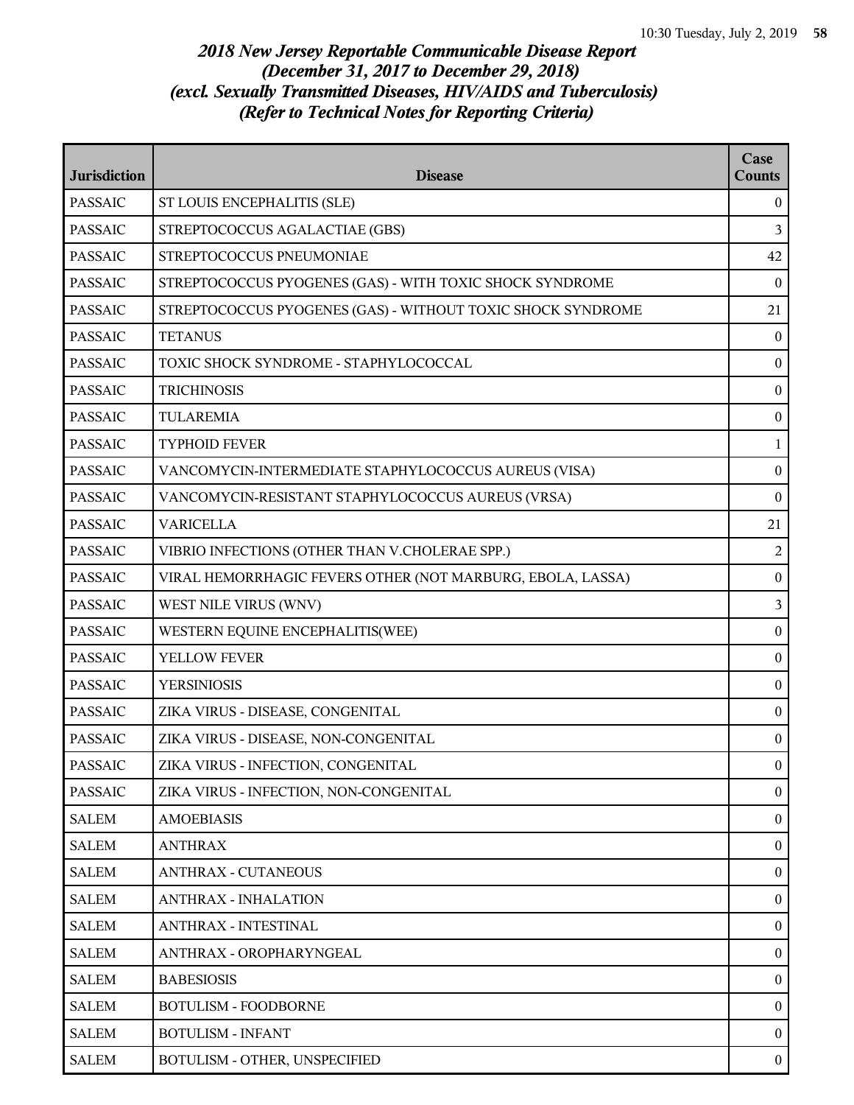| <b>Jurisdiction</b> | <b>Disease</b>                                              | Case<br><b>Counts</b> |
|---------------------|-------------------------------------------------------------|-----------------------|
| <b>PASSAIC</b>      | ST LOUIS ENCEPHALITIS (SLE)                                 | $\mathbf{0}$          |
| <b>PASSAIC</b>      | STREPTOCOCCUS AGALACTIAE (GBS)                              | 3                     |
| <b>PASSAIC</b>      | STREPTOCOCCUS PNEUMONIAE                                    | 42                    |
| <b>PASSAIC</b>      | STREPTOCOCCUS PYOGENES (GAS) - WITH TOXIC SHOCK SYNDROME    | $\mathbf{0}$          |
| <b>PASSAIC</b>      | STREPTOCOCCUS PYOGENES (GAS) - WITHOUT TOXIC SHOCK SYNDROME | 21                    |
| <b>PASSAIC</b>      | <b>TETANUS</b>                                              | $\bf{0}$              |
| <b>PASSAIC</b>      | TOXIC SHOCK SYNDROME - STAPHYLOCOCCAL                       | $\boldsymbol{0}$      |
| <b>PASSAIC</b>      | <b>TRICHINOSIS</b>                                          | $\boldsymbol{0}$      |
| <b>PASSAIC</b>      | <b>TULAREMIA</b>                                            | $\boldsymbol{0}$      |
| <b>PASSAIC</b>      | <b>TYPHOID FEVER</b>                                        | 1                     |
| <b>PASSAIC</b>      | VANCOMYCIN-INTERMEDIATE STAPHYLOCOCCUS AUREUS (VISA)        | $\mathbf{0}$          |
| <b>PASSAIC</b>      | VANCOMYCIN-RESISTANT STAPHYLOCOCCUS AUREUS (VRSA)           | $\mathbf{0}$          |
| <b>PASSAIC</b>      | <b>VARICELLA</b>                                            | 21                    |
| <b>PASSAIC</b>      | VIBRIO INFECTIONS (OTHER THAN V.CHOLERAE SPP.)              | 2                     |
| <b>PASSAIC</b>      | VIRAL HEMORRHAGIC FEVERS OTHER (NOT MARBURG, EBOLA, LASSA)  | $\boldsymbol{0}$      |
| <b>PASSAIC</b>      | WEST NILE VIRUS (WNV)                                       | 3                     |
| <b>PASSAIC</b>      | WESTERN EQUINE ENCEPHALITIS(WEE)                            | $\boldsymbol{0}$      |
| <b>PASSAIC</b>      | YELLOW FEVER                                                | $\boldsymbol{0}$      |
| <b>PASSAIC</b>      | <b>YERSINIOSIS</b>                                          | $\boldsymbol{0}$      |
| <b>PASSAIC</b>      | ZIKA VIRUS - DISEASE, CONGENITAL                            | $\boldsymbol{0}$      |
| <b>PASSAIC</b>      | ZIKA VIRUS - DISEASE, NON-CONGENITAL                        | $\boldsymbol{0}$      |
| <b>PASSAIC</b>      | ZIKA VIRUS - INFECTION, CONGENITAL                          | $\boldsymbol{0}$      |
| <b>PASSAIC</b>      | ZIKA VIRUS - INFECTION, NON-CONGENITAL                      | $\mathbf{0}$          |
| <b>SALEM</b>        | <b>AMOEBIASIS</b>                                           | $\mathbf{0}$          |
| SALEM               | <b>ANTHRAX</b>                                              | $\mathbf{0}$          |
| <b>SALEM</b>        | <b>ANTHRAX - CUTANEOUS</b>                                  | $\mathbf{0}$          |
| <b>SALEM</b>        | <b>ANTHRAX - INHALATION</b>                                 | $\mathbf{0}$          |
| <b>SALEM</b>        | <b>ANTHRAX - INTESTINAL</b>                                 | $\bf{0}$              |
| <b>SALEM</b>        | ANTHRAX - OROPHARYNGEAL                                     | $\mathbf{0}$          |
| SALEM               | <b>BABESIOSIS</b>                                           | $\mathbf{0}$          |
| <b>SALEM</b>        | <b>BOTULISM - FOODBORNE</b>                                 | $\mathbf{0}$          |
| <b>SALEM</b>        | <b>BOTULISM - INFANT</b>                                    | $\mathbf{0}$          |
| <b>SALEM</b>        | BOTULISM - OTHER, UNSPECIFIED                               | $\bf{0}$              |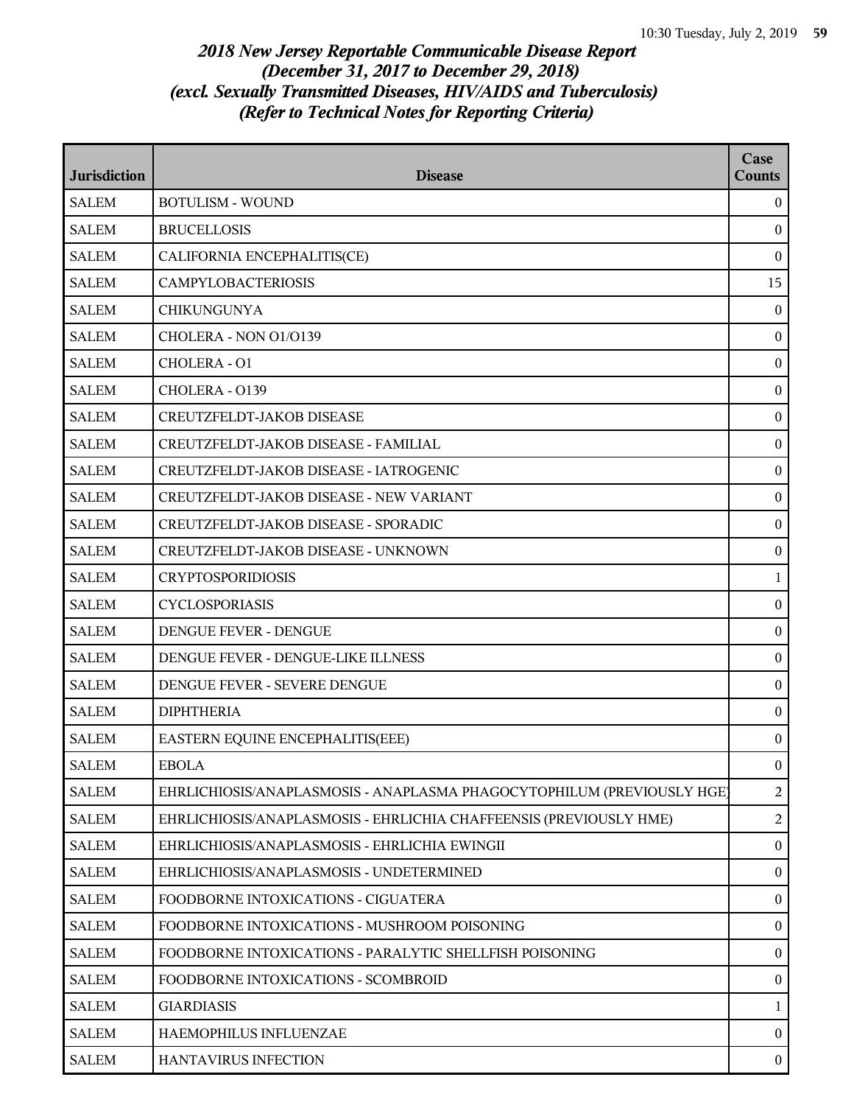| <b>Jurisdiction</b> | <b>Disease</b>                                                         | Case<br><b>Counts</b> |
|---------------------|------------------------------------------------------------------------|-----------------------|
| <b>SALEM</b>        | <b>BOTULISM - WOUND</b>                                                | $\theta$              |
| <b>SALEM</b>        | <b>BRUCELLOSIS</b>                                                     | $\mathbf{0}$          |
| <b>SALEM</b>        | CALIFORNIA ENCEPHALITIS(CE)                                            | $\mathbf{0}$          |
| <b>SALEM</b>        | <b>CAMPYLOBACTERIOSIS</b>                                              | 15                    |
| <b>SALEM</b>        | <b>CHIKUNGUNYA</b>                                                     | $\mathbf{0}$          |
| <b>SALEM</b>        | CHOLERA - NON 01/0139                                                  | $\bf{0}$              |
| <b>SALEM</b>        | CHOLERA - O1                                                           | $\boldsymbol{0}$      |
| <b>SALEM</b>        | CHOLERA - 0139                                                         | $\boldsymbol{0}$      |
| <b>SALEM</b>        | CREUTZFELDT-JAKOB DISEASE                                              | $\boldsymbol{0}$      |
| <b>SALEM</b>        | CREUTZFELDT-JAKOB DISEASE - FAMILIAL                                   | $\boldsymbol{0}$      |
| <b>SALEM</b>        | CREUTZFELDT-JAKOB DISEASE - IATROGENIC                                 | $\mathbf{0}$          |
| <b>SALEM</b>        | CREUTZFELDT-JAKOB DISEASE - NEW VARIANT                                | $\mathbf{0}$          |
| <b>SALEM</b>        | CREUTZFELDT-JAKOB DISEASE - SPORADIC                                   | $\boldsymbol{0}$      |
| <b>SALEM</b>        | CREUTZFELDT-JAKOB DISEASE - UNKNOWN                                    | $\boldsymbol{0}$      |
| <b>SALEM</b>        | <b>CRYPTOSPORIDIOSIS</b>                                               | 1                     |
| <b>SALEM</b>        | <b>CYCLOSPORIASIS</b>                                                  | $\mathbf{0}$          |
| <b>SALEM</b>        | DENGUE FEVER - DENGUE                                                  | $\mathbf{0}$          |
| <b>SALEM</b>        | DENGUE FEVER - DENGUE-LIKE ILLNESS                                     | $\boldsymbol{0}$      |
| <b>SALEM</b>        | DENGUE FEVER - SEVERE DENGUE                                           | $\boldsymbol{0}$      |
| <b>SALEM</b>        | <b>DIPHTHERIA</b>                                                      | $\boldsymbol{0}$      |
| <b>SALEM</b>        | EASTERN EQUINE ENCEPHALITIS(EEE)                                       | $\mathbf{0}$          |
| <b>SALEM</b>        | <b>EBOLA</b>                                                           | $\mathbf{0}$          |
| <b>SALEM</b>        | EHRLICHIOSIS/ANAPLASMOSIS - ANAPLASMA PHAGOCYTOPHILUM (PREVIOUSLY HGE) | $\overline{2}$        |
| <b>SALEM</b>        | EHRLICHIOSIS/ANAPLASMOSIS - EHRLICHIA CHAFFEENSIS (PREVIOUSLY HME)     | $\overline{2}$        |
| <b>SALEM</b>        | EHRLICHIOSIS/ANAPLASMOSIS - EHRLICHIA EWINGII                          | $\mathbf{0}$          |
| <b>SALEM</b>        | EHRLICHIOSIS/ANAPLASMOSIS - UNDETERMINED                               | $\bf{0}$              |
| <b>SALEM</b>        | FOODBORNE INTOXICATIONS - CIGUATERA                                    | $\mathbf{0}$          |
| <b>SALEM</b>        | FOODBORNE INTOXICATIONS - MUSHROOM POISONING                           | $\boldsymbol{0}$      |
| <b>SALEM</b>        | FOODBORNE INTOXICATIONS - PARALYTIC SHELLFISH POISONING                | $\boldsymbol{0}$      |
| <b>SALEM</b>        | FOODBORNE INTOXICATIONS - SCOMBROID                                    | $\boldsymbol{0}$      |
| <b>SALEM</b>        | <b>GIARDIASIS</b>                                                      | 1                     |
| <b>SALEM</b>        | HAEMOPHILUS INFLUENZAE                                                 | $\mathbf{0}$          |
| <b>SALEM</b>        | HANTAVIRUS INFECTION                                                   | $\bf{0}$              |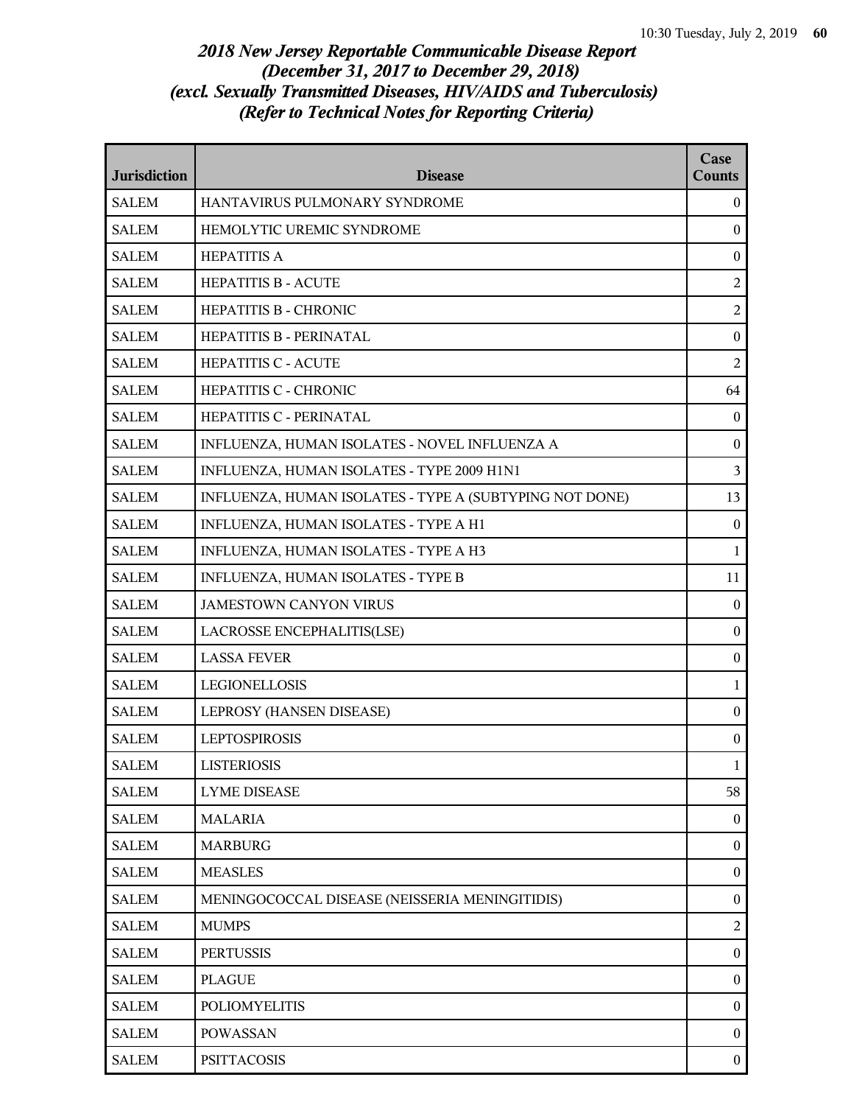| <b>Jurisdiction</b> | <b>Disease</b>                                          | Case<br><b>Counts</b> |
|---------------------|---------------------------------------------------------|-----------------------|
| <b>SALEM</b>        | HANTAVIRUS PULMONARY SYNDROME                           | $\overline{0}$        |
| <b>SALEM</b>        | HEMOLYTIC UREMIC SYNDROME                               | $\overline{0}$        |
| <b>SALEM</b>        | <b>HEPATITIS A</b>                                      | $\mathbf{0}$          |
| <b>SALEM</b>        | <b>HEPATITIS B - ACUTE</b>                              | $\overline{2}$        |
| <b>SALEM</b>        | HEPATITIS B - CHRONIC                                   | $\overline{2}$        |
| <b>SALEM</b>        | HEPATITIS B - PERINATAL                                 | $\boldsymbol{0}$      |
| <b>SALEM</b>        | <b>HEPATITIS C - ACUTE</b>                              | $\overline{2}$        |
| <b>SALEM</b>        | HEPATITIS C - CHRONIC                                   | 64                    |
| <b>SALEM</b>        | HEPATITIS C - PERINATAL                                 | $\mathbf{0}$          |
| <b>SALEM</b>        | INFLUENZA, HUMAN ISOLATES - NOVEL INFLUENZA A           | $\boldsymbol{0}$      |
| <b>SALEM</b>        | INFLUENZA, HUMAN ISOLATES - TYPE 2009 H1N1              | 3                     |
| <b>SALEM</b>        | INFLUENZA, HUMAN ISOLATES - TYPE A (SUBTYPING NOT DONE) | 13                    |
| <b>SALEM</b>        | INFLUENZA, HUMAN ISOLATES - TYPE A H1                   | $\mathbf{0}$          |
| <b>SALEM</b>        | INFLUENZA, HUMAN ISOLATES - TYPE A H3                   | 1                     |
| <b>SALEM</b>        | INFLUENZA, HUMAN ISOLATES - TYPE B                      | 11                    |
| <b>SALEM</b>        | <b>JAMESTOWN CANYON VIRUS</b>                           | $\boldsymbol{0}$      |
| <b>SALEM</b>        | LACROSSE ENCEPHALITIS(LSE)                              | $\boldsymbol{0}$      |
| <b>SALEM</b>        | <b>LASSA FEVER</b>                                      | $\mathbf{0}$          |
| <b>SALEM</b>        | <b>LEGIONELLOSIS</b>                                    | 1                     |
| <b>SALEM</b>        | LEPROSY (HANSEN DISEASE)                                | $\boldsymbol{0}$      |
| <b>SALEM</b>        | <b>LEPTOSPIROSIS</b>                                    | $\boldsymbol{0}$      |
| <b>SALEM</b>        | <b>LISTERIOSIS</b>                                      | 1                     |
| <b>SALEM</b>        | <b>LYME DISEASE</b>                                     | 58                    |
| SALEM               | <b>MALARIA</b>                                          | $\mathbf{0}$          |
| <b>SALEM</b>        | <b>MARBURG</b>                                          | $\boldsymbol{0}$      |
| <b>SALEM</b>        | <b>MEASLES</b>                                          | $\boldsymbol{0}$      |
| <b>SALEM</b>        | MENINGOCOCCAL DISEASE (NEISSERIA MENINGITIDIS)          | $\overline{0}$        |
| <b>SALEM</b>        | <b>MUMPS</b>                                            | $\overline{2}$        |
| <b>SALEM</b>        | <b>PERTUSSIS</b>                                        | $\boldsymbol{0}$      |
| <b>SALEM</b>        | <b>PLAGUE</b>                                           | $\boldsymbol{0}$      |
| <b>SALEM</b>        | <b>POLIOMYELITIS</b>                                    | $\boldsymbol{0}$      |
| SALEM               | <b>POWASSAN</b>                                         | $\overline{0}$        |
| <b>SALEM</b>        | <b>PSITTACOSIS</b>                                      | $\boldsymbol{0}$      |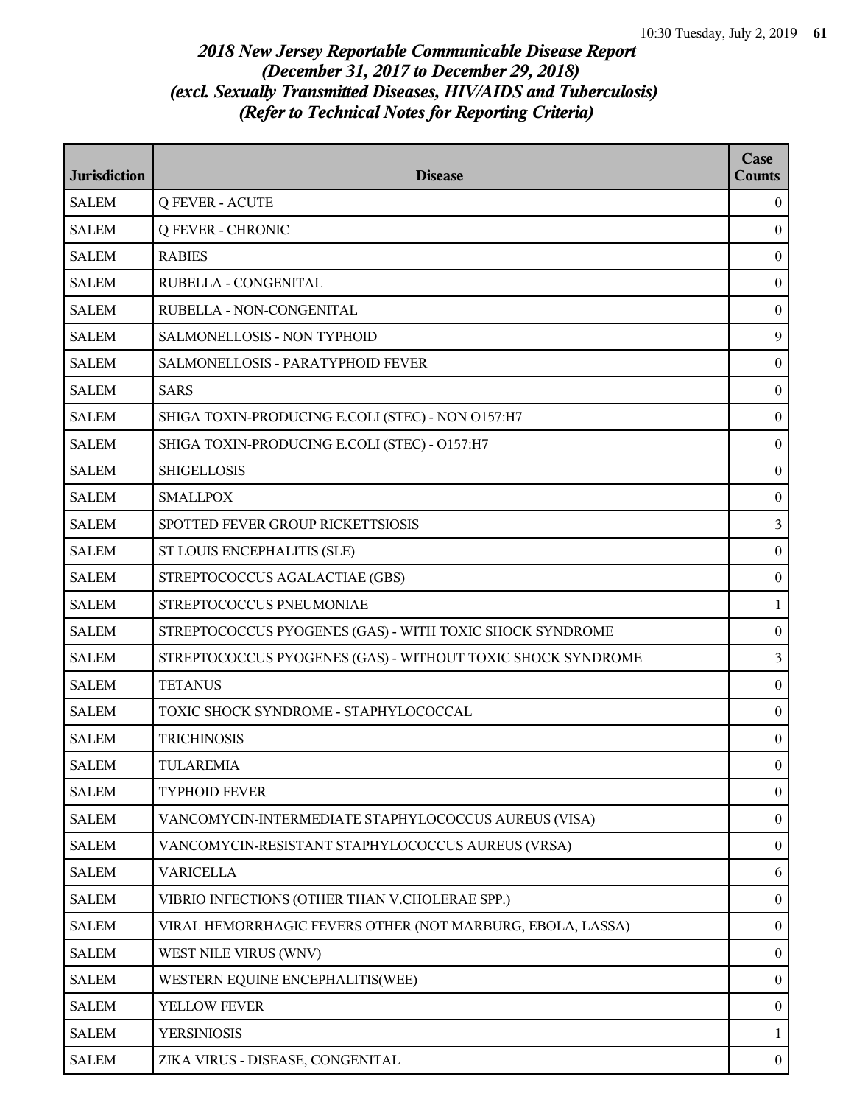| <b>Jurisdiction</b> | <b>Disease</b>                                              | Case<br><b>Counts</b> |
|---------------------|-------------------------------------------------------------|-----------------------|
| <b>SALEM</b>        | <b>Q FEVER - ACUTE</b>                                      | $\overline{0}$        |
| <b>SALEM</b>        | <b>Q FEVER - CHRONIC</b>                                    | $\bf{0}$              |
| <b>SALEM</b>        | <b>RABIES</b>                                               | $\mathbf{0}$          |
| <b>SALEM</b>        | RUBELLA - CONGENITAL                                        | $\boldsymbol{0}$      |
| <b>SALEM</b>        | RUBELLA - NON-CONGENITAL                                    | $\boldsymbol{0}$      |
| <b>SALEM</b>        | SALMONELLOSIS - NON TYPHOID                                 | 9                     |
| <b>SALEM</b>        | SALMONELLOSIS - PARATYPHOID FEVER                           | $\mathbf{0}$          |
| <b>SALEM</b>        | <b>SARS</b>                                                 | $\mathbf{0}$          |
| <b>SALEM</b>        | SHIGA TOXIN-PRODUCING E.COLI (STEC) - NON 0157:H7           | $\boldsymbol{0}$      |
| <b>SALEM</b>        | SHIGA TOXIN-PRODUCING E.COLI (STEC) - O157:H7               | $\boldsymbol{0}$      |
| <b>SALEM</b>        | <b>SHIGELLOSIS</b>                                          | $\mathbf{0}$          |
| <b>SALEM</b>        | <b>SMALLPOX</b>                                             | $\boldsymbol{0}$      |
| <b>SALEM</b>        | SPOTTED FEVER GROUP RICKETTSIOSIS                           | 3                     |
| <b>SALEM</b>        | ST LOUIS ENCEPHALITIS (SLE)                                 | $\boldsymbol{0}$      |
| <b>SALEM</b>        | STREPTOCOCCUS AGALACTIAE (GBS)                              | $\boldsymbol{0}$      |
| <b>SALEM</b>        | STREPTOCOCCUS PNEUMONIAE                                    | 1                     |
| <b>SALEM</b>        | STREPTOCOCCUS PYOGENES (GAS) - WITH TOXIC SHOCK SYNDROME    | $\mathbf{0}$          |
| <b>SALEM</b>        | STREPTOCOCCUS PYOGENES (GAS) - WITHOUT TOXIC SHOCK SYNDROME | 3                     |
| <b>SALEM</b>        | <b>TETANUS</b>                                              | $\boldsymbol{0}$      |
| <b>SALEM</b>        | TOXIC SHOCK SYNDROME - STAPHYLOCOCCAL                       | $\boldsymbol{0}$      |
| <b>SALEM</b>        | <b>TRICHINOSIS</b>                                          | $\mathbf{0}$          |
| <b>SALEM</b>        | TULAREMIA                                                   | $\Omega$              |
| <b>SALEM</b>        | <b>TYPHOID FEVER</b>                                        | $\mathbf{0}$          |
| <b>SALEM</b>        | VANCOMYCIN-INTERMEDIATE STAPHYLOCOCCUS AUREUS (VISA)        | $\boldsymbol{0}$      |
| <b>SALEM</b>        | VANCOMYCIN-RESISTANT STAPHYLOCOCCUS AUREUS (VRSA)           | $\boldsymbol{0}$      |
| SALEM               | <b>VARICELLA</b>                                            | 6                     |
| <b>SALEM</b>        | VIBRIO INFECTIONS (OTHER THAN V.CHOLERAE SPP.)              | $\mathbf{0}$          |
| <b>SALEM</b>        | VIRAL HEMORRHAGIC FEVERS OTHER (NOT MARBURG, EBOLA, LASSA)  | $\boldsymbol{0}$      |
| <b>SALEM</b>        | WEST NILE VIRUS (WNV)                                       | $\boldsymbol{0}$      |
| <b>SALEM</b>        | WESTERN EQUINE ENCEPHALITIS(WEE)                            | $\boldsymbol{0}$      |
| <b>SALEM</b>        | YELLOW FEVER                                                | $\boldsymbol{0}$      |
| <b>SALEM</b>        | <b>YERSINIOSIS</b>                                          | 1                     |
| <b>SALEM</b>        | ZIKA VIRUS - DISEASE, CONGENITAL                            | $\boldsymbol{0}$      |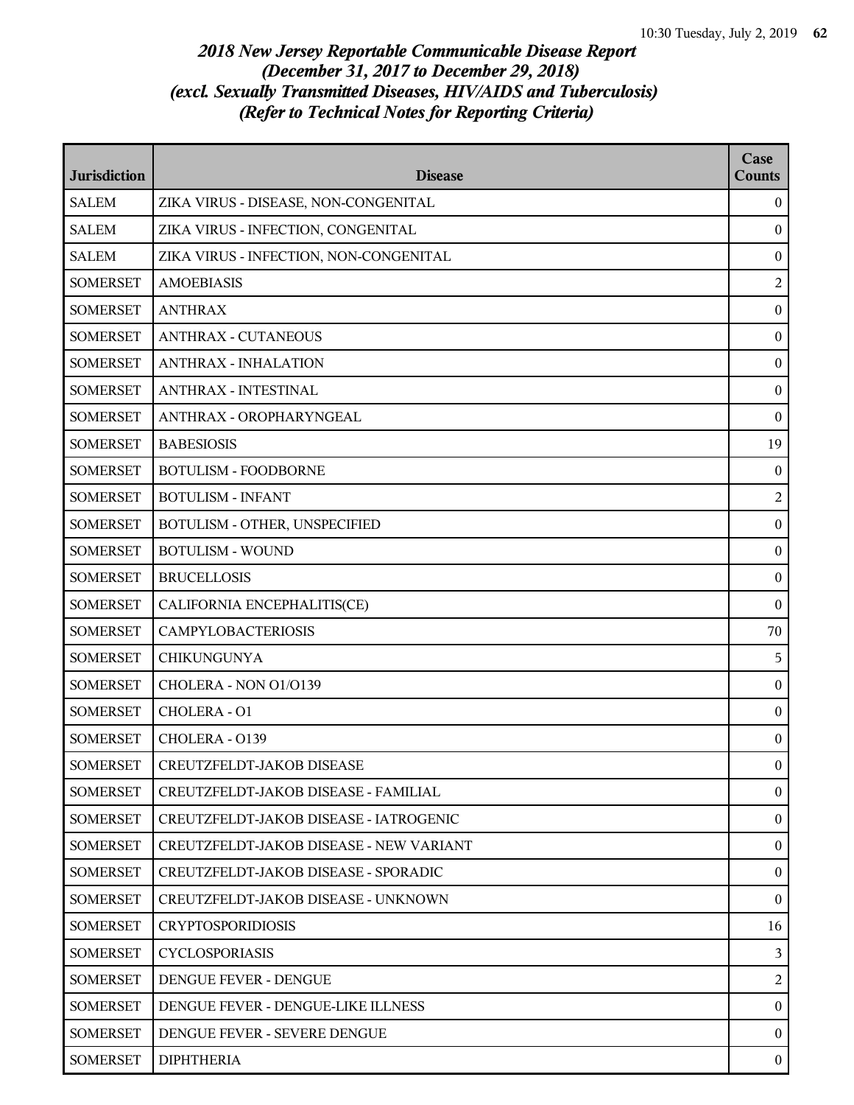| <b>Jurisdiction</b> | <b>Disease</b>                          | Case<br><b>Counts</b> |
|---------------------|-----------------------------------------|-----------------------|
| <b>SALEM</b>        | ZIKA VIRUS - DISEASE, NON-CONGENITAL    | $\overline{0}$        |
| <b>SALEM</b>        | ZIKA VIRUS - INFECTION, CONGENITAL      | $\mathbf{0}$          |
| <b>SALEM</b>        | ZIKA VIRUS - INFECTION, NON-CONGENITAL  | $\boldsymbol{0}$      |
| <b>SOMERSET</b>     | <b>AMOEBIASIS</b>                       | $\overline{2}$        |
| <b>SOMERSET</b>     | <b>ANTHRAX</b>                          | $\boldsymbol{0}$      |
| <b>SOMERSET</b>     | <b>ANTHRAX - CUTANEOUS</b>              | $\bf{0}$              |
| <b>SOMERSET</b>     | <b>ANTHRAX - INHALATION</b>             | $\boldsymbol{0}$      |
| <b>SOMERSET</b>     | <b>ANTHRAX - INTESTINAL</b>             | $\boldsymbol{0}$      |
| <b>SOMERSET</b>     | ANTHRAX - OROPHARYNGEAL                 | $\bf{0}$              |
| <b>SOMERSET</b>     | <b>BABESIOSIS</b>                       | 19                    |
| <b>SOMERSET</b>     | <b>BOTULISM - FOODBORNE</b>             | $\mathbf{0}$          |
| <b>SOMERSET</b>     | <b>BOTULISM - INFANT</b>                | $\overline{2}$        |
| <b>SOMERSET</b>     | BOTULISM - OTHER, UNSPECIFIED           | $\boldsymbol{0}$      |
| <b>SOMERSET</b>     | <b>BOTULISM - WOUND</b>                 | $\bf{0}$              |
| <b>SOMERSET</b>     | <b>BRUCELLOSIS</b>                      | $\boldsymbol{0}$      |
| <b>SOMERSET</b>     | CALIFORNIA ENCEPHALITIS(CE)             | $\bf{0}$              |
| <b>SOMERSET</b>     | <b>CAMPYLOBACTERIOSIS</b>               | 70                    |
| <b>SOMERSET</b>     | <b>CHIKUNGUNYA</b>                      | 5                     |
| <b>SOMERSET</b>     | CHOLERA - NON 01/0139                   | $\bf{0}$              |
| <b>SOMERSET</b>     | CHOLERA - O1                            | $\boldsymbol{0}$      |
| <b>SOMERSET</b>     | CHOLERA - 0139                          | $\bf{0}$              |
| <b>SOMERSET</b>     | CREUTZFELDT-JAKOB DISEASE               | $\mathbf{0}$          |
| <b>SOMERSET</b>     | CREUTZFELDT-JAKOB DISEASE - FAMILIAL    | $\overline{0}$        |
| <b>SOMERSET</b>     | CREUTZFELDT-JAKOB DISEASE - IATROGENIC  | $\bf{0}$              |
| <b>SOMERSET</b>     | CREUTZFELDT-JAKOB DISEASE - NEW VARIANT | $\overline{0}$        |
| <b>SOMERSET</b>     | CREUTZFELDT-JAKOB DISEASE - SPORADIC    | $\bf{0}$              |
| <b>SOMERSET</b>     | CREUTZFELDT-JAKOB DISEASE - UNKNOWN     | $\theta$              |
| <b>SOMERSET</b>     | <b>CRYPTOSPORIDIOSIS</b>                | 16                    |
| <b>SOMERSET</b>     | <b>CYCLOSPORIASIS</b>                   | $\mathbf{3}$          |
| <b>SOMERSET</b>     | DENGUE FEVER - DENGUE                   | 2                     |
| <b>SOMERSET</b>     | DENGUE FEVER - DENGUE-LIKE ILLNESS      | $\overline{0}$        |
| <b>SOMERSET</b>     | DENGUE FEVER - SEVERE DENGUE            | $\overline{0}$        |
| <b>SOMERSET</b>     | <b>DIPHTHERIA</b>                       | $\mathbf{0}$          |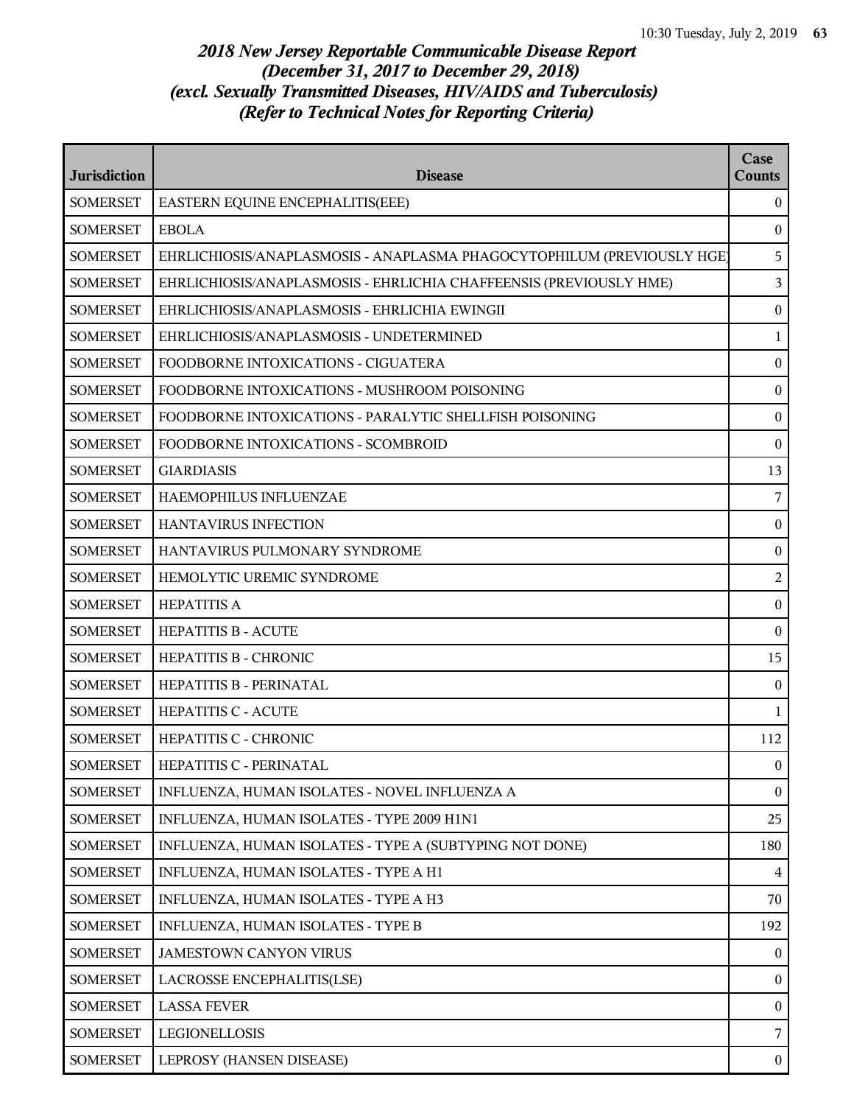| <b>Jurisdiction</b> | <b>Disease</b>                                                         | Case<br><b>Counts</b> |
|---------------------|------------------------------------------------------------------------|-----------------------|
| <b>SOMERSET</b>     | EASTERN EQUINE ENCEPHALITIS(EEE)                                       | $\bf{0}$              |
| <b>SOMERSET</b>     | <b>EBOLA</b>                                                           | $\bf{0}$              |
| <b>SOMERSET</b>     | EHRLICHIOSIS/ANAPLASMOSIS - ANAPLASMA PHAGOCYTOPHILUM (PREVIOUSLY HGE) | 5                     |
| <b>SOMERSET</b>     | EHRLICHIOSIS/ANAPLASMOSIS - EHRLICHIA CHAFFEENSIS (PREVIOUSLY HME)     | 3                     |
| <b>SOMERSET</b>     | EHRLICHIOSIS/ANAPLASMOSIS - EHRLICHIA EWINGII                          | $\boldsymbol{0}$      |
| <b>SOMERSET</b>     | EHRLICHIOSIS/ANAPLASMOSIS - UNDETERMINED                               | $\mathbf{1}$          |
| <b>SOMERSET</b>     | FOODBORNE INTOXICATIONS - CIGUATERA                                    | $\boldsymbol{0}$      |
| <b>SOMERSET</b>     | FOODBORNE INTOXICATIONS - MUSHROOM POISONING                           | $\boldsymbol{0}$      |
| <b>SOMERSET</b>     | FOODBORNE INTOXICATIONS - PARALYTIC SHELLFISH POISONING                | $\bf{0}$              |
| <b>SOMERSET</b>     | FOODBORNE INTOXICATIONS - SCOMBROID                                    | $\boldsymbol{0}$      |
| <b>SOMERSET</b>     | <b>GIARDIASIS</b>                                                      | 13                    |
| <b>SOMERSET</b>     | HAEMOPHILUS INFLUENZAE                                                 | 7                     |
| <b>SOMERSET</b>     | HANTAVIRUS INFECTION                                                   | $\boldsymbol{0}$      |
| <b>SOMERSET</b>     | HANTAVIRUS PULMONARY SYNDROME                                          | $\bf{0}$              |
| <b>SOMERSET</b>     | HEMOLYTIC UREMIC SYNDROME                                              | $\overline{2}$        |
| <b>SOMERSET</b>     | <b>HEPATITIS A</b>                                                     | $\bf{0}$              |
| <b>SOMERSET</b>     | <b>HEPATITIS B - ACUTE</b>                                             | $\bf{0}$              |
| <b>SOMERSET</b>     | HEPATITIS B - CHRONIC                                                  | 15                    |
| <b>SOMERSET</b>     | HEPATITIS B - PERINATAL                                                | $\overline{0}$        |
| <b>SOMERSET</b>     | <b>HEPATITIS C - ACUTE</b>                                             | $\mathbf{1}$          |
| <b>SOMERSET</b>     | <b>HEPATITIS C - CHRONIC</b>                                           | 112                   |
| <b>SOMERSET</b>     | HEPATITIS C - PERINATAL                                                | $\theta$              |
| <b>SOMERSET</b>     | INFLUENZA, HUMAN ISOLATES - NOVEL INFLUENZA A                          | $\overline{0}$        |
| <b>SOMERSET</b>     | INFLUENZA, HUMAN ISOLATES - TYPE 2009 H1N1                             | 25                    |
| <b>SOMERSET</b>     | INFLUENZA, HUMAN ISOLATES - TYPE A (SUBTYPING NOT DONE)                | 180                   |
| <b>SOMERSET</b>     | INFLUENZA, HUMAN ISOLATES - TYPE A H1                                  | $\overline{4}$        |
| <b>SOMERSET</b>     | INFLUENZA, HUMAN ISOLATES - TYPE A H3                                  | 70                    |
| <b>SOMERSET</b>     | INFLUENZA, HUMAN ISOLATES - TYPE B                                     | 192                   |
| <b>SOMERSET</b>     | JAMESTOWN CANYON VIRUS                                                 | $\overline{0}$        |
| <b>SOMERSET</b>     | LACROSSE ENCEPHALITIS(LSE)                                             | $\bf{0}$              |
| <b>SOMERSET</b>     | <b>LASSA FEVER</b>                                                     | $\bf{0}$              |
| <b>SOMERSET</b>     | LEGIONELLOSIS                                                          | 7                     |
| <b>SOMERSET</b>     | LEPROSY (HANSEN DISEASE)                                               | $\bf{0}$              |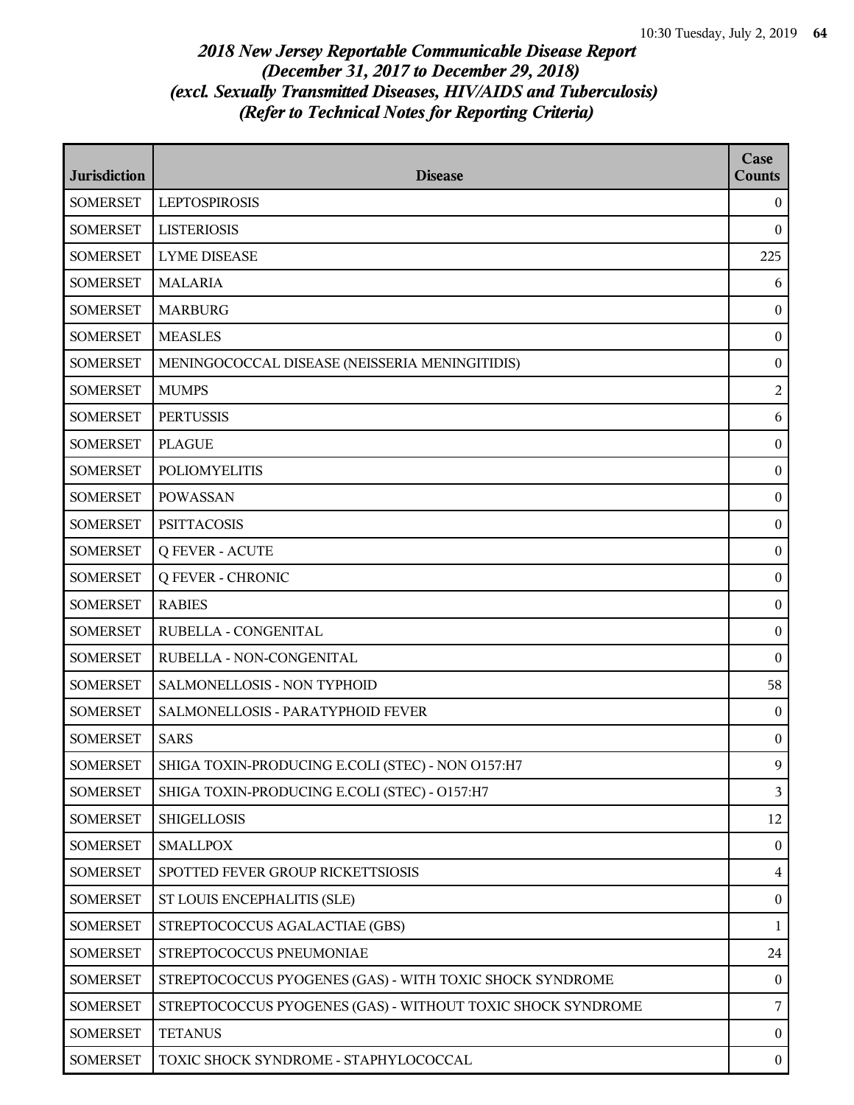| <b>Jurisdiction</b> | <b>Disease</b>                                              | Case<br><b>Counts</b> |
|---------------------|-------------------------------------------------------------|-----------------------|
| <b>SOMERSET</b>     | <b>LEPTOSPIROSIS</b>                                        | $\bf{0}$              |
| <b>SOMERSET</b>     | <b>LISTERIOSIS</b>                                          | $\bf{0}$              |
| <b>SOMERSET</b>     | <b>LYME DISEASE</b>                                         | 225                   |
| <b>SOMERSET</b>     | <b>MALARIA</b>                                              | 6                     |
| <b>SOMERSET</b>     | <b>MARBURG</b>                                              | $\boldsymbol{0}$      |
| <b>SOMERSET</b>     | <b>MEASLES</b>                                              | $\boldsymbol{0}$      |
| <b>SOMERSET</b>     | MENINGOCOCCAL DISEASE (NEISSERIA MENINGITIDIS)              | $\boldsymbol{0}$      |
| <b>SOMERSET</b>     | <b>MUMPS</b>                                                | $\overline{2}$        |
| <b>SOMERSET</b>     | <b>PERTUSSIS</b>                                            | 6                     |
| <b>SOMERSET</b>     | <b>PLAGUE</b>                                               | $\boldsymbol{0}$      |
| <b>SOMERSET</b>     | <b>POLIOMYELITIS</b>                                        | $\boldsymbol{0}$      |
| <b>SOMERSET</b>     | <b>POWASSAN</b>                                             | $\boldsymbol{0}$      |
| <b>SOMERSET</b>     | <b>PSITTACOSIS</b>                                          | $\boldsymbol{0}$      |
| <b>SOMERSET</b>     | <b>Q FEVER - ACUTE</b>                                      | $\bf{0}$              |
| <b>SOMERSET</b>     | <b>Q FEVER - CHRONIC</b>                                    | $\boldsymbol{0}$      |
| <b>SOMERSET</b>     | <b>RABIES</b>                                               | $\boldsymbol{0}$      |
| <b>SOMERSET</b>     | RUBELLA - CONGENITAL                                        | $\bf{0}$              |
| <b>SOMERSET</b>     | RUBELLA - NON-CONGENITAL                                    | $\bf{0}$              |
| <b>SOMERSET</b>     | SALMONELLOSIS - NON TYPHOID                                 | 58                    |
| <b>SOMERSET</b>     | SALMONELLOSIS - PARATYPHOID FEVER                           | $\boldsymbol{0}$      |
| <b>SOMERSET</b>     | <b>SARS</b>                                                 | $\boldsymbol{0}$      |
| <b>SOMERSET</b>     | SHIGA TOXIN-PRODUCING E.COLI (STEC) - NON 0157:H7           | 9                     |
| <b>SOMERSET</b>     | SHIGA TOXIN-PRODUCING E.COLI (STEC) - O157:H7               | $\overline{3}$        |
| <b>SOMERSET</b>     | <b>SHIGELLOSIS</b>                                          | 12                    |
| <b>SOMERSET</b>     | <b>SMALLPOX</b>                                             | $\boldsymbol{0}$      |
| <b>SOMERSET</b>     | SPOTTED FEVER GROUP RICKETTSIOSIS                           | $\overline{4}$        |
| <b>SOMERSET</b>     | ST LOUIS ENCEPHALITIS (SLE)                                 | $\bf{0}$              |
| <b>SOMERSET</b>     | STREPTOCOCCUS AGALACTIAE (GBS)                              | $\mathbf{1}$          |
| <b>SOMERSET</b>     | STREPTOCOCCUS PNEUMONIAE                                    | 24                    |
| <b>SOMERSET</b>     | STREPTOCOCCUS PYOGENES (GAS) - WITH TOXIC SHOCK SYNDROME    | $\boldsymbol{0}$      |
| <b>SOMERSET</b>     | STREPTOCOCCUS PYOGENES (GAS) - WITHOUT TOXIC SHOCK SYNDROME | $\overline{7}$        |
| <b>SOMERSET</b>     | <b>TETANUS</b>                                              | $\bf{0}$              |
| <b>SOMERSET</b>     | TOXIC SHOCK SYNDROME - STAPHYLOCOCCAL                       | $\bf{0}$              |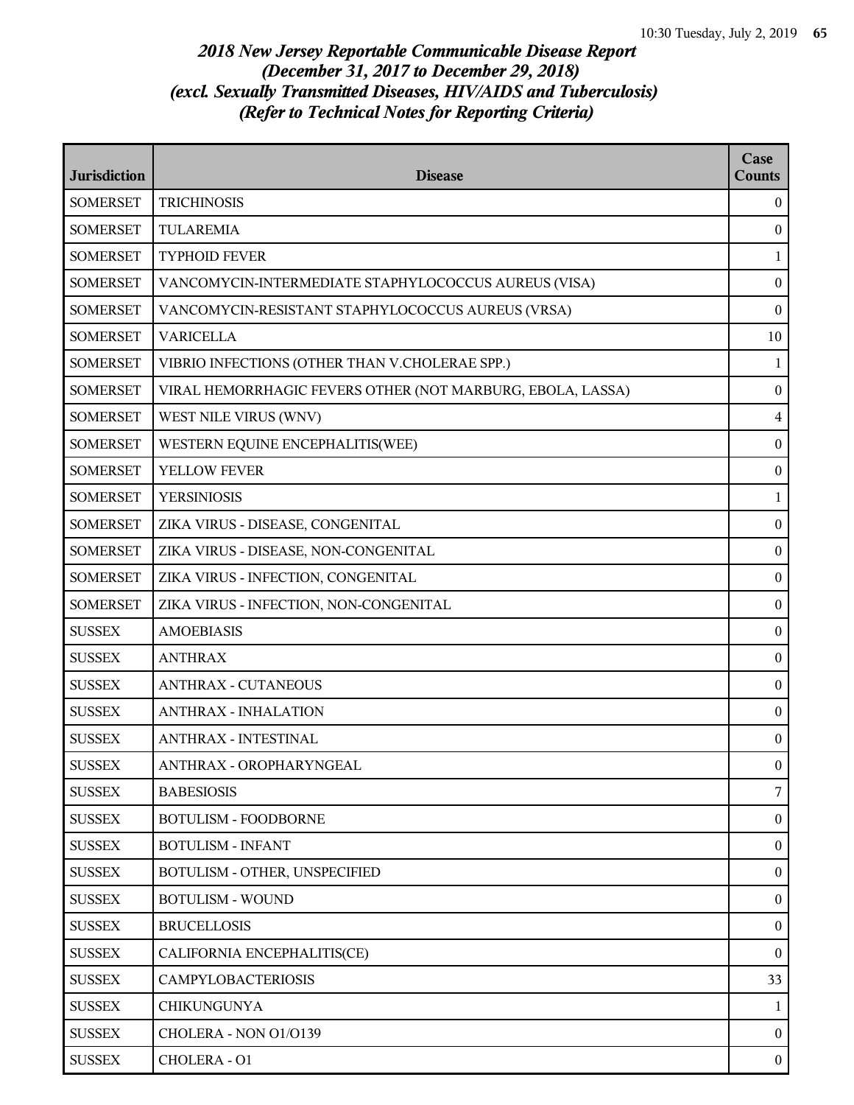| <b>Jurisdiction</b> | <b>Disease</b>                                             | Case<br>Counts   |
|---------------------|------------------------------------------------------------|------------------|
| <b>SOMERSET</b>     | <b>TRICHINOSIS</b>                                         | $\bf{0}$         |
| <b>SOMERSET</b>     | <b>TULAREMIA</b>                                           | $\mathbf{0}$     |
| <b>SOMERSET</b>     | <b>TYPHOID FEVER</b>                                       | $\mathbf{1}$     |
| <b>SOMERSET</b>     | VANCOMYCIN-INTERMEDIATE STAPHYLOCOCCUS AUREUS (VISA)       | $\bf{0}$         |
| <b>SOMERSET</b>     | VANCOMYCIN-RESISTANT STAPHYLOCOCCUS AUREUS (VRSA)          | $\boldsymbol{0}$ |
| <b>SOMERSET</b>     | <b>VARICELLA</b>                                           | 10               |
| <b>SOMERSET</b>     | VIBRIO INFECTIONS (OTHER THAN V.CHOLERAE SPP.)             | $\mathbf{1}$     |
| <b>SOMERSET</b>     | VIRAL HEMORRHAGIC FEVERS OTHER (NOT MARBURG, EBOLA, LASSA) | $\bf{0}$         |
| <b>SOMERSET</b>     | WEST NILE VIRUS (WNV)                                      | $\overline{4}$   |
| <b>SOMERSET</b>     | WESTERN EQUINE ENCEPHALITIS(WEE)                           | $\boldsymbol{0}$ |
| <b>SOMERSET</b>     | YELLOW FEVER                                               | $\bf{0}$         |
| <b>SOMERSET</b>     | <b>YERSINIOSIS</b>                                         | $\mathbf{1}$     |
| <b>SOMERSET</b>     | ZIKA VIRUS - DISEASE, CONGENITAL                           | $\boldsymbol{0}$ |
| <b>SOMERSET</b>     | ZIKA VIRUS - DISEASE, NON-CONGENITAL                       | $\boldsymbol{0}$ |
| <b>SOMERSET</b>     | ZIKA VIRUS - INFECTION, CONGENITAL                         | $\boldsymbol{0}$ |
| <b>SOMERSET</b>     | ZIKA VIRUS - INFECTION, NON-CONGENITAL                     | $\bf{0}$         |
| <b>SUSSEX</b>       | <b>AMOEBIASIS</b>                                          | $\bf{0}$         |
| <b>SUSSEX</b>       | <b>ANTHRAX</b>                                             | $\boldsymbol{0}$ |
| <b>SUSSEX</b>       | <b>ANTHRAX - CUTANEOUS</b>                                 | $\boldsymbol{0}$ |
| <b>SUSSEX</b>       | <b>ANTHRAX - INHALATION</b>                                | $\boldsymbol{0}$ |
| <b>SUSSEX</b>       | <b>ANTHRAX - INTESTINAL</b>                                | $\bf{0}$         |
| <b>SUSSEX</b>       | ANTHRAX - OROPHARYNGEAL                                    | $\overline{0}$   |
| <b>SUSSEX</b>       | <b>BABESIOSIS</b>                                          | 7                |
| <b>SUSSEX</b>       | <b>BOTULISM - FOODBORNE</b>                                | $\boldsymbol{0}$ |
| <b>SUSSEX</b>       | <b>BOTULISM - INFANT</b>                                   | $\bf{0}$         |
| <b>SUSSEX</b>       | BOTULISM - OTHER, UNSPECIFIED                              | $\boldsymbol{0}$ |
| <b>SUSSEX</b>       | <b>BOTULISM - WOUND</b>                                    | $\bf{0}$         |
| <b>SUSSEX</b>       | <b>BRUCELLOSIS</b>                                         | $\boldsymbol{0}$ |
| <b>SUSSEX</b>       | CALIFORNIA ENCEPHALITIS(CE)                                | $\bf{0}$         |
| <b>SUSSEX</b>       | <b>CAMPYLOBACTERIOSIS</b>                                  | 33               |
| <b>SUSSEX</b>       | <b>CHIKUNGUNYA</b>                                         | 1                |
| <b>SUSSEX</b>       | CHOLERA - NON 01/0139                                      | $\overline{0}$   |
| <b>SUSSEX</b>       | CHOLERA - O1                                               | $\bf{0}$         |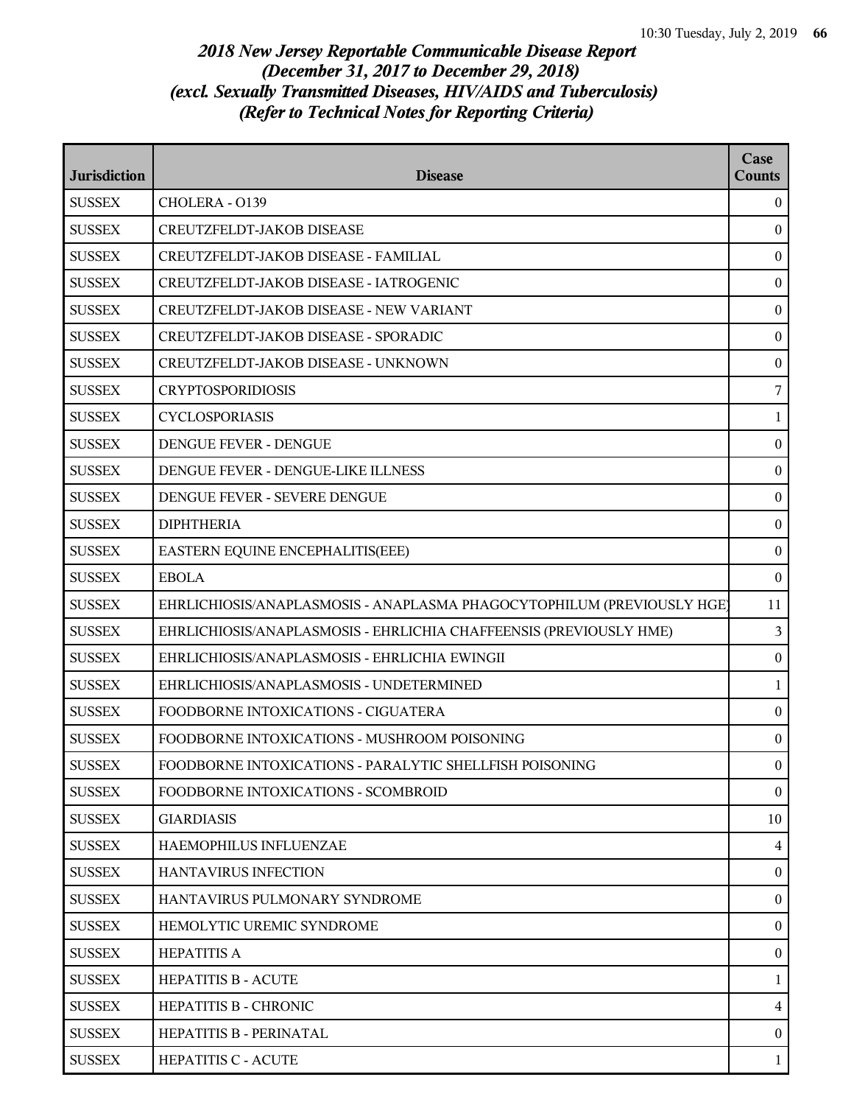| <b>Jurisdiction</b> | <b>Disease</b>                                                         | Case<br><b>Counts</b> |
|---------------------|------------------------------------------------------------------------|-----------------------|
| <b>SUSSEX</b>       | CHOLERA - 0139                                                         | $\theta$              |
| <b>SUSSEX</b>       | <b>CREUTZFELDT-JAKOB DISEASE</b>                                       | $\bf{0}$              |
| <b>SUSSEX</b>       | CREUTZFELDT-JAKOB DISEASE - FAMILIAL                                   | $\mathbf{0}$          |
| <b>SUSSEX</b>       | CREUTZFELDT-JAKOB DISEASE - IATROGENIC                                 | $\boldsymbol{0}$      |
| <b>SUSSEX</b>       | CREUTZFELDT-JAKOB DISEASE - NEW VARIANT                                | $\boldsymbol{0}$      |
| <b>SUSSEX</b>       | CREUTZFELDT-JAKOB DISEASE - SPORADIC                                   | $\mathbf{0}$          |
| <b>SUSSEX</b>       | CREUTZFELDT-JAKOB DISEASE - UNKNOWN                                    | $\boldsymbol{0}$      |
| <b>SUSSEX</b>       | <b>CRYPTOSPORIDIOSIS</b>                                               | 7                     |
| <b>SUSSEX</b>       | <b>CYCLOSPORIASIS</b>                                                  | 1                     |
| <b>SUSSEX</b>       | DENGUE FEVER - DENGUE                                                  | $\boldsymbol{0}$      |
| <b>SUSSEX</b>       | DENGUE FEVER - DENGUE-LIKE ILLNESS                                     | $\mathbf{0}$          |
| <b>SUSSEX</b>       | DENGUE FEVER - SEVERE DENGUE                                           | $\boldsymbol{0}$      |
| <b>SUSSEX</b>       | <b>DIPHTHERIA</b>                                                      | $\mathbf{0}$          |
| <b>SUSSEX</b>       | EASTERN EQUINE ENCEPHALITIS(EEE)                                       | $\mathbf{0}$          |
| <b>SUSSEX</b>       | <b>EBOLA</b>                                                           | $\boldsymbol{0}$      |
| <b>SUSSEX</b>       | EHRLICHIOSIS/ANAPLASMOSIS - ANAPLASMA PHAGOCYTOPHILUM (PREVIOUSLY HGE) | 11                    |
| <b>SUSSEX</b>       | EHRLICHIOSIS/ANAPLASMOSIS - EHRLICHIA CHAFFEENSIS (PREVIOUSLY HME)     | 3                     |
| <b>SUSSEX</b>       | EHRLICHIOSIS/ANAPLASMOSIS - EHRLICHIA EWINGII                          | $\mathbf{0}$          |
| <b>SUSSEX</b>       | EHRLICHIOSIS/ANAPLASMOSIS - UNDETERMINED                               | 1                     |
| <b>SUSSEX</b>       | FOODBORNE INTOXICATIONS - CIGUATERA                                    | $\boldsymbol{0}$      |
| <b>SUSSEX</b>       | FOODBORNE INTOXICATIONS - MUSHROOM POISONING                           | $\boldsymbol{0}$      |
| <b>SUSSEX</b>       | FOODBORNE INTOXICATIONS - PARALYTIC SHELLFISH POISONING                | $\boldsymbol{0}$      |
| <b>SUSSEX</b>       | FOODBORNE INTOXICATIONS - SCOMBROID                                    | $\mathbf{0}$          |
| <b>SUSSEX</b>       | <b>GIARDIASIS</b>                                                      | 10                    |
| <b>SUSSEX</b>       | HAEMOPHILUS INFLUENZAE                                                 | $\overline{4}$        |
| <b>SUSSEX</b>       | <b>HANTAVIRUS INFECTION</b>                                            | $\mathbf{0}$          |
| <b>SUSSEX</b>       | HANTAVIRUS PULMONARY SYNDROME                                          | $\mathbf{0}$          |
| <b>SUSSEX</b>       | HEMOLYTIC UREMIC SYNDROME                                              | $\bf{0}$              |
| <b>SUSSEX</b>       | <b>HEPATITIS A</b>                                                     | $\boldsymbol{0}$      |
| <b>SUSSEX</b>       | <b>HEPATITIS B - ACUTE</b>                                             | 1                     |
| <b>SUSSEX</b>       | <b>HEPATITIS B - CHRONIC</b>                                           | 4                     |
| <b>SUSSEX</b>       | HEPATITIS B - PERINATAL                                                | $\mathbf{0}$          |
| <b>SUSSEX</b>       | <b>HEPATITIS C - ACUTE</b>                                             | 1                     |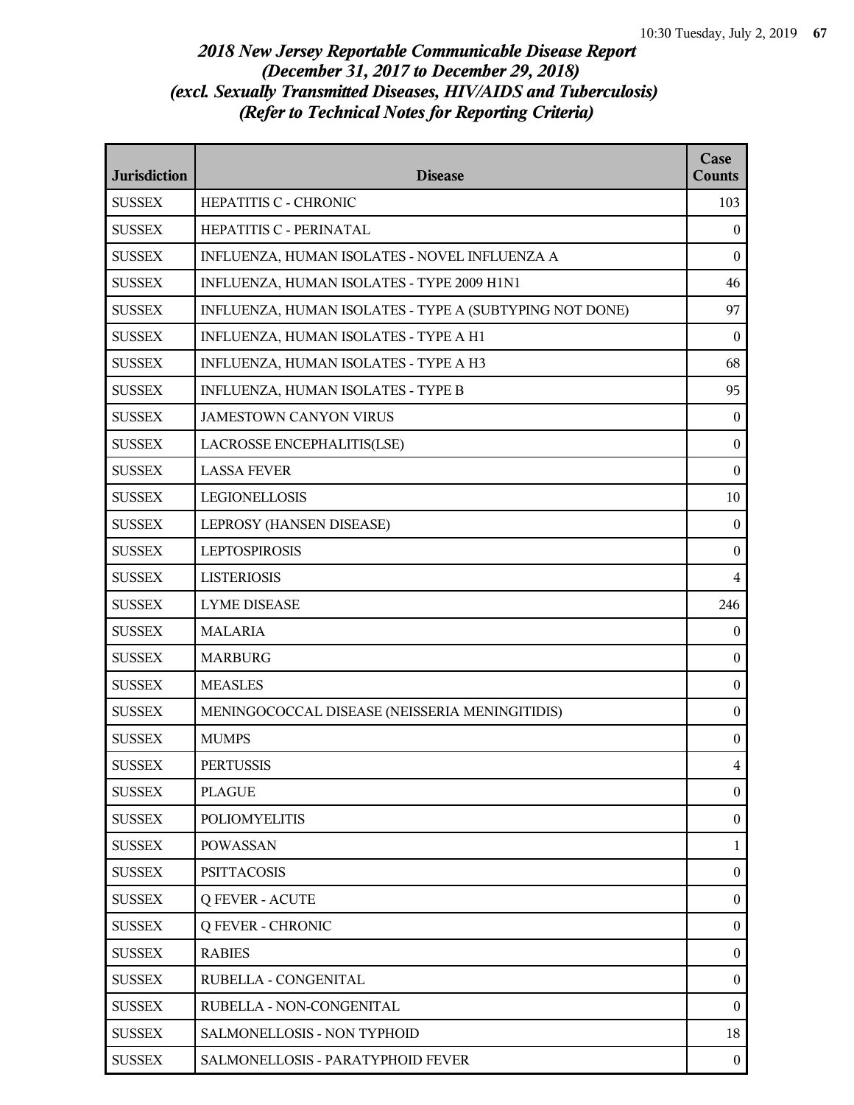| <b>Jurisdiction</b> | <b>Disease</b>                                          | Case<br><b>Counts</b> |
|---------------------|---------------------------------------------------------|-----------------------|
| <b>SUSSEX</b>       | HEPATITIS C - CHRONIC                                   | 103                   |
| <b>SUSSEX</b>       | HEPATITIS C - PERINATAL                                 | $\overline{0}$        |
| <b>SUSSEX</b>       | INFLUENZA, HUMAN ISOLATES - NOVEL INFLUENZA A           | $\Omega$              |
| <b>SUSSEX</b>       | INFLUENZA, HUMAN ISOLATES - TYPE 2009 H1N1              | 46                    |
| <b>SUSSEX</b>       | INFLUENZA, HUMAN ISOLATES - TYPE A (SUBTYPING NOT DONE) | 97                    |
| <b>SUSSEX</b>       | INFLUENZA, HUMAN ISOLATES - TYPE A H1                   | $\bf{0}$              |
| <b>SUSSEX</b>       | INFLUENZA, HUMAN ISOLATES - TYPE A H3                   | 68                    |
| <b>SUSSEX</b>       | INFLUENZA, HUMAN ISOLATES - TYPE B                      | 95                    |
| <b>SUSSEX</b>       | <b>JAMESTOWN CANYON VIRUS</b>                           | $\overline{0}$        |
| <b>SUSSEX</b>       | LACROSSE ENCEPHALITIS(LSE)                              | $\boldsymbol{0}$      |
| <b>SUSSEX</b>       | <b>LASSA FEVER</b>                                      | $\boldsymbol{0}$      |
| <b>SUSSEX</b>       | <b>LEGIONELLOSIS</b>                                    | 10                    |
| <b>SUSSEX</b>       | LEPROSY (HANSEN DISEASE)                                | $\mathbf{0}$          |
| <b>SUSSEX</b>       | <b>LEPTOSPIROSIS</b>                                    | $\boldsymbol{0}$      |
| <b>SUSSEX</b>       | <b>LISTERIOSIS</b>                                      | $\overline{4}$        |
| <b>SUSSEX</b>       | <b>LYME DISEASE</b>                                     | 246                   |
| <b>SUSSEX</b>       | <b>MALARIA</b>                                          | $\boldsymbol{0}$      |
| <b>SUSSEX</b>       | <b>MARBURG</b>                                          | $\mathbf{0}$          |
| <b>SUSSEX</b>       | <b>MEASLES</b>                                          | $\boldsymbol{0}$      |
| <b>SUSSEX</b>       | MENINGOCOCCAL DISEASE (NEISSERIA MENINGITIDIS)          | $\boldsymbol{0}$      |
| <b>SUSSEX</b>       | <b>MUMPS</b>                                            | $\bf{0}$              |
| <b>SUSSEX</b>       | <b>PERTUSSIS</b>                                        | $\overline{4}$        |
| <b>SUSSEX</b>       | <b>PLAGUE</b>                                           | $\mathbf{0}$          |
| <b>SUSSEX</b>       | <b>POLIOMYELITIS</b>                                    | $\boldsymbol{0}$      |
| <b>SUSSEX</b>       | <b>POWASSAN</b>                                         | $\mathbf{1}$          |
| <b>SUSSEX</b>       | <b>PSITTACOSIS</b>                                      | $\boldsymbol{0}$      |
| <b>SUSSEX</b>       | <b>Q FEVER - ACUTE</b>                                  | $\overline{0}$        |
| <b>SUSSEX</b>       | <b>Q FEVER - CHRONIC</b>                                | $\boldsymbol{0}$      |
| <b>SUSSEX</b>       | <b>RABIES</b>                                           | $\boldsymbol{0}$      |
| <b>SUSSEX</b>       | RUBELLA - CONGENITAL                                    | $\boldsymbol{0}$      |
| <b>SUSSEX</b>       | RUBELLA - NON-CONGENITAL                                | $\boldsymbol{0}$      |
| <b>SUSSEX</b>       | SALMONELLOSIS - NON TYPHOID                             | 18                    |
| <b>SUSSEX</b>       | SALMONELLOSIS - PARATYPHOID FEVER                       | $\boldsymbol{0}$      |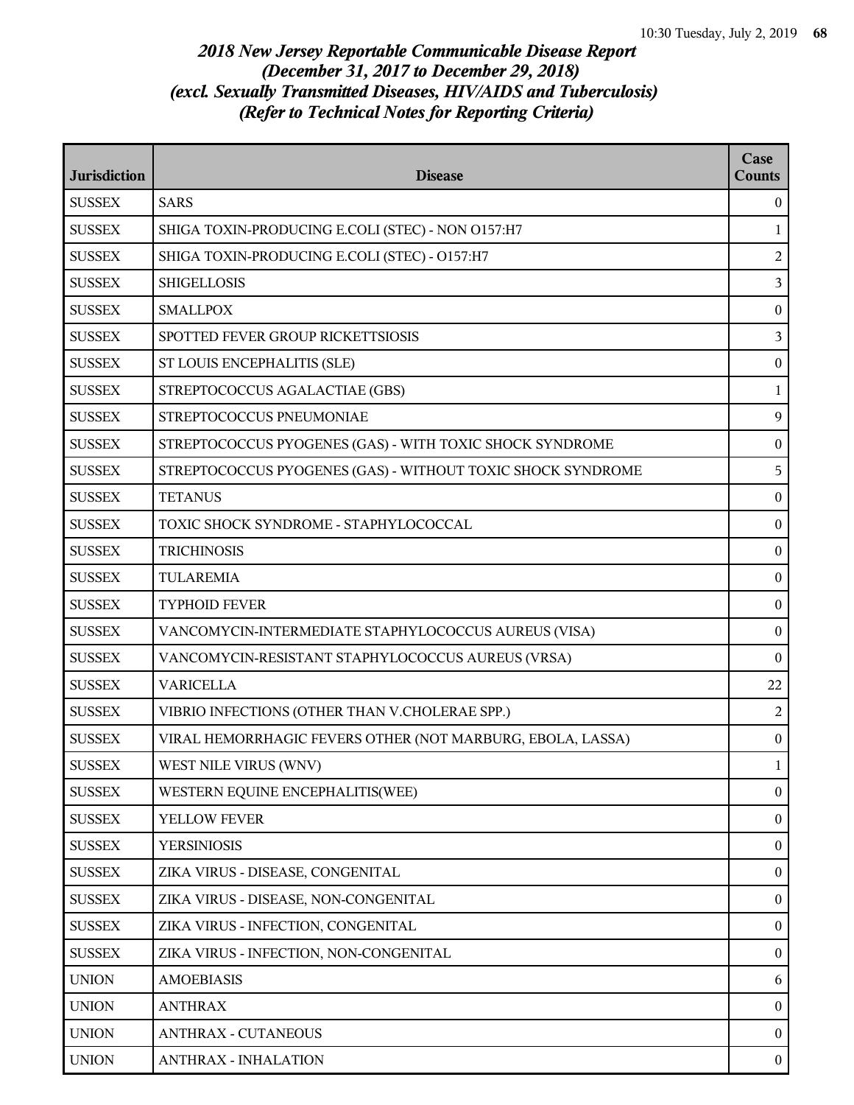| <b>Jurisdiction</b> | <b>Disease</b>                                              | Case<br><b>Counts</b> |
|---------------------|-------------------------------------------------------------|-----------------------|
| <b>SUSSEX</b>       | <b>SARS</b>                                                 | $\overline{0}$        |
| <b>SUSSEX</b>       | SHIGA TOXIN-PRODUCING E.COLI (STEC) - NON O157:H7           | 1                     |
| <b>SUSSEX</b>       | SHIGA TOXIN-PRODUCING E.COLI (STEC) - O157:H7               | $\overline{a}$        |
| <b>SUSSEX</b>       | <b>SHIGELLOSIS</b>                                          | $\overline{3}$        |
| <b>SUSSEX</b>       | <b>SMALLPOX</b>                                             | $\boldsymbol{0}$      |
| <b>SUSSEX</b>       | SPOTTED FEVER GROUP RICKETTSIOSIS                           | $\overline{3}$        |
| <b>SUSSEX</b>       | ST LOUIS ENCEPHALITIS (SLE)                                 | $\boldsymbol{0}$      |
| <b>SUSSEX</b>       | STREPTOCOCCUS AGALACTIAE (GBS)                              | 1                     |
| <b>SUSSEX</b>       | STREPTOCOCCUS PNEUMONIAE                                    | 9                     |
| <b>SUSSEX</b>       | STREPTOCOCCUS PYOGENES (GAS) - WITH TOXIC SHOCK SYNDROME    | $\boldsymbol{0}$      |
| <b>SUSSEX</b>       | STREPTOCOCCUS PYOGENES (GAS) - WITHOUT TOXIC SHOCK SYNDROME | 5                     |
| <b>SUSSEX</b>       | <b>TETANUS</b>                                              | $\boldsymbol{0}$      |
| <b>SUSSEX</b>       | TOXIC SHOCK SYNDROME - STAPHYLOCOCCAL                       | $\boldsymbol{0}$      |
| <b>SUSSEX</b>       | <b>TRICHINOSIS</b>                                          | $\bf{0}$              |
| <b>SUSSEX</b>       | <b>TULAREMIA</b>                                            | $\boldsymbol{0}$      |
| <b>SUSSEX</b>       | <b>TYPHOID FEVER</b>                                        | $\bf{0}$              |
| <b>SUSSEX</b>       | VANCOMYCIN-INTERMEDIATE STAPHYLOCOCCUS AUREUS (VISA)        | $\boldsymbol{0}$      |
| <b>SUSSEX</b>       | VANCOMYCIN-RESISTANT STAPHYLOCOCCUS AUREUS (VRSA)           | $\bf{0}$              |
| <b>SUSSEX</b>       | <b>VARICELLA</b>                                            | 22                    |
| <b>SUSSEX</b>       | VIBRIO INFECTIONS (OTHER THAN V.CHOLERAE SPP.)              | $\overline{2}$        |
| <b>SUSSEX</b>       | VIRAL HEMORRHAGIC FEVERS OTHER (NOT MARBURG, EBOLA, LASSA)  | $\bf{0}$              |
| <b>SUSSEX</b>       | WEST NILE VIRUS (WNV)                                       | $\mathbf{1}$          |
| <b>SUSSEX</b>       | WESTERN EQUINE ENCEPHALITIS(WEE)                            | $\overline{0}$        |
| <b>SUSSEX</b>       | YELLOW FEVER                                                | $\overline{0}$        |
| <b>SUSSEX</b>       | <b>YERSINIOSIS</b>                                          | $\mathbf{0}$          |
| <b>SUSSEX</b>       | ZIKA VIRUS - DISEASE, CONGENITAL                            | $\overline{0}$        |
| <b>SUSSEX</b>       | ZIKA VIRUS - DISEASE, NON-CONGENITAL                        | $\mathbf{0}$          |
| <b>SUSSEX</b>       | ZIKA VIRUS - INFECTION, CONGENITAL                          | $\boldsymbol{0}$      |
| <b>SUSSEX</b>       | ZIKA VIRUS - INFECTION, NON-CONGENITAL                      | $\mathbf{0}$          |
| <b>UNION</b>        | <b>AMOEBIASIS</b>                                           | 6                     |
| <b>UNION</b>        | <b>ANTHRAX</b>                                              | $\mathbf{0}$          |
| <b>UNION</b>        | <b>ANTHRAX - CUTANEOUS</b>                                  | $\overline{0}$        |
| <b>UNION</b>        | <b>ANTHRAX - INHALATION</b>                                 | $\overline{0}$        |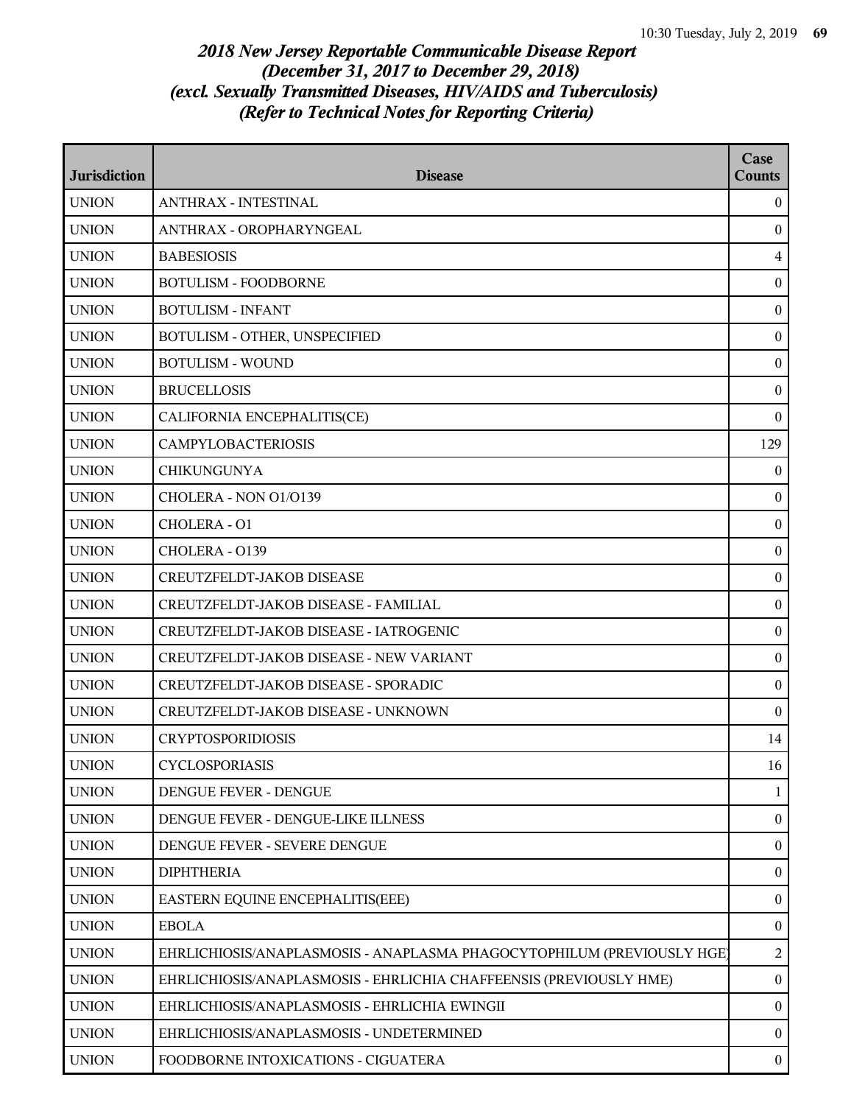| <b>Jurisdiction</b> | <b>Disease</b>                                                         | Case<br><b>Counts</b> |
|---------------------|------------------------------------------------------------------------|-----------------------|
| <b>UNION</b>        | ANTHRAX - INTESTINAL                                                   | $\overline{0}$        |
| <b>UNION</b>        | ANTHRAX - OROPHARYNGEAL                                                | $\mathbf{0}$          |
| <b>UNION</b>        | <b>BABESIOSIS</b>                                                      | $\overline{4}$        |
| <b>UNION</b>        | <b>BOTULISM - FOODBORNE</b>                                            | $\bf{0}$              |
| <b>UNION</b>        | <b>BOTULISM - INFANT</b>                                               | $\mathbf{0}$          |
| <b>UNION</b>        | BOTULISM - OTHER, UNSPECIFIED                                          | $\overline{0}$        |
| <b>UNION</b>        | <b>BOTULISM - WOUND</b>                                                | $\boldsymbol{0}$      |
| <b>UNION</b>        | <b>BRUCELLOSIS</b>                                                     | $\boldsymbol{0}$      |
| <b>UNION</b>        | CALIFORNIA ENCEPHALITIS(CE)                                            | $\bf{0}$              |
| <b>UNION</b>        | <b>CAMPYLOBACTERIOSIS</b>                                              | 129                   |
| <b>UNION</b>        | <b>CHIKUNGUNYA</b>                                                     | $\overline{0}$        |
| <b>UNION</b>        | CHOLERA - NON 01/0139                                                  | $\bf{0}$              |
| <b>UNION</b>        | CHOLERA - 01                                                           | $\mathbf{0}$          |
| <b>UNION</b>        | CHOLERA - 0139                                                         | $\bf{0}$              |
| <b>UNION</b>        | CREUTZFELDT-JAKOB DISEASE                                              | $\mathbf{0}$          |
| <b>UNION</b>        | CREUTZFELDT-JAKOB DISEASE - FAMILIAL                                   | $\bf{0}$              |
| <b>UNION</b>        | CREUTZFELDT-JAKOB DISEASE - IATROGENIC                                 | $\boldsymbol{0}$      |
| <b>UNION</b>        | CREUTZFELDT-JAKOB DISEASE - NEW VARIANT                                | $\mathbf{0}$          |
| <b>UNION</b>        | CREUTZFELDT-JAKOB DISEASE - SPORADIC                                   | $\boldsymbol{0}$      |
| <b>UNION</b>        | CREUTZFELDT-JAKOB DISEASE - UNKNOWN                                    | $\mathbf{0}$          |
| <b>UNION</b>        | <b>CRYPTOSPORIDIOSIS</b>                                               | 14                    |
| <b>UNION</b>        | <b>CYCLOSPORIASIS</b>                                                  | 16                    |
| <b>UNION</b>        | DENGUE FEVER - DENGUE                                                  | $\mathbf{1}$          |
| <b>UNION</b>        | DENGUE FEVER - DENGUE-LIKE ILLNESS                                     | $\mathbf{0}$          |
| <b>UNION</b>        | DENGUE FEVER - SEVERE DENGUE                                           | $\mathbf{0}$          |
| <b>UNION</b>        | <b>DIPHTHERIA</b>                                                      | $\mathbf{0}$          |
| <b>UNION</b>        | EASTERN EQUINE ENCEPHALITIS(EEE)                                       | $\mathbf{0}$          |
| <b>UNION</b>        | <b>EBOLA</b>                                                           | $\mathbf{0}$          |
| <b>UNION</b>        | EHRLICHIOSIS/ANAPLASMOSIS - ANAPLASMA PHAGOCYTOPHILUM (PREVIOUSLY HGE) | 2                     |
| <b>UNION</b>        | EHRLICHIOSIS/ANAPLASMOSIS - EHRLICHIA CHAFFEENSIS (PREVIOUSLY HME)     | $\mathbf{0}$          |
| <b>UNION</b>        | EHRLICHIOSIS/ANAPLASMOSIS - EHRLICHIA EWINGII                          | $\overline{0}$        |
| <b>UNION</b>        | EHRLICHIOSIS/ANAPLASMOSIS - UNDETERMINED                               | $\overline{0}$        |
| <b>UNION</b>        | FOODBORNE INTOXICATIONS - CIGUATERA                                    | $\bf{0}$              |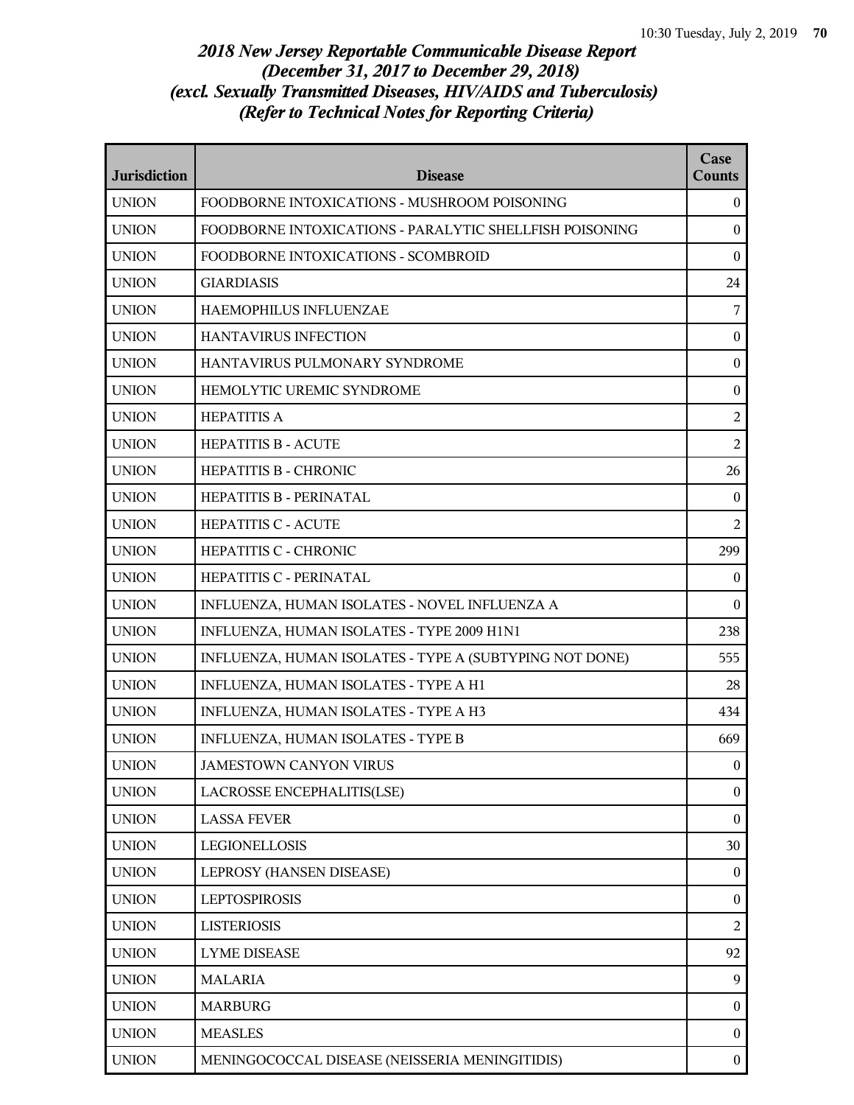| <b>Jurisdiction</b> | <b>Disease</b>                                          | Case<br><b>Counts</b> |
|---------------------|---------------------------------------------------------|-----------------------|
| <b>UNION</b>        | FOODBORNE INTOXICATIONS - MUSHROOM POISONING            | $^{0}$                |
| <b>UNION</b>        | FOODBORNE INTOXICATIONS - PARALYTIC SHELLFISH POISONING | $\overline{0}$        |
| <b>UNION</b>        | FOODBORNE INTOXICATIONS - SCOMBROID                     | $\mathbf{0}$          |
| <b>UNION</b>        | <b>GIARDIASIS</b>                                       | 24                    |
| <b>UNION</b>        | HAEMOPHILUS INFLUENZAE                                  | $\sqrt{ }$            |
| <b>UNION</b>        | HANTAVIRUS INFECTION                                    | $\mathbf{0}$          |
| <b>UNION</b>        | HANTAVIRUS PULMONARY SYNDROME                           | $\boldsymbol{0}$      |
| <b>UNION</b>        | HEMOLYTIC UREMIC SYNDROME                               | $\boldsymbol{0}$      |
| <b>UNION</b>        | <b>HEPATITIS A</b>                                      | $\overline{2}$        |
| <b>UNION</b>        | <b>HEPATITIS B - ACUTE</b>                              | $\overline{2}$        |
| <b>UNION</b>        | <b>HEPATITIS B - CHRONIC</b>                            | 26                    |
| <b>UNION</b>        | HEPATITIS B - PERINATAL                                 | $\bf{0}$              |
| <b>UNION</b>        | <b>HEPATITIS C - ACUTE</b>                              | $\overline{2}$        |
| <b>UNION</b>        | <b>HEPATITIS C - CHRONIC</b>                            | 299                   |
| <b>UNION</b>        | HEPATITIS C - PERINATAL                                 | $\boldsymbol{0}$      |
| <b>UNION</b>        | INFLUENZA, HUMAN ISOLATES - NOVEL INFLUENZA A           | $\theta$              |
| <b>UNION</b>        | INFLUENZA, HUMAN ISOLATES - TYPE 2009 H1N1              | 238                   |
| <b>UNION</b>        | INFLUENZA, HUMAN ISOLATES - TYPE A (SUBTYPING NOT DONE) | 555                   |
| <b>UNION</b>        | INFLUENZA, HUMAN ISOLATES - TYPE A H1                   | 28                    |
| <b>UNION</b>        | INFLUENZA, HUMAN ISOLATES - TYPE A H3                   | 434                   |
| <b>UNION</b>        | INFLUENZA, HUMAN ISOLATES - TYPE B                      | 669                   |
| <b>UNION</b>        | JAMESTOWN CANYON VIRUS                                  | $\overline{0}$        |
| <b>UNION</b>        | LACROSSE ENCEPHALITIS(LSE)                              | $\boldsymbol{0}$      |
| <b>UNION</b>        | <b>LASSA FEVER</b>                                      | $\theta$              |
| <b>UNION</b>        | LEGIONELLOSIS                                           | 30                    |
| <b>UNION</b>        | LEPROSY (HANSEN DISEASE)                                | $\boldsymbol{0}$      |
| <b>UNION</b>        | <b>LEPTOSPIROSIS</b>                                    | $\overline{0}$        |
| <b>UNION</b>        | <b>LISTERIOSIS</b>                                      | $\overline{2}$        |
| <b>UNION</b>        | <b>LYME DISEASE</b>                                     | 92                    |
| <b>UNION</b>        | <b>MALARIA</b>                                          | 9                     |
| <b>UNION</b>        | <b>MARBURG</b>                                          | $\boldsymbol{0}$      |
| <b>UNION</b>        | <b>MEASLES</b>                                          | $\overline{0}$        |
| <b>UNION</b>        | MENINGOCOCCAL DISEASE (NEISSERIA MENINGITIDIS)          | $\mathbf{0}$          |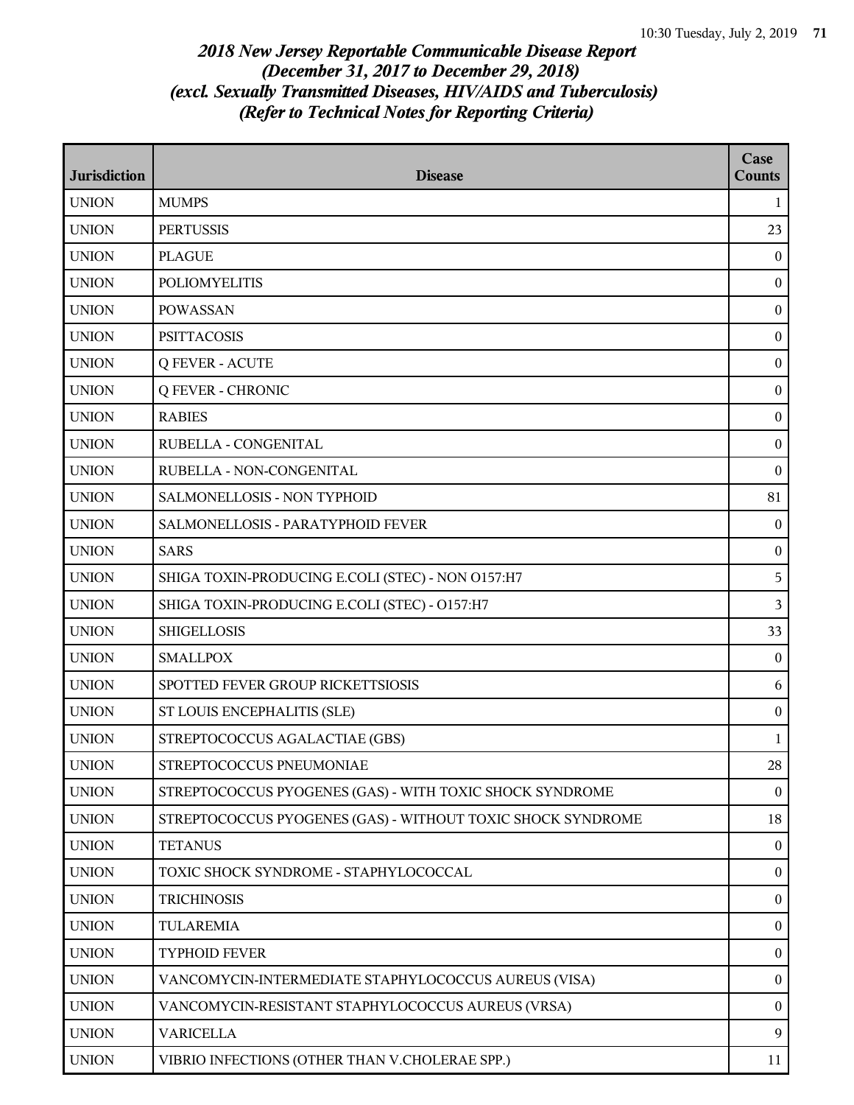| <b>Jurisdiction</b> | <b>Disease</b>                                              | Case<br>Counts   |
|---------------------|-------------------------------------------------------------|------------------|
| <b>UNION</b>        | <b>MUMPS</b>                                                | $\mathbf{1}$     |
| <b>UNION</b>        | <b>PERTUSSIS</b>                                            | 23               |
| <b>UNION</b>        | <b>PLAGUE</b>                                               | $\mathbf{0}$     |
| <b>UNION</b>        | <b>POLIOMYELITIS</b>                                        | $\bf{0}$         |
| <b>UNION</b>        | <b>POWASSAN</b>                                             | $\boldsymbol{0}$ |
| <b>UNION</b>        | <b>PSITTACOSIS</b>                                          | $\bf{0}$         |
| <b>UNION</b>        | <b>Q FEVER - ACUTE</b>                                      | $\boldsymbol{0}$ |
| <b>UNION</b>        | <b>Q FEVER - CHRONIC</b>                                    | $\bf{0}$         |
| <b>UNION</b>        | <b>RABIES</b>                                               | $\bf{0}$         |
| <b>UNION</b>        | RUBELLA - CONGENITAL                                        | $\boldsymbol{0}$ |
| <b>UNION</b>        | RUBELLA - NON-CONGENITAL                                    | $\bf{0}$         |
| <b>UNION</b>        | SALMONELLOSIS - NON TYPHOID                                 | 81               |
| <b>UNION</b>        | SALMONELLOSIS - PARATYPHOID FEVER                           | $\mathbf{0}$     |
| <b>UNION</b>        | <b>SARS</b>                                                 | $\bf{0}$         |
| <b>UNION</b>        | SHIGA TOXIN-PRODUCING E.COLI (STEC) - NON 0157:H7           | 5                |
| <b>UNION</b>        | SHIGA TOXIN-PRODUCING E.COLI (STEC) - O157:H7               | 3                |
| <b>UNION</b>        | <b>SHIGELLOSIS</b>                                          | 33               |
| <b>UNION</b>        | <b>SMALLPOX</b>                                             | $\overline{0}$   |
| <b>UNION</b>        | SPOTTED FEVER GROUP RICKETTSIOSIS                           | 6                |
| <b>UNION</b>        | ST LOUIS ENCEPHALITIS (SLE)                                 | $\boldsymbol{0}$ |
| <b>UNION</b>        | STREPTOCOCCUS AGALACTIAE (GBS)                              | $\mathbf{1}$     |
| <b>UNION</b>        | STREPTOCOCCUS PNEUMONIAE                                    | 28               |
| <b>UNION</b>        | STREPTOCOCCUS PYOGENES (GAS) - WITH TOXIC SHOCK SYNDROME    | $\bf{0}$         |
| <b>UNION</b>        | STREPTOCOCCUS PYOGENES (GAS) - WITHOUT TOXIC SHOCK SYNDROME | 18               |
| <b>UNION</b>        | <b>TETANUS</b>                                              | $\bf{0}$         |
| <b>UNION</b>        | TOXIC SHOCK SYNDROME - STAPHYLOCOCCAL                       | $\boldsymbol{0}$ |
| <b>UNION</b>        | <b>TRICHINOSIS</b>                                          | $\bf{0}$         |
| <b>UNION</b>        | <b>TULAREMIA</b>                                            | $\bf{0}$         |
| <b>UNION</b>        | <b>TYPHOID FEVER</b>                                        | $\bf{0}$         |
| <b>UNION</b>        | VANCOMYCIN-INTERMEDIATE STAPHYLOCOCCUS AUREUS (VISA)        | $\bf{0}$         |
| <b>UNION</b>        | VANCOMYCIN-RESISTANT STAPHYLOCOCCUS AUREUS (VRSA)           | $\mathbf{0}$     |
| <b>UNION</b>        | <b>VARICELLA</b>                                            | 9                |
| <b>UNION</b>        | VIBRIO INFECTIONS (OTHER THAN V.CHOLERAE SPP.)              | 11               |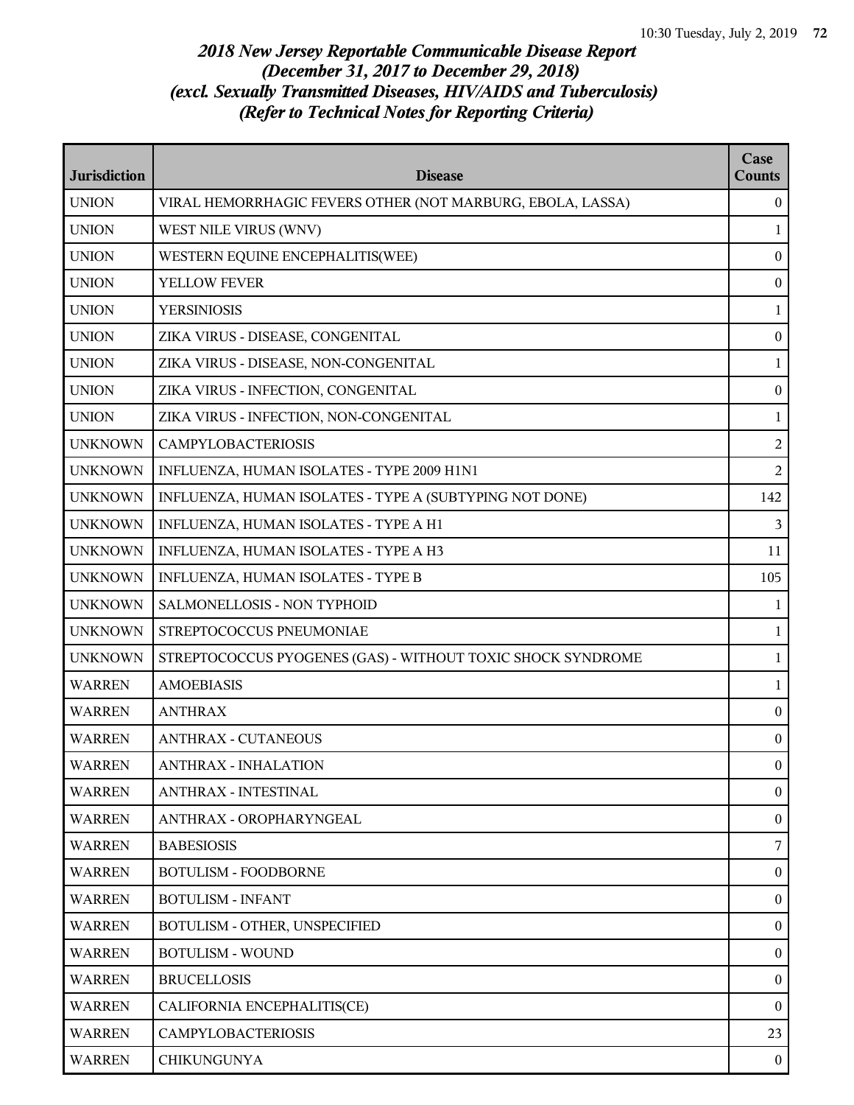| <b>Jurisdiction</b> | <b>Disease</b>                                              | Case<br><b>Counts</b> |
|---------------------|-------------------------------------------------------------|-----------------------|
| <b>UNION</b>        | VIRAL HEMORRHAGIC FEVERS OTHER (NOT MARBURG, EBOLA, LASSA)  | $\overline{0}$        |
| <b>UNION</b>        | WEST NILE VIRUS (WNV)                                       | 1                     |
| <b>UNION</b>        | WESTERN EQUINE ENCEPHALITIS(WEE)                            | $\boldsymbol{0}$      |
| <b>UNION</b>        | YELLOW FEVER                                                | $\boldsymbol{0}$      |
| <b>UNION</b>        | <b>YERSINIOSIS</b>                                          | $\mathbf{1}$          |
| <b>UNION</b>        | ZIKA VIRUS - DISEASE, CONGENITAL                            | $\boldsymbol{0}$      |
| <b>UNION</b>        | ZIKA VIRUS - DISEASE, NON-CONGENITAL                        | 1                     |
| <b>UNION</b>        | ZIKA VIRUS - INFECTION, CONGENITAL                          | $\boldsymbol{0}$      |
| <b>UNION</b>        | ZIKA VIRUS - INFECTION, NON-CONGENITAL                      | $\mathbf{1}$          |
| <b>UNKNOWN</b>      | <b>CAMPYLOBACTERIOSIS</b>                                   | $\overline{2}$        |
| <b>UNKNOWN</b>      | INFLUENZA, HUMAN ISOLATES - TYPE 2009 H1N1                  | 2                     |
| <b>UNKNOWN</b>      | INFLUENZA, HUMAN ISOLATES - TYPE A (SUBTYPING NOT DONE)     | 142                   |
| <b>UNKNOWN</b>      | INFLUENZA, HUMAN ISOLATES - TYPE A H1                       | 3                     |
| <b>UNKNOWN</b>      | INFLUENZA, HUMAN ISOLATES - TYPE A H3                       | 11                    |
| <b>UNKNOWN</b>      | INFLUENZA, HUMAN ISOLATES - TYPE B                          | 105                   |
| <b>UNKNOWN</b>      | SALMONELLOSIS - NON TYPHOID                                 | 1                     |
| <b>UNKNOWN</b>      | STREPTOCOCCUS PNEUMONIAE                                    | 1                     |
| <b>UNKNOWN</b>      | STREPTOCOCCUS PYOGENES (GAS) - WITHOUT TOXIC SHOCK SYNDROME | $\mathbf{1}$          |
| <b>WARREN</b>       | <b>AMOEBIASIS</b>                                           | $\mathbf{1}$          |
| <b>WARREN</b>       | <b>ANTHRAX</b>                                              | $\mathbf{0}$          |
| WARREN              | <b>ANTHRAX - CUTANEOUS</b>                                  | $\boldsymbol{0}$      |
| <b>WARREN</b>       | ANTHRAX - INHALATION                                        | $\Omega$              |
| <b>WARREN</b>       | ANTHRAX - INTESTINAL                                        | $\overline{0}$        |
| <b>WARREN</b>       | ANTHRAX - OROPHARYNGEAL                                     | $\mathbf{0}$          |
| <b>WARREN</b>       | <b>BABESIOSIS</b>                                           | 7                     |
| <b>WARREN</b>       | <b>BOTULISM - FOODBORNE</b>                                 | $\mathbf{0}$          |
| <b>WARREN</b>       | <b>BOTULISM - INFANT</b>                                    | $\boldsymbol{0}$      |
| <b>WARREN</b>       | BOTULISM - OTHER, UNSPECIFIED                               | $\boldsymbol{0}$      |
| <b>WARREN</b>       | <b>BOTULISM - WOUND</b>                                     | $\mathbf{0}$          |
| <b>WARREN</b>       | <b>BRUCELLOSIS</b>                                          | $\mathbf{0}$          |
| <b>WARREN</b>       | CALIFORNIA ENCEPHALITIS(CE)                                 | $\overline{0}$        |
| <b>WARREN</b>       | <b>CAMPYLOBACTERIOSIS</b>                                   | 23                    |
| <b>WARREN</b>       | <b>CHIKUNGUNYA</b>                                          | $\mathbf{0}$          |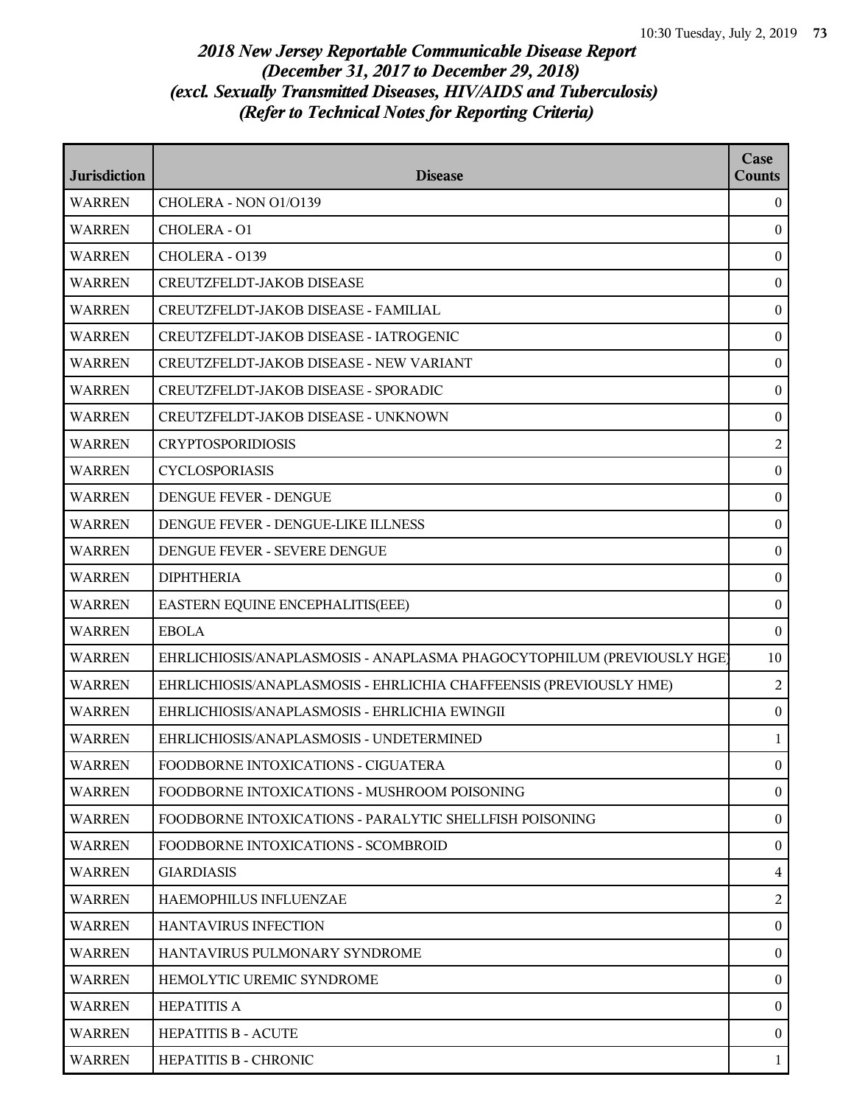## *2018 New Jersey Reportable Communicable Disease Report (December 31, 2017 to December 29, 2018) (excl. Sexually Transmitted Diseases, HIV/AIDS and Tuberculosis) (Refer to Technical Notes for Reporting Criteria)*

| <b>Jurisdiction</b> | <b>Disease</b>                                                         | Case<br><b>Counts</b> |
|---------------------|------------------------------------------------------------------------|-----------------------|
| <b>WARREN</b>       | CHOLERA - NON O1/O139                                                  | $\theta$              |
| <b>WARREN</b>       | CHOLERA - O1                                                           | $\mathbf{0}$          |
| <b>WARREN</b>       | CHOLERA - 0139                                                         | $\mathbf{0}$          |
| <b>WARREN</b>       | CREUTZFELDT-JAKOB DISEASE                                              | $\boldsymbol{0}$      |
| <b>WARREN</b>       | CREUTZFELDT-JAKOB DISEASE - FAMILIAL                                   | $\boldsymbol{0}$      |
| <b>WARREN</b>       | CREUTZFELDT-JAKOB DISEASE - IATROGENIC                                 | $\mathbf{0}$          |
| <b>WARREN</b>       | CREUTZFELDT-JAKOB DISEASE - NEW VARIANT                                | $\boldsymbol{0}$      |
| <b>WARREN</b>       | CREUTZFELDT-JAKOB DISEASE - SPORADIC                                   | $\boldsymbol{0}$      |
| <b>WARREN</b>       | CREUTZFELDT-JAKOB DISEASE - UNKNOWN                                    | $\boldsymbol{0}$      |
| <b>WARREN</b>       | <b>CRYPTOSPORIDIOSIS</b>                                               | $\overline{2}$        |
| <b>WARREN</b>       | <b>CYCLOSPORIASIS</b>                                                  | $\mathbf{0}$          |
| <b>WARREN</b>       | DENGUE FEVER - DENGUE                                                  | $\boldsymbol{0}$      |
| <b>WARREN</b>       | DENGUE FEVER - DENGUE-LIKE ILLNESS                                     | $\boldsymbol{0}$      |
| <b>WARREN</b>       | DENGUE FEVER - SEVERE DENGUE                                           | $\boldsymbol{0}$      |
| <b>WARREN</b>       | <b>DIPHTHERIA</b>                                                      | $\boldsymbol{0}$      |
| <b>WARREN</b>       | EASTERN EQUINE ENCEPHALITIS(EEE)                                       | $\mathbf{0}$          |
| <b>WARREN</b>       | <b>EBOLA</b>                                                           | $\mathbf{0}$          |
| <b>WARREN</b>       | EHRLICHIOSIS/ANAPLASMOSIS - ANAPLASMA PHAGOCYTOPHILUM (PREVIOUSLY HGE) | 10                    |
| <b>WARREN</b>       | EHRLICHIOSIS/ANAPLASMOSIS - EHRLICHIA CHAFFEENSIS (PREVIOUSLY HME)     | $\overline{2}$        |
| <b>WARREN</b>       | EHRLICHIOSIS/ANAPLASMOSIS - EHRLICHIA EWINGII                          | $\boldsymbol{0}$      |
| <b>WARREN</b>       | EHRLICHIOSIS/ANAPLASMOSIS - UNDETERMINED                               | 1                     |
| <b>WARREN</b>       | FOODBORNE INTOXICATIONS - CIGUATERA                                    | $\mathbf{0}$          |
| <b>WARREN</b>       | FOODBORNE INTOXICATIONS - MUSHROOM POISONING                           | $\bf{0}$              |
| <b>WARREN</b>       | FOODBORNE INTOXICATIONS - PARALYTIC SHELLFISH POISONING                | $\boldsymbol{0}$      |
| <b>WARREN</b>       | FOODBORNE INTOXICATIONS - SCOMBROID                                    | $\mathbf{0}$          |
| <b>WARREN</b>       | <b>GIARDIASIS</b>                                                      | $\overline{4}$        |
| <b>WARREN</b>       | HAEMOPHILUS INFLUENZAE                                                 | $\overline{2}$        |
| <b>WARREN</b>       | HANTAVIRUS INFECTION                                                   | $\boldsymbol{0}$      |
| <b>WARREN</b>       | HANTAVIRUS PULMONARY SYNDROME                                          | $\boldsymbol{0}$      |
| <b>WARREN</b>       | HEMOLYTIC UREMIC SYNDROME                                              | $\mathbf{0}$          |
| <b>WARREN</b>       | <b>HEPATITIS A</b>                                                     | $\mathbf{0}$          |
| <b>WARREN</b>       | <b>HEPATITIS B - ACUTE</b>                                             | $\mathbf{0}$          |
| <b>WARREN</b>       | HEPATITIS B - CHRONIC                                                  | 1                     |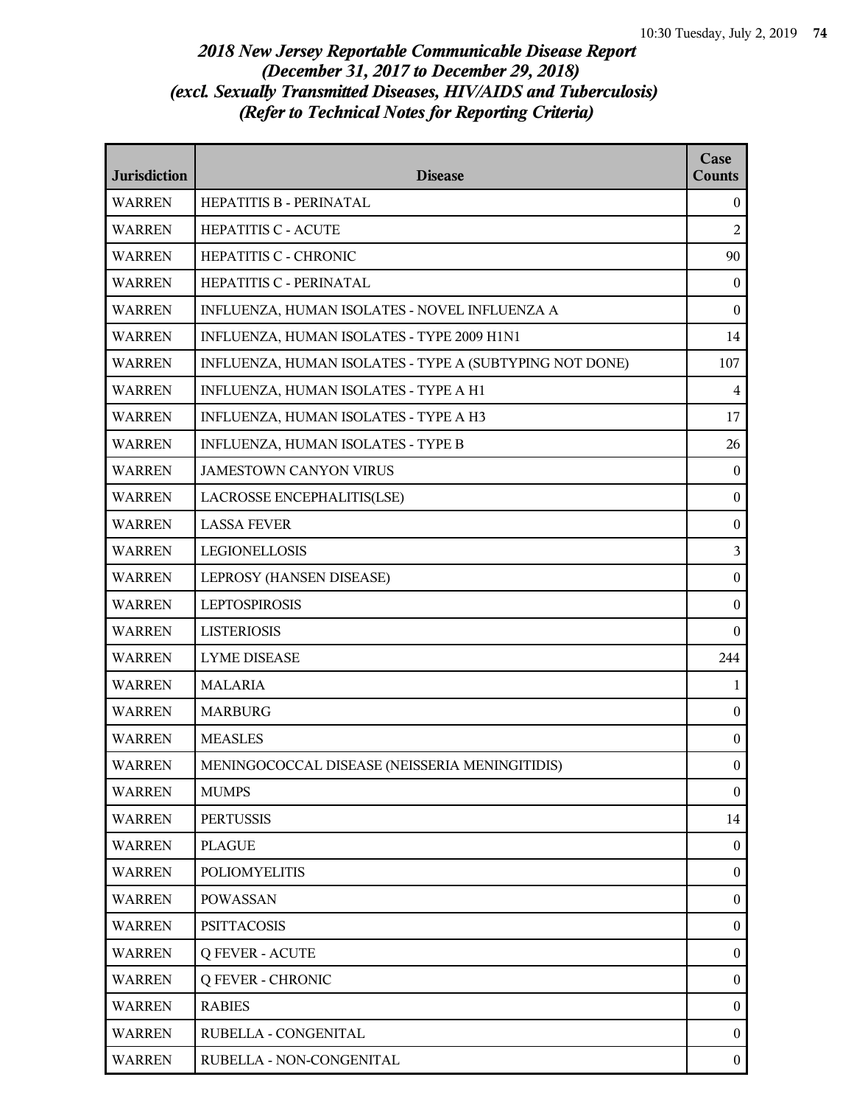## *2018 New Jersey Reportable Communicable Disease Report (December 31, 2017 to December 29, 2018) (excl. Sexually Transmitted Diseases, HIV/AIDS and Tuberculosis) (Refer to Technical Notes for Reporting Criteria)*

| <b>Jurisdiction</b> | <b>Disease</b>                                          | Case<br><b>Counts</b> |
|---------------------|---------------------------------------------------------|-----------------------|
| <b>WARREN</b>       | HEPATITIS B - PERINATAL                                 | $\bf{0}$              |
| <b>WARREN</b>       | <b>HEPATITIS C - ACUTE</b>                              | $\overline{c}$        |
| <b>WARREN</b>       | HEPATITIS C - CHRONIC                                   | 90                    |
| <b>WARREN</b>       | HEPATITIS C - PERINATAL                                 | $\mathbf{0}$          |
| <b>WARREN</b>       | INFLUENZA, HUMAN ISOLATES - NOVEL INFLUENZA A           | $\boldsymbol{0}$      |
| <b>WARREN</b>       | INFLUENZA, HUMAN ISOLATES - TYPE 2009 H1N1              | 14                    |
| <b>WARREN</b>       | INFLUENZA, HUMAN ISOLATES - TYPE A (SUBTYPING NOT DONE) | 107                   |
| <b>WARREN</b>       | INFLUENZA, HUMAN ISOLATES - TYPE A H1                   | $\overline{4}$        |
| <b>WARREN</b>       | INFLUENZA, HUMAN ISOLATES - TYPE A H3                   | 17                    |
| <b>WARREN</b>       | INFLUENZA, HUMAN ISOLATES - TYPE B                      | 26                    |
| <b>WARREN</b>       | <b>JAMESTOWN CANYON VIRUS</b>                           | $\mathbf{0}$          |
| <b>WARREN</b>       | LACROSSE ENCEPHALITIS(LSE)                              | $\boldsymbol{0}$      |
| <b>WARREN</b>       | <b>LASSA FEVER</b>                                      | $\boldsymbol{0}$      |
| <b>WARREN</b>       | <b>LEGIONELLOSIS</b>                                    | 3                     |
| <b>WARREN</b>       | LEPROSY (HANSEN DISEASE)                                | $\boldsymbol{0}$      |
| <b>WARREN</b>       | <b>LEPTOSPIROSIS</b>                                    | $\mathbf{0}$          |
| <b>WARREN</b>       | <b>LISTERIOSIS</b>                                      | $\theta$              |
| <b>WARREN</b>       | <b>LYME DISEASE</b>                                     | 244                   |
| <b>WARREN</b>       | <b>MALARIA</b>                                          | 1                     |
| <b>WARREN</b>       | <b>MARBURG</b>                                          | $\boldsymbol{0}$      |
| <b>WARREN</b>       | <b>MEASLES</b>                                          | $\boldsymbol{0}$      |
| <b>WARREN</b>       | MENINGOCOCCAL DISEASE (NEISSERIA MENINGITIDIS)          | $\mathbf{0}$          |
| <b>WARREN</b>       | <b>MUMPS</b>                                            | $\boldsymbol{0}$      |
| <b>WARREN</b>       | <b>PERTUSSIS</b>                                        | 14                    |
| <b>WARREN</b>       | <b>PLAGUE</b>                                           | $\boldsymbol{0}$      |
| <b>WARREN</b>       | <b>POLIOMYELITIS</b>                                    | $\boldsymbol{0}$      |
| <b>WARREN</b>       | <b>POWASSAN</b>                                         | $\mathbf{0}$          |
| <b>WARREN</b>       | <b>PSITTACOSIS</b>                                      | $\boldsymbol{0}$      |
| <b>WARREN</b>       | <b>Q FEVER - ACUTE</b>                                  | $\boldsymbol{0}$      |
| <b>WARREN</b>       | <b>Q FEVER - CHRONIC</b>                                | $\boldsymbol{0}$      |
| <b>WARREN</b>       | <b>RABIES</b>                                           | $\boldsymbol{0}$      |
| <b>WARREN</b>       | RUBELLA - CONGENITAL                                    | $\overline{0}$        |
| <b>WARREN</b>       | RUBELLA - NON-CONGENITAL                                | $\boldsymbol{0}$      |